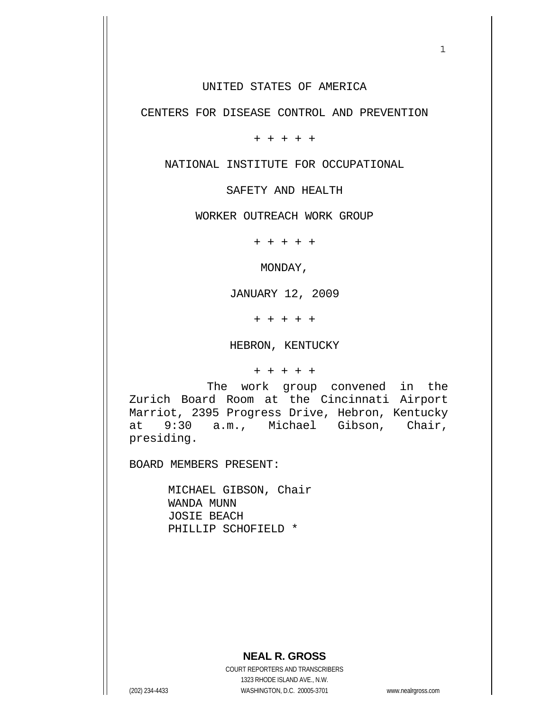UNITED STATES OF AMERICA

 $1$ 

CENTERS FOR DISEASE CONTROL AND PREVENTION

+ + + + +

NATIONAL INSTITUTE FOR OCCUPATIONAL

SAFETY AND HEALTH

WORKER OUTREACH WORK GROUP

+ + + + +

MONDAY,

JANUARY 12, 2009

+ + + + +

HEBRON, KENTUCKY

+ + + + +

 The work group convened in the Zurich Board Room at the Cincinnati Airport Marriot, 2395 Progress Drive, Hebron, Kentucky at 9:30 a.m., Michael Gibson, Chair, presiding.

BOARD MEMBERS PRESENT:

 MICHAEL GIBSON, Chair WANDA MUNN JOSIE BEACH PHILLIP SCHOFIELD \*

 **NEAL R. GROSS**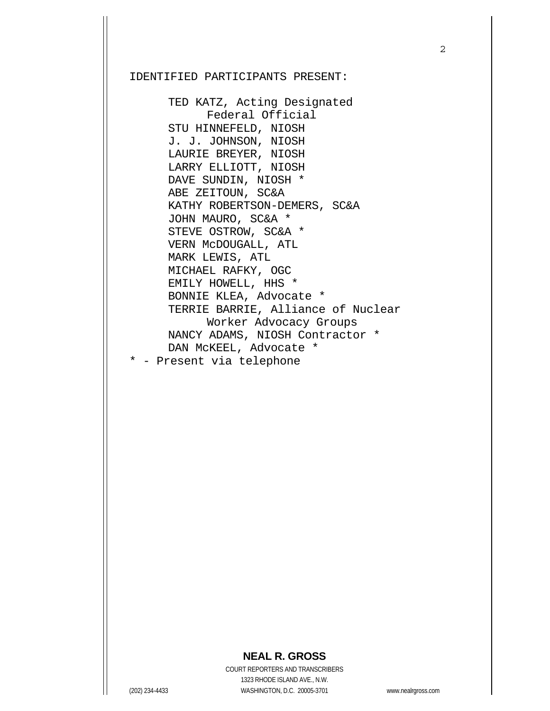### IDENTIFIED PARTICIPANTS PRESENT:

 TED KATZ, Acting Designated Federal Official STU HINNEFELD, NIOSH J. J. JOHNSON, NIOSH LAURIE BREYER, NIOSH LARRY ELLIOTT, NIOSH DAVE SUNDIN, NIOSH \* ABE ZEITOUN, SC&A KATHY ROBERTSON-DEMERS, SC&A JOHN MAURO, SC&A \* STEVE OSTROW, SC&A \* VERN McDOUGALL, ATL MARK LEWIS, ATL MICHAEL RAFKY, OGC EMILY HOWELL, HHS \* BONNIE KLEA, Advocate \* TERRIE BARRIE, Alliance of Nuclear Worker Advocacy Groups NANCY ADAMS, NIOSH Contractor \* DAN McKEEL, Advocate \*

## **NEAL R. GROSS**

<sup>\* -</sup> Present via telephone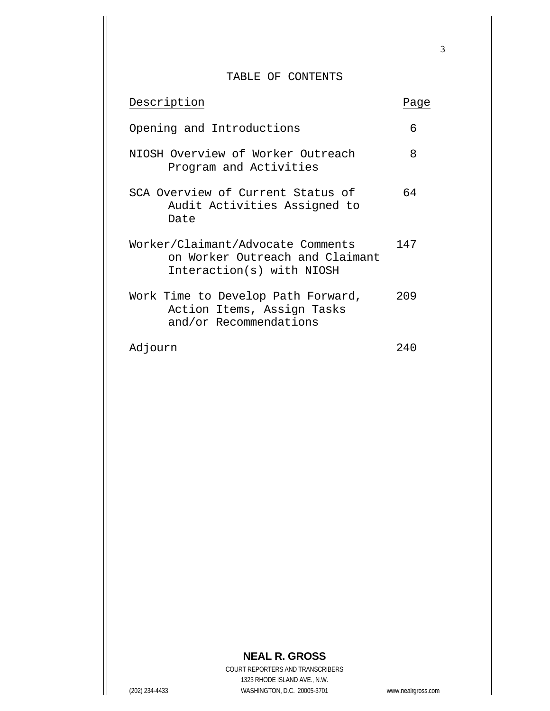### TABLE OF CONTENTS

| Description                                                                                       | Paqe |
|---------------------------------------------------------------------------------------------------|------|
| Opening and Introductions                                                                         | 6    |
| NIOSH Overview of Worker Outreach<br>Program and Activities                                       | 8    |
| SCA Overview of Current Status of<br>Audit Activities Assigned to<br>Date                         | 64   |
| Worker/Claimant/Advocate Comments<br>on Worker Outreach and Claimant<br>Interaction(s) with NIOSH | 147  |
| Work Time to Develop Path Forward,<br>Action Items, Assign Tasks<br>and/or Recommendations        | 209  |
| Adjourn                                                                                           | 240  |

# **NEAL R. GROSS**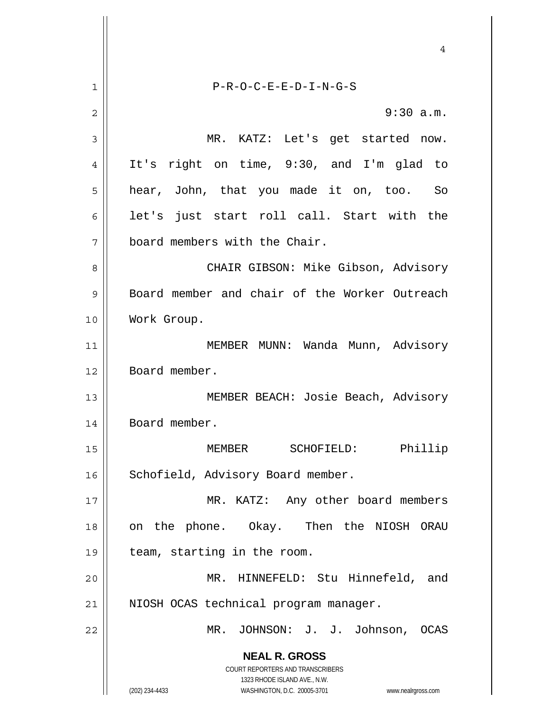**NEAL R. GROSS** COURT REPORTERS AND TRANSCRIBERS 1323 RHODE ISLAND AVE., N.W. (202) 234-4433 WASHINGTON, D.C. 20005-3701 www.nealrgross.com 4 1 P-R-O-C-E-E-D-I-N-G-S 2 9:30 a.m. 3 MR. KATZ: Let's get started now. 4 It's right on time, 9:30, and I'm glad to 5 || hear, John, that you made it on, too. So 6 || let's just start roll call. Start with the 7 board members with the Chair. 8 CHAIR GIBSON: Mike Gibson, Advisory 9 Board member and chair of the Worker Outreach 10 Work Group. 11 || MEMBER MUNN: Wanda Munn, Advisory 12 | Board member. 13 || MEMBER BEACH: Josie Beach, Advisory 14 | Board member. 15 MEMBER SCHOFIELD: Phillip 16 | Schofield, Advisory Board member. 17 || MR. KATZ: Any other board members 18 || on the phone. Okay. Then the NIOSH ORAU 19 | team, starting in the room. 20 MR. HINNEFELD: Stu Hinnefeld, and 21 || NIOSH OCAS technical program manager. 22 || MR. JOHNSON: J. J. Johnson, OCAS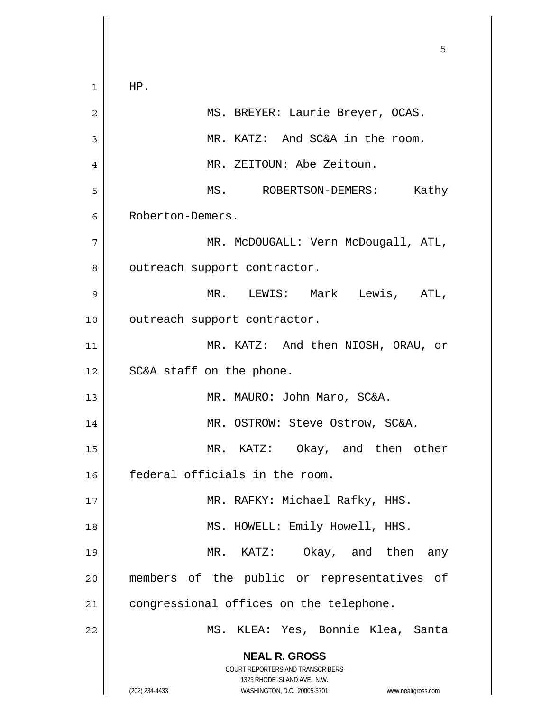**NEAL R. GROSS** COURT REPORTERS AND TRANSCRIBERS 1323 RHODE ISLAND AVE., N.W. (202) 234-4433 WASHINGTON, D.C. 20005-3701 www.nealrgross.com  $\sim$  5  $\sim$  5  $\sim$  5  $\sim$  5  $\sim$  5  $\sim$  5  $\sim$  5  $\sim$  5  $\sim$  5  $\sim$  5  $\sim$  5  $\sim$  5  $\sim$  5  $\sim$  5  $\sim$  5  $\sim$  5  $\sim$  5  $\sim$  5  $\sim$  5  $\sim$  5  $\sim$  5  $\sim$  5  $\sim$  5  $\sim$  5  $\sim$  5  $\sim$  5  $\sim$  5  $\sim$  5  $\sim$  5  $\sim$  5  $\sim$  5  $\sim$  $1 \parallel$  HP. 2 MS. BREYER: Laurie Breyer, OCAS. 3 | MR. KATZ: And SC&A in the room. 4 MR. ZEITOUN: Abe Zeitoun. 5 MS. ROBERTSON-DEMERS: Kathy 6 Roberton-Demers. 7 MR. McDOUGALL: Vern McDougall, ATL, 8 | outreach support contractor. 9 MR. LEWIS: Mark Lewis, ATL, 10 | outreach support contractor. 11 || MR. KATZ: And then NIOSH, ORAU, or 12 || SC&A staff on the phone. 13 || MR. MAURO: John Maro, SC&A. 14 | MR. OSTROW: Steve Ostrow, SC&A. 15 MR. KATZ: Okay, and then other 16 federal officials in the room. 17 MR. RAFKY: Michael Rafky, HHS. 18 || MS. HOWELL: Emily Howell, HHS. 19 MR. KATZ: Okay, and then any 20 members of the public or representatives of 21 | congressional offices on the telephone. 22 MS. KLEA: Yes, Bonnie Klea, Santa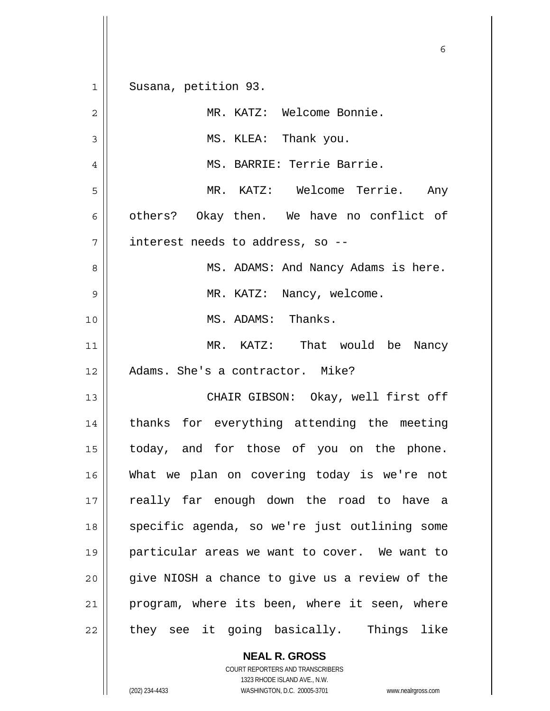|             | 6                                              |
|-------------|------------------------------------------------|
| $\mathbf 1$ | Susana, petition 93.                           |
| 2           | MR. KATZ: Welcome Bonnie.                      |
| 3           | MS. KLEA: Thank you.                           |
| 4           | MS. BARRIE: Terrie Barrie.                     |
| 5           | MR. KATZ: Welcome Terrie. Any                  |
| 6           | others? Okay then. We have no conflict of      |
| 7           | interest needs to address, so --               |
| 8           | MS. ADAMS: And Nancy Adams is here.            |
| 9           | MR. KATZ: Nancy, welcome.                      |
| 10          | MS. ADAMS: Thanks.                             |
| 11          | MR. KATZ: That would be Nancy                  |
| 12          | Adams. She's a contractor. Mike?               |
| 13          | CHAIR GIBSON: Okay, well first off             |
| 14          | thanks for everything attending the meeting    |
| 15          | today, and for those of you on the phone.      |
| 16          | What we plan on covering today is we're not    |
| 17          | really far enough down the road to have a      |
| 18          | specific agenda, so we're just outlining some  |
| 19          | particular areas we want to cover. We want to  |
| 20          | give NIOSH a chance to give us a review of the |
| 21          | program, where its been, where it seen, where  |
| 22          | they see it going basically. Things like       |

 **NEAL R. GROSS** COURT REPORTERS AND TRANSCRIBERS

1323 RHODE ISLAND AVE., N.W.

 $\mathbf{I}$ 

(202) 234-4433 WASHINGTON, D.C. 20005-3701 www.nealrgross.com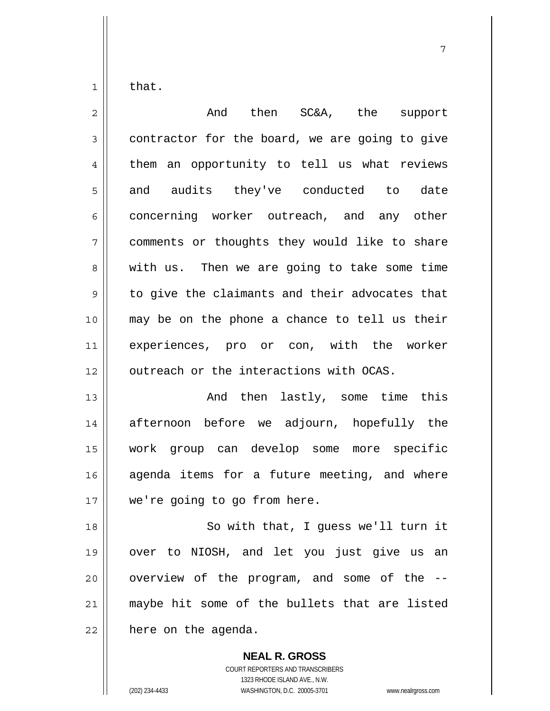$1 \parallel$  that.

| $\overline{2}$ | And then SC&A, the support                     |
|----------------|------------------------------------------------|
| $\mathfrak{Z}$ | contractor for the board, we are going to give |
| 4              | them an opportunity to tell us what reviews    |
| 5              | and audits they've conducted to date           |
| 6              | concerning worker outreach, and any other      |
| 7              | comments or thoughts they would like to share  |
| 8              | with us. Then we are going to take some time   |
| 9              | to give the claimants and their advocates that |
| 10             | may be on the phone a chance to tell us their  |
| 11             | experiences, pro or con, with the worker       |
| 12             | outreach or the interactions with OCAS.        |
| 13             | And then lastly, some time this                |
| 14             | afternoon before we adjourn, hopefully the     |
| 15             | work group can develop some more specific      |

 agenda items for a future meeting, and where 17 | we're going to go from here.

18 || So with that, I guess we'll turn it over to NIOSH, and let you just give us an | overview of the program, and some of the  $-$ 21 || maybe hit some of the bullets that are listed | here on the agenda.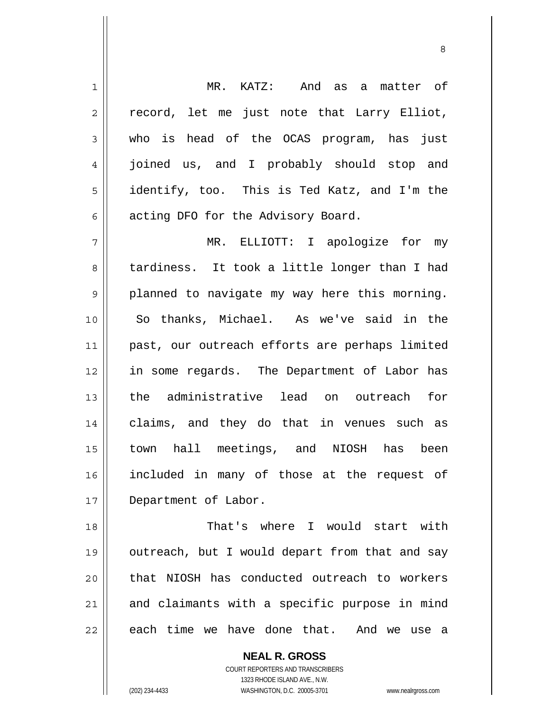1 MR. KATZ: And as a matter of  $2 \parallel$  record, let me just note that Larry Elliot, 3 who is head of the OCAS program, has just 4 joined us, and I probably should stop and 5 | identify, too. This is Ted Katz, and I'm the  $6 \parallel$  acting DFO for the Advisory Board. 7 MR. ELLIOTT: I apologize for my 8 tardiness. It took a little longer than I had  $9 \parallel$  planned to navigate my way here this morning. 10 So thanks, Michael. As we've said in the 11 || past, our outreach efforts are perhaps limited 12 || in some regards. The Department of Labor has

<u>83 - Santa Carlos de Santa Carlos de Santa Carlos de Santa Carlos de Santa Carlos de Santa Carlos de Santa Ca</u>

13 the administrative lead on outreach for 14 || claims, and they do that in venues such as 15 town hall meetings, and NIOSH has been 16 included in many of those at the request of 17 Department of Labor.

18 That's where I would start with 19 || outreach, but I would depart from that and say 20 || that NIOSH has conducted outreach to workers  $21$  and claimants with a specific purpose in mind  $22$  || each time we have done that. And we use a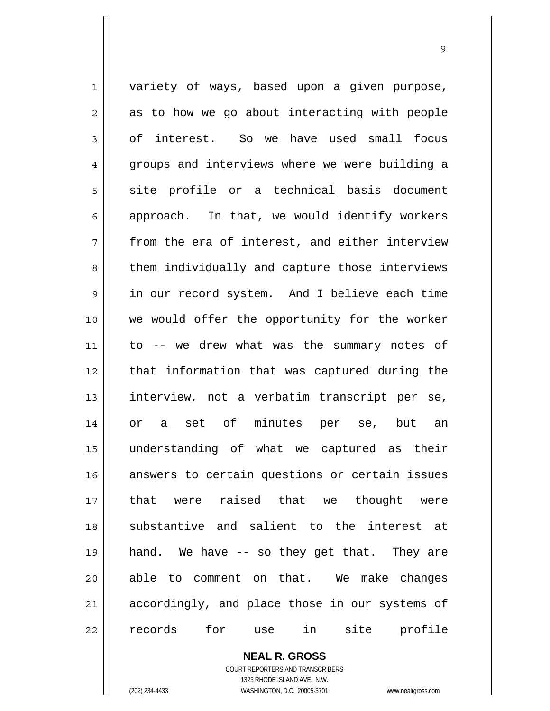1 variety of ways, based upon a given purpose,  $2 \parallel$  as to how we go about interacting with people 3 of interest. So we have used small focus 4 groups and interviews where we were building a 5 site profile or a technical basis document  $6 \parallel$  approach. In that, we would identify workers  $7 \parallel$  from the era of interest, and either interview 8 || them individually and capture those interviews 9 in our record system. And I believe each time 10 we would offer the opportunity for the worker 11 to -- we drew what was the summary notes of 12 || that information that was captured during the 13 || interview, not a verbatim transcript per se, 14 or a set of minutes per se, but an 15 understanding of what we captured as their 16 answers to certain questions or certain issues 17 that were raised that we thought were 18 Substantive and salient to the interest at 19 hand. We have -- so they get that. They are 20 || able to comment on that. We make changes 21 || accordingly, and place those in our systems of 22 records for use in site profile

9

 **NEAL R. GROSS** COURT REPORTERS AND TRANSCRIBERS

1323 RHODE ISLAND AVE., N.W.

(202) 234-4433 WASHINGTON, D.C. 20005-3701 www.nealrgross.com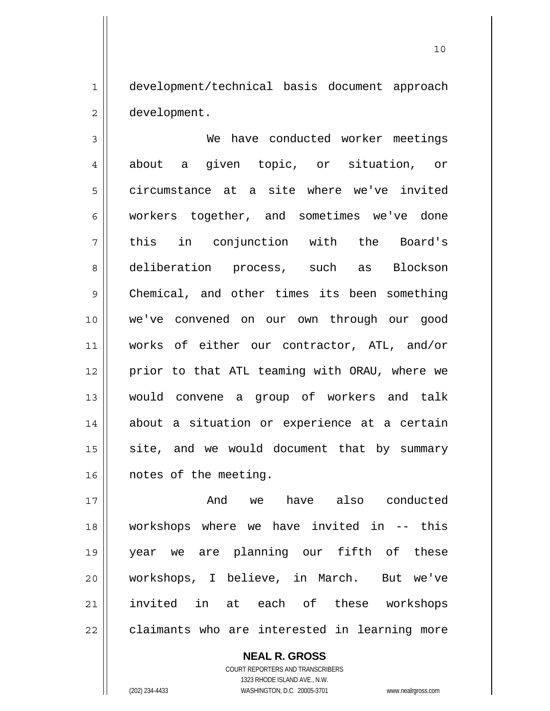1 development/technical basis document approach 2 | development.

3 We have conducted worker meetings 4 || about a given topic, or situation, or 5 circumstance at a site where we've invited 6 workers together, and sometimes we've done 7 || this in conjunction with the Board's 8 deliberation process, such as Blockson 9 Chemical, and other times its been something 10 we've convened on our own through our good 11 works of either our contractor, ATL, and/or 12 || prior to that ATL teaming with ORAU, where we 13 would convene a group of workers and talk 14 || about a situation or experience at a certain  $15$  site, and we would document that by summary 16 | notes of the meeting.

17 and we have also conducted workshops where we have invited in -- this year we are planning our fifth of these workshops, I believe, in March. But we've invited in at each of these workshops 22 || claimants who are interested in learning more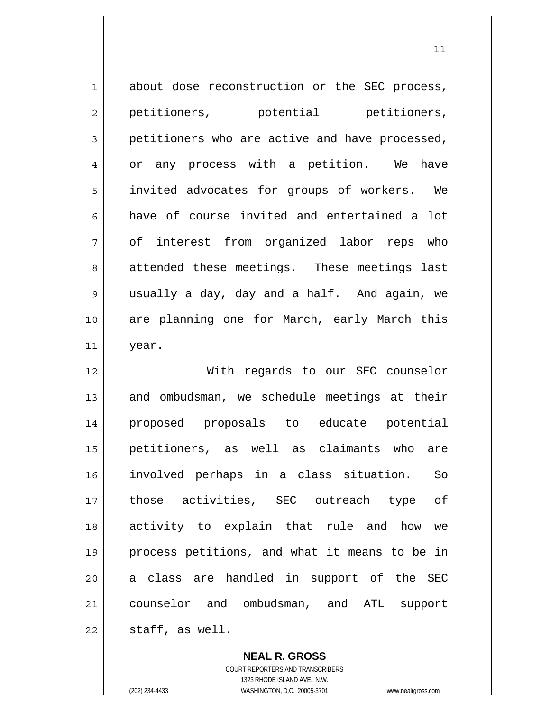| $\mathbf 1$ | about dose reconstruction or the SEC process,  |
|-------------|------------------------------------------------|
| 2           | petitioners, potential petitioners,            |
| 3           | petitioners who are active and have processed, |
| 4           | or any process with a petition. We<br>have     |
| 5           | invited advocates for groups of workers. We    |
| 6           | have of course invited and entertained a lot   |
| 7           | of interest from organized labor reps who      |
| 8           | attended these meetings. These meetings last   |
| $\mathsf 9$ | usually a day, day and a half. And again, we   |
| 10          | are planning one for March, early March this   |
| 11          | year.                                          |
|             |                                                |
| 12          | With regards to our SEC counselor              |
| 13          | and ombudsman, we schedule meetings at their   |
| 14          | proposed proposals to educate potential        |
| 15          | petitioners, as well as claimants who<br>are   |
| 16          | involved perhaps in a class situation. So      |
| 17          | those activities, SEC outreach type of         |
| 18          | activity to explain that rule and how we       |
| 19          | process petitions, and what it means to be in  |
| 20          | a class are handled in support of the SEC      |
| 21          | counselor and ombudsman, and ATL support       |

 **NEAL R. GROSS** COURT REPORTERS AND TRANSCRIBERS

1323 RHODE ISLAND AVE., N.W.

(202) 234-4433 WASHINGTON, D.C. 20005-3701 www.nealrgross.com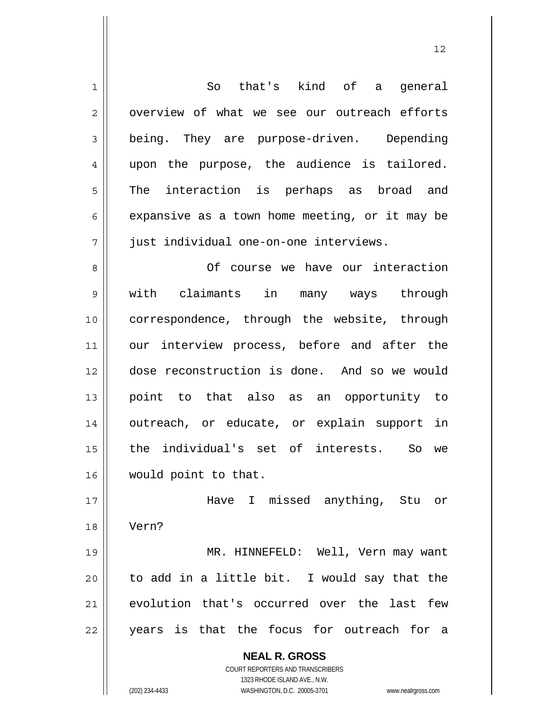| $\mathbf 1$ | So that's kind of a general                                         |
|-------------|---------------------------------------------------------------------|
| 2           | overview of what we see our outreach efforts                        |
| 3           | being. They are purpose-driven. Depending                           |
| 4           | upon the purpose, the audience is tailored.                         |
| 5           | The interaction is perhaps as broad and                             |
| 6           | expansive as a town home meeting, or it may be                      |
| 7           | just individual one-on-one interviews.                              |
| 8           | Of course we have our interaction                                   |
| 9           | claimants in many ways through<br>with                              |
| 10          | correspondence, through the website, through                        |
| 11          | our interview process, before and after the                         |
| 12          | dose reconstruction is done. And so we would                        |
| 13          | point to that also as an opportunity to                             |
| 14          | outreach, or educate, or explain support in                         |
| 15          | the individual's set of interests. So<br>we                         |
| 16          | would point to that.                                                |
| 17          | Have I missed anything, Stu or                                      |
| 18          | Vern?                                                               |
| 19          | MR. HINNEFELD: Well, Vern may want                                  |
| 20          | to add in a little bit. I would say that the                        |
| 21          | evolution that's occurred over the last<br>few                      |
| 22          | years is that the focus for outreach for a                          |
|             |                                                                     |
|             | <b>NEAL R. GROSS</b><br><b>COURT REPORTERS AND TRANSCRIBERS</b>     |
|             | 1323 RHODE ISLAND AVE., N.W.                                        |
|             | (202) 234-4433<br>WASHINGTON, D.C. 20005-3701<br>www.nealrgross.com |

 $\mathbf{I}$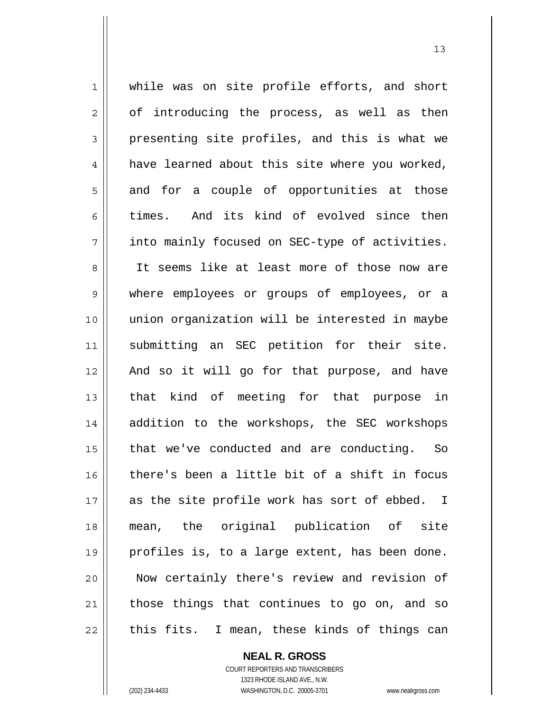1 while was on site profile efforts, and short  $2 \parallel$  of introducing the process, as well as then  $3 \parallel$  presenting site profiles, and this is what we  $4 \parallel$  have learned about this site where you worked,  $5 \parallel$  and for a couple of opportunities at those 6 times. And its kind of evolved since then 7 || into mainly focused on SEC-type of activities. 8 || It seems like at least more of those now are 9 where employees or groups of employees, or a 10 union organization will be interested in maybe 11 || submitting an SEC petition for their site. 12 And so it will go for that purpose, and have 13 || that kind of meeting for that purpose in 14 addition to the workshops, the SEC workshops 15 || that we've conducted and are conducting. So 16  $\parallel$  there's been a little bit of a shift in focus 17 || as the site profile work has sort of ebbed. I 18 mean, the original publication of site 19 || profiles is, to a large extent, has been done. 20 Now certainly there's review and revision of  $21$  those things that continues to go on, and so  $22$  || this fits. I mean, these kinds of things can

> **NEAL R. GROSS** COURT REPORTERS AND TRANSCRIBERS

 1323 RHODE ISLAND AVE., N.W. (202) 234-4433 WASHINGTON, D.C. 20005-3701 www.nealrgross.com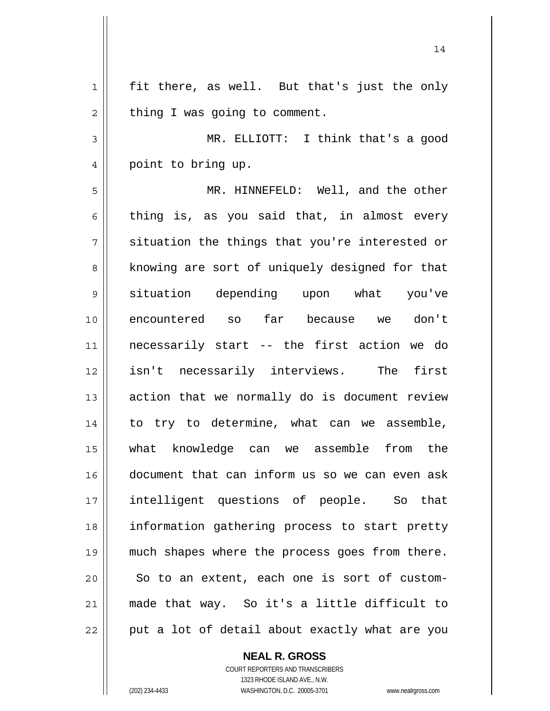$1 \parallel$  fit there, as well. But that's just the only  $2 \parallel$  thing I was going to comment. MR. ELLIOTT: I think that's a good 4 point to bring up. MR. HINNEFELD: Well, and the other 6 thing is, as you said that, in almost every  $7 \parallel$  situation the things that you're interested or 8 || knowing are sort of uniquely designed for that situation depending upon what you've encountered so far because we don't necessarily start -- the first action we do isn't necessarily interviews. The first action that we normally do is document review 14 || to try to determine, what can we assemble, what knowledge can we assemble from the document that can inform us so we can even ask intelligent questions of people. So that information gathering process to start pretty much shapes where the process goes from there.  $\parallel$  So to an extent, each one is sort of custom-made that way. So it's a little difficult to || put a lot of detail about exactly what are you

14

 **NEAL R. GROSS**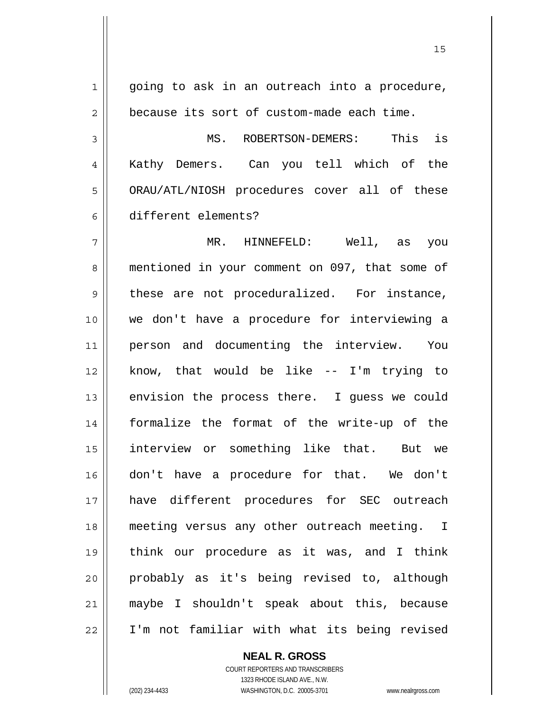1 || going to ask in an outreach into a procedure,  $2 \parallel$  because its sort of custom-made each time. MS. ROBERTSON-DEMERS: This is Kathy Demers. Can you tell which of the 5 | ORAU/ATL/NIOSH procedures cover all of these different elements? MR. HINNEFELD: Well, as you 8 mentioned in your comment on 097, that some of 9 these are not proceduralized. For instance, we don't have a procedure for interviewing a 11 || person and documenting the interview. You know, that would be like -- I'm trying to  $\parallel$  envision the process there. I guess we could formalize the format of the write-up of the interview or something like that. But we don't have a procedure for that. We don't have different procedures for SEC outreach meeting versus any other outreach meeting. I think our procedure as it was, and I think probably as it's being revised to, although maybe I shouldn't speak about this, because I'm not familiar with what its being revised

 COURT REPORTERS AND TRANSCRIBERS 1323 RHODE ISLAND AVE., N.W. (202) 234-4433 WASHINGTON, D.C. 20005-3701 www.nealrgross.com

 **NEAL R. GROSS**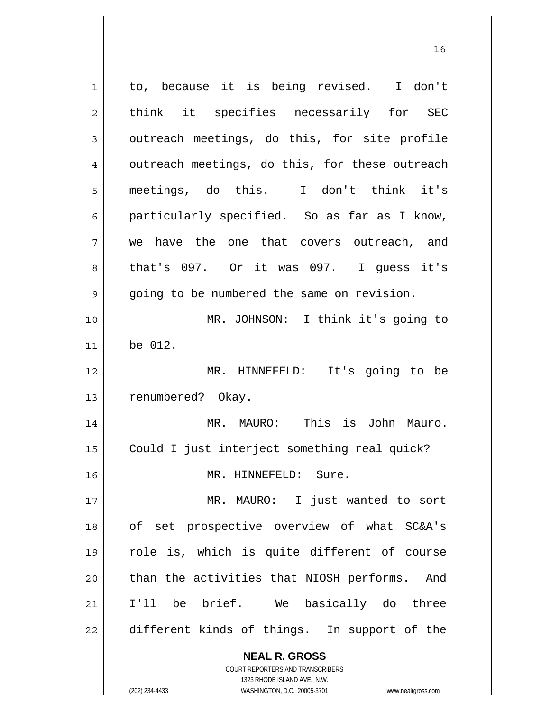| 1  | to, because it is being revised. I don't                            |
|----|---------------------------------------------------------------------|
| 2  | think it specifies necessarily for SEC                              |
| 3  | outreach meetings, do this, for site profile                        |
| 4  | outreach meetings, do this, for these outreach                      |
| 5  | meetings, do this. I don't think it's                               |
| 6  | particularly specified. So as far as I know,                        |
| 7  | we have the one that covers outreach, and                           |
| 8  | that's 097. Or it was 097. I guess it's                             |
| 9  | going to be numbered the same on revision.                          |
| 10 | MR. JOHNSON: I think it's going to                                  |
| 11 | be 012.                                                             |
| 12 | MR. HINNEFELD: It's going to be                                     |
| 13 | renumbered? Okay.                                                   |
| 14 | MR. MAURO: This is John Mauro.                                      |
| 15 | Could I just interject something real quick?                        |
| 16 | MR. HINNEFELD: Sure.                                                |
| 17 | MR. MAURO: I just wanted to sort                                    |
| 18 | of set prospective overview of what SC&A's                          |
| 19 | role is, which is quite different of course                         |
| 20 | than the activities that NIOSH performs. And                        |
| 21 | I'll be brief. We basically do three                                |
| 22 | different kinds of things. In support of the                        |
|    | <b>NEAL R. GROSS</b>                                                |
|    | <b>COURT REPORTERS AND TRANSCRIBERS</b>                             |
|    | 1323 RHODE ISLAND AVE., N.W.                                        |
|    | WASHINGTON, D.C. 20005-3701<br>(202) 234-4433<br>www.nealrgross.com |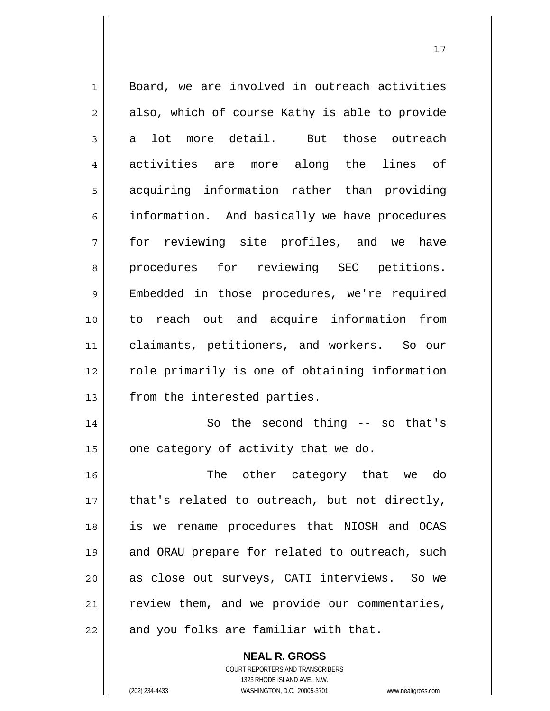| 1              | Board, we are involved in outreach activities  |
|----------------|------------------------------------------------|
| $\overline{2}$ | also, which of course Kathy is able to provide |
| 3              | lot more detail. But those outreach<br>a       |
| 4              | activities are more along the lines of         |
| 5              | acquiring information rather than providing    |
| 6              | information. And basically we have procedures  |
| 7              | for reviewing site profiles, and we have       |
| 8              | procedures for reviewing SEC petitions.        |
| $\mathsf 9$    | Embedded in those procedures, we're required   |
| 10             | to reach out and acquire information from      |
| 11             | claimants, petitioners, and workers. So our    |
| 12             | role primarily is one of obtaining information |
| 13             | from the interested parties.                   |
| 14             | So the second thing $-$ so that's              |
| 15             | one category of activity that we do.           |
| 16             | The other category that we do                  |
| 17             | that's related to outreach, but not directly,  |
| 18             | is we rename procedures that NIOSH and OCAS    |
| 19             | and ORAU prepare for related to outreach, such |
| 20             | as close out surveys, CATI interviews. So we   |
| 21             | review them, and we provide our commentaries,  |
| 22             | and you folks are familiar with that.          |

 **NEAL R. GROSS** COURT REPORTERS AND TRANSCRIBERS

1323 RHODE ISLAND AVE., N.W.

(202) 234-4433 WASHINGTON, D.C. 20005-3701 www.nealrgross.com

 $\mathbf{I}$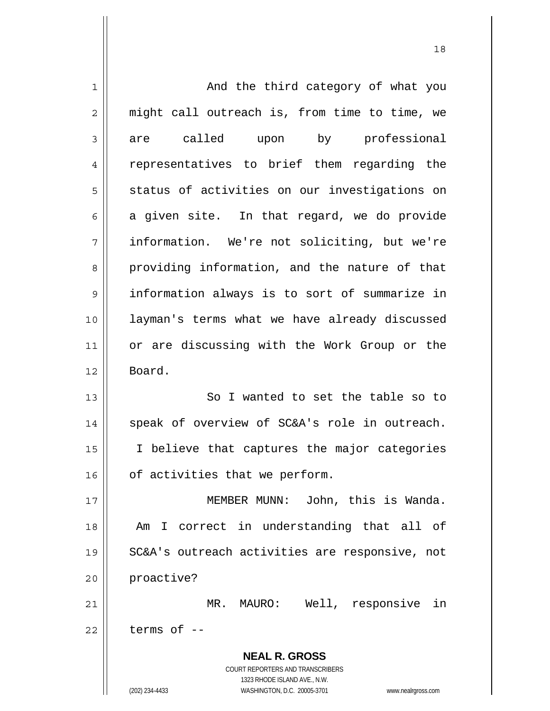| 1  | And the third category of what you                                  |
|----|---------------------------------------------------------------------|
| 2  | might call outreach is, from time to time, we                       |
| 3  | are called upon by professional                                     |
| 4  | representatives to brief them regarding the                         |
| 5  | status of activities on our investigations on                       |
| 6  | a given site. In that regard, we do provide                         |
| 7  | information. We're not soliciting, but we're                        |
| 8  | providing information, and the nature of that                       |
| 9  | information always is to sort of summarize in                       |
| 10 | layman's terms what we have already discussed                       |
| 11 | or are discussing with the Work Group or the                        |
| 12 | Board.                                                              |
| 13 | So I wanted to set the table so to                                  |
| 14 | speak of overview of SC&A's role in outreach.                       |
| 15 | I believe that captures the major categories                        |
| 16 | of activities that we perform.                                      |
| 17 | MEMBER MUNN: John, this is Wanda.                                   |
| 18 | I correct in understanding that all of<br>Am                        |
| 19 | SC&A's outreach activities are responsive, not                      |
| 20 | proactive?                                                          |
| 21 | MR. MAURO: Well, responsive<br>in                                   |
| 22 | terms of --                                                         |
|    | <b>NEAL R. GROSS</b>                                                |
|    | COURT REPORTERS AND TRANSCRIBERS                                    |
|    | 1323 RHODE ISLAND AVE., N.W.                                        |
|    | (202) 234-4433<br>WASHINGTON, D.C. 20005-3701<br>www.nealrgross.com |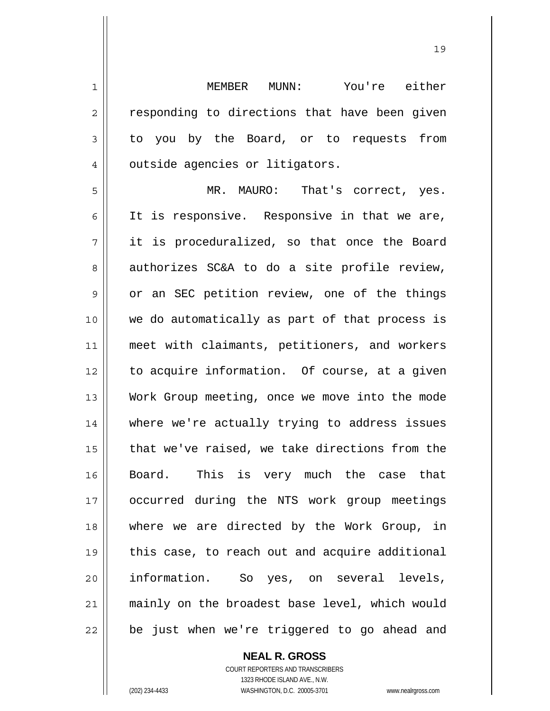1 MEMBER MUNN: You're either 2 || responding to directions that have been given 3 to you by the Board, or to requests from 4 | outside agencies or litigators.

5 MR. MAURO: That's correct, yes. 6 || It is responsive. Responsive in that we are, 7 it is proceduralized, so that once the Board  $8 \parallel$  authorizes SC&A to do a site profile review,  $9 \parallel$  or an SEC petition review, one of the things 10 we do automatically as part of that process is 11 meet with claimants, petitioners, and workers 12 || to acquire information. Of course, at a given 13 Work Group meeting, once we move into the mode 14 where we're actually trying to address issues 15 || that we've raised, we take directions from the 16 || Board. This is very much the case that 17 occurred during the NTS work group meetings 18 where we are directed by the Work Group, in 19 || this case, to reach out and acquire additional 20 information. So yes, on several levels, 21 mainly on the broadest base level, which would 22 || be just when we're triggered to go ahead and

> **NEAL R. GROSS** COURT REPORTERS AND TRANSCRIBERS 1323 RHODE ISLAND AVE., N.W. (202) 234-4433 WASHINGTON, D.C. 20005-3701 www.nealrgross.com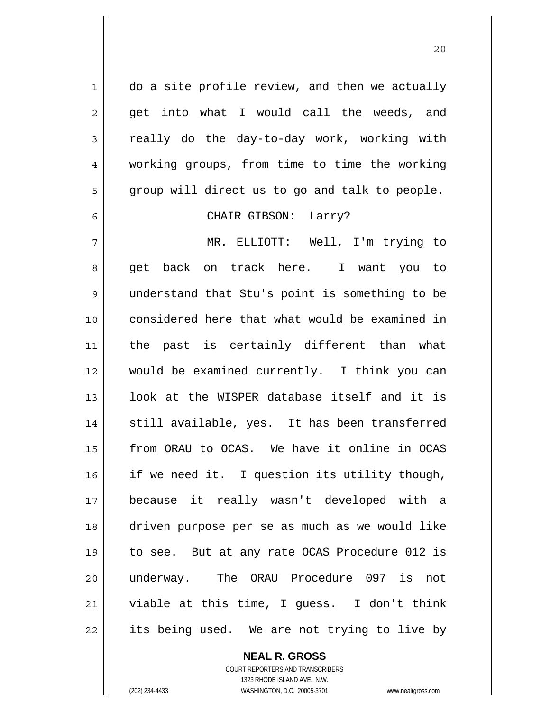$1 \parallel$  do a site profile review, and then we actually  $2 \parallel$  get into what I would call the weeds, and  $3 \parallel$  really do the day-to-day work, working with 4 working groups, from time to time the working  $5 \parallel$  group will direct us to go and talk to people.

#### 6 CHAIR GIBSON: Larry?

MR. ELLIOTT: Well, I'm trying to 8 get back on track here. I want you to understand that Stu's point is something to be considered here that what would be examined in the past is certainly different than what would be examined currently. I think you can 13 || look at the WISPER database itself and it is 14 || still available, yes. It has been transferred from ORAU to OCAS. We have it online in OCAS | if we need it. I question its utility though, because it really wasn't developed with a driven purpose per se as much as we would like to see. But at any rate OCAS Procedure 012 is underway. The ORAU Procedure 097 is not viable at this time, I guess. I don't think 22 || its being used. We are not trying to live by

 **NEAL R. GROSS**

 COURT REPORTERS AND TRANSCRIBERS 1323 RHODE ISLAND AVE., N.W. (202) 234-4433 WASHINGTON, D.C. 20005-3701 www.nealrgross.com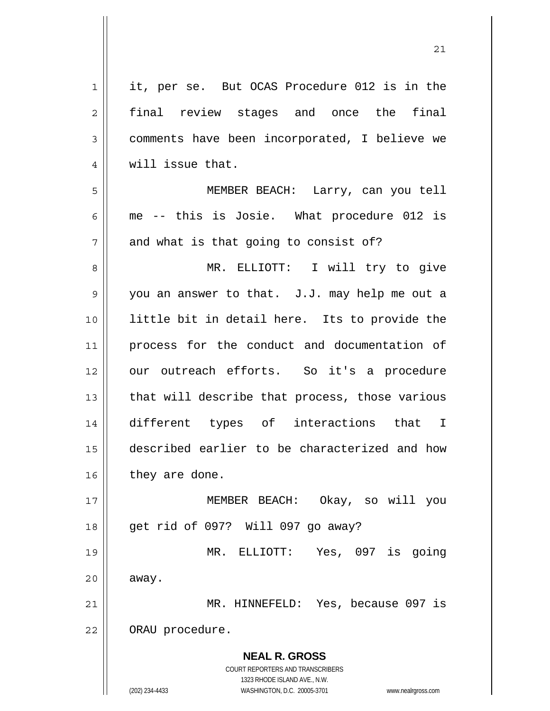**NEAL R. GROSS** COURT REPORTERS AND TRANSCRIBERS 1323 RHODE ISLAND AVE., N.W. (202) 234-4433 WASHINGTON, D.C. 20005-3701 www.nealrgross.com 1 || it, per se. But OCAS Procedure 012 is in the 2 || final review stages and once the final 3 comments have been incorporated, I believe we 4 || will issue that. 5 MEMBER BEACH: Larry, can you tell  $6 \parallel$  me -- this is Josie. What procedure 012 is  $7$  | and what is that going to consist of? 8 MR. ELLIOTT: I will try to give 9 you an answer to that. J.J. may help me out a 10 || little bit in detail here. Its to provide the 11 || process for the conduct and documentation of 12 || our outreach efforts. So it's a procedure  $13$  || that will describe that process, those various 14 different types of interactions that I 15 described earlier to be characterized and how  $16$  | they are done. 17 MEMBER BEACH: Okay, so will you 18 get rid of 097? Will 097 go away? 19 MR. ELLIOTT: Yes, 097 is going  $20$   $\parallel$  away. 21 MR. HINNEFELD: Yes, because 097 is 22 | ORAU procedure.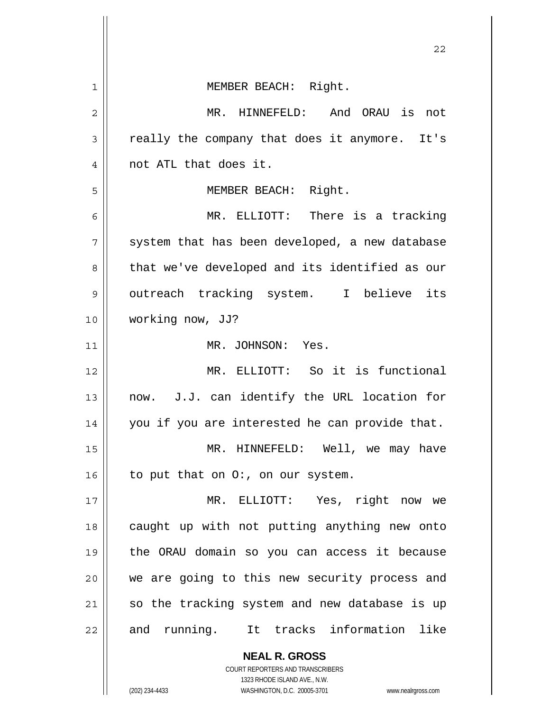|    | 22                                                       |
|----|----------------------------------------------------------|
| 1  | MEMBER BEACH: Right.                                     |
| 2  | MR. HINNEFELD: And ORAU is not                           |
| 3  | really the company that does it anymore. It's            |
| 4  | not ATL that does it.                                    |
| 5  | MEMBER BEACH: Right.                                     |
| 6  | MR. ELLIOTT: There is a tracking                         |
| 7  | system that has been developed, a new database           |
| 8  | that we've developed and its identified as our           |
| 9  | outreach tracking system. I believe its                  |
| 10 | working now, JJ?                                         |
| 11 | MR. JOHNSON: Yes.                                        |
| 12 | MR. ELLIOTT: So it is functional                         |
| 13 | now. J.J. can identify the URL location for              |
| 14 | you if you are interested he can provide that.           |
| 15 | MR. HINNEFELD: Well, we may have                         |
| 16 | to put that on O:, on our system.                        |
| 17 | MR. ELLIOTT: Yes, right now we                           |
| 18 | caught up with not putting anything new onto             |
| 19 | the ORAU domain so you can access it because             |
| 20 | we are going to this new security process and            |
| 21 | so the tracking system and new database is up            |
| 22 | and running. It tracks information like                  |
|    | <b>NEAL R. GROSS</b><br>COURT REPORTERS AND TRANSCRIBERS |

1323 RHODE ISLAND AVE., N.W.

 $\prod$ 

(202) 234-4433 WASHINGTON, D.C. 20005-3701 www.nealrgross.com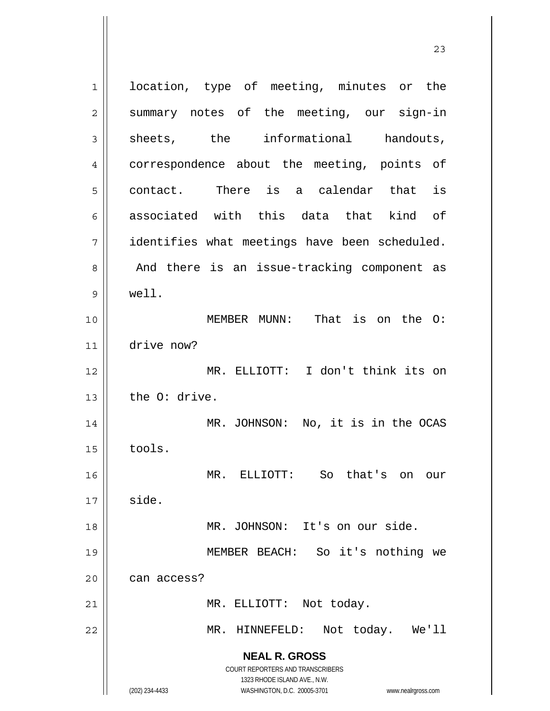**NEAL R. GROSS** COURT REPORTERS AND TRANSCRIBERS 1323 RHODE ISLAND AVE., N.W. (202) 234-4433 WASHINGTON, D.C. 20005-3701 www.nealrgross.com 1 || location, type of meeting, minutes or the 2 Summary notes of the meeting, our sign-in  $3 \parallel$  sheets, the informational handouts, 4 || correspondence about the meeting, points of  $5 \parallel$  contact. There is a calendar that is 6 associated with this data that kind of 7 identifies what meetings have been scheduled. 8 || And there is an issue-tracking component as 9 well. 10 MEMBER MUNN: That is on the O: 11 drive now? 12 MR. ELLIOTT: I don't think its on  $13$  | the O: drive. 14 || MR. JOHNSON: No, it is in the OCAS  $15$   $\parallel$  tools. 16 MR. ELLIOTT: So that's on our  $17 \parallel$  side. 18 || MR. JOHNSON: It's on our side. 19 MEMBER BEACH: So it's nothing we  $20$  | can access? 21 || MR. ELLIOTT: Not today. 22 MR. HINNEFELD: Not today. We'll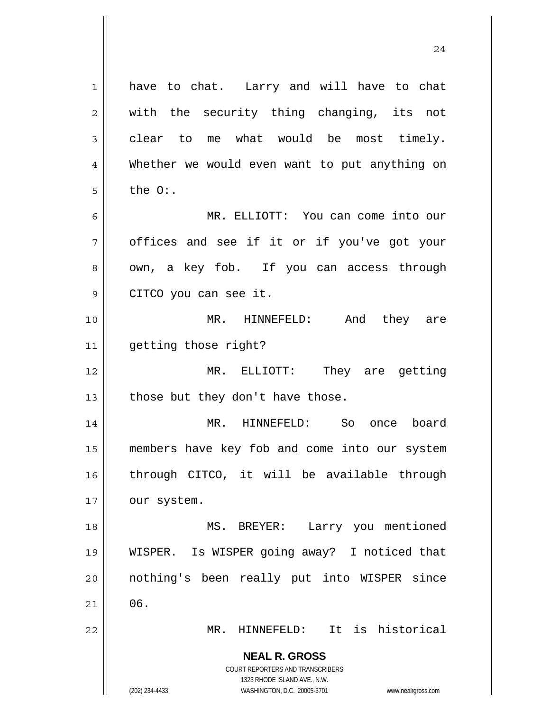**NEAL R. GROSS** COURT REPORTERS AND TRANSCRIBERS 1323 RHODE ISLAND AVE., N.W. (202) 234-4433 WASHINGTON, D.C. 20005-3701 www.nealrgross.com 1 have to chat. Larry and will have to chat 2 || with the security thing changing, its not  $3 \parallel$  clear to me what would be most timely. 4 Whether we would even want to put anything on  $5 \parallel$  the  $0:$ . 6 MR. ELLIOTT: You can come into our  $7 \parallel$  offices and see if it or if you've got your 8 || own, a key fob. If you can access through 9 || CITCO you can see it. 10 MR. HINNEFELD: And they are 11 | getting those right? 12 MR. ELLIOTT: They are getting 13  $\parallel$  those but they don't have those. 14 MR. HINNEFELD: So once board 15 members have key fob and come into our system 16 through CITCO, it will be available through 17 | our system. 18 || MS. BREYER: Larry you mentioned 19 WISPER. Is WISPER going away? I noticed that 20 nothing's been really put into WISPER since  $21 \parallel 06.$ 22 MR. HINNEFELD: It is historical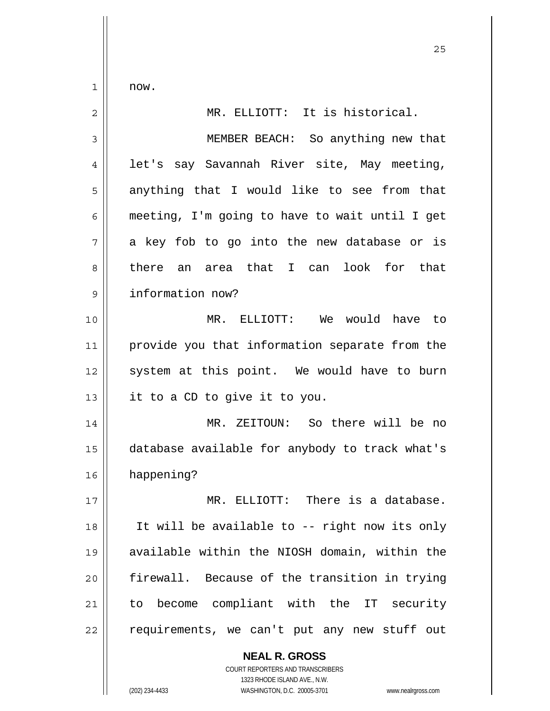$1 \parallel$  now.

| $\overline{c}$ | MR. ELLIOTT: It is historical.                 |
|----------------|------------------------------------------------|
| 3              | MEMBER BEACH: So anything new that             |
| 4              | let's say Savannah River site, May meeting,    |
| 5              | anything that I would like to see from that    |
| 6              | meeting, I'm going to have to wait until I get |
| 7              | a key fob to go into the new database or is    |
| 8              | there an area that I can look for that         |
| 9              | information now?                               |
| 10             | MR. ELLIOTT: We would have to                  |
| 11             | provide you that information separate from the |
| 12             | system at this point. We would have to burn    |
| 13             | it to a CD to give it to you.                  |
| 14             | MR. ZEITOUN: So there will be no               |
| 15             | database available for anybody to track what's |
| 16             | happening?                                     |
| $17$           | MR. ELLIOTT: There is a database.              |
| 18             | It will be available to -- right now its only  |
| 19             | available within the NIOSH domain, within the  |
| 20             | firewall. Because of the transition in trying  |
| 21             | to become compliant with the IT security       |
| 22             | requirements, we can't put any new stuff out   |
|                | <b>NEAL R. GROSS</b>                           |

 COURT REPORTERS AND TRANSCRIBERS 1323 RHODE ISLAND AVE., N.W.

 $\prod$ 

(202) 234-4433 WASHINGTON, D.C. 20005-3701 www.nealrgross.com

<u>25</u>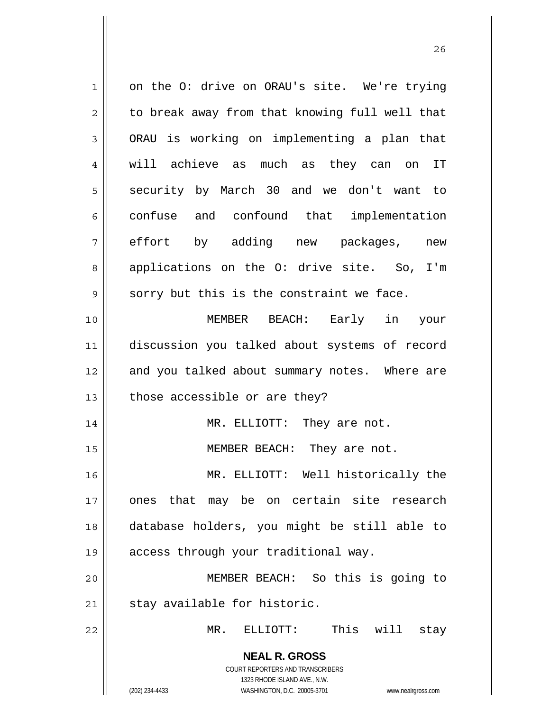**NEAL R. GROSS** COURT REPORTERS AND TRANSCRIBERS 1323 RHODE ISLAND AVE., N.W. (202) 234-4433 WASHINGTON, D.C. 20005-3701 www.nealrgross.com 1 on the O: drive on ORAU's site. We're trying  $2 \parallel$  to break away from that knowing full well that  $3 \parallel$  ORAU is working on implementing a plan that 4 will achieve as much as they can on IT 5 Security by March 30 and we don't want to 6 confuse and confound that implementation 7 effort by adding new packages, new 8 || applications on the O: drive site. So, I'm  $9 \parallel$  sorry but this is the constraint we face. 10 MEMBER BEACH: Early in your 11 discussion you talked about systems of record 12 and you talked about summary notes. Where are  $13$  | those accessible or are they? 14 || MR. ELLIOTT: They are not. 15 || MEMBER BEACH: They are not. 16 MR. ELLIOTT: Well historically the 17 ones that may be on certain site research 18 database holders, you might be still able to 19 access through your traditional way. 20 MEMBER BEACH: So this is going to  $21$  | stay available for historic. 22 MR. ELLIOTT: This will stay

<u>26</u>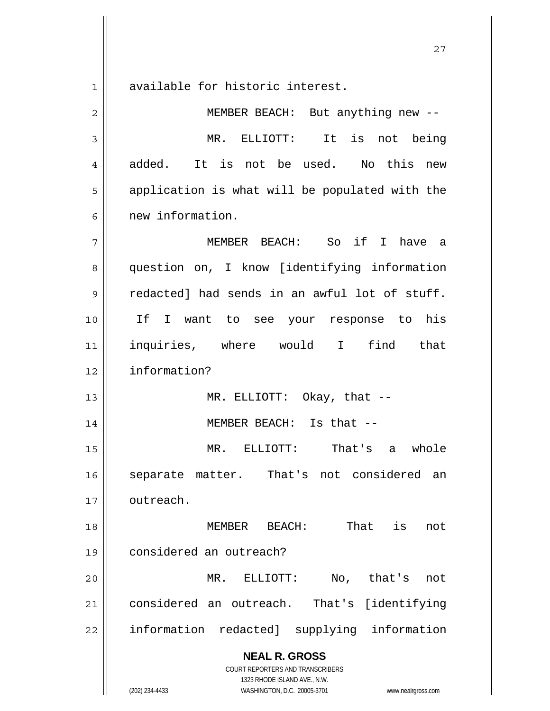1<sup>|</sup> available for historic interest.

 **NEAL R. GROSS** COURT REPORTERS AND TRANSCRIBERS 1323 RHODE ISLAND AVE., N.W. 2 || MEMBER BEACH: But anything new --3 MR. ELLIOTT: It is not being 4 || added. It is not be used. No this new  $5 \parallel$  application is what will be populated with the 6 | new information. 7 MEMBER BEACH: So if I have a 8 question on, I know [identifying information  $9 \parallel$  redacted] had sends in an awful lot of stuff. 10 If I want to see your response to his 11 inquiries, where would I find that 12 information? 13 || MR. ELLIOTT: Okay, that --14 || MEMBER BEACH: Is that --15 MR. ELLIOTT: That's a whole 16 || separate matter. That's not considered an 17 | outreach. 18 MEMBER BEACH: That is not 19 considered an outreach? 20 MR. ELLIOTT: No, that's not 21 considered an outreach. That's [identifying 22 || information redacted] supplying information

(202) 234-4433 WASHINGTON, D.C. 20005-3701 www.nealrgross.com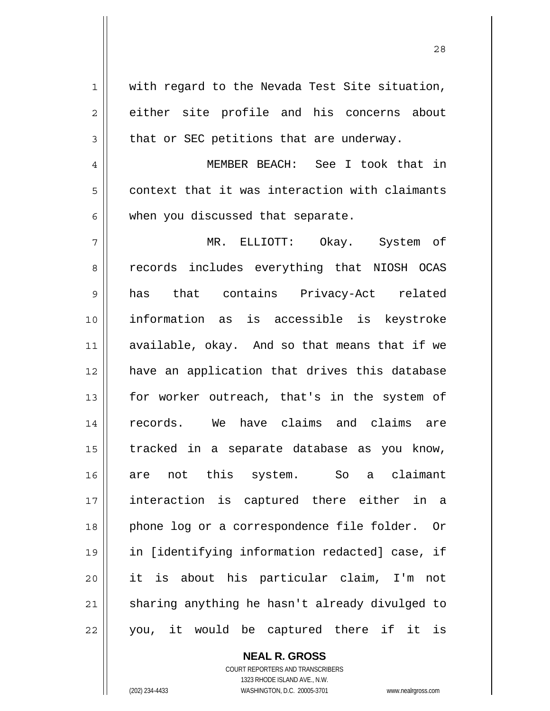1 with regard to the Nevada Test Site situation, 2 either site profile and his concerns about  $3 \parallel$  that or SEC petitions that are underway. 4 MEMBER BEACH: See I took that in  $5 \parallel$  context that it was interaction with claimants  $6$  | when you discussed that separate. 7 MR. ELLIOTT: Okay. System of 8 || records includes everything that NIOSH OCAS 9 has that contains Privacy-Act related 10 information as is accessible is keystroke 11 || available, okay. And so that means that if we 12 have an application that drives this database 13 || for worker outreach, that's in the system of 14 records. We have claims and claims are  $15$  tracked in a separate database as you know, 16 are not this system. So a claimant 17 interaction is captured there either in a 18 || phone log or a correspondence file folder. Or 19 in [identifying information redacted] case, if 20 it is about his particular claim, I'm not 21 || sharing anything he hasn't already divulged to  $22$  || you, it would be captured there if it is

28

 **NEAL R. GROSS** COURT REPORTERS AND TRANSCRIBERS

 1323 RHODE ISLAND AVE., N.W. (202) 234-4433 WASHINGTON, D.C. 20005-3701 www.nealrgross.com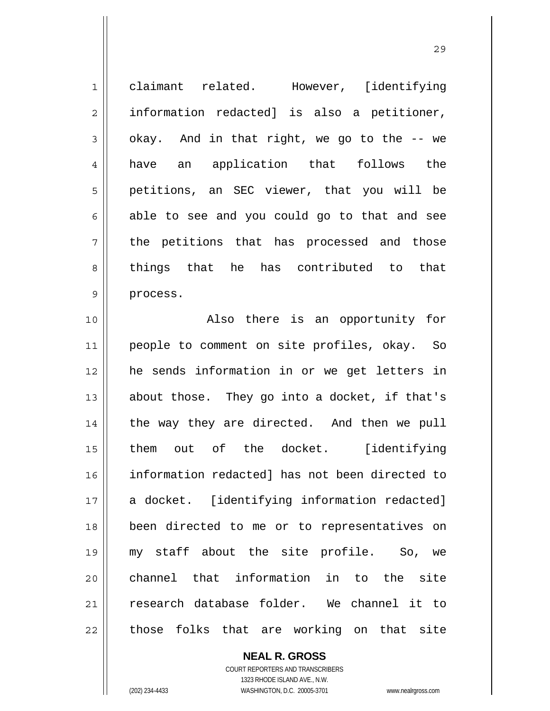| $\mathbf 1$    | claimant related. However, [identifying        |
|----------------|------------------------------------------------|
| $\overline{2}$ | information redacted] is also a petitioner,    |
| 3              | okay. And in that right, we go to the -- we    |
| $\overline{4}$ | an application that follows<br>the<br>have     |
| 5              | petitions, an SEC viewer, that you will be     |
| 6              | able to see and you could go to that and see   |
| 7              | the petitions that has processed and those     |
| 8              | things that he has contributed to that         |
| 9              | process.                                       |
| 10             | Also there is an opportunity for               |
| 11             | people to comment on site profiles, okay. So   |
| 12             | he sends information in or we get letters in   |
| 13             | about those. They go into a docket, if that's  |
| 14             | the way they are directed. And then we pull    |
| 15             | them out of the docket. [identifying           |
| 16             | information redacted] has not been directed to |
| 17             | a docket. [identifying information redacted]   |
| 18             | been directed to me or to representatives on   |
| 19             | my staff about the site profile. So, we        |
| 20             | channel that information in to the site        |
| 21             | research database folder. We channel it to     |
| 22             | those folks that are working on that site      |

 **NEAL R. GROSS** COURT REPORTERS AND TRANSCRIBERS 1323 RHODE ISLAND AVE., N.W. (202) 234-4433 WASHINGTON, D.C. 20005-3701 www.nealrgross.com

 $\mathsf{II}$ 

<u>29</u>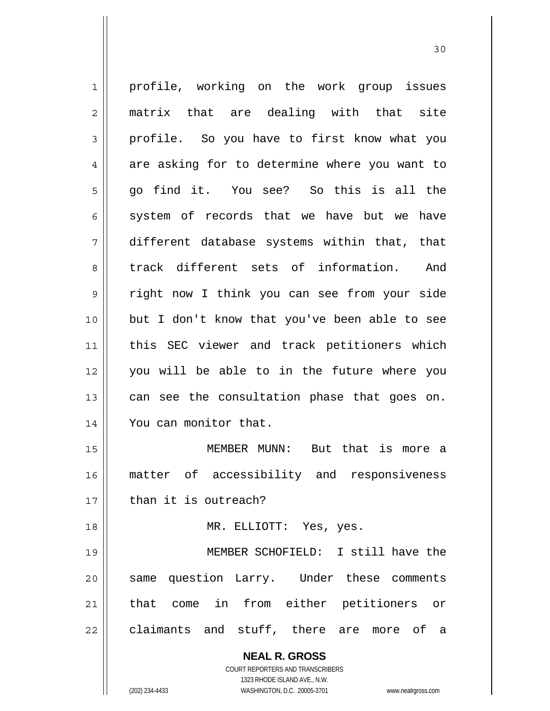**NEAL R. GROSS** COURT REPORTERS AND TRANSCRIBERS 1323 RHODE ISLAND AVE., N.W. 1 || profile, working on the work group issues 2 matrix that are dealing with that site 3 profile. So you have to first know what you  $4 \parallel$  are asking for to determine where you want to 5 go find it. You see? So this is all the  $6 \parallel$  system of records that we have but we have 7 different database systems within that, that 8 || track different sets of information. And 9 || right now I think you can see from your side 10 || but I don't know that you've been able to see 11 this SEC viewer and track petitioners which 12 you will be able to in the future where you 13  $\parallel$  can see the consultation phase that goes on. 14 || You can monitor that. 15 MEMBER MUNN: But that is more a 16 matter of accessibility and responsiveness  $17$   $\parallel$  than it is outreach? 18 || MR. ELLIOTT: Yes, yes. 19 MEMBER SCHOFIELD: I still have the 20 || same question Larry. Under these comments 21 || that come in from either petitioners or 22 claimants and stuff, there are more of a

(202) 234-4433 WASHINGTON, D.C. 20005-3701 www.nealrgross.com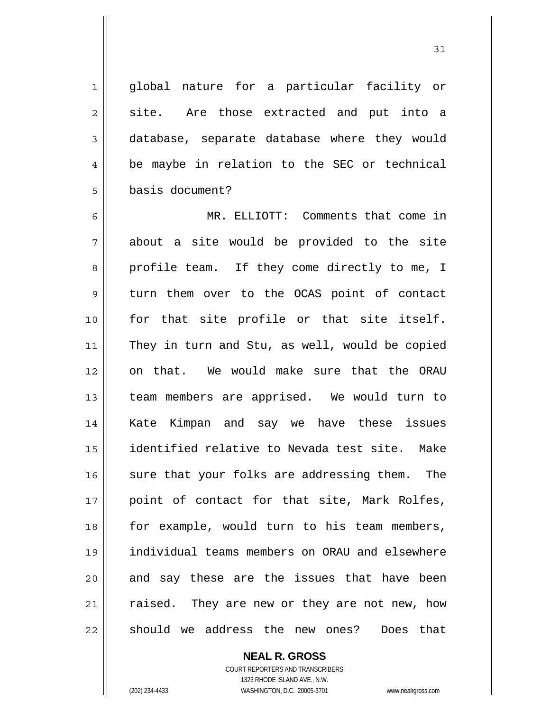1 global nature for a particular facility or  $2 \parallel$  site. Are those extracted and put into a 3 database, separate database where they would 4 | be maybe in relation to the SEC or technical 5 basis document?

31

6 MR. ELLIOTT: Comments that come in  $7$  about a site would be provided to the site 8 || profile team. If they come directly to me, I 9 turn them over to the OCAS point of contact 10 for that site profile or that site itself. 11 || They in turn and Stu, as well, would be copied 12 on that. We would make sure that the ORAU 13 || team members are apprised. We would turn to 14 Kate Kimpan and say we have these issues 15 identified relative to Nevada test site. Make 16  $\parallel$  sure that your folks are addressing them. The 17 || point of contact for that site, Mark Rolfes, 18 || for example, would turn to his team members, 19 individual teams members on ORAU and elsewhere  $20$  and say these are the issues that have been 21 || raised. They are new or they are not new, how 22 should we address the new ones? Does that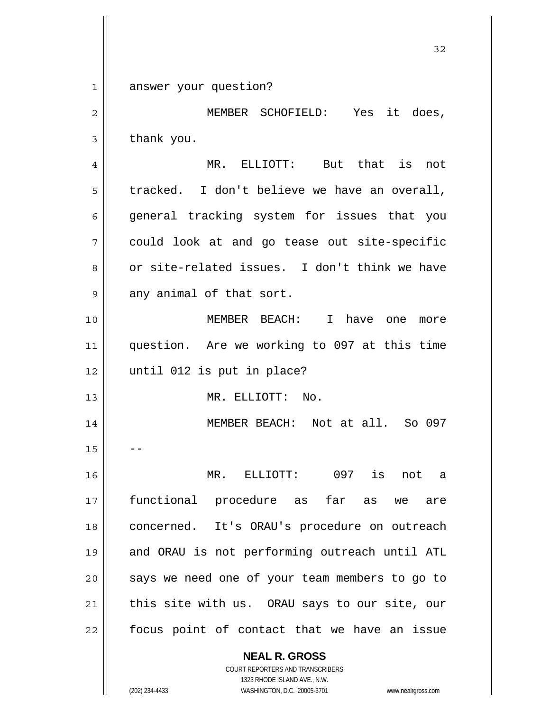**NEAL R. GROSS** 32 1 answer your question? 2 MEMBER SCHOFIELD: Yes it does,  $3 \parallel$  thank you. 4 MR. ELLIOTT: But that is not  $5 \parallel$  tracked. I don't believe we have an overall, 6 general tracking system for issues that you 7 could look at and go tease out site-specific 8 or site-related issues. I don't think we have  $9 \parallel$  any animal of that sort. 10 MEMBER BEACH: I have one more 11 question. Are we working to 097 at this time 12 || until 012 is put in place? 13 MR. ELLIOTT: No. 14 MEMBER BEACH: Not at all. So 097  $15$ 16 MR. ELLIOTT: 097 is not a 17 functional procedure as far as we are 18 || concerned. It's ORAU's procedure on outreach 19 and ORAU is not performing outreach until ATL 20 || says we need one of your team members to go to  $21$  | this site with us. ORAU says to our site, our 22 || focus point of contact that we have an issue

> COURT REPORTERS AND TRANSCRIBERS 1323 RHODE ISLAND AVE., N.W.

(202) 234-4433 WASHINGTON, D.C. 20005-3701 www.nealrgross.com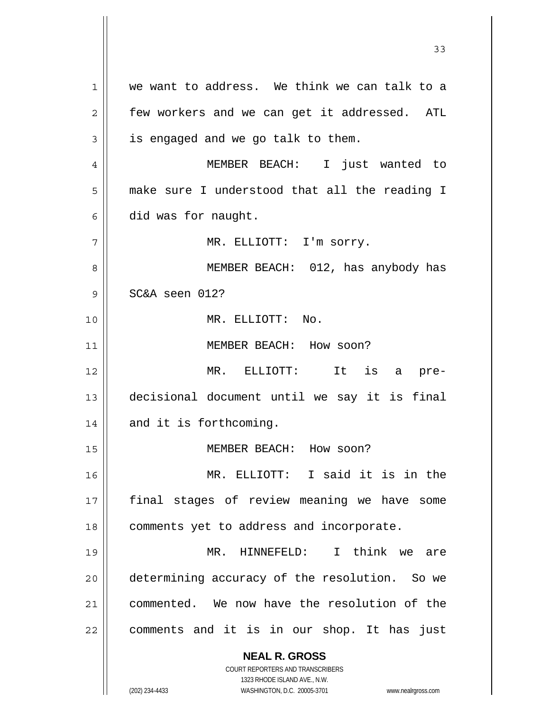**NEAL R. GROSS** COURT REPORTERS AND TRANSCRIBERS 1323 RHODE ISLAND AVE., N.W. 1 we want to address. We think we can talk to a  $2 \parallel$  few workers and we can get it addressed. ATL  $3 \parallel$  is engaged and we go talk to them. 4 MEMBER BEACH: I just wanted to 5 | make sure I understood that all the reading I  $6 \parallel$  did was for naught. 7 MR. ELLIOTT: I'm sorry. 8 MEMBER BEACH: 012, has anybody has 9 SC&A seen 012? 10 MR. ELLIOTT: No. 11 || MEMBER BEACH: How soon? 12 MR. ELLIOTT: It is a pre-13 decisional document until we say it is final 14 || and it is forthcoming. 15 MEMBER BEACH: How soon? 16 MR. ELLIOTT: I said it is in the 17 final stages of review meaning we have some 18 | comments yet to address and incorporate. 19 MR. HINNEFELD: I think we are 20 determining accuracy of the resolution. So we 21 commented. We now have the resolution of the 22 || comments and it is in our shop. It has just

33

(202) 234-4433 WASHINGTON, D.C. 20005-3701 www.nealrgross.com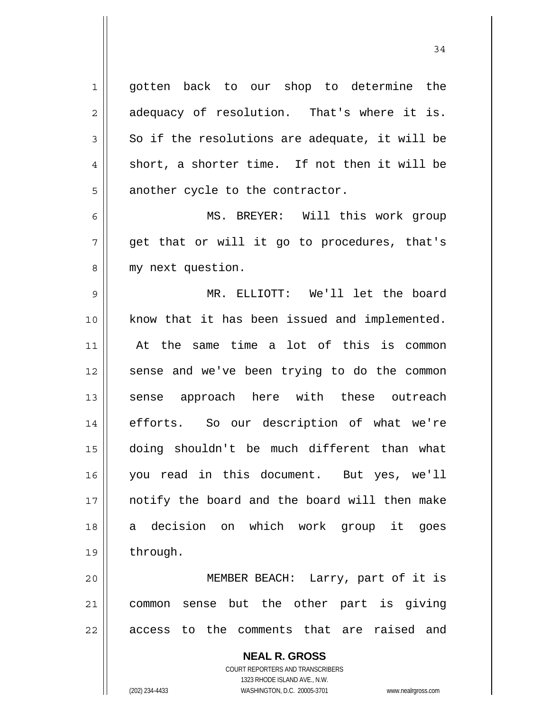1 || gotten back to our shop to determine the  $2 \parallel$  adequacy of resolution. That's where it is.  $3 \parallel$  So if the resolutions are adequate, it will be  $4 \parallel$  short, a shorter time. If not then it will be  $5$  | another cycle to the contractor. 6 MS. BREYER: Will this work group  $7 \parallel$  get that or will it go to procedures, that's 8 || my next question. 9 MR. ELLIOTT: We'll let the board 10 || know that it has been issued and implemented. 11 At the same time a lot of this is common 12 || sense and we've been trying to do the common 13 || sense approach here with these outreach 14 efforts. So our description of what we're 15 doing shouldn't be much different than what 16 you read in this document. But yes, we'll 17 || notify the board and the board will then make 18 a decision on which work group it goes 19 | through.

20 MEMBER BEACH: Larry, part of it is 21 common sense but the other part is giving 22 || access to the comments that are raised and

> **NEAL R. GROSS** COURT REPORTERS AND TRANSCRIBERS 1323 RHODE ISLAND AVE., N.W. (202) 234-4433 WASHINGTON, D.C. 20005-3701 www.nealrgross.com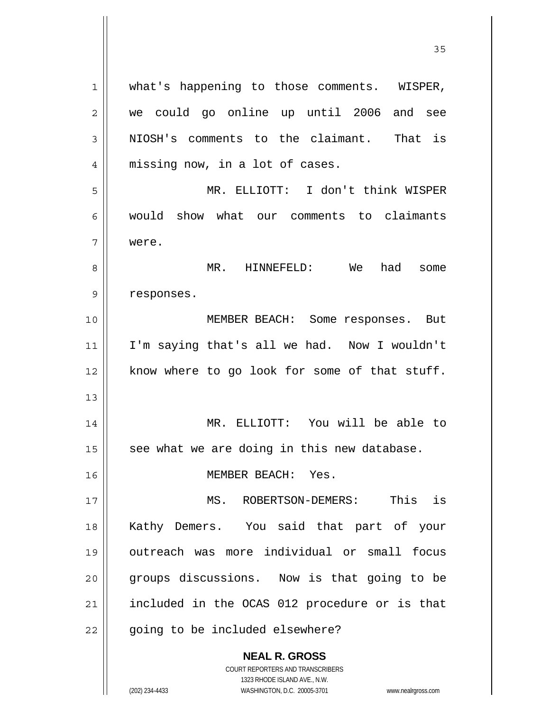| 1              | what's happening to those comments. WISPER,   |
|----------------|-----------------------------------------------|
| $\overline{2}$ | we could go online up until 2006 and see      |
| 3              | NIOSH's comments to the claimant. That is     |
| 4              | missing now, in a lot of cases.               |
| 5              | MR. ELLIOTT: I don't think WISPER             |
| 6              | would show what our comments to claimants     |
| 7              | were.                                         |
| 8              | MR. HINNEFELD: We<br>had<br>some              |
| 9              | responses.                                    |
| 10             | MEMBER BEACH: Some responses. But             |
| 11             | I'm saying that's all we had. Now I wouldn't  |
| 12             | know where to go look for some of that stuff. |
| 13             |                                               |
| 14             | MR. ELLIOTT: You will be able to              |
| 15             | see what we are doing in this new database.   |
| 16             | MEMBER BEACH: Yes.                            |
| 17             | ROBERTSON-DEMERS: This is<br>MS.              |
| 18             | Kathy Demers. You said that part of your      |
| 19             | outreach was more individual or small focus   |
| 20             | groups discussions. Now is that going to be   |
| 21             | included in the OCAS 012 procedure or is that |
| 22             | going to be included elsewhere?               |
|                | <b>NEAL R. GROSS</b>                          |

 COURT REPORTERS AND TRANSCRIBERS 1323 RHODE ISLAND AVE., N.W.

 $\prod$ 

(202) 234-4433 WASHINGTON, D.C. 20005-3701 www.nealrgross.com

<u>35</u>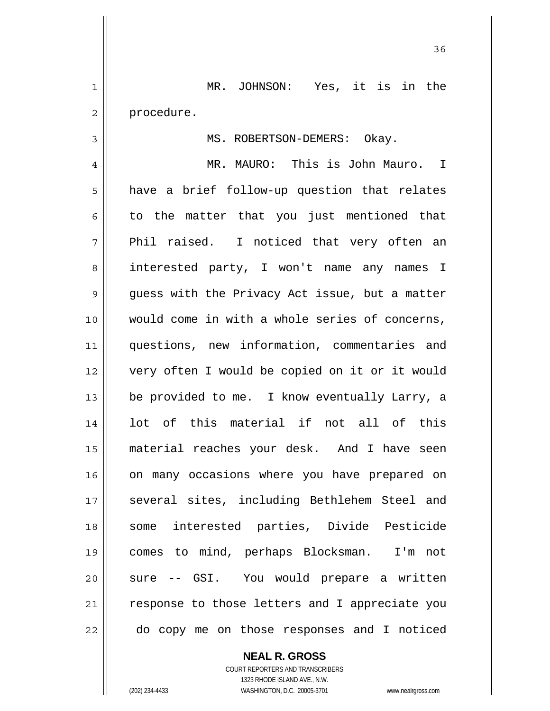1 MR. JOHNSON: Yes, it is in the 2 | procedure.

3 || MS. ROBERTSON-DEMERS: Okay.

<u>36 and 36</u>

4 MR. MAURO: This is John Mauro. I  $5 \parallel$  have a brief follow-up question that relates  $6 \parallel$  to the matter that you just mentioned that 7 || Phil raised. I noticed that very often an 8 || interested party, I won't name any names I  $9 \parallel$  quess with the Privacy Act issue, but a matter 10 would come in with a whole series of concerns, 11 questions, new information, commentaries and 12 very often I would be copied on it or it would 13 || be provided to me. I know eventually Larry, a 14 || lot of this material if not all of this 15 material reaches your desk. And I have seen 16 || on many occasions where you have prepared on 17 || several sites, including Bethlehem Steel and 18 || some interested parties, Divide Pesticide 19 comes to mind, perhaps Blocksman. I'm not 20 || sure -- GSI. You would prepare a written 21 || response to those letters and I appreciate you 22 || do copy me on those responses and I noticed

 **NEAL R. GROSS**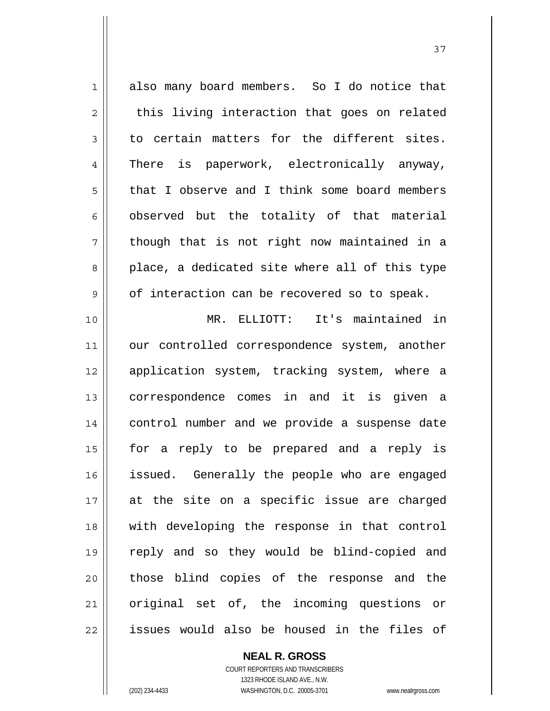1 also many board members. So I do notice that  $2 \parallel$  this living interaction that goes on related  $3 \parallel$  to certain matters for the different sites. 4 || There is paperwork, electronically anyway, 5 || that I observe and I think some board members  $6$  observed but the totality of that material  $7 \parallel$  though that is not right now maintained in a  $8 \parallel$  place, a dedicated site where all of this type  $9 \parallel$  of interaction can be recovered so to speak. 10 MR. ELLIOTT: It's maintained in 11 || our controlled correspondence system, another 12 application system, tracking system, where a 13 || correspondence comes in and it is given a 14 || control number and we provide a suspense date 15 for a reply to be prepared and a reply is 16 || issued. Generally the people who are engaged 17 at the site on a specific issue are charged 18 with developing the response in that control 19 reply and so they would be blind-copied and 20 || those blind copies of the response and the 21 || original set of, the incoming questions or 22 || issues would also be housed in the files of

 **NEAL R. GROSS**

 COURT REPORTERS AND TRANSCRIBERS 1323 RHODE ISLAND AVE., N.W. (202) 234-4433 WASHINGTON, D.C. 20005-3701 www.nealrgross.com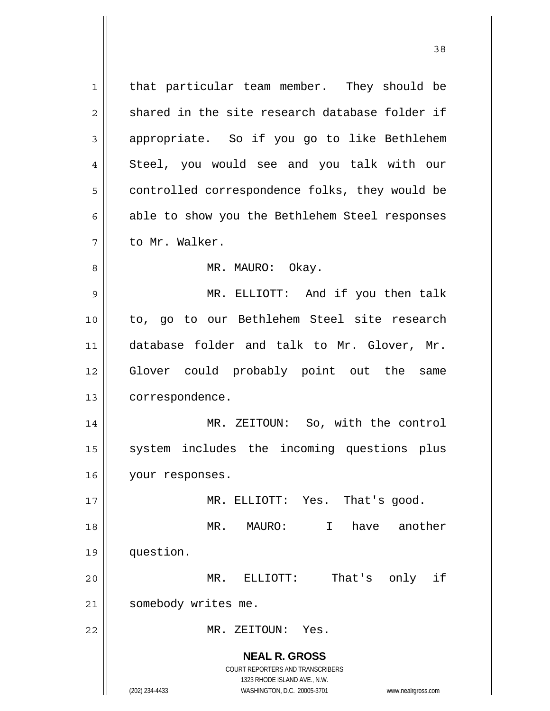**NEAL R. GROSS** COURT REPORTERS AND TRANSCRIBERS 1323 RHODE ISLAND AVE., N.W. (202) 234-4433 WASHINGTON, D.C. 20005-3701 www.nealrgross.com 1 || that particular team member. They should be  $2 \parallel$  shared in the site research database folder if 3 appropriate. So if you go to like Bethlehem 4 || Steel, you would see and you talk with our 5 | controlled correspondence folks, they would be  $6 \parallel$  able to show you the Bethlehem Steel responses 7 to Mr. Walker. 8 MR. MAURO: Okay. 9 || MR. ELLIOTT: And if you then talk 10 to, go to our Bethlehem Steel site research 11 || database folder and talk to Mr. Glover, Mr. 12 Glover could probably point out the same 13 | correspondence. 14 MR. ZEITOUN: So, with the control 15 || system includes the incoming questions plus 16 | your responses. 17 || **MR. ELLIOTT:** Yes. That's good. 18 MR. MAURO: I have another 19 question. 20 MR. ELLIOTT: That's only if 21 | somebody writes me. 22 MR. ZEITOUN: Yes.

<u>38</u>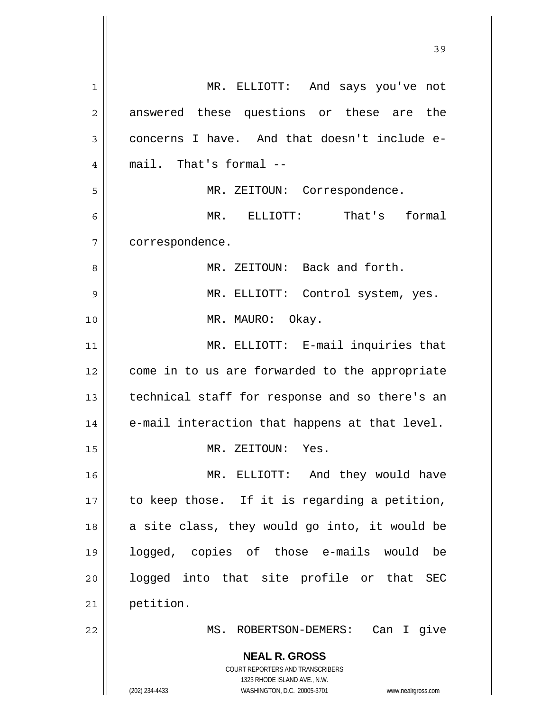**NEAL R. GROSS** COURT REPORTERS AND TRANSCRIBERS 1323 RHODE ISLAND AVE., N.W. (202) 234-4433 WASHINGTON, D.C. 20005-3701 www.nealrgross.com 1 MR. ELLIOTT: And says you've not 2 answered these questions or these are the  $3 \parallel$  concerns I have. And that doesn't include e-4 mail. That's formal -- 5 || MR. ZEITOUN: Correspondence. 6 MR. ELLIOTT: That's formal 7 correspondence. 8 MR. ZEITOUN: Back and forth. 9 MR. ELLIOTT: Control system, yes. 10 || MR. MAURO: Okay. 11 || MR. ELLIOTT: E-mail inquiries that 12 | come in to us are forwarded to the appropriate 13 || technical staff for response and so there's an  $14$  | e-mail interaction that happens at that level. 15 || MR. ZEITOUN: Yes. 16 MR. ELLIOTT: And they would have  $17$  | to keep those. If it is regarding a petition,  $18$  a site class, they would go into, it would be 19 logged, copies of those e-mails would be 20 || logged into that site profile or that SEC 21 petition. 22 MS. ROBERTSON-DEMERS: Can I give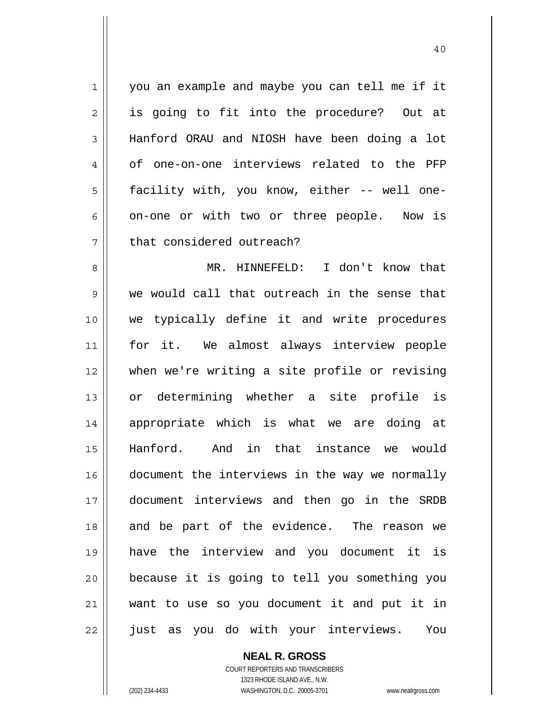1 || you an example and maybe you can tell me if it 2 || is going to fit into the procedure? Out at 3 Hanford ORAU and NIOSH have been doing a lot 4 of one-on-one interviews related to the PFP 5 facility with, you know, either -- well one- $6 \parallel$  on-one or with two or three people. Now is 7 | that considered outreach?

MR. HINNEFELD: I don't know that we would call that outreach in the sense that we typically define it and write procedures for it. We almost always interview people when we're writing a site profile or revising or determining whether a site profile is 14 || appropriate which is what we are doing at Hanford. And in that instance we would 16 | document the interviews in the way we normally document interviews and then go in the SRDB 18 and be part of the evidence. The reason we have the interview and you document it is because it is going to tell you something you want to use so you document it and put it in 22 || just as you do with your interviews. You

> **NEAL R. GROSS** COURT REPORTERS AND TRANSCRIBERS 1323 RHODE ISLAND AVE., N.W.

(202) 234-4433 WASHINGTON, D.C. 20005-3701 www.nealrgross.com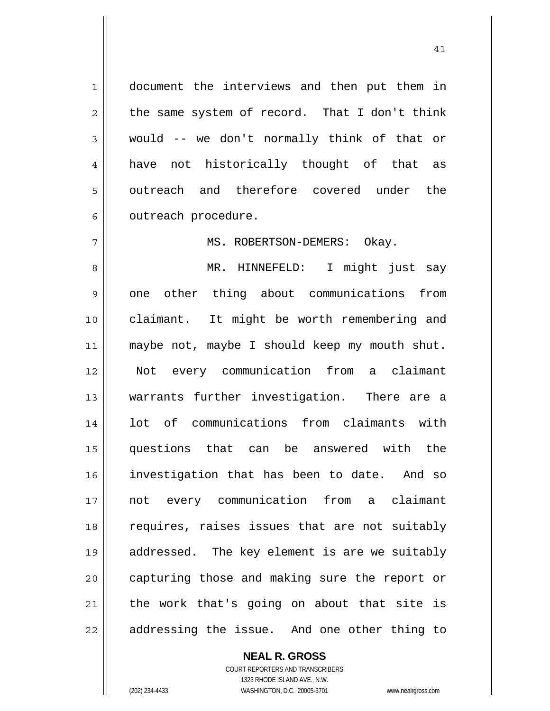1 document the interviews and then put them in  $2 \parallel$  the same system of record. That I don't think  $3 \parallel$  would -- we don't normally think of that or 4 || have not historically thought of that as 5 || outreach and therefore covered under the  $6 \parallel$  outreach procedure.

7 || MS. ROBERTSON-DEMERS: Okay.

MR. HINNEFELD: I might just say 9 || one other thing about communications from claimant. It might be worth remembering and 11 || maybe not, maybe I should keep my mouth shut. Not every communication from a claimant warrants further investigation. There are a lot of communications from claimants with questions that can be answered with the investigation that has been to date. And so not every communication from a claimant 18 || requires, raises issues that are not suitably addressed. The key element is are we suitably 20 || capturing those and making sure the report or the work that's going on about that site is || addressing the issue. And one other thing to

> **NEAL R. GROSS** COURT REPORTERS AND TRANSCRIBERS

> > 1323 RHODE ISLAND AVE., N.W.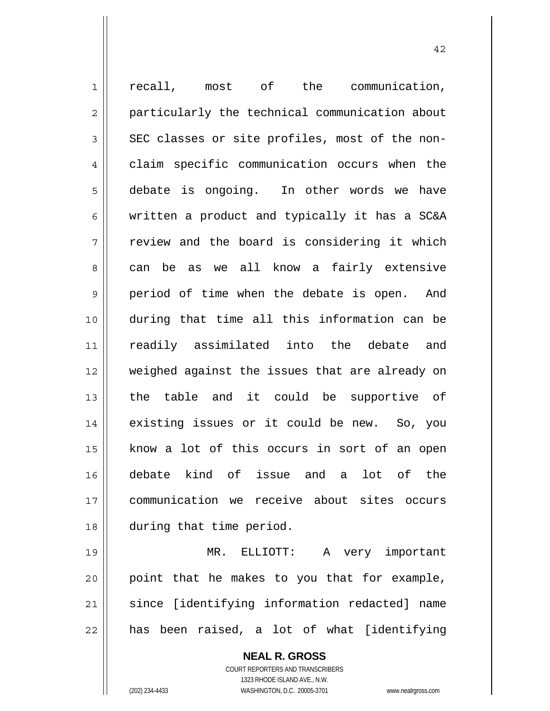1 || recall, most of the communication, 2 || particularly the technical communication about  $3 \parallel$  SEC classes or site profiles, most of the non-4 claim specific communication occurs when the 5 debate is ongoing. In other words we have 6 written a product and typically it has a SC&A  $7$   $\parallel$  review and the board is considering it which 8 can be as we all know a fairly extensive 9 period of time when the debate is open. And 10 during that time all this information can be 11 readily assimilated into the debate and 12 || weighed against the issues that are already on 13 the table and it could be supportive of 14 || existing issues or it could be new. So, you 15 || know a lot of this occurs in sort of an open 16 debate kind of issue and a lot of the 17 communication we receive about sites occurs 18 during that time period.

MR. ELLIOTT: A very important point that he makes to you that for example, 21 || since [identifying information redacted] name || has been raised, a lot of what [identifying

> **NEAL R. GROSS** COURT REPORTERS AND TRANSCRIBERS 1323 RHODE ISLAND AVE., N.W. (202) 234-4433 WASHINGTON, D.C. 20005-3701 www.nealrgross.com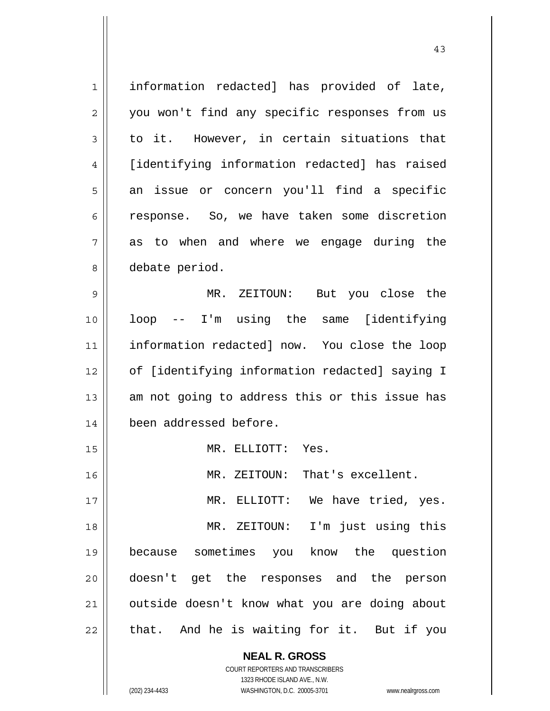1 || information redacted] has provided of late, 2 || you won't find any specific responses from us  $3 \parallel$  to it. However, in certain situations that 4 [identifying information redacted] has raised 5 an issue or concern you'll find a specific 6 response. So, we have taken some discretion  $7 \parallel$  as to when and where we engage during the 8 | debate period. 9 MR. ZEITOUN: But you close the 10 loop -- I'm using the same [identifying 11 || information redacted] now. You close the loop 12 | of [identifying information redacted] saying I 13  $\parallel$  am not going to address this or this issue has 14 been addressed before. 15 || MR. ELLIOTT: Yes. 16 MR. ZEITOUN: That's excellent. 17 || MR. ELLIOTT: We have tried, yes. 18 MR. ZEITOUN: I'm just using this 19 because sometimes you know the question 20 doesn't get the responses and the person 21 | outside doesn't know what you are doing about  $22$  || that. And he is waiting for it. But if you

> **NEAL R. GROSS** COURT REPORTERS AND TRANSCRIBERS

> > 1323 RHODE ISLAND AVE., N.W.

(202) 234-4433 WASHINGTON, D.C. 20005-3701 www.nealrgross.com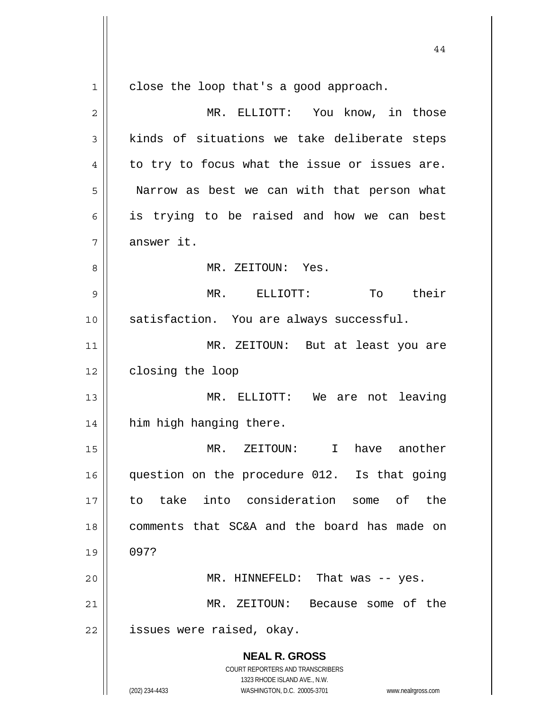**NEAL R. GROSS** COURT REPORTERS AND TRANSCRIBERS 1323 RHODE ISLAND AVE., N.W. 1 | close the loop that's a good approach. 2 MR. ELLIOTT: You know, in those  $3 \parallel$  kinds of situations we take deliberate steps  $4 \parallel$  to try to focus what the issue or issues are. 5 | Narrow as best we can with that person what 6 || is trying to be raised and how we can best 7 | answer it. 8 MR. ZEITOUN: Yes. 9 MR. ELLIOTT: To their 10 || satisfaction. You are always successful. 11 MR. ZEITOUN: But at least you are 12 | closing the loop 13 MR. ELLIOTT: We are not leaving 14 || him high hanging there. 15 MR. ZEITOUN: I have another 16 question on the procedure 012. Is that going 17 to take into consideration some of the 18 comments that SC&A and the board has made on 19 097? 20 MR. HINNEFELD: That was -- yes. 21 MR. ZEITOUN: Because some of the  $22$  || issues were raised, okay.

44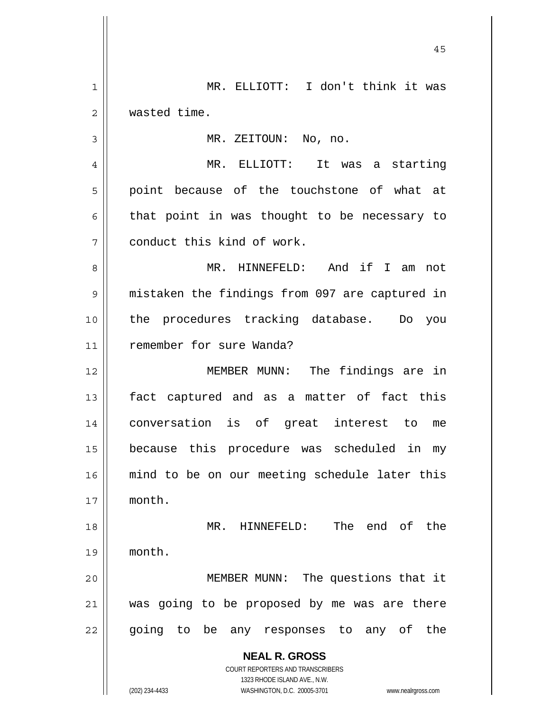**NEAL R. GROSS** COURT REPORTERS AND TRANSCRIBERS 1323 RHODE ISLAND AVE., N.W. (202) 234-4433 WASHINGTON, D.C. 20005-3701 www.nealrgross.com MR. ELLIOTT: I don't think it was wasted time. MR. ZEITOUN: No, no. MR. ELLIOTT: It was a starting 5 || point because of the touchstone of what at  $6 \parallel$  that point in was thought to be necessary to conduct this kind of work. MR. HINNEFELD: And if I am not mistaken the findings from 097 are captured in the procedures tracking database. Do you remember for sure Wanda? MEMBER MUNN: The findings are in 13 || fact captured and as a matter of fact this conversation is of great interest to me because this procedure was scheduled in my mind to be on our meeting schedule later this month. MR. HINNEFELD: The end of the month. 20 || MEMBER MUNN: The questions that it was going to be proposed by me was are there 22 || going to be any responses to any of the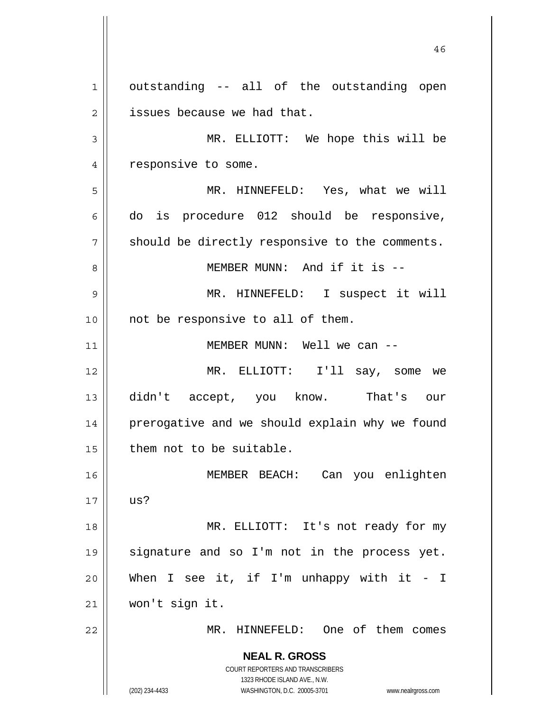**NEAL R. GROSS** COURT REPORTERS AND TRANSCRIBERS 1323 RHODE ISLAND AVE., N.W. (202) 234-4433 WASHINGTON, D.C. 20005-3701 www.nealrgross.com  $1 \parallel$  outstanding -- all of the outstanding open  $2 \parallel$  issues because we had that. 3 MR. ELLIOTT: We hope this will be 4 | responsive to some. 5 MR. HINNEFELD: Yes, what we will  $6 \parallel$  do is procedure 012 should be responsive,  $7 \parallel$  should be directly responsive to the comments. 8 || MEMBER MUNN: And if it is --9 MR. HINNEFELD: I suspect it will  $10$  | not be responsive to all of them. 11 || MEMBER MUNN: Well we can --12 MR. ELLIOTT: I'll say, some we 13 didn't accept, you know. That's our 14 | prerogative and we should explain why we found  $15$  | them not to be suitable. 16 MEMBER BEACH: Can you enlighten  $17 \parallel \text{us?}$ 18 || MR. ELLIOTT: It's not ready for my 19 signature and so I'm not in the process yet. 20 When I see it, if I'm unhappy with it - I 21 won't sign it. 22 MR. HINNEFELD: One of them comes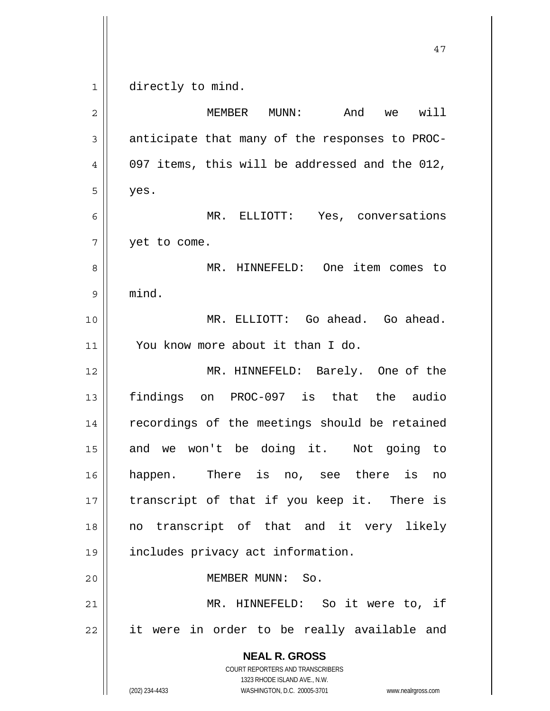$1 \parallel$  directly to mind.

| $\overline{2}$ | And<br>will<br>MEMBER<br>$MUNN$ :<br>we                                                                                                                         |
|----------------|-----------------------------------------------------------------------------------------------------------------------------------------------------------------|
| $\mathsf 3$    | anticipate that many of the responses to PROC-                                                                                                                  |
| 4              | 097 items, this will be addressed and the 012,                                                                                                                  |
| 5              | yes.                                                                                                                                                            |
| 6              | MR. ELLIOTT: Yes, conversations                                                                                                                                 |
| 7              | yet to come.                                                                                                                                                    |
| 8              | MR. HINNEFELD: One item comes to                                                                                                                                |
| 9              | mind.                                                                                                                                                           |
| 10             | MR. ELLIOTT: Go ahead. Go ahead.                                                                                                                                |
| 11             | You know more about it than I do.                                                                                                                               |
| 12             | MR. HINNEFELD: Barely. One of the                                                                                                                               |
| 13             | findings on PROC-097 is that the audio                                                                                                                          |
| 14             | recordings of the meetings should be retained                                                                                                                   |
| 15             | and we won't be doing it. Not going to                                                                                                                          |
| 16             | happen. There is no, see there is<br>no                                                                                                                         |
| 17             | transcript of that if you keep it. There is                                                                                                                     |
| 18             | no transcript of that and it very likely                                                                                                                        |
| 19             | includes privacy act information.                                                                                                                               |
| 20             | MEMBER MUNN: So.                                                                                                                                                |
| 21             | MR. HINNEFELD: So it were to, if                                                                                                                                |
| 22             | it were in order to be really available and                                                                                                                     |
|                | <b>NEAL R. GROSS</b><br>COURT REPORTERS AND TRANSCRIBERS<br>1323 RHODE ISLAND AVE., N.W.<br>(202) 234-4433<br>WASHINGTON, D.C. 20005-3701<br>www.nealrgross.com |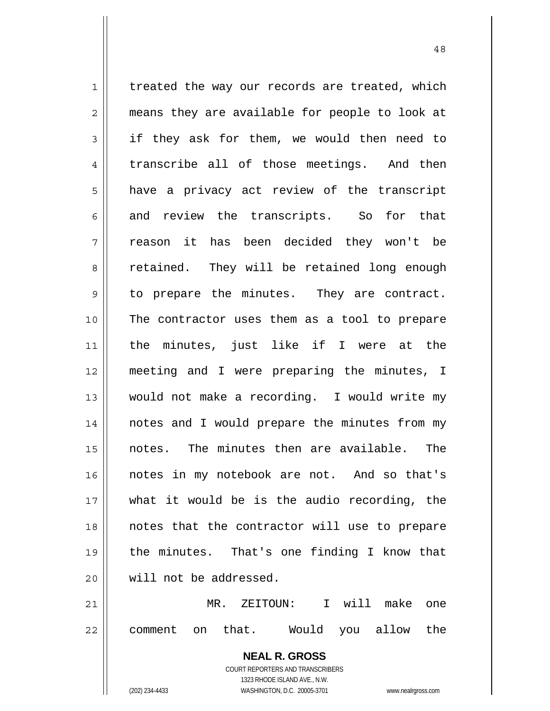$1 \parallel$  treated the way our records are treated, which 2 || means they are available for people to look at 3 if they ask for them, we would then need to  $4 \parallel$  transcribe all of those meetings. And then 5 a have a privacy act review of the transcript  $6 \parallel$  and review the transcripts. So for that 7 reason it has been decided they won't be 8 retained. They will be retained long enough 9 || to prepare the minutes. They are contract. 10 The contractor uses them as a tool to prepare 11 || the minutes, just like if I were at the 12 meeting and I were preparing the minutes, I 13 would not make a recording. I would write my 14 || notes and I would prepare the minutes from my 15 notes. The minutes then are available. The 16 || notes in my notebook are not. And so that's 17 what it would be is the audio recording, the 18 notes that the contractor will use to prepare 19 the minutes. That's one finding I know that 20 || will not be addressed. 21 MR. ZEITOUN: I will make one 22 || comment on that. Would you allow the

> **NEAL R. GROSS** COURT REPORTERS AND TRANSCRIBERS 1323 RHODE ISLAND AVE., N.W.

48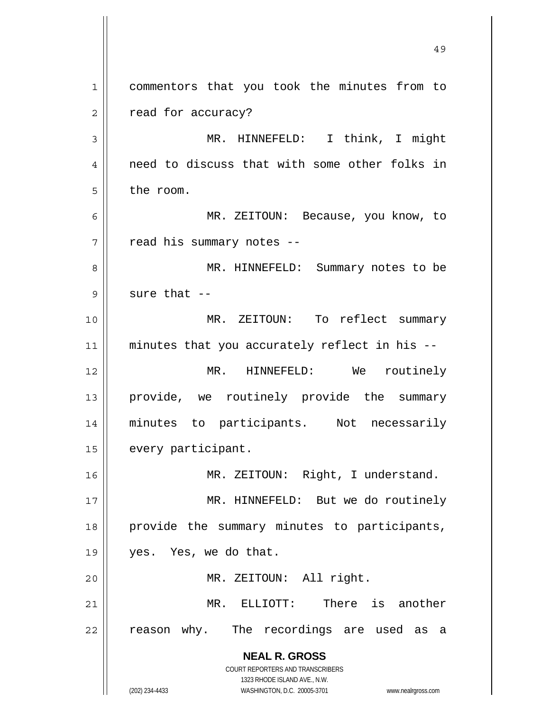**NEAL R. GROSS** COURT REPORTERS AND TRANSCRIBERS 1323 RHODE ISLAND AVE., N.W. (202) 234-4433 WASHINGTON, D.C. 20005-3701 www.nealrgross.com 49 1 || commentors that you took the minutes from to 2 | read for accuracy? 3 || MR. HINNEFELD: I think, I might 4 || need to discuss that with some other folks in 5 l the room. 6 MR. ZEITOUN: Because, you know, to  $7$  | read his summary notes --8 MR. HINNEFELD: Summary notes to be  $9$  || sure that  $-$ 10 MR. ZEITOUN: To reflect summary  $11$  minutes that you accurately reflect in his  $-$ 12 MR. HINNEFELD: We routinely 13 || provide, we routinely provide the summary 14 minutes to participants. Not necessarily 15 | every participant. 16 MR. ZEITOUN: Right, I understand. 17 || MR. HINNEFELD: But we do routinely 18 provide the summary minutes to participants, 19 yes. Yes, we do that. 20 MR. ZEITOUN: All right. 21 MR. ELLIOTT: There is another 22 || reason why. The recordings are used as a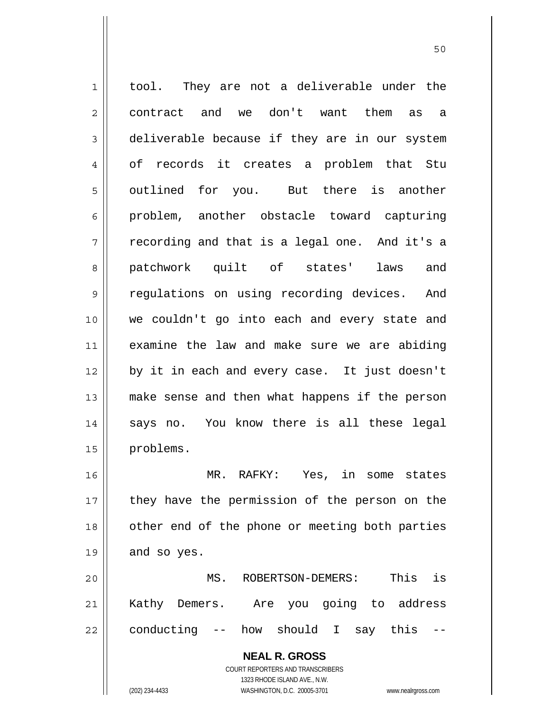**NEAL R. GROSS** COURT REPORTERS AND TRANSCRIBERS 1323 RHODE ISLAND AVE., N.W. 1 || tool. They are not a deliverable under the 2 contract and we don't want them as a 3 deliverable because if they are in our system 4 of records it creates a problem that Stu 5 || outlined for you. But there is another 6 problem, another obstacle toward capturing  $7 \parallel$  recording and that is a legal one. And it's a 8 patchwork quilt of states' laws and 9 || regulations on using recording devices. And 10 we couldn't go into each and every state and 11 examine the law and make sure we are abiding 12 by it in each and every case. It just doesn't 13 make sense and then what happens if the person 14 || says no. You know there is all these legal 15 problems. 16 MR. RAFKY: Yes, in some states 17 || they have the permission of the person on the 18 || other end of the phone or meeting both parties  $19 \parallel$  and so yes. 20 MS. ROBERTSON-DEMERS: This is 21 Kathy Demers. Are you going to address  $22$  || conducting  $-$  how should I say this

(202) 234-4433 WASHINGTON, D.C. 20005-3701 www.nealrgross.com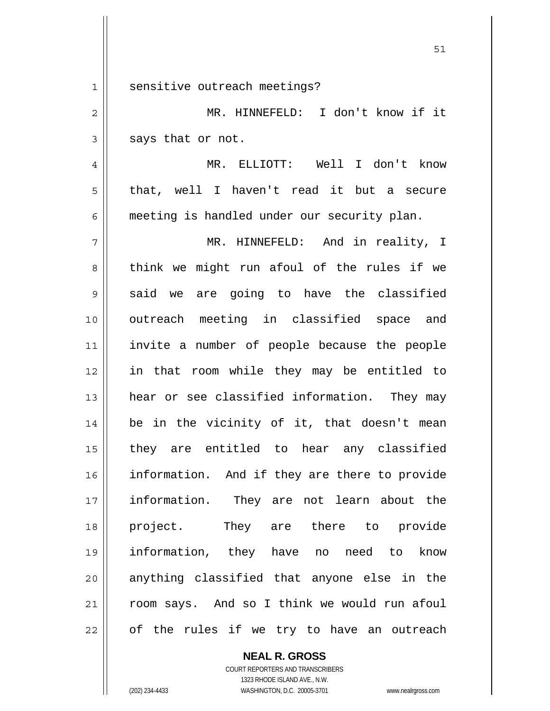1 || sensitive outreach meetings?

2 MR. HINNEFELD: I don't know if it  $3 \parallel$  says that or not.

4 MR. ELLIOTT: Well I don't know 5 that, well I haven't read it but a secure 6 meeting is handled under our security plan.

MR. HINNEFELD: And in reality, I 8 think we might run afoul of the rules if we  $9 \parallel$  said we are going to have the classified outreach meeting in classified space and invite a number of people because the people in that room while they may be entitled to hear or see classified information. They may be in the vicinity of it, that doesn't mean they are entitled to hear any classified 16 || information. And if they are there to provide information. They are not learn about the project. They are there to provide information, they have no need to know 20 || anything classified that anyone else in the 21 | room says. And so I think we would run afoul 22 || of the rules if we try to have an outreach

> **NEAL R. GROSS** COURT REPORTERS AND TRANSCRIBERS 1323 RHODE ISLAND AVE., N.W.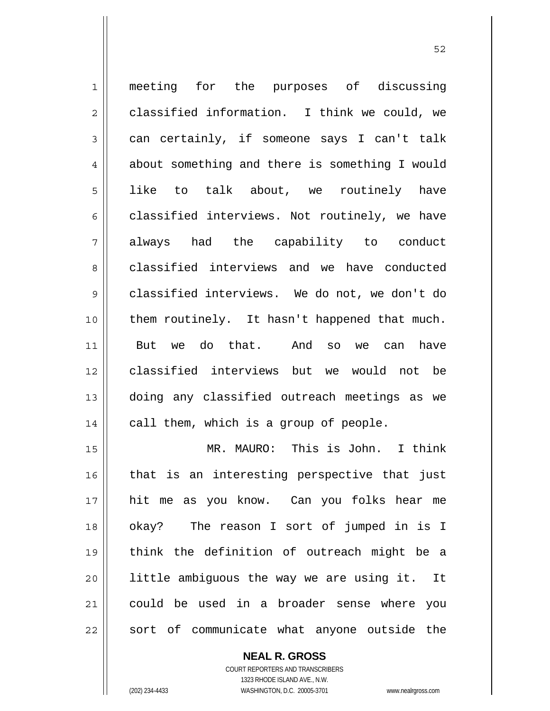1 || meeting for the purposes of discussing  $2 \parallel$  classified information. I think we could, we  $3 \parallel$  can certainly, if someone says I can't talk 4 about something and there is something I would 5 like to talk about, we routinely have  $6 \parallel$  classified interviews. Not routinely, we have always had the capability to conduct 8 classified interviews and we have conducted classified interviews. We do not, we don't do them routinely. It hasn't happened that much. But we do that. And so we can have classified interviews but we would not be doing any classified outreach meetings as we | call them, which is a group of people. MR. MAURO: This is John. I think that is an interesting perspective that just hit me as you know. Can you folks hear me okay? The reason I sort of jumped in is I think the definition of outreach might be a | little ambiguous the way we are using it. It

21 could be used in a broader sense where you  $22$  sort of communicate what anyone outside the

> **NEAL R. GROSS** COURT REPORTERS AND TRANSCRIBERS

> > 1323 RHODE ISLAND AVE., N.W.

(202) 234-4433 WASHINGTON, D.C. 20005-3701 www.nealrgross.com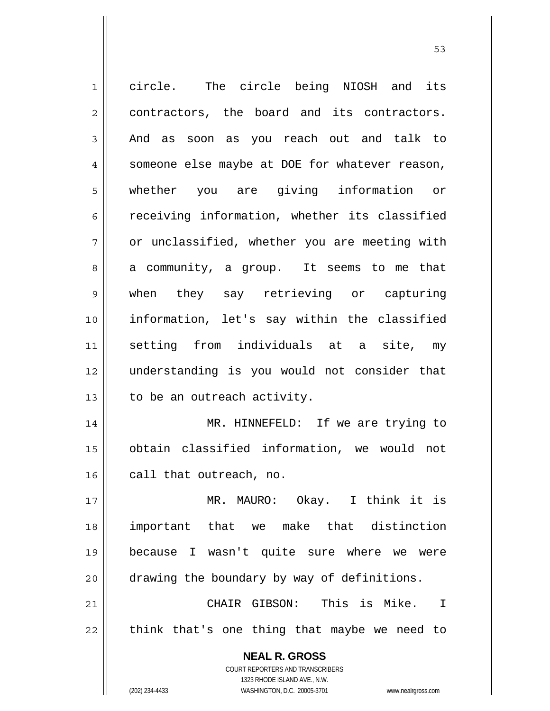| $\mathbf 1$    | circle. The circle being NIOSH and its                              |
|----------------|---------------------------------------------------------------------|
| $\overline{c}$ | contractors, the board and its contractors.                         |
| 3              | And as soon as you reach out and talk to                            |
| $\overline{4}$ | someone else maybe at DOE for whatever reason,                      |
| 5              | whether you are giving information or                               |
| 6              | receiving information, whether its classified                       |
| 7              | or unclassified, whether you are meeting with                       |
| 8              | a community, a group. It seems to me that                           |
| 9              | when they say retrieving or capturing                               |
| 10             | information, let's say within the classified                        |
| 11             | setting from individuals at a site, my                              |
| 12             | understanding is you would not consider that                        |
| 13             | to be an outreach activity.                                         |
| 14             | MR. HINNEFELD: If we are trying to                                  |
| 15             | obtain classified information, we would not                         |
| 16             | call that outreach, no.                                             |
| 17             | MR. MAURO: Okay. I think it is                                      |
| 18             | important that we make that distinction                             |
| 19             | because I wasn't quite sure where we<br>were                        |
| 20             | drawing the boundary by way of definitions.                         |
| 21             | CHAIR GIBSON: This is Mike. I                                       |
| 22             | think that's one thing that maybe we need to                        |
|                | <b>NEAL R. GROSS</b>                                                |
|                | COURT REPORTERS AND TRANSCRIBERS                                    |
|                | 1323 RHODE ISLAND AVE., N.W.                                        |
|                | (202) 234-4433<br>WASHINGTON, D.C. 20005-3701<br>www.nealrgross.com |

 $\sim$  53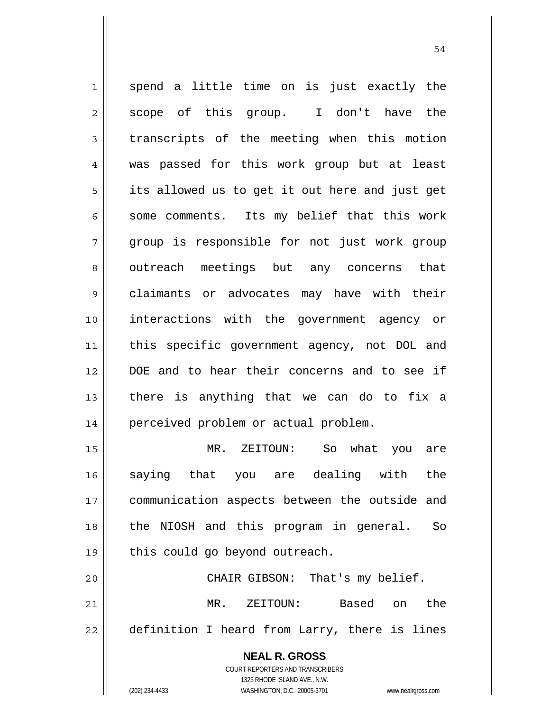**NEAL R. GROSS** 1 spend a little time on is just exactly the  $2 \parallel$  scope of this group. I don't have the 3 transcripts of the meeting when this motion 4 was passed for this work group but at least  $5 \parallel$  its allowed us to get it out here and just get  $6$  || some comments. Its my belief that this work 7 group is responsible for not just work group 8 || outreach meetings but any concerns that 9 claimants or advocates may have with their 10 interactions with the government agency or 11 this specific government agency, not DOL and 12 DOE and to hear their concerns and to see if  $13$  there is anything that we can do to fix a 14 | perceived problem or actual problem. 15 MR. ZEITOUN: So what you are 16 saying that you are dealing with the 17 || communication aspects between the outside and 18 the NIOSH and this program in general. So  $19 \parallel$  this could go beyond outreach. 20 CHAIR GIBSON: That's my belief. 21 MR. ZEITOUN: Based on the 22 || definition I heard from Larry, there is lines

54

 1323 RHODE ISLAND AVE., N.W. (202) 234-4433 WASHINGTON, D.C. 20005-3701 www.nealrgross.com

COURT REPORTERS AND TRANSCRIBERS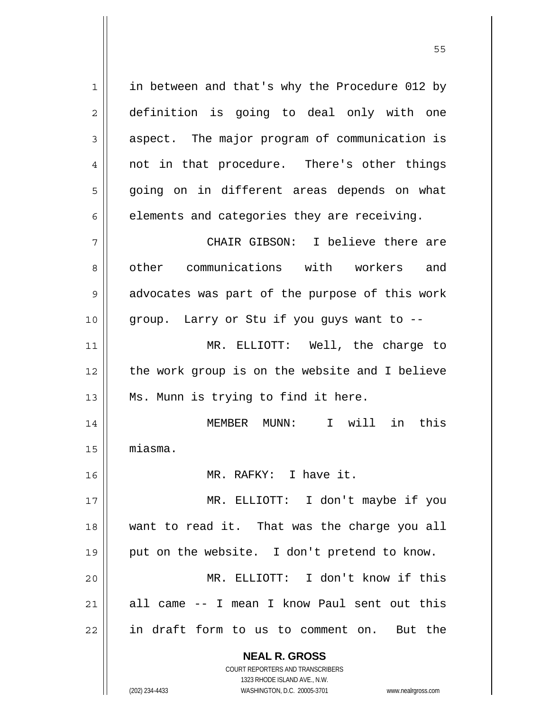**NEAL R. GROSS** 1 in between and that's why the Procedure 012 by 2 definition is going to deal only with one 3 aspect. The major program of communication is 4 || not in that procedure. There's other things 5 going on in different areas depends on what  $6 \parallel$  elements and categories they are receiving. 7 CHAIR GIBSON: I believe there are 8 || other communications with workers and  $9 \parallel$  advocates was part of the purpose of this work  $10$  | group. Larry or Stu if you guys want to  $-$ 11 MR. ELLIOTT: Well, the charge to 12 || the work group is on the website and I believe 13 || Ms. Munn is trying to find it here. 14 MEMBER MUNN: I will in this 15 miasma. 16 MR. RAFKY: I have it. 17 MR. ELLIOTT: I don't maybe if you 18 want to read it. That was the charge you all 19 || put on the website. I don't pretend to know. 20 MR. ELLIOTT: I don't know if this 21 all came -- I mean I know Paul sent out this 22 || in draft form to us to comment on. But the

> COURT REPORTERS AND TRANSCRIBERS 1323 RHODE ISLAND AVE., N.W.

(202) 234-4433 WASHINGTON, D.C. 20005-3701 www.nealrgross.com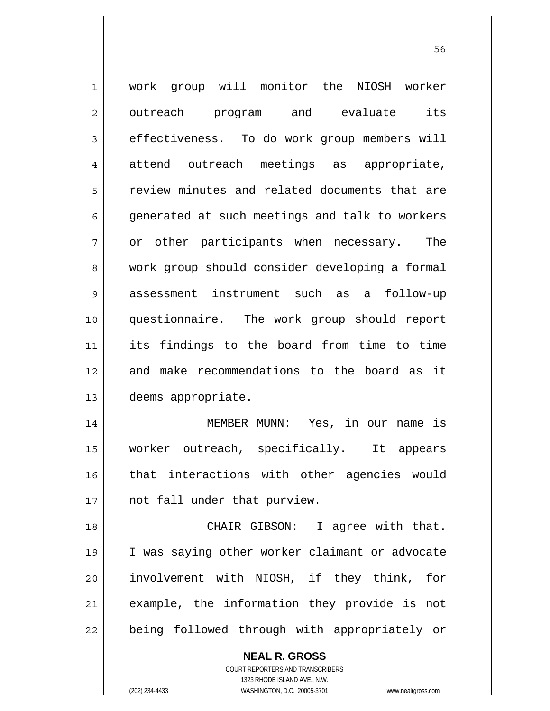1 work group will monitor the NIOSH worker 2 || outreach program and evaluate its 3 effectiveness. To do work group members will 4 attend outreach meetings as appropriate, 5 | review minutes and related documents that are 6  $\parallel$  generated at such meetings and talk to workers  $7 \parallel$  or other participants when necessary. The 8 work group should consider developing a formal 9 || assessment instrument such as a follow-up 10 questionnaire. The work group should report 11 its findings to the board from time to time 12 and make recommendations to the board as it 13 deems appropriate. 14 MEMBER MUNN: Yes, in our name is 15 worker outreach, specifically. It appears 16 || that interactions with other agencies would 17 || not fall under that purview. 18 || CHAIR GIBSON: I agree with that. 19 I was saying other worker claimant or advocate 20 involvement with NIOSH, if they think, for

21 || example, the information they provide is not 22 || being followed through with appropriately or

> **NEAL R. GROSS** COURT REPORTERS AND TRANSCRIBERS 1323 RHODE ISLAND AVE., N.W. (202) 234-4433 WASHINGTON, D.C. 20005-3701 www.nealrgross.com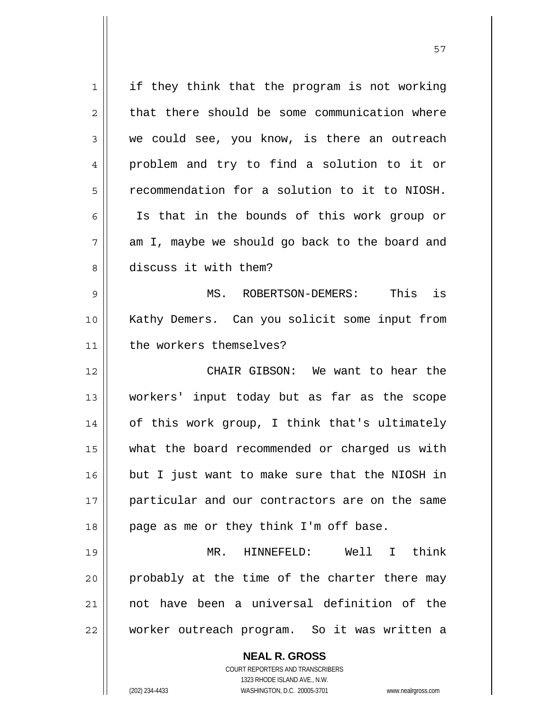**NEAL R. GROSS** COURT REPORTERS AND TRANSCRIBERS 1323 RHODE ISLAND AVE., N.W.  $1 \parallel$  if they think that the program is not working  $2 \parallel$  that there should be some communication where  $3 \parallel$  we could see, you know, is there an outreach 4 problem and try to find a solution to it or 5 recommendation for a solution to it to NIOSH. 6 || Is that in the bounds of this work group or  $7 \parallel$  am I, maybe we should go back to the board and 8 discuss it with them? 9 MS. ROBERTSON-DEMERS: This is 10 Kathy Demers. Can you solicit some input from 11 | the workers themselves? 12 CHAIR GIBSON: We want to hear the 13 workers' input today but as far as the scope 14 || of this work group, I think that's ultimately 15 what the board recommended or charged us with 16 but I just want to make sure that the NIOSH in 17 || particular and our contractors are on the same  $18$  || page as me or they think I'm off base. 19 MR. HINNEFELD: Well I think 20 || probably at the time of the charter there may 21 not have been a universal definition of the 22 worker outreach program. So it was written a

57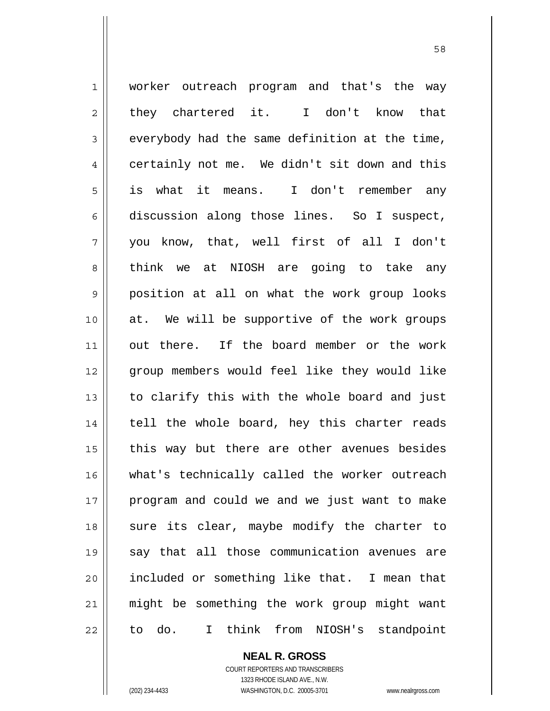1 || worker outreach program and that's the way  $2 \parallel$  they chartered it. I don't know that  $3 \parallel$  everybody had the same definition at the time, 4 certainly not me. We didn't sit down and this 5 is what it means. I don't remember any  $6 \parallel$  discussion along those lines. So I suspect, 7 you know, that, well first of all I don't 8 think we at NIOSH are going to take any 9 position at all on what the work group looks 10 at. We will be supportive of the work groups 11 out there. If the board member or the work 12 || group members would feel like they would like  $13$  | to clarify this with the whole board and just 14 || tell the whole board, hey this charter reads  $15$  | this way but there are other avenues besides 16 || what's technically called the worker outreach 17 || program and could we and we just want to make 18 || sure its clear, maybe modify the charter to 19 say that all those communication avenues are 20 included or something like that. I mean that 21 might be something the work group might want  $22$  || to do. I think from NIOSH's standpoint

 **NEAL R. GROSS**

 COURT REPORTERS AND TRANSCRIBERS 1323 RHODE ISLAND AVE., N.W. (202) 234-4433 WASHINGTON, D.C. 20005-3701 www.nealrgross.com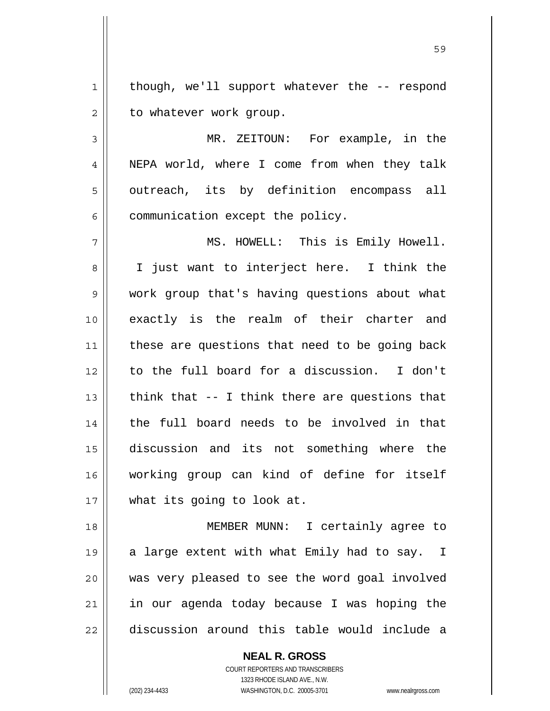$1$  though, we'll support whatever the  $-$ - respond  $2 \parallel$  to whatever work group.

3 MR. ZEITOUN: For example, in the 4 || NEPA world, where I come from when they talk 5 || outreach, its by definition encompass all  $6$  | communication except the policy.

MS. HOWELL: This is Emily Howell. 8 || I just want to interject here. I think the work group that's having questions about what exactly is the realm of their charter and 11 || these are questions that need to be going back to the full board for a discussion. I don't  $\parallel$  think that -- I think there are questions that 14 the full board needs to be involved in that discussion and its not something where the working group can kind of define for itself what its going to look at.

18 MEMBER MUNN: I certainly agree to 19 || a large extent with what Emily had to say. I 20 || was very pleased to see the word goal involved  $21$  in our agenda today because I was hoping the 22 discussion around this table would include a

> COURT REPORTERS AND TRANSCRIBERS 1323 RHODE ISLAND AVE., N.W. (202) 234-4433 WASHINGTON, D.C. 20005-3701 www.nealrgross.com

 **NEAL R. GROSS**

<u>59 September 2005 September 2005 September 2005 September 2005 September 2005 September 2005 September 2005 S</u>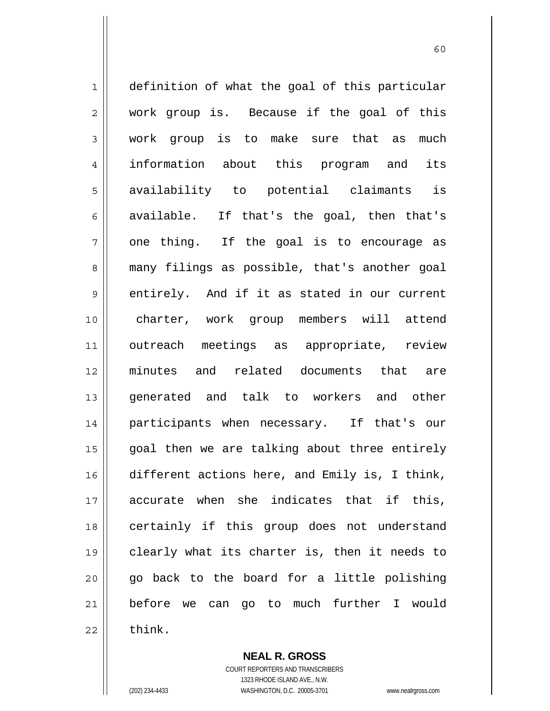1 || definition of what the goal of this particular 2 || work group is. Because if the goal of this 3 work group is to make sure that as much 4 information about this program and its 5 availability to potential claimants is 6 available. If that's the goal, then that's  $7 \parallel$  one thing. If the goal is to encourage as 8 || many filings as possible, that's another goal  $9 \parallel$  entirely. And if it as stated in our current 10 charter, work group members will attend 11 outreach meetings as appropriate, review 12 minutes and related documents that are 13 || generated and talk to workers and other 14 participants when necessary. If that's our 15 || goal then we are talking about three entirely 16 different actions here, and Emily is, I think, 17 accurate when she indicates that if this, 18 || certainly if this group does not understand 19 clearly what its charter is, then it needs to  $20$  || go back to the board for a little polishing 21 before we can go to much further I would  $22$   $\parallel$  think.

> **NEAL R. GROSS** COURT REPORTERS AND TRANSCRIBERS 1323 RHODE ISLAND AVE., N.W.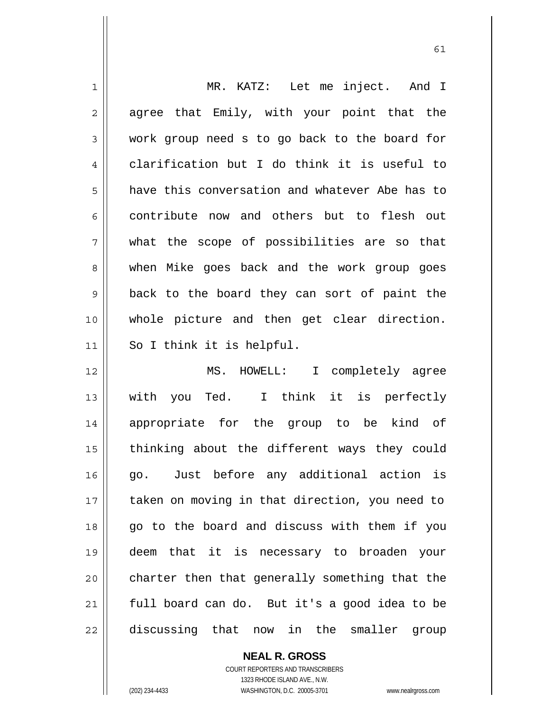| 1              | MR. KATZ: Let me inject. And I                 |
|----------------|------------------------------------------------|
| $\overline{2}$ | agree that Emily, with your point that the     |
| 3              | work group need s to go back to the board for  |
| $\overline{4}$ | clarification but I do think it is useful to   |
| 5              | have this conversation and whatever Abe has to |
| 6              | contribute now and others but to flesh out     |
| 7              | what the scope of possibilities are so that    |
| 8              | when Mike goes back and the work group goes    |
| 9              | back to the board they can sort of paint the   |
| 10             | whole picture and then get clear direction.    |
| 11             | So I think it is helpful.                      |
| 12             | MS. HOWELL: I completely agree                 |
| 13             | you Ted. I think it is perfectly<br>with       |
| 14             | appropriate for the group to be kind of        |
| 15             | thinking about the different ways they could   |
| 16             | go. Just before any additional action is       |
| 17             |                                                |
|                | taken on moving in that direction, you need to |
| 18             | go to the board and discuss with them if you   |
| 19             | deem that it is necessary to broaden your      |
| 20             | charter then that generally something that the |
| 21             | full board can do. But it's a good idea to be  |

 **NEAL R. GROSS** COURT REPORTERS AND TRANSCRIBERS 1323 RHODE ISLAND AVE., N.W. (202) 234-4433 WASHINGTON, D.C. 20005-3701 www.nealrgross.com

 $\mathsf{II}$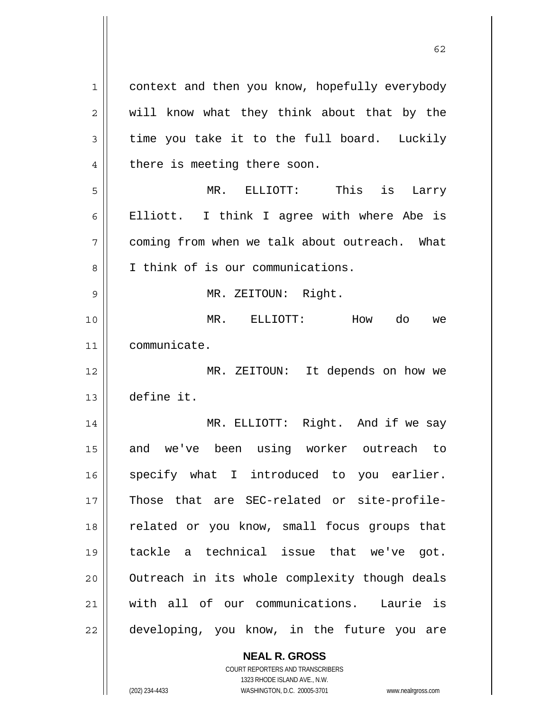1 | context and then you know, hopefully everybody  $2 \parallel$  will know what they think about that by the  $3 \parallel$  time you take it to the full board. Luckily 4 || there is meeting there soon. 5 MR. ELLIOTT: This is Larry 6 Elliott. I think I agree with where Abe is 7 coming from when we talk about outreach. What 8 || I think of is our communications. 9 MR. ZEITOUN: Right. 10 MR. ELLIOTT: How do we 11 communicate. 12 MR. ZEITOUN: It depends on how we 13 define it. 14 || MR. ELLIOTT: Right. And if we say 15 || and we've been using worker outreach to 16 || specify what I introduced to you earlier. 17 Those that are SEC-related or site-profile-18 || related or you know, small focus groups that 19 tackle a technical issue that we've got. 20 || Outreach in its whole complexity though deals 21 with all of our communications. Laurie is  $22$  | developing, you know, in the future you are

 $\sim$  62

 **NEAL R. GROSS** COURT REPORTERS AND TRANSCRIBERS

 1323 RHODE ISLAND AVE., N.W. (202) 234-4433 WASHINGTON, D.C. 20005-3701 www.nealrgross.com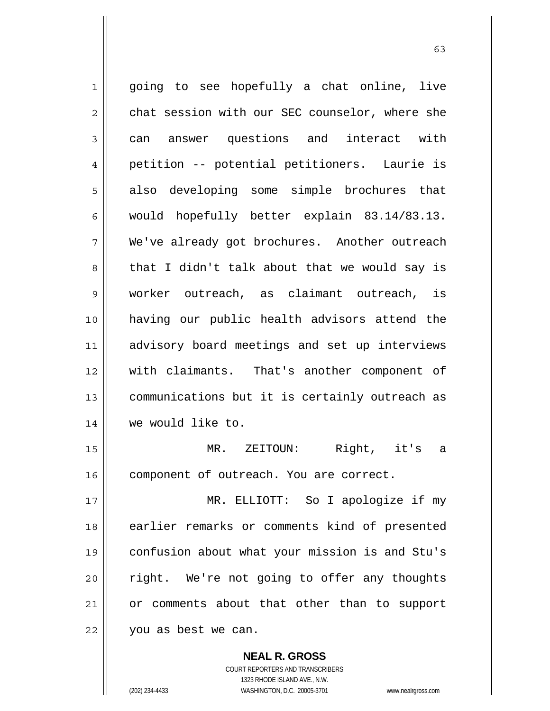1 || going to see hopefully a chat online, live  $2 \parallel$  chat session with our SEC counselor, where she 3 can answer questions and interact with 4 petition -- potential petitioners. Laurie is 5 || also developing some simple brochures that 6 would hopefully better explain  $83.14/83.13$ . 7 We've already got brochures. Another outreach 8 that I didn't talk about that we would say is 9 worker outreach, as claimant outreach, is 10 having our public health advisors attend the 11 advisory board meetings and set up interviews 12 with claimants. That's another component of 13 | communications but it is certainly outreach as 14 we would like to. 15 MR. ZEITOUN: Right, it's a 16 | component of outreach. You are correct. 17 MR. ELLIOTT: So I apologize if my 18 earlier remarks or comments kind of presented 19 confusion about what your mission is and Stu's 20 || right. We're not going to offer any thoughts 21 | or comments about that other than to support

22 | you as best we can.

 **NEAL R. GROSS** COURT REPORTERS AND TRANSCRIBERS 1323 RHODE ISLAND AVE., N.W.

<sup>(202) 234-4433</sup> WASHINGTON, D.C. 20005-3701 www.nealrgross.com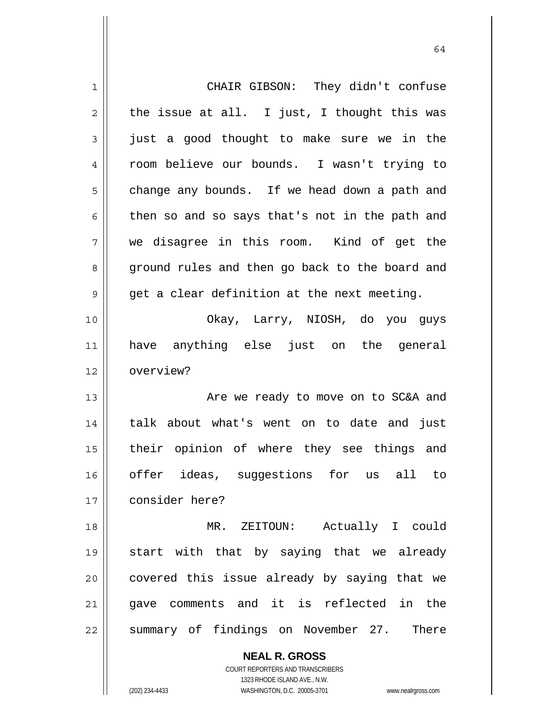| $\mathbf 1$ | CHAIR GIBSON: They didn't confuse              |
|-------------|------------------------------------------------|
| 2           | the issue at all. I just, I thought this was   |
| 3           | just a good thought to make sure we in the     |
| 4           | room believe our bounds. I wasn't trying to    |
| 5           | change any bounds. If we head down a path and  |
| 6           | then so and so says that's not in the path and |
| 7           | we disagree in this room. Kind of get the      |
| 8           | ground rules and then go back to the board and |
| 9           | get a clear definition at the next meeting.    |
| 10          | Okay, Larry, NIOSH, do you guys                |
| 11          | have anything else just on the general         |
| 12          | overview?                                      |
| 13          | Are we ready to move on to SC&A and            |
| 14          | talk about what's went on to date and just     |
| 15          | their opinion of where they see things and     |
| 16          | offer ideas, suggestions for us all to         |
| 17          | consider here?                                 |
| 18          | MR. ZEITOUN: Actually I could                  |
| 19          | start with that by saying that we already      |
| 20          | covered this issue already by saying that we   |
| 21          | gave comments and it is reflected in the       |
| 22          | summary of findings on November 27. There      |
|             | <b>NEAL R. GROSS</b>                           |

 COURT REPORTERS AND TRANSCRIBERS 1323 RHODE ISLAND AVE., N.W.

 $\mathbf{\mathsf{I}}$ 

(202) 234-4433 WASHINGTON, D.C. 20005-3701 www.nealrgross.com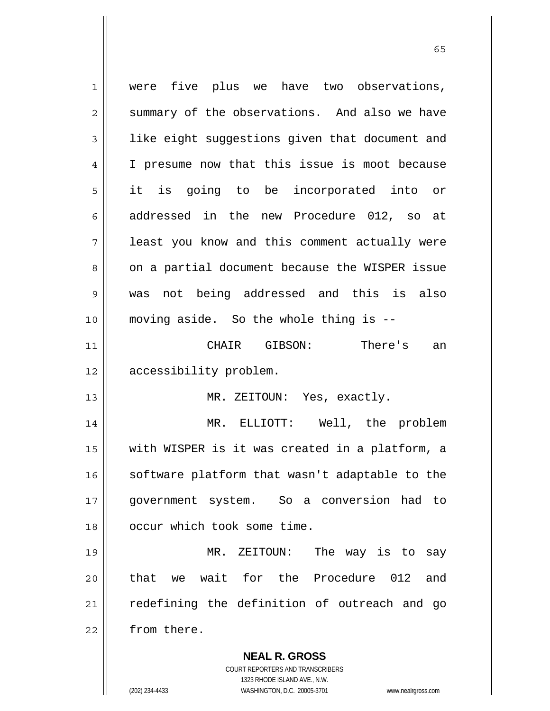**NEAL R. GROSS** COURT REPORTERS AND TRANSCRIBERS 1 were five plus we have two observations,  $2 \parallel$  summary of the observations. And also we have  $3$  | like eight suggestions given that document and 4 | I presume now that this issue is moot because 5 it is going to be incorporated into or 6 addressed in the new Procedure 012, so at 7 || least you know and this comment actually were 8 || on a partial document because the WISPER issue 9 was not being addressed and this is also 10 moving aside. So the whole thing is -- 11 CHAIR GIBSON: There's an 12 | accessibility problem. 13 || MR. ZEITOUN: Yes, exactly. 14 MR. ELLIOTT: Well, the problem 15 with WISPER is it was created in a platform, a 16 || software platform that wasn't adaptable to the 17 government system. So a conversion had to 18 || occur which took some time. 19 MR. ZEITOUN: The way is to say 20 **that we wait for the Procedure** 012 and 21 || redefining the definition of outreach and go 22 | from there.

1323 RHODE ISLAND AVE., N.W.

(202) 234-4433 WASHINGTON, D.C. 20005-3701 www.nealrgross.com

 $\sim$  65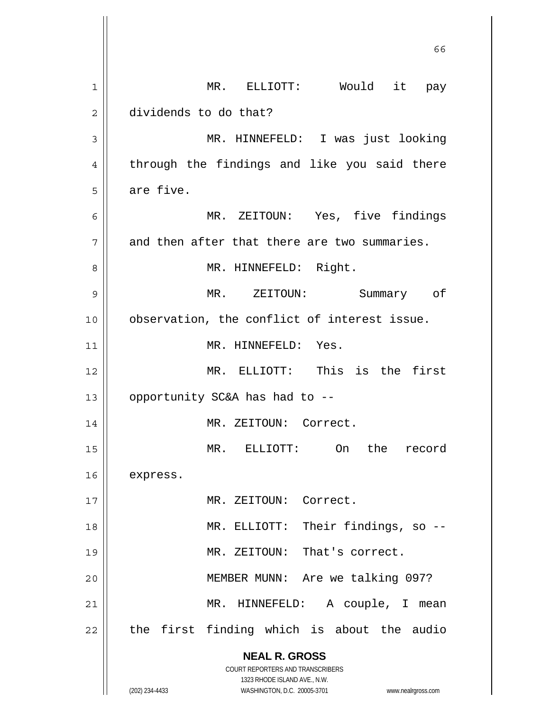|    | 66                                                                  |
|----|---------------------------------------------------------------------|
| 1  | MR. ELLIOTT: Would it pay                                           |
| 2  | dividends to do that?                                               |
| 3  | MR. HINNEFELD: I was just looking                                   |
| 4  | through the findings and like you said there                        |
| 5  | are five.                                                           |
| 6  | MR. ZEITOUN: Yes, five findings                                     |
| 7  | and then after that there are two summaries.                        |
| 8  | MR. HINNEFELD: Right.                                               |
| 9  | MR. ZEITOUN:<br>Summary of                                          |
| 10 | observation, the conflict of interest issue.                        |
| 11 | MR. HINNEFELD: Yes.                                                 |
| 12 | MR. ELLIOTT: This is the first                                      |
| 13 | opportunity SC&A has had to --                                      |
| 14 | MR. ZEITOUN: Correct.                                               |
| 15 | MR.<br>ELLIOTT: On<br>the record                                    |
| 16 | express.                                                            |
| 17 | MR. ZEITOUN: Correct.                                               |
| 18 | MR. ELLIOTT: Their findings, so --                                  |
| 19 | MR. ZEITOUN: That's correct.                                        |
| 20 | MEMBER MUNN: Are we talking 097?                                    |
| 21 | MR. HINNEFELD: A couple, I mean                                     |
| 22 | the first finding which is about the audio                          |
|    | <b>NEAL R. GROSS</b>                                                |
|    | COURT REPORTERS AND TRANSCRIBERS<br>1323 RHODE ISLAND AVE., N.W.    |
|    | (202) 234-4433<br>WASHINGTON, D.C. 20005-3701<br>www.nealrgross.com |

 $\mathsf{I}$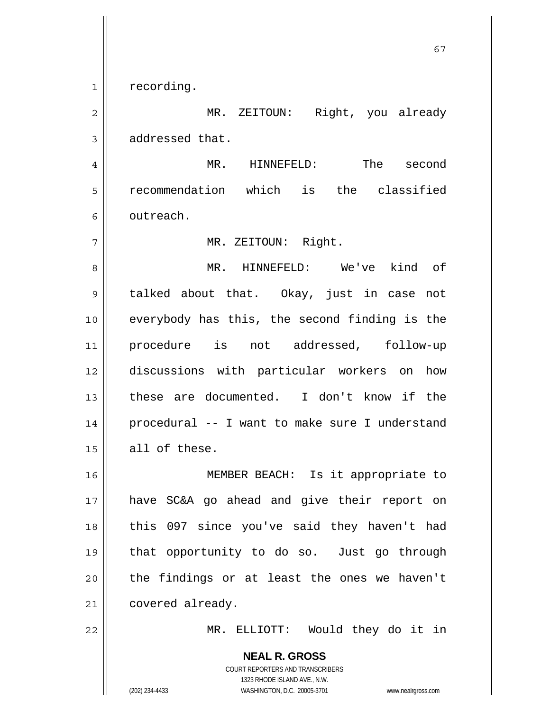1 | recording.

2 MR. ZEITOUN: Right, you already 3 | addressed that.

67

4 MR. HINNEFELD: The second 5 recommendation which is the classified 6 | outreach.

7 || MR. ZEITOUN: Right.

MR. HINNEFELD: We've kind of 9 || talked about that. Okay, just in case not 10 || everybody has this, the second finding is the procedure is not addressed, follow-up discussions with particular workers on how these are documented. I don't know if the procedural -- I want to make sure I understand all of these.

MEMBER BEACH: Is it appropriate to have SC&A go ahead and give their report on 18 || this 097 since you've said they haven't had that opportunity to do so. Just go through | the findings or at least the ones we haven't 21 | covered already.

22 MR. ELLIOTT: Would they do it in

 **NEAL R. GROSS** COURT REPORTERS AND TRANSCRIBERS 1323 RHODE ISLAND AVE., N.W. (202) 234-4433 WASHINGTON, D.C. 20005-3701 www.nealrgross.com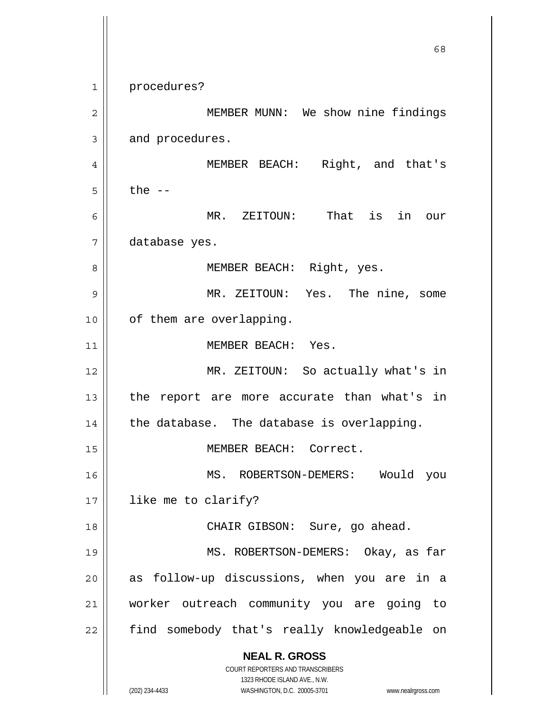**NEAL R. GROSS** COURT REPORTERS AND TRANSCRIBERS 1323 RHODE ISLAND AVE., N.W. (202) 234-4433 WASHINGTON, D.C. 20005-3701 www.nealrgross.com  $\sim$  68 1 procedures? 2 || MEMBER MUNN: We show nine findings  $3 \parallel$  and procedures. 4 MEMBER BEACH: Right, and that's  $5 \parallel$  the  $-$ 6 MR. ZEITOUN: That is in our 7 database yes. 8 || MEMBER BEACH: Right, yes. 9 MR. ZEITOUN: Yes. The nine, some 10 || of them are overlapping. 11 || MEMBER BEACH: Yes. 12 MR. ZEITOUN: So actually what's in  $13$  | the report are more accurate than what's in  $14$  | the database. The database is overlapping. 15 || MEMBER BEACH: Correct. 16 MS. ROBERTSON-DEMERS: Would you 17 || like me to clarify? 18 || CHAIR GIBSON: Sure, go ahead. 19 MS. ROBERTSON-DEMERS: Okay, as far 20 || as follow-up discussions, when you are in a 21 worker outreach community you are going to 22 || find somebody that's really knowledgeable on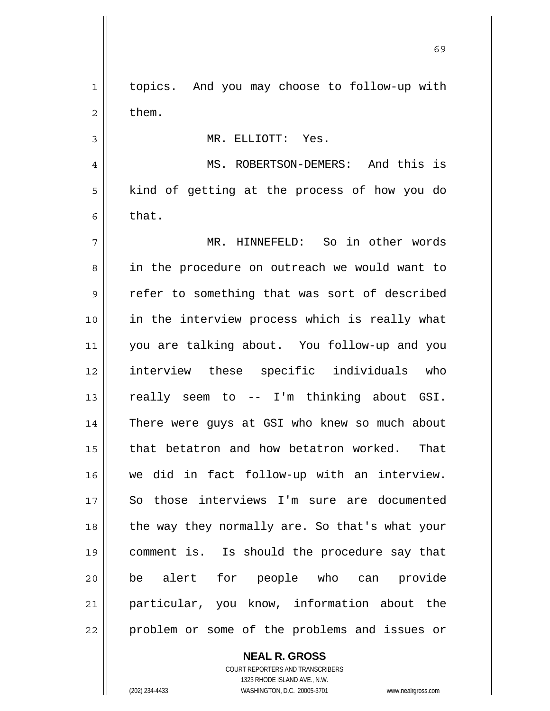| $\mathbf 1$    | topics. And you may choose to follow-up with   |
|----------------|------------------------------------------------|
| $\overline{2}$ | them.                                          |
| 3              | MR. ELLIOTT: Yes.                              |
| 4              | MS. ROBERTSON-DEMERS: And this is              |
| 5              | kind of getting at the process of how you do   |
| 6              | that.                                          |
| 7              | MR. HINNEFELD: So in other words               |
| 8              | in the procedure on outreach we would want to  |
| 9              | refer to something that was sort of described  |
| 10             | in the interview process which is really what  |
| 11             | you are talking about. You follow-up and you   |
| 12             | interview these specific individuals who       |
| 13             | really seem to -- I'm thinking about GSI.      |
| 14             | There were guys at GSI who knew so much about  |
| 15             | that betatron and how betatron worked.<br>That |
| 16             | we did in fact follow-up with an interview.    |
| 17             | So those interviews I'm sure are documented    |
| 18             | the way they normally are. So that's what your |
| 19             | comment is. Is should the procedure say that   |
| 20             | be alert for people who can provide            |
| 21             | particular, you know, information about the    |
| 22             | problem or some of the problems and issues or  |
|                |                                                |

 $\sim$  69

 **NEAL R. GROSS** COURT REPORTERS AND TRANSCRIBERS

1323 RHODE ISLAND AVE., N.W.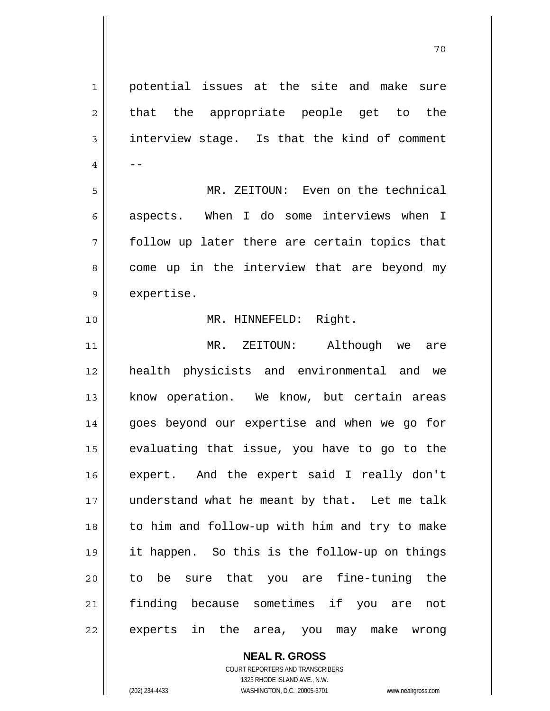1 || potential issues at the site and make sure  $2 \parallel$  that the appropriate people get to the  $3 \parallel$  interview stage. Is that the kind of comment  $4 \parallel - -$ 5 MR. ZEITOUN: Even on the technical  $6 \parallel$  aspects. When I do some interviews when I  $7 \parallel$  follow up later there are certain topics that  $8 \parallel$  come up in the interview that are beyond my  $9 \parallel$  expertise. 10 MR. HINNEFELD: Right. 11 MR. ZEITOUN: Although we are 12 health physicists and environmental and we 13 || know operation. We know, but certain areas 14 || goes beyond our expertise and when we go for  $15$  evaluating that issue, you have to go to the 16 expert. And the expert said I really don't 17 || understand what he meant by that. Let me talk 18 || to him and follow-up with him and try to make 19 it happen. So this is the follow-up on things 20 to be sure that you are fine-tuning the 21 finding because sometimes if you are not 22 || experts in the area, you may make wrong

70

 **NEAL R. GROSS** COURT REPORTERS AND TRANSCRIBERS 1323 RHODE ISLAND AVE., N.W. (202) 234-4433 WASHINGTON, D.C. 20005-3701 www.nealrgross.com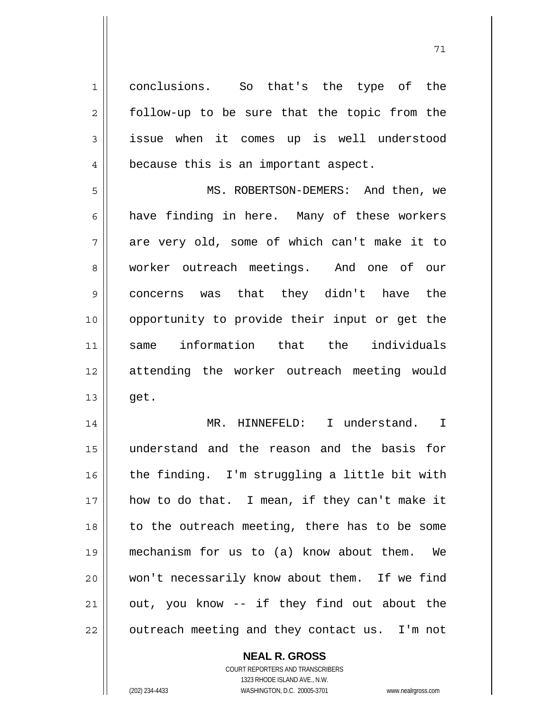1 conclusions. So that's the type of the  $2 \parallel$  follow-up to be sure that the topic from the 3 issue when it comes up is well understood 4 | because this is an important aspect.

5 MS. ROBERTSON-DEMERS: And then, we  $6 \parallel$  have finding in here. Many of these workers  $7 \parallel$  are very old, some of which can't make it to 8 || worker outreach meetings. And one of our 9 concerns was that they didn't have the 10 opportunity to provide their input or get the 11 same information that the individuals 12 attending the worker outreach meeting would  $13 \parallel$  get.

14 || MR. HINNEFELD: I understand. I understand and the reason and the basis for  $\parallel$  the finding. I'm struggling a little bit with 17 || how to do that. I mean, if they can't make it to the outreach meeting, there has to be some mechanism for us to (a) know about them. We won't necessarily know about them. If we find | out, you know -- if they find out about the | outreach meeting and they contact us. I'm not

 **NEAL R. GROSS**

 COURT REPORTERS AND TRANSCRIBERS 1323 RHODE ISLAND AVE., N.W. (202) 234-4433 WASHINGTON, D.C. 20005-3701 www.nealrgross.com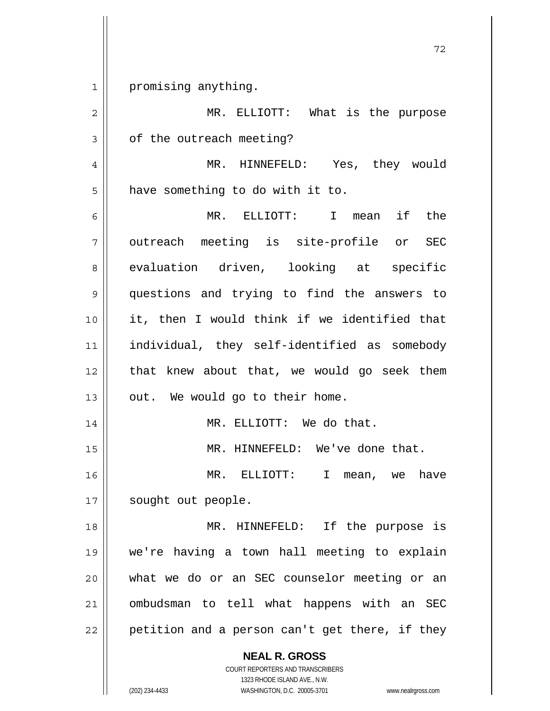1 promising anything.

| $\overline{2}$ | MR. ELLIOTT: What is the purpose               |
|----------------|------------------------------------------------|
| 3              | of the outreach meeting?                       |
| 4              | MR. HINNEFELD: Yes, they would                 |
| 5              | have something to do with it to.               |
| 6              | MR. ELLIOTT: I mean if the                     |
| 7              | outreach meeting is site-profile or SEC        |
| 8              | evaluation driven, looking at specific         |
| 9              | questions and trying to find the answers to    |
| 10             | it, then I would think if we identified that   |
| 11             | individual, they self-identified as somebody   |
| 12             | that knew about that, we would go seek them    |
| 13             | out. We would go to their home.                |
| 14             | MR. ELLIOTT: We do that.                       |
| 15             | MR. HINNEFELD: We've done that.                |
| 16             | MR. ELLIOTT: I mean, we have                   |
| 17             | sought out people.                             |
| 18             | MR. HINNEFELD: If the purpose is               |
| 19             | we're having a town hall meeting to explain    |
| 20             | what we do or an SEC counselor meeting or an   |
| 21             | ombudsman to tell what happens with an SEC     |
| 22             | petition and a person can't get there, if they |
|                |                                                |

 **NEAL R. GROSS** COURT REPORTERS AND TRANSCRIBERS

1323 RHODE ISLAND AVE., N.W.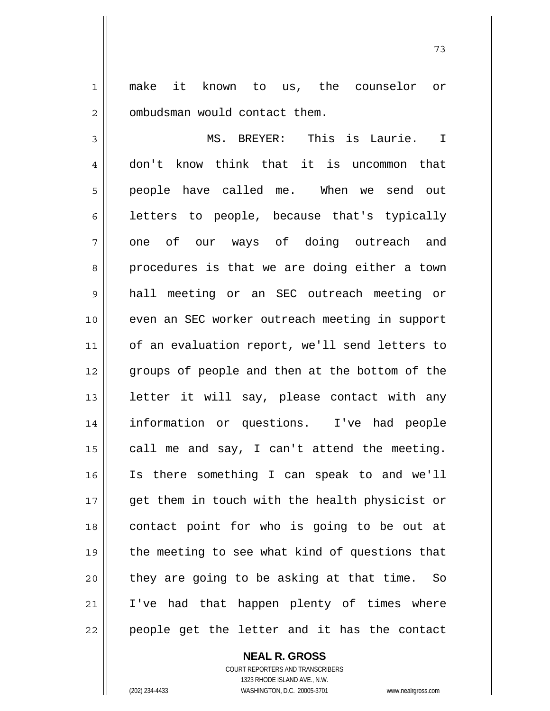1 make it known to us, the counselor or 2 | ombudsman would contact them.

73

3 MS. BREYER: This is Laurie. I 4 don't know think that it is uncommon that 5 || people have called me. When we send out  $6 \parallel$  letters to people, because that's typically 7 || one of our ways of doing outreach and 8 || procedures is that we are doing either a town 9 hall meeting or an SEC outreach meeting or 10 even an SEC worker outreach meeting in support 11 | of an evaluation report, we'll send letters to 12 || groups of people and then at the bottom of the 13 || letter it will say, please contact with any 14 information or questions. I've had people 15  $\vert$  call me and say, I can't attend the meeting. 16 Is there something I can speak to and we'll 17 || get them in touch with the health physicist or 18 contact point for who is going to be out at 19 || the meeting to see what kind of questions that  $20$  they are going to be asking at that time. So 21 I've had that happen plenty of times where 22 || people get the letter and it has the contact

 **NEAL R. GROSS**

 COURT REPORTERS AND TRANSCRIBERS 1323 RHODE ISLAND AVE., N.W. (202) 234-4433 WASHINGTON, D.C. 20005-3701 www.nealrgross.com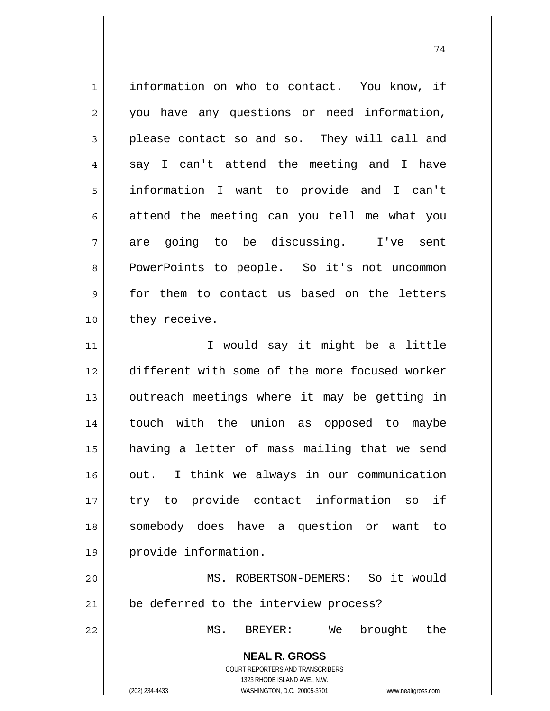| $\mathbf 1$    | information on who to contact. You know, if                                                                                                                            |
|----------------|------------------------------------------------------------------------------------------------------------------------------------------------------------------------|
| $\overline{c}$ | you have any questions or need information,                                                                                                                            |
| 3              | please contact so and so. They will call and                                                                                                                           |
| $\overline{4}$ | say I can't attend the meeting and I have                                                                                                                              |
| 5              | information I want to provide and I can't                                                                                                                              |
| 6              | attend the meeting can you tell me what you                                                                                                                            |
| 7              | are going to be discussing. I've sent                                                                                                                                  |
| 8              | PowerPoints to people. So it's not uncommon                                                                                                                            |
| $\mathsf 9$    | for them to contact us based on the letters                                                                                                                            |
| 10             | they receive.                                                                                                                                                          |
| 11             | I would say it might be a little                                                                                                                                       |
| 12             | different with some of the more focused worker                                                                                                                         |
| 13             | outreach meetings where it may be getting in                                                                                                                           |
| 14             | touch with the union as opposed to maybe                                                                                                                               |
| 15             | having a letter of mass mailing that we send                                                                                                                           |
| 16             | out. I think we always in our communication                                                                                                                            |
| 17             | try to provide contact information so if                                                                                                                               |
| 18             | somebody does have a question or want to                                                                                                                               |
| 19             | provide information.                                                                                                                                                   |
| 20             | MS. ROBERTSON-DEMERS: So it would                                                                                                                                      |
| 21             | be deferred to the interview process?                                                                                                                                  |
| 22             | brought the<br>MS. BREYER:<br>We                                                                                                                                       |
|                | <b>NEAL R. GROSS</b><br><b>COURT REPORTERS AND TRANSCRIBERS</b><br>1323 RHODE ISLAND AVE., N.W.<br>(202) 234-4433<br>WASHINGTON, D.C. 20005-3701<br>www.nealrgross.com |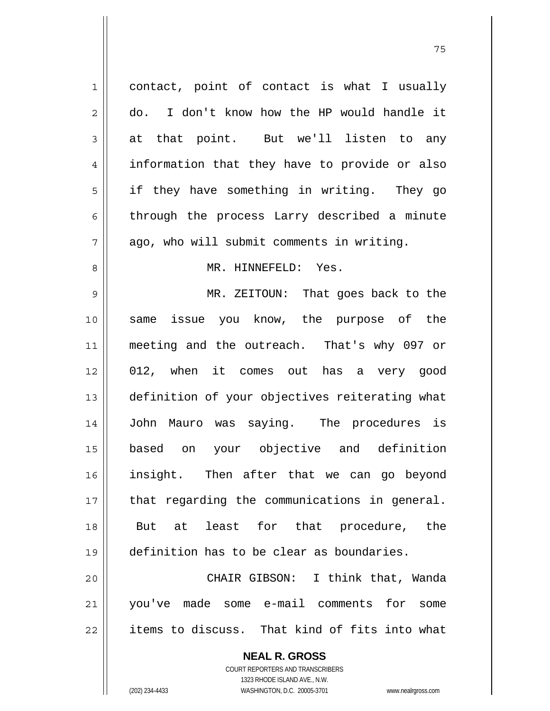| 1              | contact, point of contact is what I usually    |
|----------------|------------------------------------------------|
| 2              | I don't know how the HP would handle it<br>do. |
| $\mathfrak{Z}$ | at that point. But we'll listen to any         |
| 4              | information that they have to provide or also  |
| 5              | if they have something in writing. They go     |
| 6              | through the process Larry described a minute   |
| 7              | ago, who will submit comments in writing.      |
| 8              | MR. HINNEFELD: Yes.                            |
| 9              | MR. ZEITOUN: That goes back to the             |
| 10             | same issue you know, the purpose of the        |
| 11             | meeting and the outreach. That's why 097 or    |
| 12             | 012, when it comes out has a very good         |
| 13             | definition of your objectives reiterating what |
| 14             | John Mauro was saying. The procedures is       |
| 15             | based on your objective and definition         |
| 16             | insight. Then after that we can go beyond      |
| 17             | that regarding the communications in general.  |
| 18             | But at least for that procedure, the           |
| 19             | definition has to be clear as boundaries.      |
| 20             | CHAIR GIBSON: I think that, Wanda              |
| 21             | you've made some e-mail comments for<br>some   |
| 22             | items to discuss. That kind of fits into what  |
|                | <b>NEAL R. GROSS</b>                           |

 COURT REPORTERS AND TRANSCRIBERS 1323 RHODE ISLAND AVE., N.W.

 $\prod$ 

(202) 234-4433 WASHINGTON, D.C. 20005-3701 www.nealrgross.com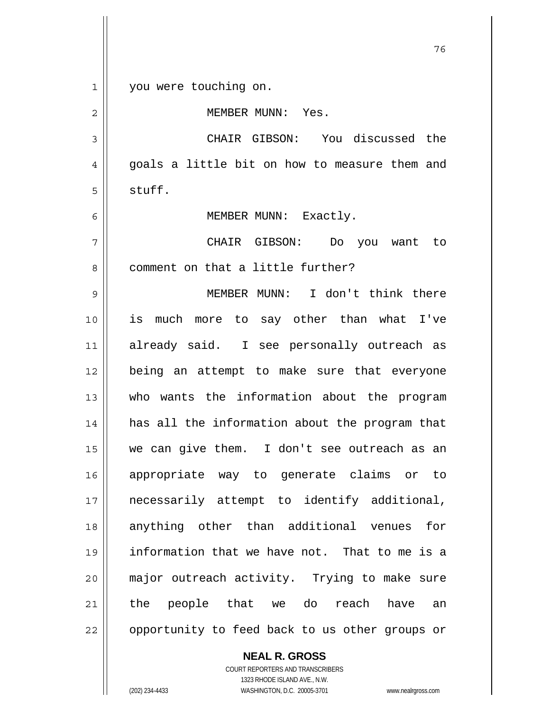и процесс в политическиот производство в село в 176 година в 176 године. В 176 године в 176 године в 176 годин<br>В 176 године в 176 године в 176 године в 176 године в 176 године в 176 године в 176 године в 176 године в 176 1 || you were touching on. MEMBER MUNN: Yes. CHAIR GIBSON: You discussed the  $4 \parallel$  goals a little bit on how to measure them and  $5 \parallel$  stuff. 6 || MEMBER MUNN: Exactly. CHAIR GIBSON: Do you want to 8 || comment on that a little further? MEMBER MUNN: I don't think there is much more to say other than what I've already said. I see personally outreach as being an attempt to make sure that everyone who wants the information about the program has all the information about the program that we can give them. I don't see outreach as an appropriate way to generate claims or to 17 || necessarily attempt to identify additional, anything other than additional venues for information that we have not. That to me is a major outreach activity. Trying to make sure 21 || the people that we do reach have an 22 || opportunity to feed back to us other groups or

> **NEAL R. GROSS** COURT REPORTERS AND TRANSCRIBERS 1323 RHODE ISLAND AVE., N.W.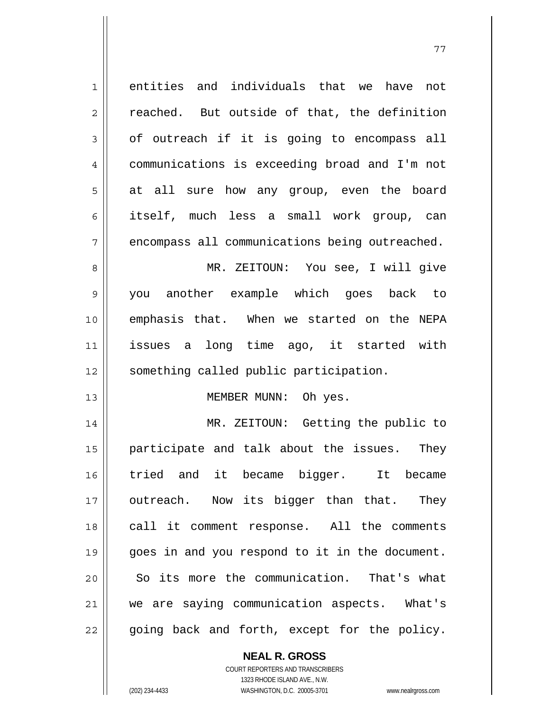| $\mathbf 1$    | entities and individuals that we<br>have<br>not |
|----------------|-------------------------------------------------|
| $\overline{c}$ | reached. But outside of that, the definition    |
| 3              | of outreach if it is going to encompass all     |
| 4              | communications is exceeding broad and I'm not   |
| 5              | at all sure how any group, even the board       |
| 6              | itself, much less a small work group, can       |
| 7              | encompass all communications being outreached.  |
| 8              | MR. ZEITOUN: You see, I will give               |
| $\mathsf 9$    | you another example which goes back to          |
| 10             | emphasis that. When we started on the NEPA      |
| 11             | issues a long time ago, it started with         |
| 12             | something called public participation.          |
| 13             | MEMBER MUNN: Oh yes.                            |
| 14             | MR. ZEITOUN: Getting the public to              |
| 15             | participate and talk about the issues.<br>They  |
| 16             | tried and it became bigger. It became           |
| 17             | outreach. Now its bigger than that. They        |
| 18             | call it comment response. All the comments      |
| 19             | goes in and you respond to it in the document.  |
| 20             | So its more the communication. That's what      |
| 21             | we are saying communication aspects. What's     |
| 22             | going back and forth, except for the policy.    |

 **NEAL R. GROSS**

 COURT REPORTERS AND TRANSCRIBERS 1323 RHODE ISLAND AVE., N.W. (202) 234-4433 WASHINGTON, D.C. 20005-3701 www.nealrgross.com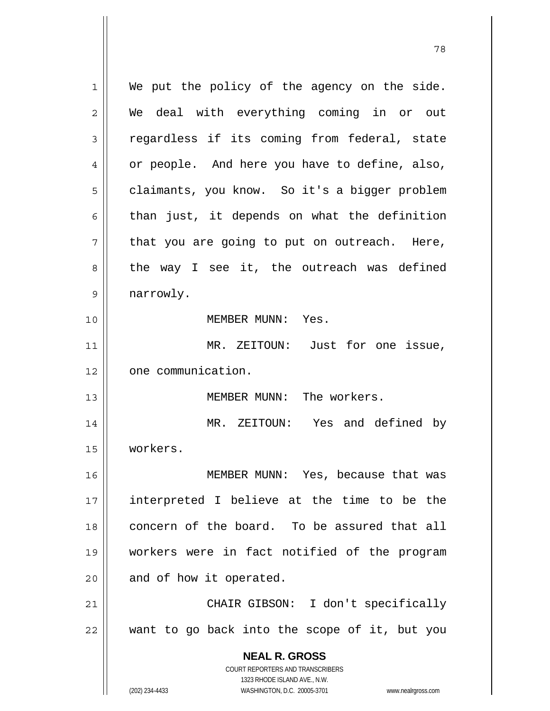**NEAL R. GROSS** COURT REPORTERS AND TRANSCRIBERS 1323 RHODE ISLAND AVE., N.W.  $1 \parallel$  We put the policy of the agency on the side. 2 We deal with everything coming in or out  $3 \parallel$  regardless if its coming from federal, state 4 | or people. And here you have to define, also, 5 | claimants, you know. So it's a bigger problem  $6 \parallel$  than just, it depends on what the definition  $7 \parallel$  that you are going to put on outreach. Here,  $8 \parallel$  the way I see it, the outreach was defined 9 | narrowly. 10 MEMBER MUNN: Yes. 11 || MR. ZEITOUN: Just for one issue, 12 | one communication. 13 MEMBER MUNN: The workers. 14 MR. ZEITOUN: Yes and defined by 15 workers. 16 MEMBER MUNN: Yes, because that was 17 interpreted I believe at the time to be the 18 concern of the board. To be assured that all 19 workers were in fact notified of the program  $20$  || and of how it operated. 21 || CHAIR GIBSON: I don't specifically 22 want to go back into the scope of it, but you

78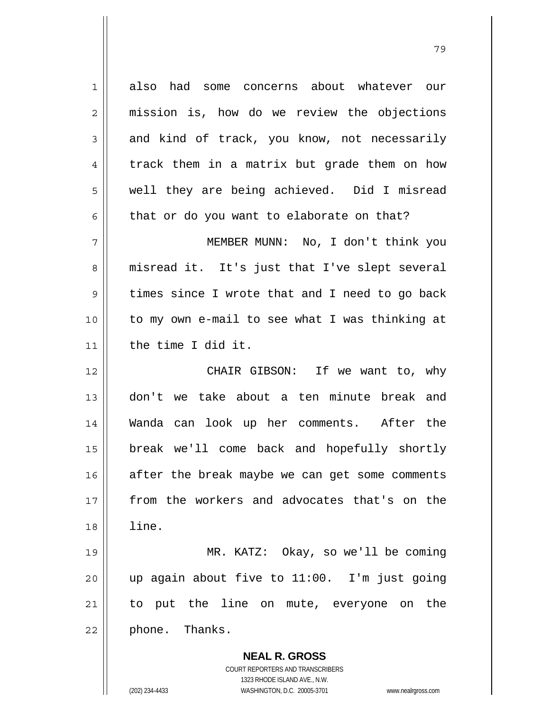1 also had some concerns about whatever our 2 || mission is, how do we review the objections  $3 \parallel$  and kind of track, you know, not necessarily 4 track them in a matrix but grade them on how 5 || well they are being achieved. Did I misread  $6 \parallel$  that or do you want to elaborate on that? 7 MEMBER MUNN: No, I don't think you 8 || misread it. It's just that I've slept several 9 times since I wrote that and I need to go back 10 to my own e-mail to see what I was thinking at 11 the time I did it. 12 CHAIR GIBSON: If we want to, why 13 don't we take about a ten minute break and 14 Wanda can look up her comments. After the 15 break we'll come back and hopefully shortly  $16$  after the break maybe we can get some comments 17 from the workers and advocates that's on the 18 line. 19 MR. KATZ: Okay, so we'll be coming 20 up again about five to 11:00. I'm just going 21 to put the line on mute, everyone on the  $22 \parallel$  phone. Thanks.

ли в село в село во село во село во село во село во село во село во село во село во село во село во село во се<br>2003 — Велико Село во село во село во село во село во село во село во село во село во село во село во село во

 **NEAL R. GROSS** COURT REPORTERS AND TRANSCRIBERS 1323 RHODE ISLAND AVE., N.W.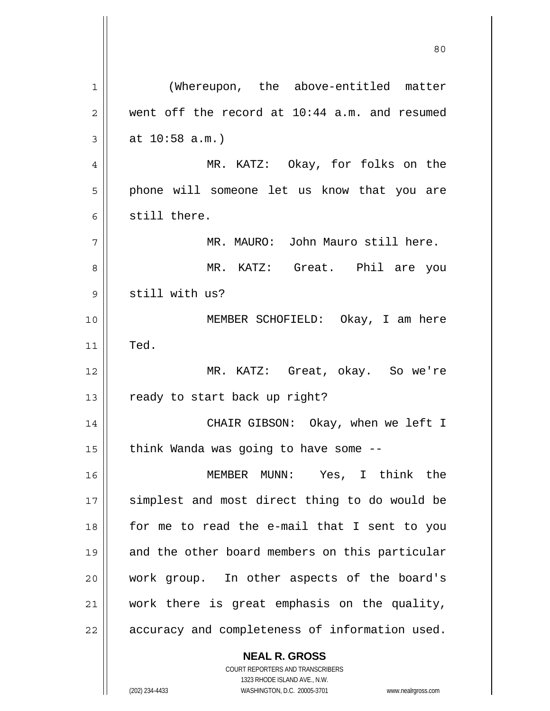**NEAL R. GROSS** 80 1 | (Whereupon, the above-entitled matter  $2 \parallel$  went off the record at 10:44 a.m. and resumed  $3 \parallel$  at 10:58 a.m.) 4 MR. KATZ: Okay, for folks on the 5 || phone will someone let us know that you are 6 still there. 7 MR. MAURO: John Mauro still here. 8 MR. KATZ: Great. Phil are you 9 || still with us? 10 MEMBER SCHOFIELD: Okay, I am here  $11$  Ted. 12 MR. KATZ: Great, okay. So we're 13  $\parallel$  ready to start back up right? 14 CHAIR GIBSON: Okay, when we left I  $15$  | think Wanda was going to have some  $-$ -16 MEMBER MUNN: Yes, I think the 17 || simplest and most direct thing to do would be 18 for me to read the e-mail that I sent to you 19 || and the other board members on this particular 20 work group. In other aspects of the board's 21 work there is great emphasis on the quality,  $22$  | accuracy and completeness of information used.

> COURT REPORTERS AND TRANSCRIBERS 1323 RHODE ISLAND AVE., N.W.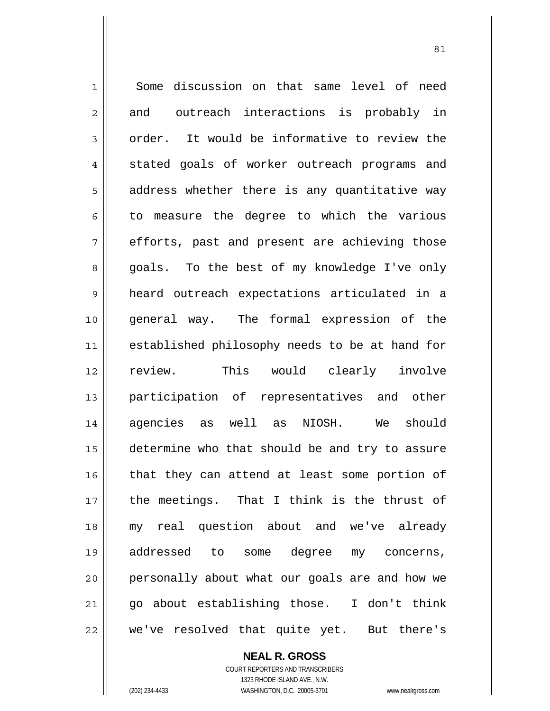1 Some discussion on that same level of need  $2 \parallel$  and outreach interactions is probably in  $3 \parallel$  order. It would be informative to review the 4 stated goals of worker outreach programs and  $5 \parallel$  address whether there is any quantitative way  $6 \parallel$  to measure the degree to which the various  $7 \parallel$  efforts, past and present are achieving those 8 goals. To the best of my knowledge I've only 9 heard outreach expectations articulated in a 10 general way. The formal expression of the 11 || established philosophy needs to be at hand for 12 || review. This would clearly involve 13 participation of representatives and other 14 agencies as well as NIOSH. We should 15 determine who that should be and try to assure 16 || that they can attend at least some portion of 17 the meetings. That I think is the thrust of 18 my real question about and we've already 19 addressed to some degree my concerns, 20 || personally about what our goals are and how we  $21$  || go about establishing those. I don't think 22 we've resolved that quite yet. But there's

<u>81</u>

 **NEAL R. GROSS** COURT REPORTERS AND TRANSCRIBERS 1323 RHODE ISLAND AVE., N.W.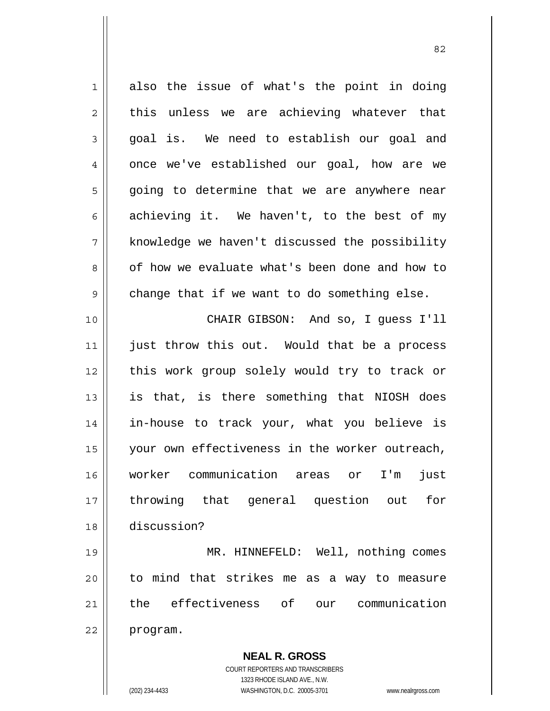**NEAL R. GROSS**  $1 \parallel$  also the issue of what's the point in doing  $2 \parallel$  this unless we are achieving whatever that  $3 \parallel$  goal is. We need to establish our goal and  $4 \parallel$  once we've established our goal, how are we 5 || going to determine that we are anywhere near 6 achieving it. We haven't, to the best of my 7 || knowledge we haven't discussed the possibility 8 || of how we evaluate what's been done and how to  $9 \parallel$  change that if we want to do something else. 10 CHAIR GIBSON: And so, I guess I'll 11 || just throw this out. Would that be a process 12 this work group solely would try to track or  $13$  is that, is there something that NIOSH does 14 in-house to track your, what you believe is 15 || your own effectiveness in the worker outreach, 16 worker communication areas or I'm just 17 throwing that general question out for 18 discussion? 19 MR. HINNEFELD: Well, nothing comes  $20$  || to mind that strikes me as a way to measure 21 the effectiveness of our communication 22 | program.

<u>82</u>

 COURT REPORTERS AND TRANSCRIBERS 1323 RHODE ISLAND AVE., N.W.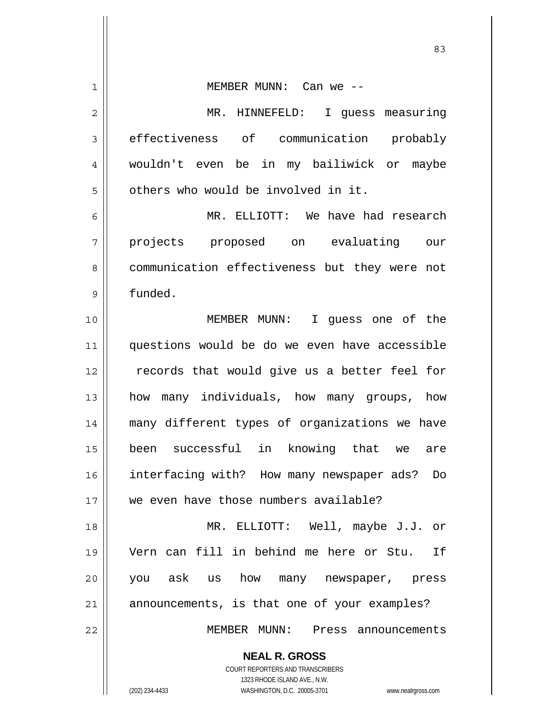| 1  | MEMBER MUNN: Can we --                                              |
|----|---------------------------------------------------------------------|
| 2  | MR. HINNEFELD: I guess measuring                                    |
| 3  | effectiveness of communication probably                             |
| 4  | wouldn't even be in my bailiwick or maybe                           |
| 5  | others who would be involved in it.                                 |
| 6  | MR. ELLIOTT: We have had research                                   |
| 7  | projects proposed on evaluating our                                 |
| 8  | communication effectiveness but they were not                       |
| 9  | funded.                                                             |
| 10 | MEMBER MUNN: I guess one of the                                     |
| 11 | questions would be do we even have accessible                       |
| 12 | records that would give us a better feel for                        |
| 13 | how many individuals, how many groups, how                          |
| 14 | many different types of organizations we have                       |
| 15 | been successful in knowing that we are                              |
| 16 | interfacing with? How many newspaper ads?<br>Do                     |
| 17 | we even have those numbers available?                               |
| 18 | MR. ELLIOTT: Well, maybe J.J. or                                    |
| 19 | Vern can fill in behind me here or Stu. If                          |
| 20 | you ask us how many newspaper, press                                |
| 21 | announcements, is that one of your examples?                        |
| 22 | MEMBER MUNN: Press announcements                                    |
|    | <b>NEAL R. GROSS</b>                                                |
|    | COURT REPORTERS AND TRANSCRIBERS                                    |
|    | 1323 RHODE ISLAND AVE., N.W.                                        |
|    | WASHINGTON, D.C. 20005-3701<br>(202) 234-4433<br>www.nealrgross.com |

<u>83</u>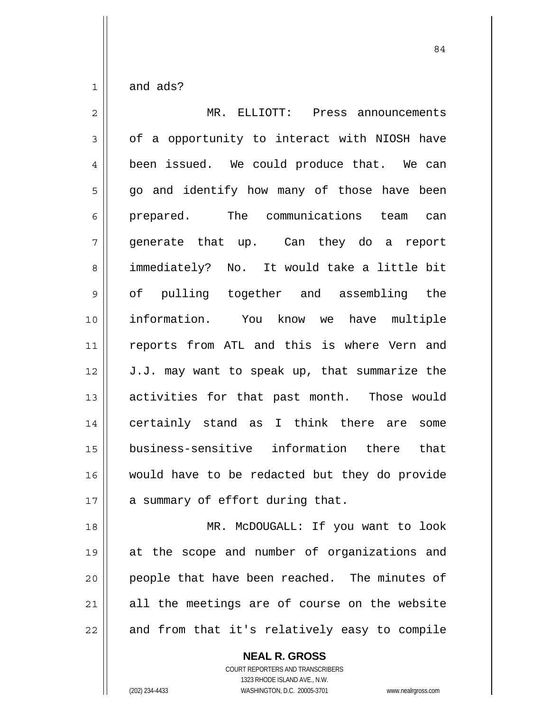| $\overline{2}$ | MR. ELLIOTT: Press announcements              |
|----------------|-----------------------------------------------|
| 3              | of a opportunity to interact with NIOSH have  |
| $\overline{4}$ | been issued. We could produce that. We can    |
| 5              | go and identify how many of those have been   |
| 6              | prepared. The communications team can         |
| 7              | generate that up. Can they do a<br>report     |
| 8              | immediately? No. It would take a little bit   |
| 9              | of pulling together and assembling the        |
| 10             | information. You know we have multiple        |
| 11             | reports from ATL and this is where Vern and   |
| 12             | J.J. may want to speak up, that summarize the |
| 13             | activities for that past month. Those would   |
| 14             | certainly stand as I think there are some     |
| 15             | business-sensitive information there that     |
| 16             | would have to be redacted but they do provide |
| 17             | a summary of effort during that.              |
| 18             | MR. McDOUGALL: If you want to look            |
| 19             | at the scope and number of organizations and  |
| 20             | people that have been reached. The minutes of |

and from that it's relatively easy to compile

 **NEAL R. GROSS**

all the meetings are of course on the website

 COURT REPORTERS AND TRANSCRIBERS 1323 RHODE ISLAND AVE., N.W. (202) 234-4433 WASHINGTON, D.C. 20005-3701 www.nealrgross.com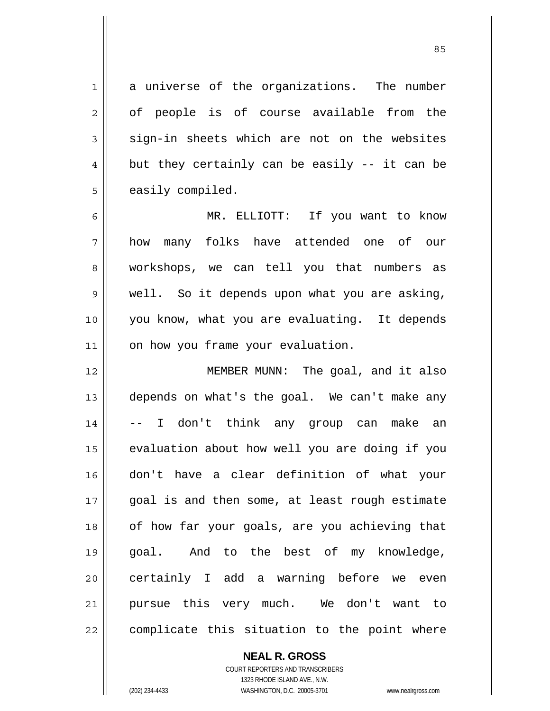1 a universe of the organizations. The number  $2 \parallel$  of people is of course available from the  $3 \parallel$  sign-in sheets which are not on the websites  $4 \parallel$  but they certainly can be easily -- it can be  $5 \parallel$  easily compiled.

MR. ELLIOTT: If you want to know how many folks have attended one of our 8 || workshops, we can tell you that numbers as well. So it depends upon what you are asking, you know, what you are evaluating. It depends 11 | on how you frame your evaluation.

12 || MEMBER MUNN: The goal, and it also 13 depends on what's the goal. We can't make any 14 -- I don't think any group can make an 15 | evaluation about how well you are doing if you 16 don't have a clear definition of what your 17 || qoal is and then some, at least rough estimate 18 || of how far your goals, are you achieving that 19 goal. And to the best of my knowledge, 20 || certainly I add a warning before we even 21 pursue this very much. We don't want to  $22$  | complicate this situation to the point where

> COURT REPORTERS AND TRANSCRIBERS 1323 RHODE ISLAND AVE., N.W. (202) 234-4433 WASHINGTON, D.C. 20005-3701 www.nealrgross.com

 **NEAL R. GROSS**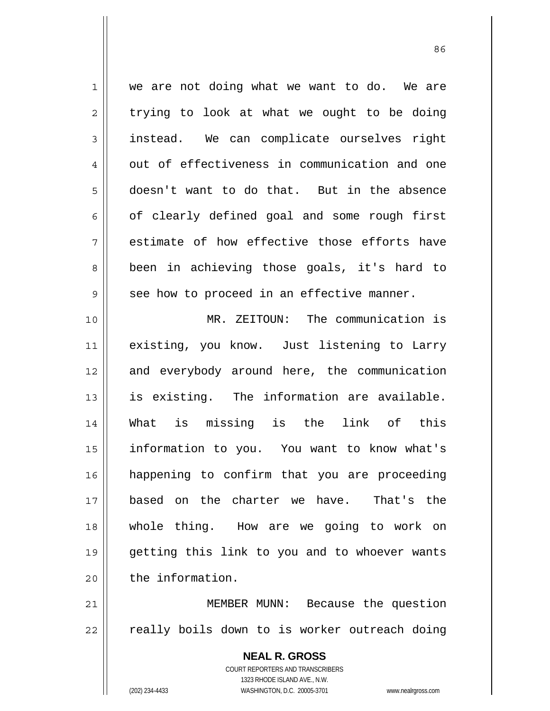1 || we are not doing what we want to do. We are  $2 \parallel$  trying to look at what we ought to be doing 3 instead. We can complicate ourselves right  $4 \parallel$  out of effectiveness in communication and one 5 doesn't want to do that. But in the absence  $6 \parallel$  of clearly defined goal and some rough first  $7 \parallel$  estimate of how effective those efforts have 8 || been in achieving those goals, it's hard to  $9 \parallel$  see how to proceed in an effective manner. 10 MR. ZEITOUN: The communication is 11 existing, you know. Just listening to Larry

12 and everybody around here, the communication is existing. The information are available. What is missing is the link of this information to you. You want to know what's happening to confirm that you are proceeding based on the charter we have. That's the whole thing. How are we going to work on getting this link to you and to whoever wants 20 l the information.

21 || MEMBER MUNN: Because the question  $22$  | really boils down to is worker outreach doing

> **NEAL R. GROSS** COURT REPORTERS AND TRANSCRIBERS 1323 RHODE ISLAND AVE., N.W. (202) 234-4433 WASHINGTON, D.C. 20005-3701 www.nealrgross.com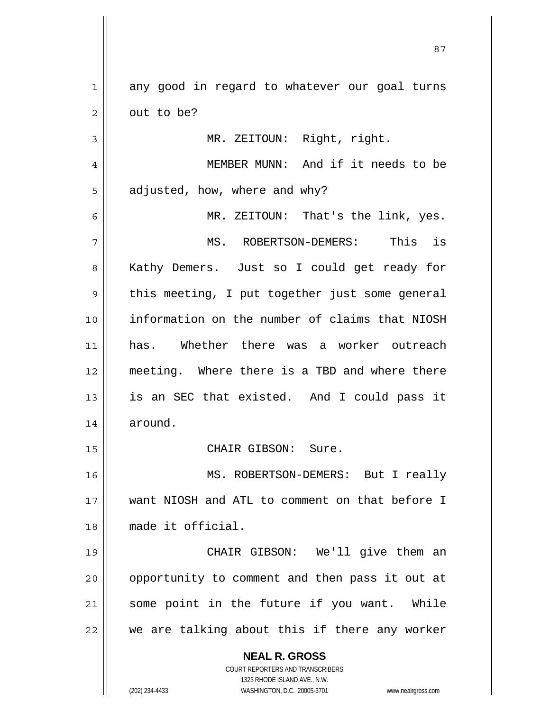<u>87 and 2014 and 2014 and 2014 and 2014 and 2014 and 2014 and 2014 and 2014 and 2014 and 2014 and 2014 and 201</u> 1 any good in regard to whatever our goal turns  $2 \parallel$  out to be? 3 MR. ZEITOUN: Right, right. 4 MEMBER MUNN: And if it needs to be  $5 \parallel$  adjusted, how, where and why? 6 MR. ZEITOUN: That's the link, yes. 7 MS. ROBERTSON-DEMERS: This is 8 || Kathy Demers. Just so I could get ready for  $9 \parallel$  this meeting, I put together just some general 10 information on the number of claims that NIOSH 11 has. Whether there was a worker outreach 12 meeting. Where there is a TBD and where there 13 || is an SEC that existed. And I could pass it 14 around. 15 || CHAIR GIBSON: Sure. 16 MS. ROBERTSON-DEMERS: But I really

17 want NIOSH and ATL to comment on that before I 18 made it official.

19 CHAIR GIBSON: We'll give them an 20 || opportunity to comment and then pass it out at 21 || some point in the future if you want. While  $22$  | we are talking about this if there any worker

 **NEAL R. GROSS**

 COURT REPORTERS AND TRANSCRIBERS 1323 RHODE ISLAND AVE., N.W. (202) 234-4433 WASHINGTON, D.C. 20005-3701 www.nealrgross.com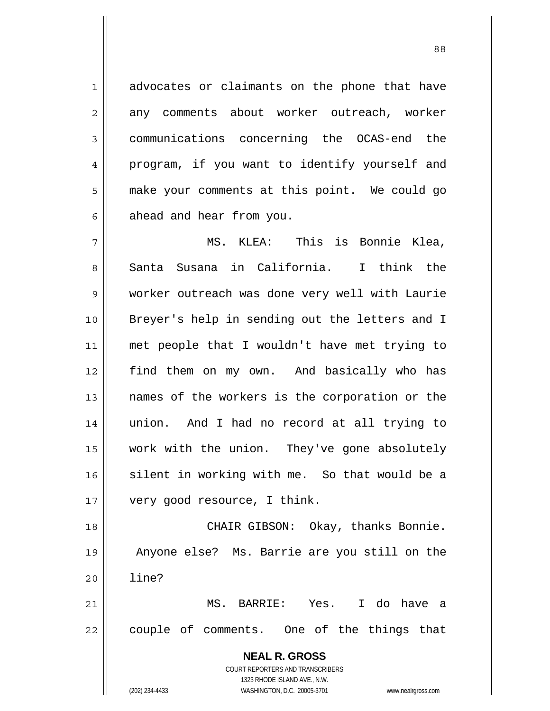1 || advocates or claimants on the phone that have 2 any comments about worker outreach, worker 3 communications concerning the OCAS-end the 4 || program, if you want to identify yourself and 5 | make your comments at this point. We could go  $6 \parallel$  ahead and hear from you.

88

MS. KLEA: This is Bonnie Klea, 8 Santa Susana in California. I think the worker outreach was done very well with Laurie Breyer's help in sending out the letters and I met people that I wouldn't have met trying to find them on my own. And basically who has 13 || names of the workers is the corporation or the union. And I had no record at all trying to work with the union. They've gone absolutely 16 silent in working with me. So that would be a 17 | very good resource, I think.

18 CHAIR GIBSON: Okay, thanks Bonnie. 19 Anyone else? Ms. Barrie are you still on the 20 line?

21 MS. BARRIE: Yes. I do have a  $22$  | couple of comments. One of the things that

> **NEAL R. GROSS** COURT REPORTERS AND TRANSCRIBERS 1323 RHODE ISLAND AVE., N.W. (202) 234-4433 WASHINGTON, D.C. 20005-3701 www.nealrgross.com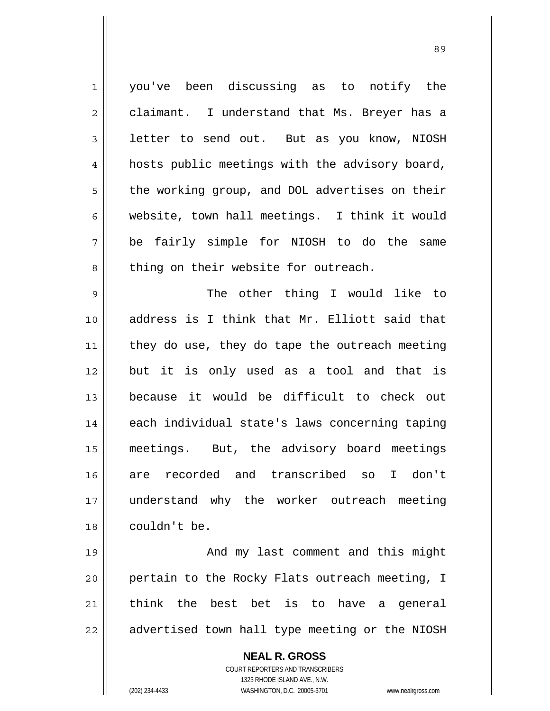1 you've been discussing as to notify the 2 | claimant. I understand that Ms. Breyer has a 3 **letter to send out.** But as you know, NIOSH 4 | hosts public meetings with the advisory board, 5 | the working group, and DOL advertises on their 6 website, town hall meetings. I think it would 7 be fairly simple for NIOSH to do the same 8 || thing on their website for outreach. 9 The other thing I would like to 10 address is I think that Mr. Elliott said that  $11$  they do use, they do tape the outreach meeting 12 but it is only used as a tool and that is 13 because it would be difficult to check out 14 || each individual state's laws concerning taping 15 meetings. But, the advisory board meetings 16 are recorded and transcribed so I don't 17 understand why the worker outreach meeting 18 | couldn't be. 19 || And my last comment and this might 20 || pertain to the Rocky Flats outreach meeting, I  $21$   $\parallel$  think the best bet is to have a general

 $22$  | advertised town hall type meeting or the NIOSH

 **NEAL R. GROSS** COURT REPORTERS AND TRANSCRIBERS

 1323 RHODE ISLAND AVE., N.W. (202) 234-4433 WASHINGTON, D.C. 20005-3701 www.nealrgross.com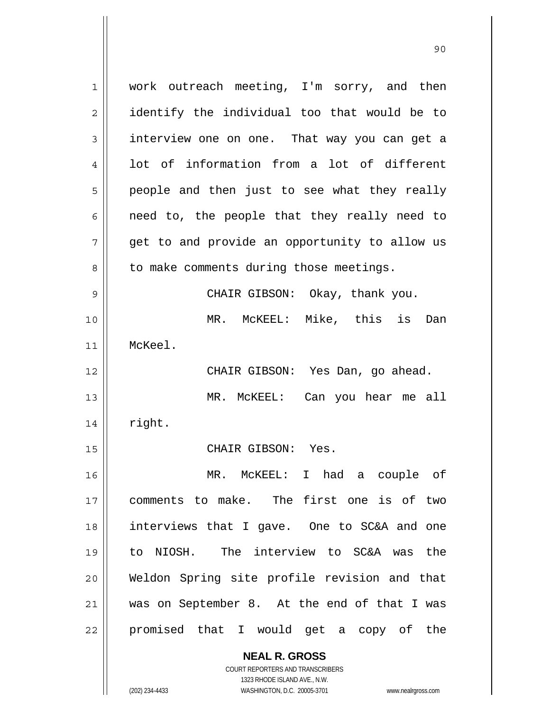**NEAL R. GROSS** COURT REPORTERS AND TRANSCRIBERS 1 || work outreach meeting, I'm sorry, and then 2 || identify the individual too that would be to 3 interview one on one. That way you can get a 4 Iot of information from a lot of different  $5 \parallel$  people and then just to see what they really  $6 \parallel$  need to, the people that they really need to 7 || get to and provide an opportunity to allow us  $8 \parallel$  to make comments during those meetings. 9 CHAIR GIBSON: Okay, thank you. 10 MR. McKEEL: Mike, this is Dan 11 McKeel. 12 CHAIR GIBSON: Yes Dan, go ahead. 13 MR. McKEEL: Can you hear me all  $14 \parallel$  right. 15 || CHAIR GIBSON: Yes. 16 MR. McKEEL: I had a couple of 17 comments to make. The first one is of two 18 interviews that I gave. One to SC&A and one 19 to NIOSH. The interview to SC&A was the 20 Weldon Spring site profile revision and that 21 was on September 8. At the end of that I was 22 || promised that I would get a copy of the

1323 RHODE ISLAND AVE., N.W.

(202) 234-4433 WASHINGTON, D.C. 20005-3701 www.nealrgross.com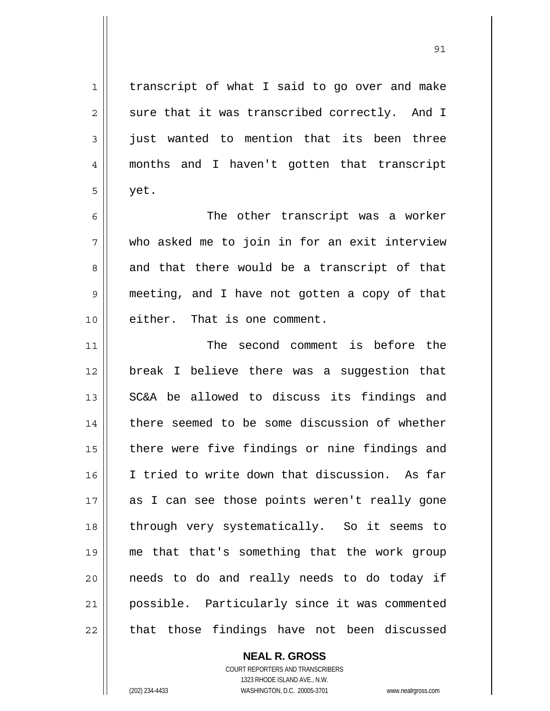1 | transcript of what I said to go over and make  $2 \parallel$  sure that it was transcribed correctly. And I  $3 \parallel$  just wanted to mention that its been three 4 months and I haven't gotten that transcript  $5 \parallel$  yet. 6 The other transcript was a worker  $7 \parallel$  who asked me to join in for an exit interview  $8 \parallel$  and that there would be a transcript of that 9 meeting, and I have not gotten a copy of that 10 || either. That is one comment. 11 || The second comment is before the 12 break I believe there was a suggestion that 13 || SC&A be allowed to discuss its findings and 14 there seemed to be some discussion of whether 15 || there were five findings or nine findings and 16 | I tried to write down that discussion. As far 17 as I can see those points weren't really gone 18 through very systematically. So it seems to 19 me that that's something that the work group 20 needs to do and really needs to do today if 21 possible. Particularly since it was commented  $22$  || that those findings have not been discussed

> **NEAL R. GROSS** COURT REPORTERS AND TRANSCRIBERS 1323 RHODE ISLAND AVE., N.W.

(202) 234-4433 WASHINGTON, D.C. 20005-3701 www.nealrgross.com

<u>91</u>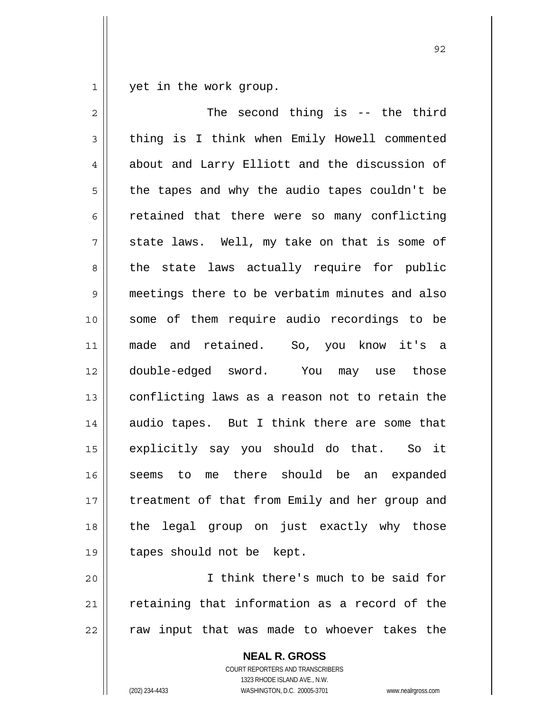1 yet in the work group.

| $\mathbf{2}$ | The second thing is $-$ the third              |
|--------------|------------------------------------------------|
| 3            | thing is I think when Emily Howell commented   |
| 4            | about and Larry Elliott and the discussion of  |
| 5            | the tapes and why the audio tapes couldn't be  |
| 6            | retained that there were so many conflicting   |
| 7            | state laws. Well, my take on that is some of   |
| 8            | the state laws actually require for public     |
| 9            | meetings there to be verbatim minutes and also |
| 10           | some of them require audio recordings to be    |
| 11           | made and retained. So, you know it's a         |
| 12           | double-edged sword. You may use those          |
| 13           | conflicting laws as a reason not to retain the |
| 14           | audio tapes. But I think there are some that   |
| 15           | explicitly say you should do that. So it       |
| 16           | seems to me there should be an expanded        |
| 17           | treatment of that from Emily and her group and |
| 18           | the legal group on just exactly why those      |
| 19           | tapes should not be kept.                      |
| 20           | I think there's much to be said for            |

 retaining that information as a record of the  $\left\|$  raw input that was made to whoever takes the

> **NEAL R. GROSS** COURT REPORTERS AND TRANSCRIBERS 1323 RHODE ISLAND AVE., N.W. (202) 234-4433 WASHINGTON, D.C. 20005-3701 www.nealrgross.com

<u>92 and 2014 and 2014 and 2014 and 2014 and 2014 and 2014 and 2014 and 2014 and 2014 and 2014 and 2014 and 201</u>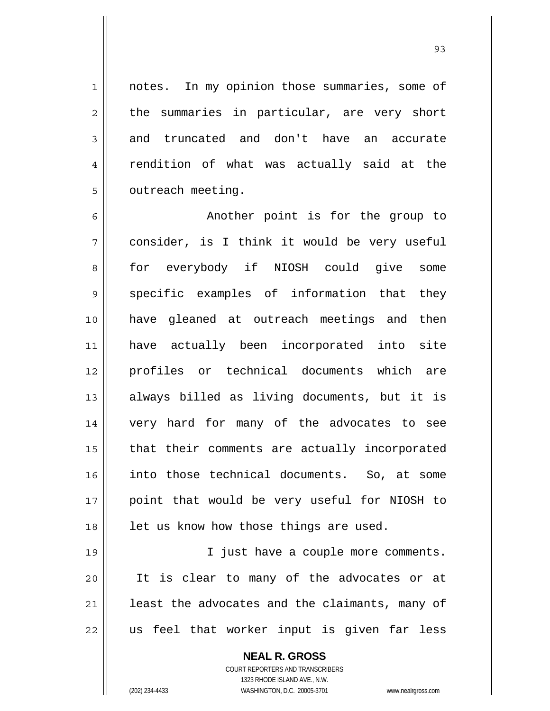1 || notes. In my opinion those summaries, some of  $2 \parallel$  the summaries in particular, are very short 3 || and truncated and don't have an accurate 4 || rendition of what was actually said at the 5 | outreach meeting.

6 || Another point is for the group to  $7 \parallel$  consider, is I think it would be very useful 8 for everybody if NIOSH could give some  $9 \parallel$  specific examples of information that they have gleaned at outreach meetings and then have actually been incorporated into site profiles or technical documents which are always billed as living documents, but it is very hard for many of the advocates to see 15 || that their comments are actually incorporated into those technical documents. So, at some point that would be very useful for NIOSH to || let us know how those things are used.

19 || I just have a couple more comments. It is clear to many of the advocates or at | least the advocates and the claimants, many of || us feel that worker input is given far less

> **NEAL R. GROSS** COURT REPORTERS AND TRANSCRIBERS 1323 RHODE ISLAND AVE., N.W.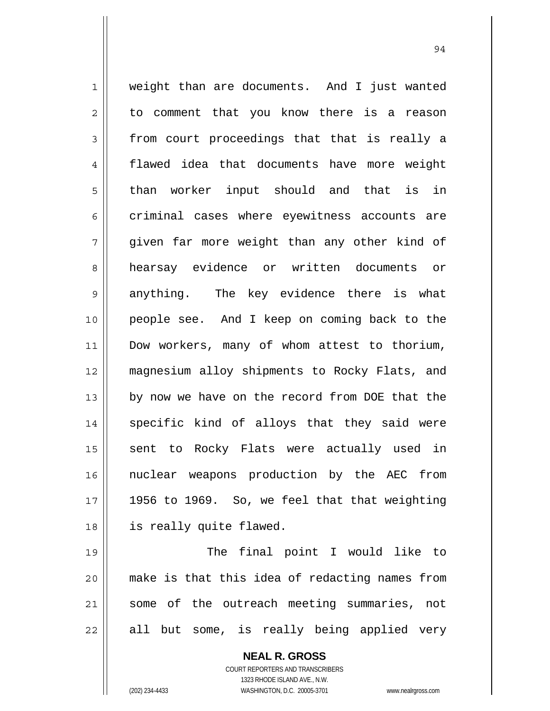1 || weight than are documents. And I just wanted 2 || to comment that you know there is a reason  $3 \parallel$  from court proceedings that that is really a 4 flawed idea that documents have more weight 5 than worker input should and that is in 6 criminal cases where eyewitness accounts are 7 given far more weight than any other kind of 8 hearsay evidence or written documents or 9 anything. The key evidence there is what 10 people see. And I keep on coming back to the 11 || Dow workers, many of whom attest to thorium, 12 magnesium alloy shipments to Rocky Flats, and 13 || by now we have on the record from DOE that the 14 || specific kind of alloys that they said were 15 || sent to Rocky Flats were actually used in 16 nuclear weapons production by the AEC from  $17$  || 1956 to 1969. So, we feel that that weighting 18 is really quite flawed. 19 || The final point I would like to

94

20 make is that this idea of redacting names from 21 || some of the outreach meeting summaries, not  $22$  || all but some, is really being applied very

> **NEAL R. GROSS** COURT REPORTERS AND TRANSCRIBERS 1323 RHODE ISLAND AVE., N.W. (202) 234-4433 WASHINGTON, D.C. 20005-3701 www.nealrgross.com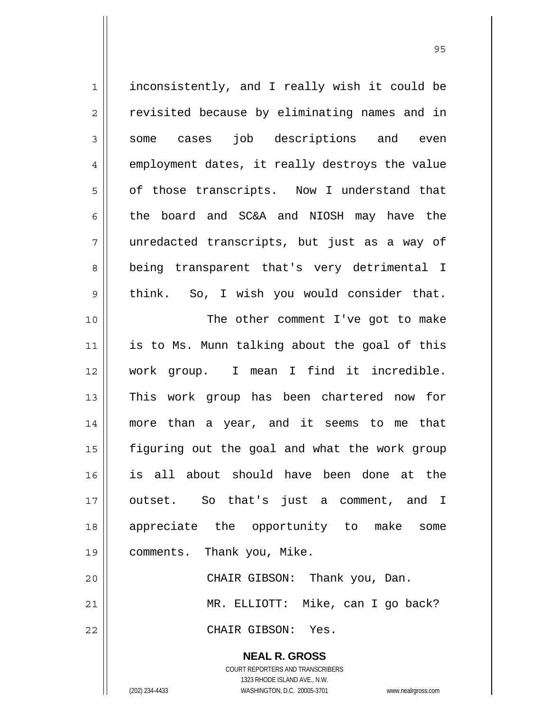**NEAL R. GROSS** 1 || inconsistently, and I really wish it could be 2 || revisited because by eliminating names and in 3 some cases job descriptions and even 4 || employment dates, it really destroys the value 5 | of those transcripts. Now I understand that 6 the board and SC&A and NIOSH may have the 7 unredacted transcripts, but just as a way of 8 || being transparent that's very detrimental I 9 think. So, I wish you would consider that. 10 || The other comment I've got to make 11 || is to Ms. Munn talking about the goal of this 12 work group. I mean I find it incredible. 13 || This work group has been chartered now for 14 more than a year, and it seems to me that 15 figuring out the goal and what the work group 16 is all about should have been done at the 17 outset. So that's just a comment, and I 18 appreciate the opportunity to make some 19 comments. Thank you, Mike. 20 CHAIR GIBSON: Thank you, Dan. 21 MR. ELLIOTT: Mike, can I go back? 22 CHAIR GIBSON: Yes.

> COURT REPORTERS AND TRANSCRIBERS 1323 RHODE ISLAND AVE., N.W.

(202) 234-4433 WASHINGTON, D.C. 20005-3701 www.nealrgross.com

<u>95 and 2001 and 2001 and 2001 and 2001 and 2001 and 2001 and 2001 and 2001 and 2001 and 2001 and 2001 and 200</u>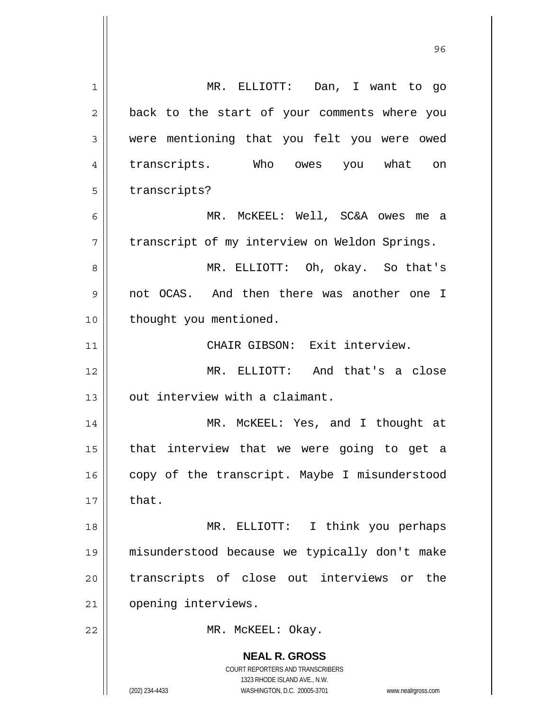| $\mathbf{1}$   | MR. ELLIOTT: Dan, I want to go                                                                                                                                         |
|----------------|------------------------------------------------------------------------------------------------------------------------------------------------------------------------|
| $\overline{c}$ | back to the start of your comments where you                                                                                                                           |
| 3              | were mentioning that you felt you were owed                                                                                                                            |
| 4              | transcripts. Who owes you what on                                                                                                                                      |
| 5              | transcripts?                                                                                                                                                           |
| 6              | MR. MCKEEL: Well, SC&A owes<br>me a                                                                                                                                    |
| 7              | transcript of my interview on Weldon Springs.                                                                                                                          |
| 8              | MR. ELLIOTT: Oh, okay. So that's                                                                                                                                       |
| 9              | not OCAS. And then there was another one I                                                                                                                             |
| 10             | thought you mentioned.                                                                                                                                                 |
| 11             | CHAIR GIBSON: Exit interview.                                                                                                                                          |
| 12             | MR. ELLIOTT: And that's a close                                                                                                                                        |
| 13             | out interview with a claimant.                                                                                                                                         |
| 14             | MR. MCKEEL: Yes, and I thought at                                                                                                                                      |
| 15             | that interview that we were going to get a                                                                                                                             |
| 16             | copy of the transcript. Maybe I misunderstood                                                                                                                          |
| 17             | that.                                                                                                                                                                  |
| 18             | MR. ELLIOTT:<br>I think you perhaps                                                                                                                                    |
| 19             | misunderstood because we typically don't make                                                                                                                          |
| 20             | transcripts of close out interviews or<br>the                                                                                                                          |
| 21             | opening interviews.                                                                                                                                                    |
| 22             | MR. MCKEEL: Okay.                                                                                                                                                      |
|                | <b>NEAL R. GROSS</b><br><b>COURT REPORTERS AND TRANSCRIBERS</b><br>1323 RHODE ISLAND AVE., N.W.<br>(202) 234-4433<br>WASHINGTON, D.C. 20005-3701<br>www.nealrgross.com |

 $\mathsf{I}$ 

<u>96 and 2001 and 2001 and 2001 and 2001 and 2001 and 2001 and 2001 and 2001 and 2001 and 2001 and 2001 and 200</u>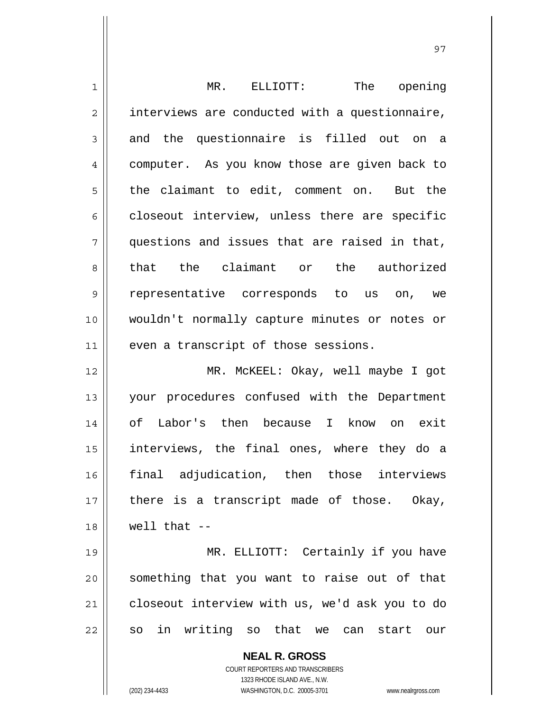| $\mathbf 1$    | MR. ELLIOTT:<br>The opening                              |
|----------------|----------------------------------------------------------|
| $\overline{2}$ | interviews are conducted with a questionnaire,           |
| 3              | and the questionnaire is filled out on a                 |
| 4              | computer. As you know those are given back to            |
| 5              | the claimant to edit, comment on. But the                |
| 6              | closeout interview, unless there are specific            |
| 7              | questions and issues that are raised in that,            |
| 8              | that the claimant or the authorized                      |
| $\mathsf 9$    | representative corresponds to us on, we                  |
| 10             | wouldn't normally capture minutes or notes or            |
| 11             | even a transcript of those sessions.                     |
| 12             | MR. MCKEEL: Okay, well maybe I got                       |
| 13             | your procedures confused with the Department             |
| 14             | of Labor's then because I know on exit                   |
| 15             | interviews, the final ones, where they do a              |
| 16             | final adjudication, then those<br>interviews             |
| 17             | there is a transcript made of those. Okay,               |
| 18             | well that $--$                                           |
| 19             | MR. ELLIOTT: Certainly if you have                       |
| 20             | something that you want to raise out of that             |
| 21             | closeout interview with us, we'd ask you to do           |
| 22             | so in writing so that we can start<br>our                |
|                | <b>NEAL R. GROSS</b><br>COURT REPORTERS AND TRANSCRIBERS |

1323 RHODE ISLAND AVE., N.W.

 $\mathbf{\mathcal{L}}$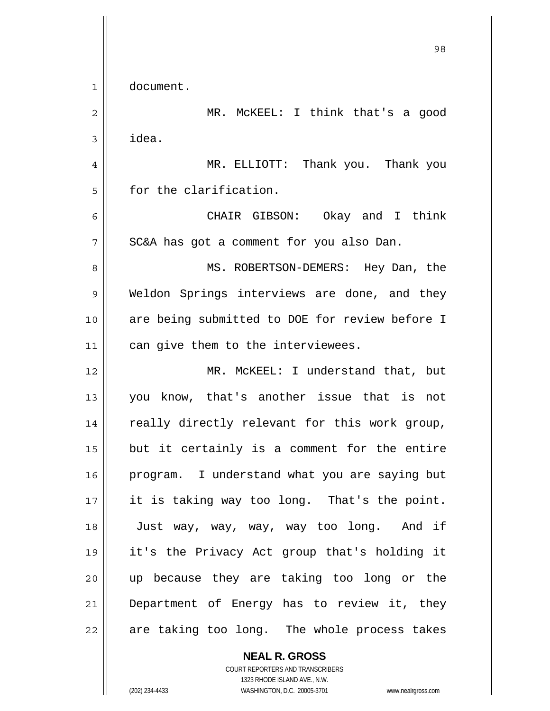98 1 document. 2 MR. McKEEL: I think that's a good  $3 \parallel$  idea. 4 MR. ELLIOTT: Thank you. Thank you 5 for the clarification. 6 CHAIR GIBSON: Okay and I think  $7$  || SC&A has got a comment for you also Dan. 8 MS. ROBERTSON-DEMERS: Hey Dan, the 9 Weldon Springs interviews are done, and they 10 are being submitted to DOE for review before I 11 | can give them to the interviewees. 12 MR. McKEEL: I understand that, but 13 you know, that's another issue that is not 14 || really directly relevant for this work group,  $15$  but it certainly is a comment for the entire 16 | program. I understand what you are saying but 17 || it is taking way too long. That's the point. 18 Just way, way, way, way too long. And if 19 it's the Privacy Act group that's holding it 20 || up because they are taking too long or the 21 Department of Energy has to review it, they  $22$  || are taking too long. The whole process takes

> COURT REPORTERS AND TRANSCRIBERS 1323 RHODE ISLAND AVE., N.W. (202) 234-4433 WASHINGTON, D.C. 20005-3701 www.nealrgross.com

 **NEAL R. GROSS**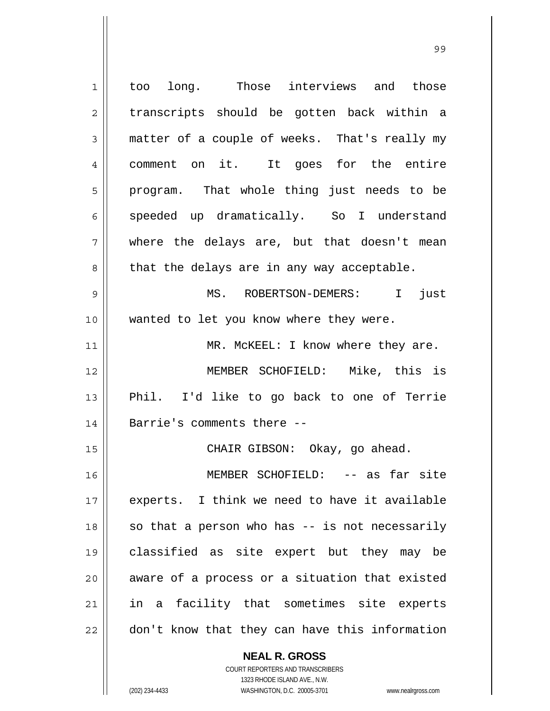| $\mathbf 1$    | too long. Those interviews and those           |
|----------------|------------------------------------------------|
| $\overline{2}$ | transcripts should be gotten back within a     |
| 3              | matter of a couple of weeks. That's really my  |
| 4              | comment on it. It goes for the entire          |
| 5              | program. That whole thing just needs to be     |
| 6              | speeded up dramatically. So I understand       |
| 7              | where the delays are, but that doesn't mean    |
| 8              | that the delays are in any way acceptable.     |
| 9              | MS. ROBERTSON-DEMERS: I just                   |
| 10             | wanted to let you know where they were.        |
| 11             | MR. MCKEEL: I know where they are.             |
| 12             | MEMBER SCHOFIELD: Mike, this is                |
| 13             | Phil. I'd like to go back to one of Terrie     |
| 14             | Barrie's comments there --                     |
| 15             | CHAIR GIBSON: Okay, go ahead.                  |
| 16             | MEMBER SCHOFIELD: -- as far site               |
| 17             | experts. I think we need to have it available  |
| 18             | so that a person who has -- is not necessarily |
| 19             | classified as site expert but they may be      |
| 20             | aware of a process or a situation that existed |
| 21             | in a facility that sometimes site experts      |
| 22             | don't know that they can have this information |
|                |                                                |

 **NEAL R. GROSS** COURT REPORTERS AND TRANSCRIBERS

1323 RHODE ISLAND AVE., N.W.

(202) 234-4433 WASHINGTON, D.C. 20005-3701 www.nealrgross.com

 $\mathbf{I}$ 

99 - Paul Barbara, poeta español de 1999 - Paul Barbara, español de 1999 - Paul Barbara, español de 1999 - Pau<br>1990 - Paul Barbara, español de 1990 - Paul Barbara, español de 1990 - Paul Barbara, español de 1990 - Paul B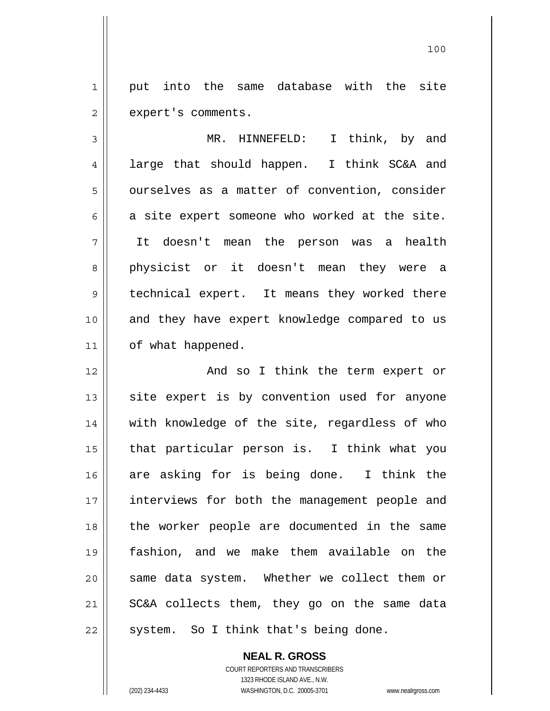1 || put into the same database with the site  $2 \parallel$  expert's comments.

3 MR. HINNEFELD: I think, by and 4 || large that should happen. I think SC&A and 5 | ourselves as a matter of convention, consider  $6 \parallel$  a site expert someone who worked at the site. 7 It doesn't mean the person was a health 8 physicist or it doesn't mean they were a 9 || technical expert. It means they worked there 10 and they have expert knowledge compared to us 11 | of what happened.

12 || And so I think the term expert or  $13$  site expert is by convention used for anyone 14 || with knowledge of the site, regardless of who 15 that particular person is. I think what you 16 are asking for is being done. I think the 17 || interviews for both the management people and 18 || the worker people are documented in the same 19 fashion, and we make them available on the 20 || same data system. Whether we collect them or 21 SC&A collects them, they go on the same data  $22$  || system. So I think that's being done.

> **NEAL R. GROSS** COURT REPORTERS AND TRANSCRIBERS 1323 RHODE ISLAND AVE., N.W. (202) 234-4433 WASHINGTON, D.C. 20005-3701 www.nealrgross.com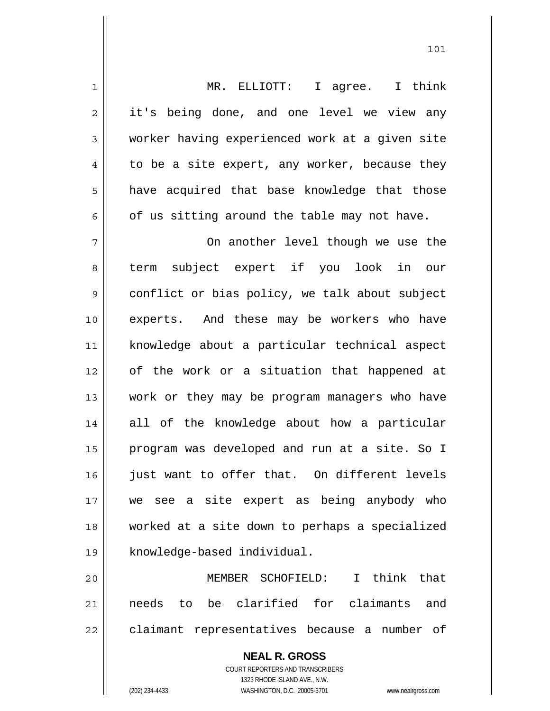| 1              | MR. ELLIOTT: I agree. I think                  |
|----------------|------------------------------------------------|
| $\overline{2}$ | it's being done, and one level we view any     |
| 3              | worker having experienced work at a given site |
| 4              | to be a site expert, any worker, because they  |
| 5              | have acquired that base knowledge that those   |
| 6              | of us sitting around the table may not have.   |
| 7              | On another level though we use the             |
| 8              | subject expert if you look in our<br>term      |
| $\mathsf 9$    | conflict or bias policy, we talk about subject |
| 10             | experts. And these may be workers who have     |
| 11             | knowledge about a particular technical aspect  |
| 12             | of the work or a situation that happened at    |
| 13             | work or they may be program managers who have  |
| 14             | all of the knowledge about how a particular    |
| 15             | program was developed and run at a site. So I  |
| 16             | just want to offer that. On different levels   |
| 17             | we see a site expert as being anybody who      |
| 18             | worked at a site down to perhaps a specialized |
| 19             | knowledge-based individual.                    |
| 20             | MEMBER SCHOFIELD: I think that                 |
| 21             | needs to be clarified for claimants and        |
| 22             | claimant representatives because a number of   |
|                | <b>NEAL R. GROSS</b>                           |

 COURT REPORTERS AND TRANSCRIBERS 1323 RHODE ISLAND AVE., N.W.

 $\mathsf{I}$ 

(202) 234-4433 WASHINGTON, D.C. 20005-3701 www.nealrgross.com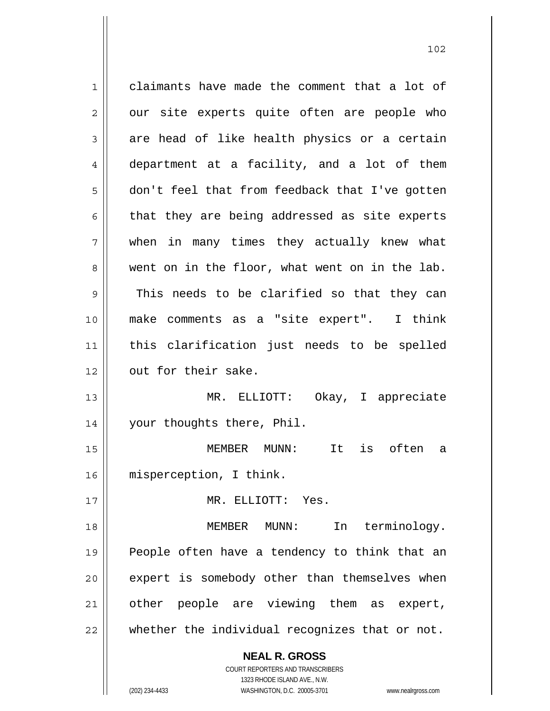**NEAL R. GROSS** 1 claimants have made the comment that a lot of  $2 \parallel$  our site experts quite often are people who  $3 \parallel$  are head of like health physics or a certain 4 department at a facility, and a lot of them 5 don't feel that from feedback that I've gotten  $6 \parallel$  that they are being addressed as site experts 7 when in many times they actually knew what 8 went on in the floor, what went on in the lab. 9 This needs to be clarified so that they can 10 make comments as a "site expert". I think 11 this clarification just needs to be spelled 12 | out for their sake. 13 MR. ELLIOTT: Okay, I appreciate 14 || your thoughts there, Phil. 15 MEMBER MUNN: It is often a 16 misperception, I think. 17 MR. ELLIOTT: Yes. 18 MEMBER MUNN: In terminology. 19 || People often have a tendency to think that an 20 || expert is somebody other than themselves when 21 | other people are viewing them as expert, 22 whether the individual recognizes that or not.

102

 1323 RHODE ISLAND AVE., N.W. (202) 234-4433 WASHINGTON, D.C. 20005-3701 www.nealrgross.com

COURT REPORTERS AND TRANSCRIBERS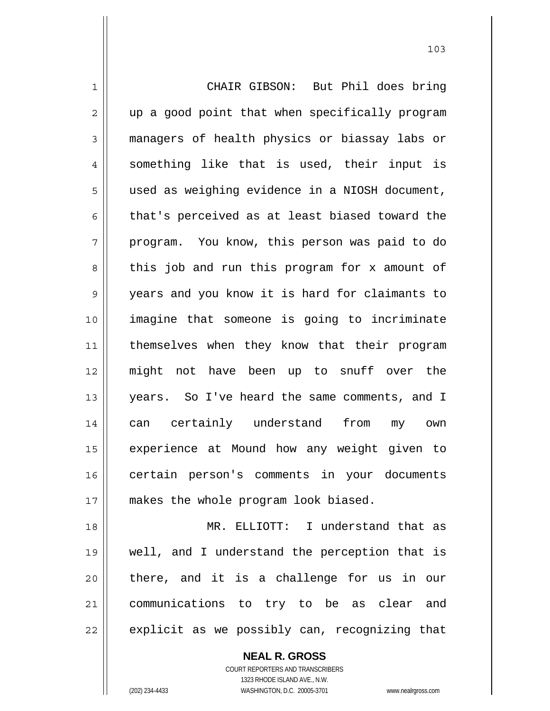1 CHAIR GIBSON: But Phil does bring 2 || up a good point that when specifically program 3 managers of health physics or biassay labs or  $4 \parallel$  something like that is used, their input is 5 | used as weighing evidence in a NIOSH document,  $6 \parallel$  that's perceived as at least biased toward the 7 program. You know, this person was paid to do 8 || this job and run this program for x amount of 9 years and you know it is hard for claimants to 10 imagine that someone is going to incriminate 11 || themselves when they know that their program 12 might not have been up to snuff over the 13 || years. So I've heard the same comments, and I 14 can certainly understand from my own 15 || experience at Mound how any weight given to 16 certain person's comments in your documents 17 || makes the whole program look biased. 18 MR. ELLIOTT: I understand that as 19 well, and I understand the perception that is 20 there, and it is a challenge for us in our

 $22$  | explicit as we possibly can, recognizing that

21 communications to try to be as clear and

 **NEAL R. GROSS** COURT REPORTERS AND TRANSCRIBERS 1323 RHODE ISLAND AVE., N.W. (202) 234-4433 WASHINGTON, D.C. 20005-3701 www.nealrgross.com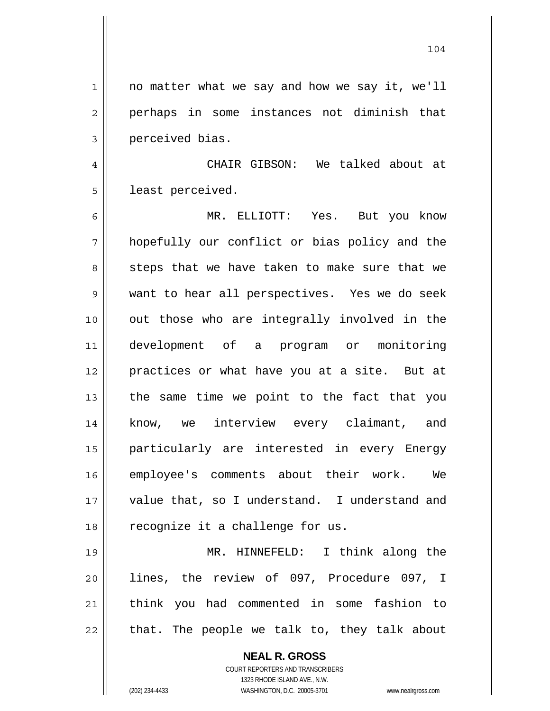104

1 || no matter what we say and how we say it, we'll 2 || perhaps in some instances not diminish that 3 | perceived bias. 4 CHAIR GIBSON: We talked about at 5 | least perceived. 6 MR. ELLIOTT: Yes. But you know  $7$  hopefully our conflict or bias policy and the 8 steps that we have taken to make sure that we 9 want to hear all perspectives. Yes we do seek 10 || out those who are integrally involved in the

development of a program or monitoring 12 practices or what have you at a site. But at || the same time we point to the fact that you know, we interview every claimant, and particularly are interested in every Energy employee's comments about their work. We 17 || value that, so I understand. I understand and 18 || recognize it a challenge for us.

MR. HINNEFELD: I think along the lines, the review of 097, Procedure 097, I think you had commented in some fashion to | that. The people we talk to, they talk about

> **NEAL R. GROSS** COURT REPORTERS AND TRANSCRIBERS 1323 RHODE ISLAND AVE., N.W.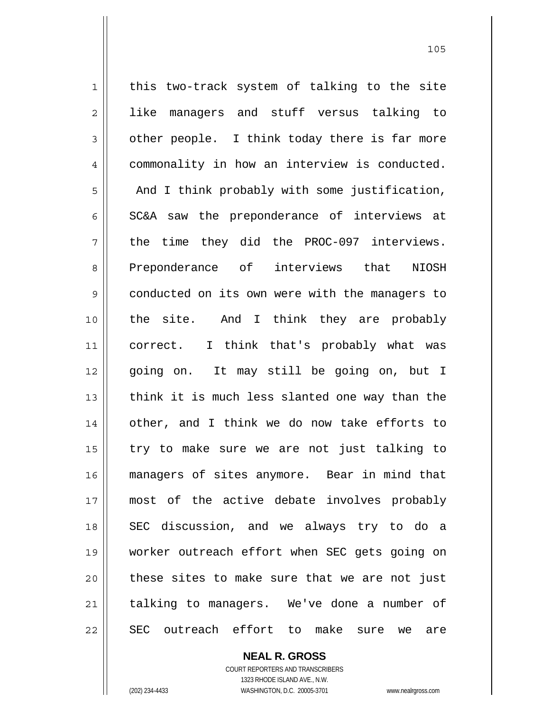$1$  this two-track system of talking to the site 2 || like managers and stuff versus talking to  $3 \parallel$  other people. I think today there is far more 4 | commonality in how an interview is conducted.  $5$  |  $\blacksquare$  And I think probably with some justification,  $6 \parallel$  SC&A saw the preponderance of interviews at 7 || the time they did the PROC-097 interviews. 8 Preponderance of interviews that NIOSH 9 conducted on its own were with the managers to 10 the site. And I think they are probably 11 || correct. I think that's probably what was 12 || going on. It may still be going on, but I 13 || think it is much less slanted one way than the 14 other, and I think we do now take efforts to  $15$  | try to make sure we are not just talking to 16 managers of sites anymore. Bear in mind that 17 most of the active debate involves probably 18 SEC discussion, and we always try to do a 19 worker outreach effort when SEC gets going on  $20$  | these sites to make sure that we are not just 21 || talking to managers. We've done a number of 22 SEC outreach effort to make sure we are

> **NEAL R. GROSS** COURT REPORTERS AND TRANSCRIBERS

> > 1323 RHODE ISLAND AVE., N.W.

(202) 234-4433 WASHINGTON, D.C. 20005-3701 www.nealrgross.com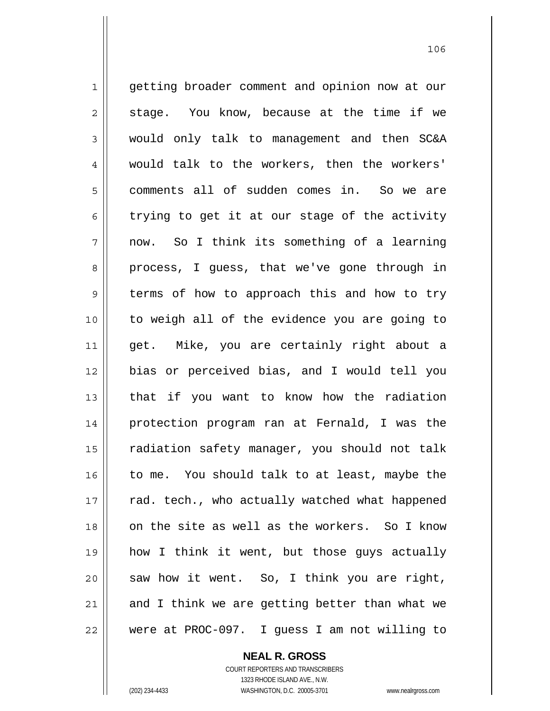1 || getting broader comment and opinion now at our  $2 \parallel$  stage. You know, because at the time if we 3 would only talk to management and then SC&A 4 would talk to the workers, then the workers' 5 comments all of sudden comes in. So we are  $6 \parallel$  trying to get it at our stage of the activity  $7 \parallel$  now. So I think its something of a learning 8 process, I guess, that we've gone through in 9 terms of how to approach this and how to try 10 to weigh all of the evidence you are going to 11 get. Mike, you are certainly right about a 12 bias or perceived bias, and I would tell you 13 that if you want to know how the radiation 14 protection program ran at Fernald, I was the 15 | radiation safety manager, you should not talk 16 to me. You should talk to at least, maybe the 17 || rad. tech., who actually watched what happened 18 on the site as well as the workers. So I know 19 how I think it went, but those guys actually  $20$  saw how it went. So, I think you are right,  $21$  and I think we are getting better than what we 22 were at PROC-097. I guess I am not willing to

 **NEAL R. GROSS**

 COURT REPORTERS AND TRANSCRIBERS 1323 RHODE ISLAND AVE., N.W. (202) 234-4433 WASHINGTON, D.C. 20005-3701 www.nealrgross.com

<u>106</u>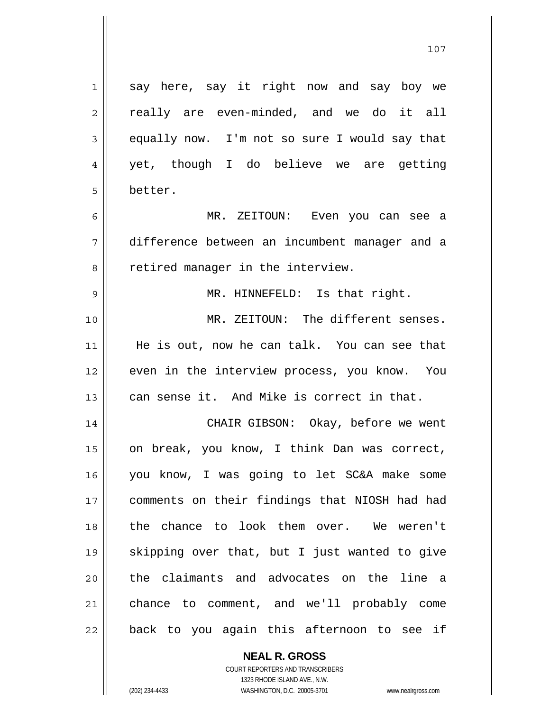| 1  | say here, say it right now and say boy we     |
|----|-----------------------------------------------|
| 2  | really are even-minded, and we do it all      |
| 3  | equally now. I'm not so sure I would say that |
| 4  | yet, though I do believe we are getting       |
| 5  | better.                                       |
| 6  | MR. ZEITOUN: Even you can see a               |
| 7  | difference between an incumbent manager and a |
| 8  | retired manager in the interview.             |
| 9  | MR. HINNEFELD: Is that right.                 |
| 10 | MR. ZEITOUN: The different senses.            |
| 11 | He is out, now he can talk. You can see that  |
| 12 | even in the interview process, you know. You  |
| 13 | can sense it. And Mike is correct in that.    |
| 14 | CHAIR GIBSON: Okay, before we went            |
| 15 | on break, you know, I think Dan was correct,  |
| 16 | you know, I was going to let SC&A make some   |
| 17 | comments on their findings that NIOSH had had |
| 18 | the chance to look them over. We weren't      |
| 19 | skipping over that, but I just wanted to give |
| 20 | the claimants and advocates on the line a     |
| 21 | chance to comment, and we'll probably come    |
| 22 | back to you again this afternoon to see if    |

 COURT REPORTERS AND TRANSCRIBERS 1323 RHODE ISLAND AVE., N.W. (202) 234-4433 WASHINGTON, D.C. 20005-3701 www.nealrgross.com

 **NEAL R. GROSS**

 $\mathsf{I}$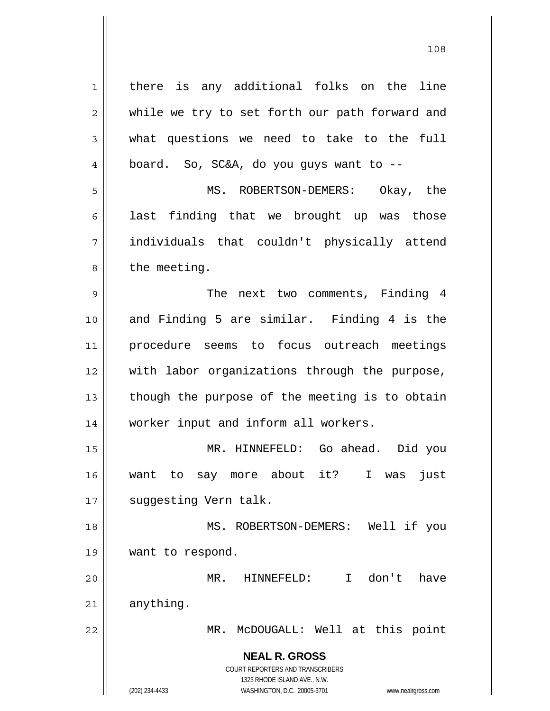**NEAL R. GROSS** COURT REPORTERS AND TRANSCRIBERS 1323 RHODE ISLAND AVE., N.W. 1 || there is any additional folks on the line 2 while we try to set forth our path forward and  $3 \parallel$  what questions we need to take to the full  $4 \parallel$  board. So, SC&A, do you guys want to --5 MS. ROBERTSON-DEMERS: Okay, the  $6 \parallel$  last finding that we brought up was those 7 individuals that couldn't physically attend  $8 \parallel$  the meeting. 9 || The next two comments, Finding 4 10 and Finding 5 are similar. Finding 4 is the 11 procedure seems to focus outreach meetings 12 || with labor organizations through the purpose,  $13$  | though the purpose of the meeting is to obtain 14 worker input and inform all workers. 15 MR. HINNEFELD: Go ahead. Did you 16 want to say more about it? I was just 17 | suggesting Vern talk. 18 MS. ROBERTSON-DEMERS: Well if you 19 want to respond. 20 MR. HINNEFELD: I don't have  $21$  anything. 22 || MR. McDOUGALL: Well at this point

(202) 234-4433 WASHINGTON, D.C. 20005-3701 www.nealrgross.com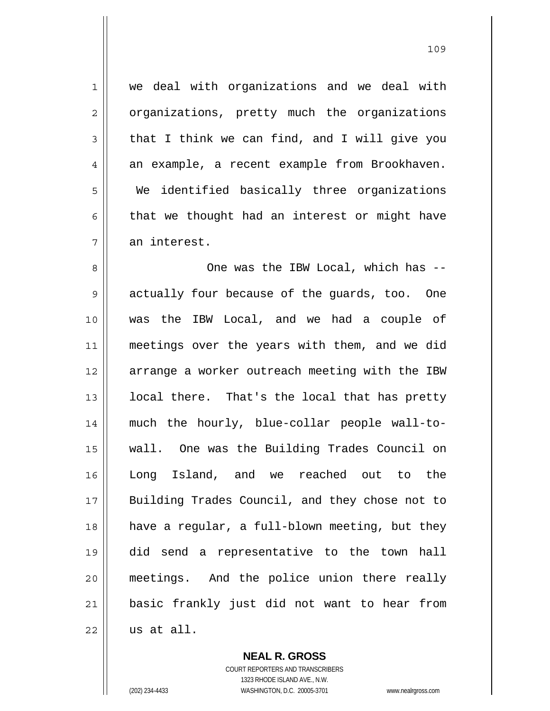1 we deal with organizations and we deal with 2 | organizations, pretty much the organizations  $3 \parallel$  that I think we can find, and I will give you  $4 \parallel$  an example, a recent example from Brookhaven. 5 We identified basically three organizations  $6 \parallel$  that we thought had an interest or might have  $7 \parallel$  an interest.

One was the IBW Local, which has -- 9 actually four because of the guards, too. One was the IBW Local, and we had a couple of 11 || meetings over the years with them, and we did 12 || arrange a worker outreach meeting with the IBW | local there. That's the local that has pretty much the hourly, blue-collar people wall-to-wall. One was the Building Trades Council on Long Island, and we reached out to the Building Trades Council, and they chose not to have a regular, a full-blown meeting, but they did send a representative to the town hall meetings. And the police union there really basic frankly just did not want to hear from us at all.

> COURT REPORTERS AND TRANSCRIBERS 1323 RHODE ISLAND AVE., N.W. (202) 234-4433 WASHINGTON, D.C. 20005-3701 www.nealrgross.com

 **NEAL R. GROSS**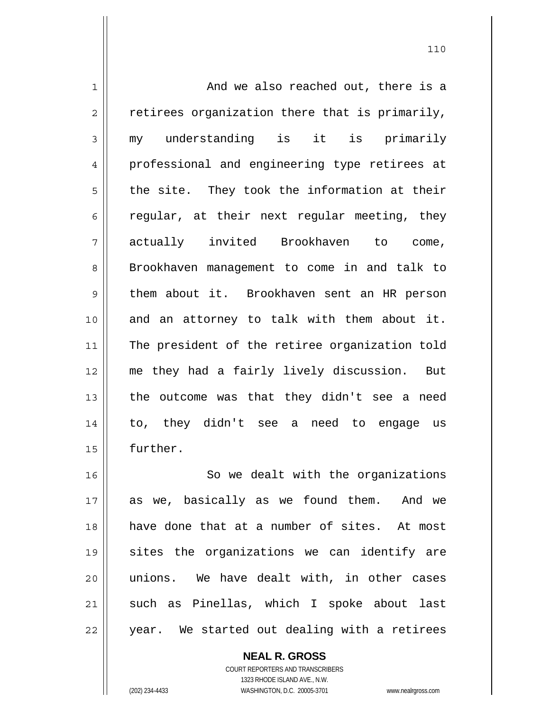1 and we also reached out, there is a  $2 \parallel$  retirees organization there that is primarily, 3 my understanding is it is primarily 4 || professional and engineering type retirees at  $5 \parallel$  the site. They took the information at their 6 caparater in their next regular meeting, they 7 actually invited Brookhaven to come, 8 Brookhaven management to come in and talk to 9 | them about it. Brookhaven sent an HR person 10 and an attorney to talk with them about it. 11 || The president of the retiree organization told 12 me they had a fairly lively discussion. But 13  $\parallel$  the outcome was that they didn't see a need 14 to, they didn't see a need to engage us 15 | further. 16 || So we dealt with the organizations 17 as we, basically as we found them. And we 18 have done that at a number of sites. At most 19 sites the organizations we can identify are 20 || unions. We have dealt with, in other cases 21 || such as Pinellas, which I spoke about last

110

22 || year. We started out dealing with a retirees

 **NEAL R. GROSS**

 COURT REPORTERS AND TRANSCRIBERS 1323 RHODE ISLAND AVE., N.W. (202) 234-4433 WASHINGTON, D.C. 20005-3701 www.nealrgross.com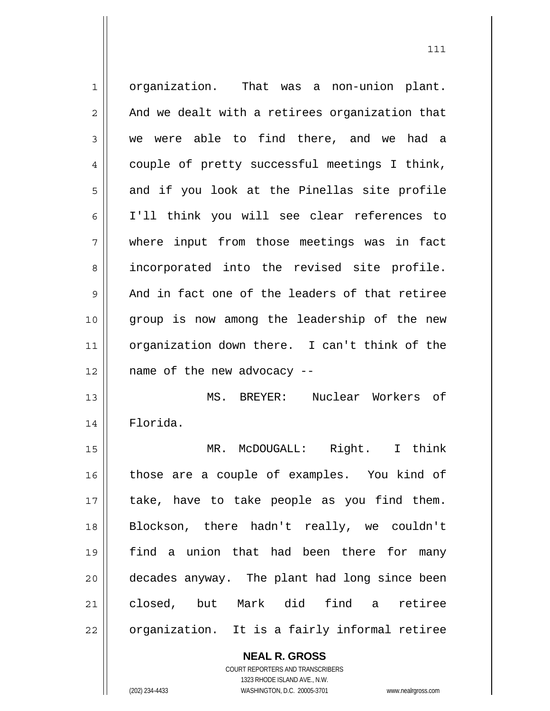organization. That was a non-union plant.  $2 \parallel$  And we dealt with a retirees organization that 3 we were able to find there, and we had a 4 couple of pretty successful meetings I think,  $5 \parallel$  and if you look at the Pinellas site profile I'll think you will see clear references to where input from those meetings was in fact 8 || incorporated into the revised site profile.  $9 \parallel$  And in fact one of the leaders of that retiree group is now among the leadership of the new organization down there. I can't think of the || name of the new advocacy  $-$ MS. BREYER: Nuclear Workers of Florida. MR. McDOUGALL: Right. I think 16 || those are a couple of examples. You kind of 17 || take, have to take people as you find them. Blockson, there hadn't really, we couldn't find a union that had been there for many decades anyway. The plant had long since been closed, but Mark did find a retiree | organization. It is a fairly informal retiree

> **NEAL R. GROSS** COURT REPORTERS AND TRANSCRIBERS

 1323 RHODE ISLAND AVE., N.W. (202) 234-4433 WASHINGTON, D.C. 20005-3701 www.nealrgross.com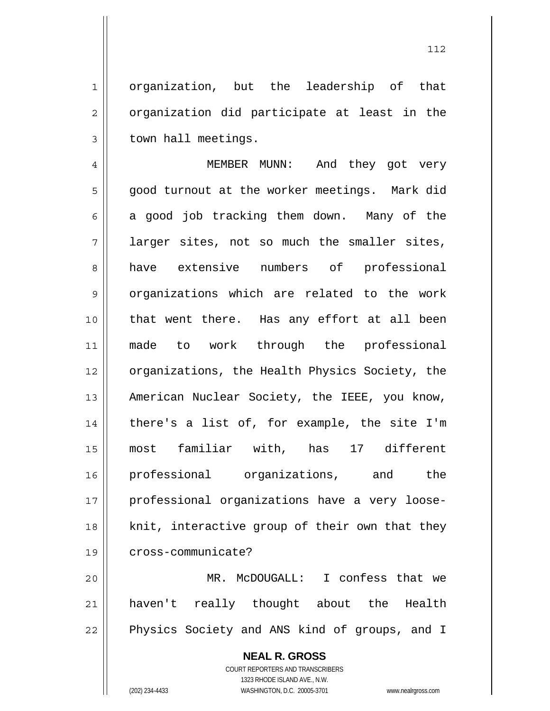1 || organization, but the leadership of that  $2 \parallel$  organization did participate at least in the  $3 \parallel$  town hall meetings.

4 MEMBER MUNN: And they got very 5 || good turnout at the worker meetings. Mark did  $6 \parallel$  a good job tracking them down. Many of the  $7 \parallel$  larger sites, not so much the smaller sites, 8 have extensive numbers of professional 9 | organizations which are related to the work 10 that went there. Has any effort at all been 11 made to work through the professional 12 | organizations, the Health Physics Society, the 13 | American Nuclear Society, the IEEE, you know,  $14$  | there's a list of, for example, the site I'm 15 most familiar with, has 17 different 16 professional organizations, and the 17 || professional organizations have a very loose- $18$  || knit, interactive group of their own that they 19 || cross-communicate?

20 MR. McDOUGALL: I confess that we 21 haven't really thought about the Health 22 || Physics Society and ANS kind of groups, and I

> **NEAL R. GROSS** COURT REPORTERS AND TRANSCRIBERS 1323 RHODE ISLAND AVE., N.W. (202) 234-4433 WASHINGTON, D.C. 20005-3701 www.nealrgross.com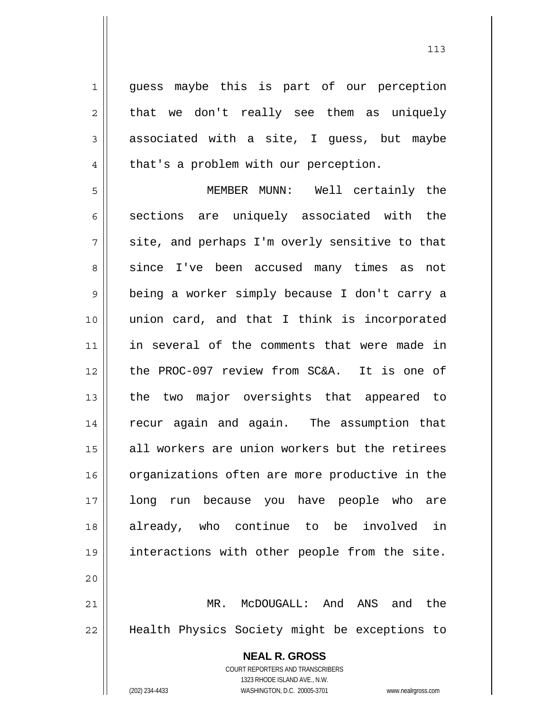1 || guess maybe this is part of our perception  $2 \parallel$  that we don't really see them as uniquely  $3 \parallel$  associated with a site, I quess, but maybe  $4 \parallel$  that's a problem with our perception.

5 MEMBER MUNN: Well certainly the  $6 \parallel$  sections are uniquely associated with the  $7 \parallel$  site, and perhaps I'm overly sensitive to that 8 since I've been accused many times as not 9 being a worker simply because I don't carry a 10 union card, and that I think is incorporated 11 in several of the comments that were made in 12 the PROC-097 review from SC&A. It is one of 13 || the two major oversights that appeared to 14 || recur again and again. The assumption that 15 || all workers are union workers but the retirees 16 | organizations often are more productive in the 17 long run because you have people who are 18 already, who continue to be involved in 19 interactions with other people from the site. 20

21 MR. McDOUGALL: And ANS and the 22 Health Physics Society might be exceptions to

> **NEAL R. GROSS** COURT REPORTERS AND TRANSCRIBERS 1323 RHODE ISLAND AVE., N.W. (202) 234-4433 WASHINGTON, D.C. 20005-3701 www.nealrgross.com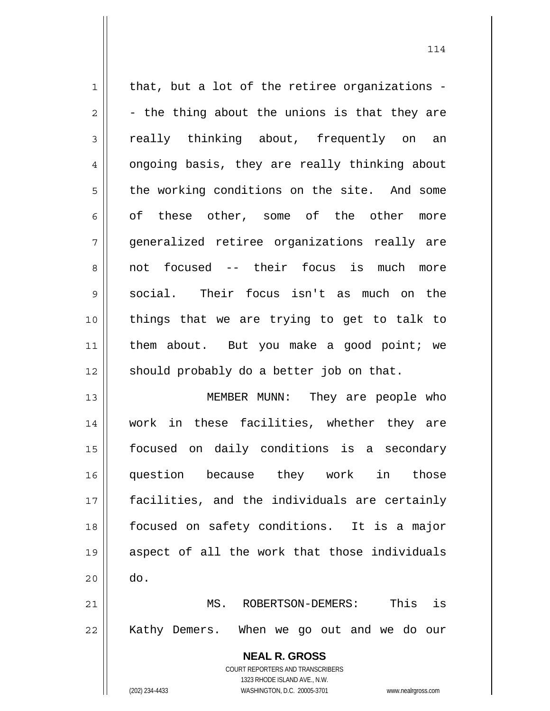**NEAL R. GROSS** COURT REPORTERS AND TRANSCRIBERS 1323 RHODE ISLAND AVE., N.W.  $1 \parallel$  that, but a lot of the retiree organizations - $2 \parallel$  - the thing about the unions is that they are 3 really thinking about, frequently on an 4 | ongoing basis, they are really thinking about 5 the working conditions on the site. And some 6 ||  $\circ$  of these other, some of the other more 7 generalized retiree organizations really are 8 || not focused -- their focus is much more 9 social. Their focus isn't as much on the 10 things that we are trying to get to talk to 11 || them about. But you make a good point; we  $12$  should probably do a better job on that. 13 || MEMBER MUNN: They are people who 14 work in these facilities, whether they are 15 focused on daily conditions is a secondary 16 question because they work in those 17 facilities, and the individuals are certainly 18 focused on safety conditions. It is a major 19 aspect of all the work that those individuals  $20$   $\parallel$  do. 21 MS. ROBERTSON-DEMERS: This is 22 || Kathy Demers. When we go out and we do our

(202) 234-4433 WASHINGTON, D.C. 20005-3701 www.nealrgross.com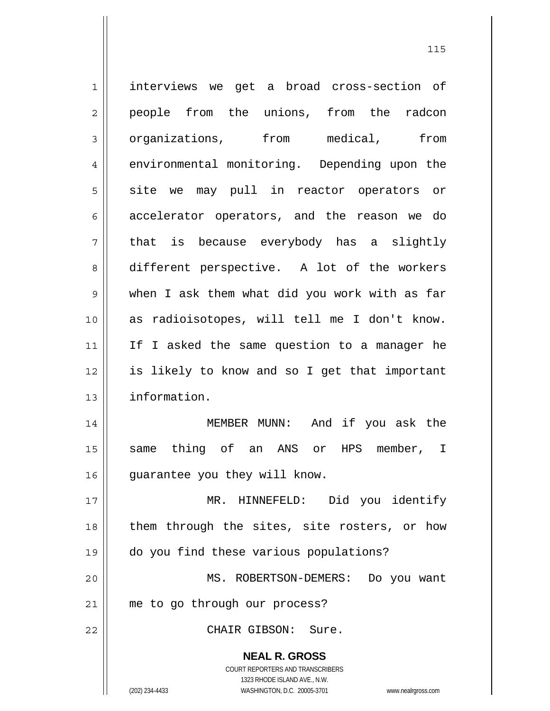| $\mathbf 1$    | interviews we get a broad cross-section of                                                          |
|----------------|-----------------------------------------------------------------------------------------------------|
| $\overline{2}$ | people from the unions, from the radcon                                                             |
| 3              | organizations, from medical,<br>from                                                                |
| 4              | environmental monitoring. Depending upon the                                                        |
| 5              | site we may pull in reactor operators or                                                            |
| 6              | accelerator operators, and the reason we do                                                         |
| 7              | that is because everybody has a slightly                                                            |
| 8              | different perspective. A lot of the workers                                                         |
| 9              | when I ask them what did you work with as far                                                       |
| 10             | as radioisotopes, will tell me I don't know.                                                        |
| 11             | If I asked the same question to a manager he                                                        |
| 12             | is likely to know and so I get that important                                                       |
| 13             | information.                                                                                        |
| 14             | And if you ask the<br>MEMBER MUNN:                                                                  |
| 15             | thing of an ANS or<br>HPS member, I<br>same                                                         |
| 16             | guarantee you they will know.                                                                       |
| 17             | MR. HINNEFELD: Did you identify                                                                     |
| 18             | them through the sites, site rosters, or how                                                        |
| 19             | do you find these various populations?                                                              |
| 20             | MS. ROBERTSON-DEMERS:<br>Do you want                                                                |
| 21             | me to go through our process?                                                                       |
| 22             | CHAIR GIBSON: Sure.                                                                                 |
|                | <b>NEAL R. GROSS</b>                                                                                |
|                | <b>COURT REPORTERS AND TRANSCRIBERS</b>                                                             |
|                | 1323 RHODE ISLAND AVE., N.W.<br>(202) 234-4433<br>WASHINGTON, D.C. 20005-3701<br>www.nealrgross.com |
|                |                                                                                                     |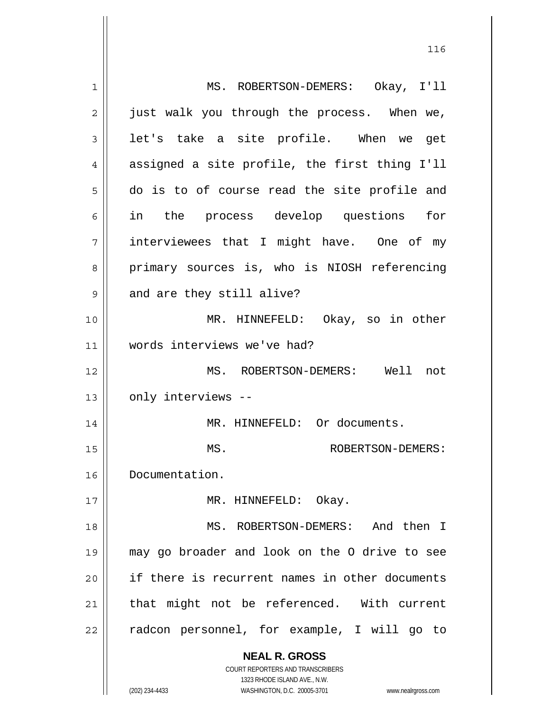| $\mathbf 1$ | MS. ROBERTSON-DEMERS: Okay, I'll                                    |
|-------------|---------------------------------------------------------------------|
| 2           | just walk you through the process. When we,                         |
| 3           | let's take a site profile. When we get                              |
| 4           | assigned a site profile, the first thing I'll                       |
| 5           | do is to of course read the site profile and                        |
| 6           | in the process develop questions for                                |
| 7           | interviewees that I might have. One of my                           |
| 8           | primary sources is, who is NIOSH referencing                        |
| $\mathsf 9$ | and are they still alive?                                           |
| 10          | MR. HINNEFELD: Okay, so in other                                    |
| 11          | words interviews we've had?                                         |
| 12          | MS. ROBERTSON-DEMERS: Well not                                      |
| 13          | only interviews --                                                  |
| 14          | MR. HINNEFELD: Or documents.                                        |
| 15          | MS.<br>ROBERTSON-DEMERS:                                            |
| 16          | Documentation.                                                      |
| 17          | MR. HINNEFELD: Okay.                                                |
| 18          | MS. ROBERTSON-DEMERS: And then I                                    |
| 19          | may go broader and look on the O drive to see                       |
| 20          | if there is recurrent names in other documents                      |
| 21          | that might not be referenced. With current                          |
| 22          | radcon personnel, for example, I will go to                         |
|             |                                                                     |
|             | <b>NEAL R. GROSS</b>                                                |
|             | COURT REPORTERS AND TRANSCRIBERS<br>1323 RHODE ISLAND AVE., N.W.    |
|             | (202) 234-4433<br>WASHINGTON, D.C. 20005-3701<br>www.nealrgross.com |

<u>116</u>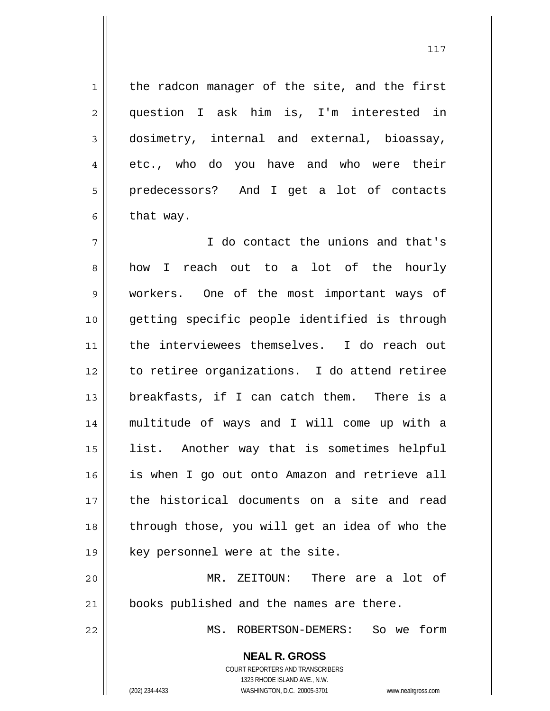$1$  the radcon manager of the site, and the first 2 question I ask him is, I'm interested in 3 dosimetry, internal and external, bioassay,  $4 \parallel$  etc., who do you have and who were their 5 predecessors? And I get a lot of contacts 6 | that way.

I do contact the unions and that's 8 how I reach out to a lot of the hourly workers. One of the most important ways of getting specific people identified is through the interviewees themselves. I do reach out to retiree organizations. I do attend retiree breakfasts, if I can catch them. There is a multitude of ways and I will come up with a list. Another way that is sometimes helpful is when I go out onto Amazon and retrieve all the historical documents on a site and read 18 || through those, you will get an idea of who the  $19 \parallel$  key personnel were at the site.

20 MR. ZEITOUN: There are a lot of 21 | books published and the names are there.

22 MS. ROBERTSON-DEMERS: So we form

 **NEAL R. GROSS** COURT REPORTERS AND TRANSCRIBERS 1323 RHODE ISLAND AVE., N.W.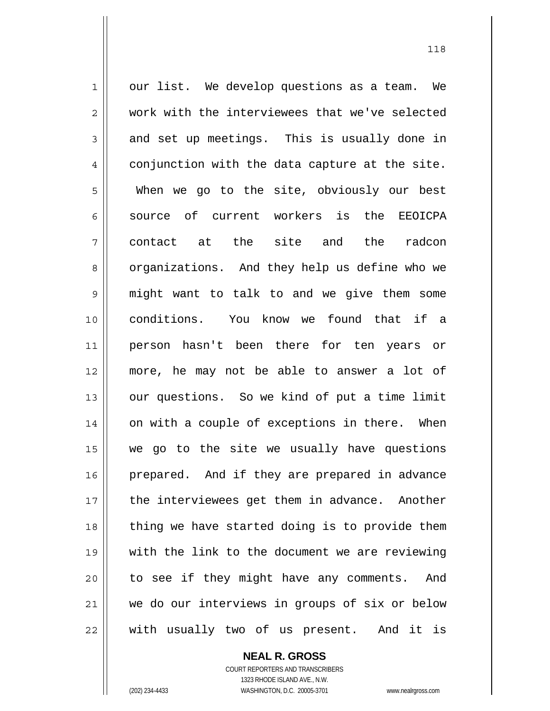$1 \parallel$  our list. We develop questions as a team. We 2 work with the interviewees that we've selected  $3 \parallel$  and set up meetings. This is usually done in  $4 \parallel$  conjunction with the data capture at the site. 5 When we go to the site, obviously our best 6 source of current workers is the EEOICPA  $7 \parallel$  contact at the site and the radcon 8 || organizations. And they help us define who we 9 might want to talk to and we give them some 10 conditions. You know we found that if a 11 person hasn't been there for ten years or 12 more, he may not be able to answer a lot of 13 || our questions. So we kind of put a time limit 14 || on with a couple of exceptions in there. When 15 we go to the site we usually have questions 16 || prepared. And if they are prepared in advance 17 || the interviewees get them in advance. Another 18 || thing we have started doing is to provide them 19 with the link to the document we are reviewing 20 || to see if they might have any comments. And 21 we do our interviews in groups of six or below 22 with usually two of us present. And it is

## **NEAL R. GROSS**

 COURT REPORTERS AND TRANSCRIBERS 1323 RHODE ISLAND AVE., N.W. (202) 234-4433 WASHINGTON, D.C. 20005-3701 www.nealrgross.com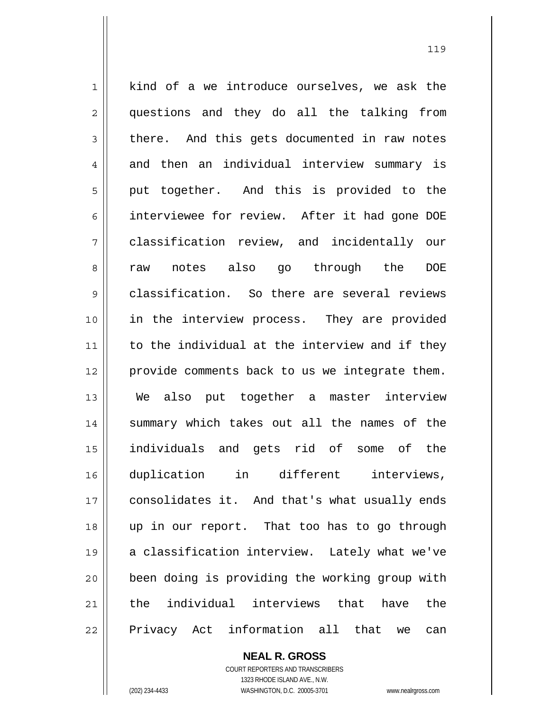$1 \parallel$  kind of a we introduce ourselves, we ask the 2 || questions and they do all the talking from  $3 \parallel$  there. And this gets documented in raw notes 4 and then an individual interview summary is 5 || put together. And this is provided to the 6 interviewee for review. After it had gone DOE 7 classification review, and incidentally our 8 raw notes also go through the DOE 9 classification. So there are several reviews 10 in the interview process. They are provided 11 || to the individual at the interview and if they 12 provide comments back to us we integrate them. 13 We also put together a master interview 14 || summary which takes out all the names of the 15 individuals and gets rid of some of the 16 duplication in different interviews, 17 | consolidates it. And that's what usually ends 18 up in our report. That too has to go through 19 a classification interview. Lately what we've 20 been doing is providing the working group with 21 || the individual interviews that have the 22 || Privacy Act information all that we can

> **NEAL R. GROSS** COURT REPORTERS AND TRANSCRIBERS 1323 RHODE ISLAND AVE., N.W.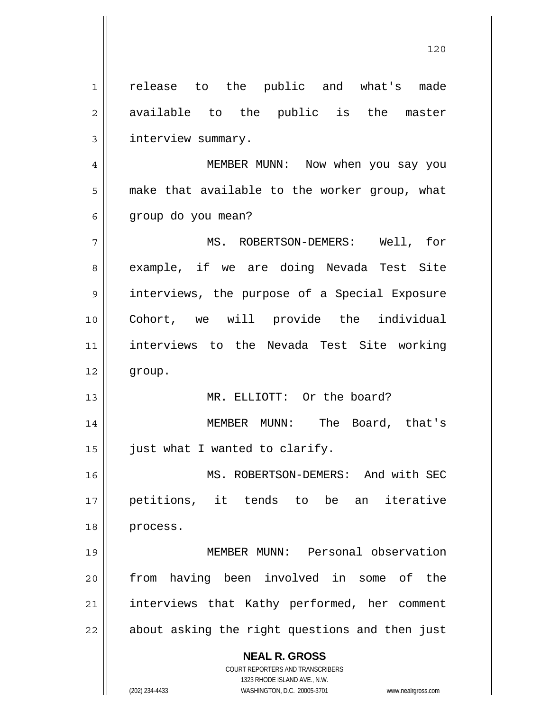**NEAL R. GROSS** COURT REPORTERS AND TRANSCRIBERS 1323 RHODE ISLAND AVE., N.W. 1 || release to the public and what's made 2 || available to the public is the master 3 | interview summary. 4 MEMBER MUNN: Now when you say you 5 | make that available to the worker group, what  $6 \parallel$  group do you mean? 7 || MS. ROBERTSON-DEMERS: Well, for 8 || example, if we are doing Nevada Test Site 9 interviews, the purpose of a Special Exposure 10 Cohort, we will provide the individual 11 interviews to the Nevada Test Site working 12 group. 13 MR. ELLIOTT: Or the board? 14 MEMBER MUNN: The Board, that's  $15$  | just what I wanted to clarify. 16 || MS. ROBERTSON-DEMERS: And with SEC 17 petitions, it tends to be an iterative 18 process. 19 MEMBER MUNN: Personal observation 20 from having been involved in some of the 21 | interviews that Kathy performed, her comment  $22$  | about asking the right questions and then just

120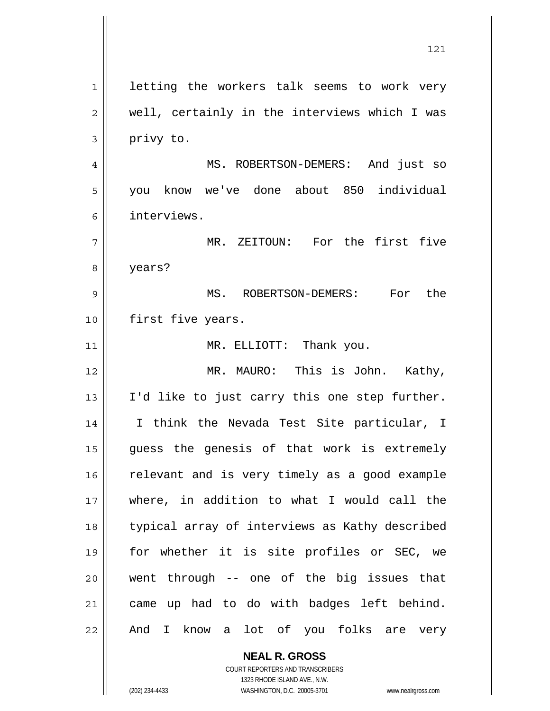1 || letting the workers talk seems to work very  $2 \parallel$  well, certainly in the interviews which I was  $3 \parallel$  privy to. 4 MS. ROBERTSON-DEMERS: And just so 5 you know we've done about 850 individual 6 interviews. 7 MR. ZEITOUN: For the first five 8 years? 9 MS. ROBERTSON-DEMERS: For the 10 || first five years. 11 || MR. ELLIOTT: Thank you. 12 MR. MAURO: This is John. Kathy, 13 || I'd like to just carry this one step further. 14 I think the Nevada Test Site particular, I 15 guess the genesis of that work is extremely 16 || relevant and is very timely as a good example 17 where, in addition to what I would call the 18 typical array of interviews as Kathy described 19 for whether it is site profiles or SEC, we  $20$  || went through -- one of the big issues that 21 | came up had to do with badges left behind. 22 || And I know a lot of you folks are very

121

 **NEAL R. GROSS** COURT REPORTERS AND TRANSCRIBERS 1323 RHODE ISLAND AVE., N.W.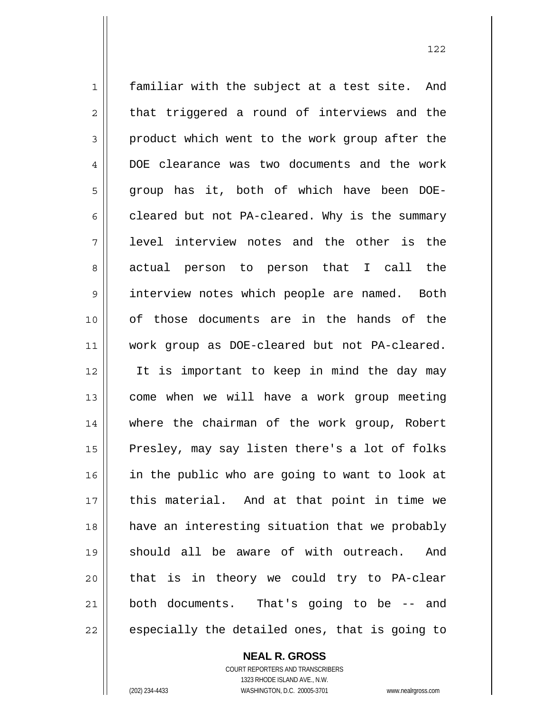1 || familiar with the subject at a test site. And  $2 \parallel$  that triggered a round of interviews and the  $3 \parallel$  product which went to the work group after the 4 DOE clearance was two documents and the work 5 group has it, both of which have been DOE- $6 \parallel$  cleared but not PA-cleared. Why is the summary 7 || level interview notes and the other is the 8 actual person to person that I call the 9 interview notes which people are named. Both 10 of those documents are in the hands of the 11 work group as DOE-cleared but not PA-cleared. 12 It is important to keep in mind the day may 13 || come when we will have a work group meeting 14 where the chairman of the work group, Robert 15 || Presley, may say listen there's a lot of folks 16 || in the public who are going to want to look at 17 || this material. And at that point in time we 18 have an interesting situation that we probably 19 should all be aware of with outreach. And 20 || that is in theory we could try to PA-clear 21 both documents. That's going to be -- and  $22$   $\parallel$  especially the detailed ones, that is going to

 **NEAL R. GROSS**

 COURT REPORTERS AND TRANSCRIBERS 1323 RHODE ISLAND AVE., N.W. (202) 234-4433 WASHINGTON, D.C. 20005-3701 www.nealrgross.com

 <sup>122</sup>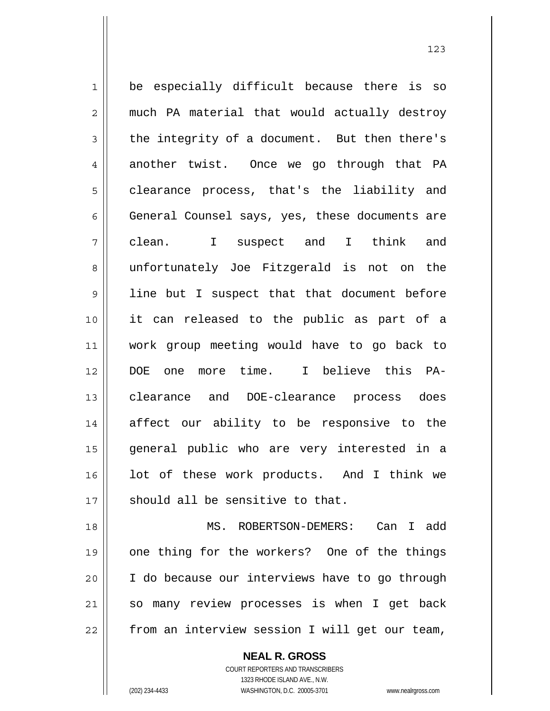1 be especially difficult because there is so 2 || much PA material that would actually destroy  $3 \parallel$  the integrity of a document. But then there's 4 another twist. Once we go through that PA 5 | clearance process, that's the liability and 6 General Counsel says, yes, these documents are clean. I suspect and I think and 8 || unfortunately Joe Fitzgerald is not on the line but I suspect that that document before it can released to the public as part of a work group meeting would have to go back to DOE one more time. I believe this PA-clearance and DOE-clearance process does affect our ability to be responsive to the general public who are very interested in a lot of these work products. And I think we  $\parallel$  should all be sensitive to that. MS. ROBERTSON-DEMERS: Can I add

> COURT REPORTERS AND TRANSCRIBERS 1323 RHODE ISLAND AVE., N.W. (202) 234-4433 WASHINGTON, D.C. 20005-3701 www.nealrgross.com

 **NEAL R. GROSS**

19 || one thing for the workers? One of the things

20 I do because our interviews have to go through

21 || so many review processes is when I get back

22 | from an interview session I will get our team,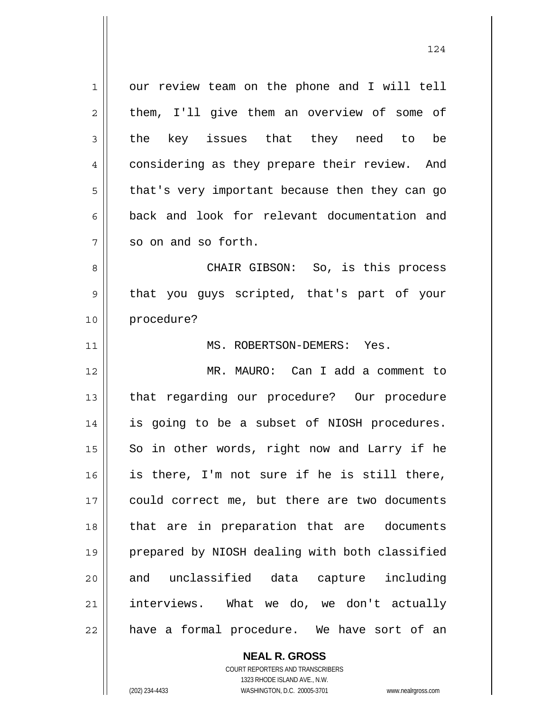1 our review team on the phone and I will tell  $2 \parallel$  them, I'll give them an overview of some of  $3 \parallel$  the key issues that they need to be 4 considering as they prepare their review. And  $5 \parallel$  that's very important because then they can go 6 back and look for relevant documentation and  $7 \parallel$  so on and so forth. 8 CHAIR GIBSON: So, is this process 9 || that you guys scripted, that's part of your 10 procedure? 11 MS. ROBERTSON-DEMERS: Yes. 12 MR. MAURO: Can I add a comment to 13 || that regarding our procedure? Our procedure 14 || is going to be a subset of NIOSH procedures.  $15$  So in other words, right now and Larry if he 16 is there, I'm not sure if he is still there, 17 could correct me, but there are two documents 18 that are in preparation that are documents 19 prepared by NIOSH dealing with both classified 20 and unclassified data capture including 21 interviews. What we do, we don't actually  $22$  || have a formal procedure. We have sort of an

124

 COURT REPORTERS AND TRANSCRIBERS 1323 RHODE ISLAND AVE., N.W. (202) 234-4433 WASHINGTON, D.C. 20005-3701 www.nealrgross.com

 **NEAL R. GROSS**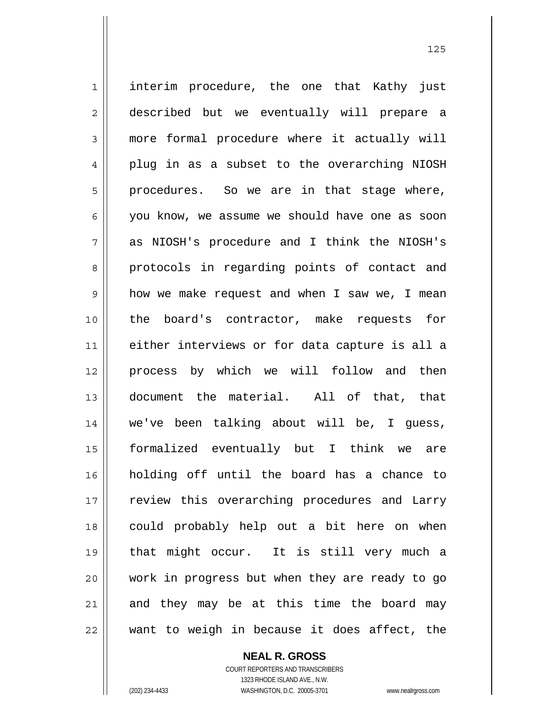1 || interim procedure, the one that Kathy just described but we eventually will prepare a 3 more formal procedure where it actually will 4 plug in as a subset to the overarching NIOSH  $5 \parallel$  procedures. So we are in that stage where, you know, we assume we should have one as soon as NIOSH's procedure and I think the NIOSH's 8 protocols in regarding points of contact and how we make request and when I saw we, I mean the board's contractor, make requests for either interviews or for data capture is all a process by which we will follow and then document the material. All of that, that we've been talking about will be, I guess, formalized eventually but I think we are holding off until the board has a chance to 17 || review this overarching procedures and Larry could probably help out a bit here on when that might occur. It is still very much a work in progress but when they are ready to go and they may be at this time the board may want to weigh in because it does affect, the

 **NEAL R. GROSS**

 COURT REPORTERS AND TRANSCRIBERS 1323 RHODE ISLAND AVE., N.W. (202) 234-4433 WASHINGTON, D.C. 20005-3701 www.nealrgross.com

<u>125</u>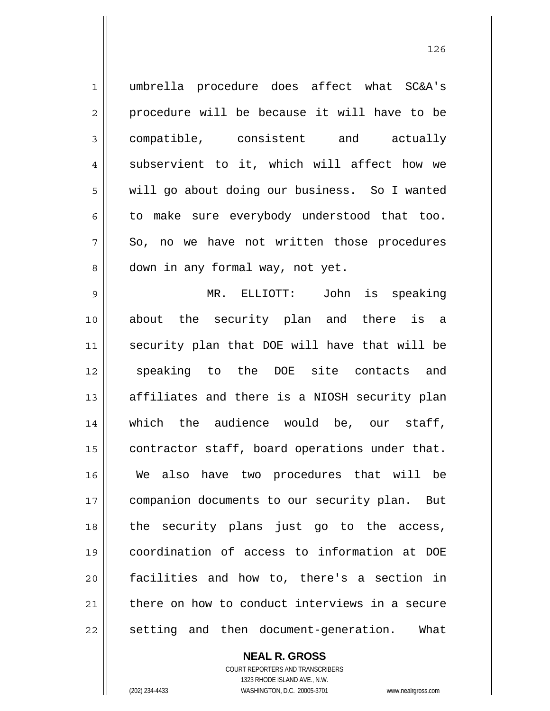1 umbrella procedure does affect what SC&A's  $2 \parallel$  procedure will be because it will have to be 3 compatible, consistent and actually 4 || subservient to it, which will affect how we 5 | will go about doing our business. So I wanted  $6 \parallel$  to make sure everybody understood that too.  $7 \parallel$  So, no we have not written those procedures 8 || down in any formal way, not yet. 9 MR. ELLIOTT: John is speaking 10 about the security plan and there is a 11 security plan that DOE will have that will be 12 || speaking to the DOE site contacts and  $13$  || affiliates and there is a NIOSH security plan 14 which the audience would be, our staff,  $15$  contractor staff, board operations under that. 16 We also have two procedures that will be 17 | companion documents to our security plan. But 18 || the security plans just go to the access, 19 coordination of access to information at DOE 20 facilities and how to, there's a section in 21 there on how to conduct interviews in a secure 22 || setting and then document-generation. What

> **NEAL R. GROSS** COURT REPORTERS AND TRANSCRIBERS

 1323 RHODE ISLAND AVE., N.W. (202) 234-4433 WASHINGTON, D.C. 20005-3701 www.nealrgross.com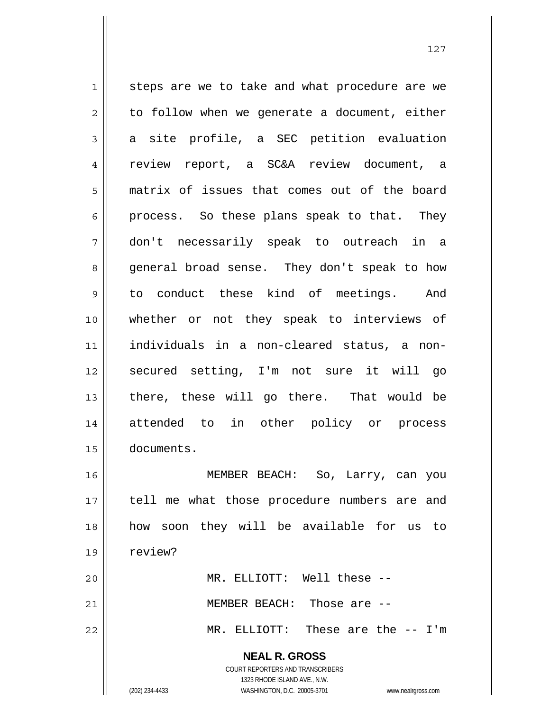**NEAL R. GROSS** COURT REPORTERS AND TRANSCRIBERS 1 || steps are we to take and what procedure are we  $2 \parallel$  to follow when we generate a document, either  $3 \parallel$  a site profile, a SEC petition evaluation 4 || review report, a SC&A review document, a 5 matrix of issues that comes out of the board  $6 \parallel$  process. So these plans speak to that. They 7 don't necessarily speak to outreach in a 8 general broad sense. They don't speak to how 9 to conduct these kind of meetings. And 10 whether or not they speak to interviews of 11 individuals in a non-cleared status, a non-12 secured setting, I'm not sure it will go 13 || there, these will go there. That would be 14 attended to in other policy or process 15 documents. 16 MEMBER BEACH: So, Larry, can you 17 || tell me what those procedure numbers are and 18 how soon they will be available for us to 19 | review? 20 MR. ELLIOTT: Well these -- 21 MEMBER BEACH: Those are -- 22 MR. ELLIOTT: These are the -- I'm

1323 RHODE ISLAND AVE., N.W.

(202) 234-4433 WASHINGTON, D.C. 20005-3701 www.nealrgross.com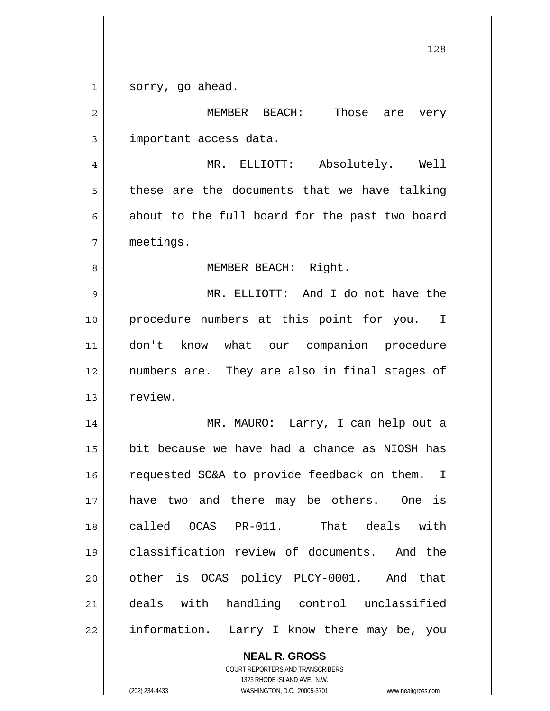1 || sorry, go ahead.

MEMBER BEACH: Those are very 3 | important access data. MR. ELLIOTT: Absolutely. Well  $5 \parallel$  these are the documents that we have talking  $6 \parallel$  about to the full board for the past two board meetings. 8 || MEMBER BEACH: Right. MR. ELLIOTT: And I do not have the procedure numbers at this point for you. I don't know what our companion procedure numbers are. They are also in final stages of 13 | review. MR. MAURO: Larry, I can help out a bit because we have had a chance as NIOSH has 16 | requested SC&A to provide feedback on them. I have two and there may be others. One is called OCAS PR-011. That deals with classification review of documents. And the 20 || other is OCAS policy PLCY-0001. And that deals with handling control unclassified 22 || information. Larry I know there may be, you

> **NEAL R. GROSS** COURT REPORTERS AND TRANSCRIBERS 1323 RHODE ISLAND AVE., N.W.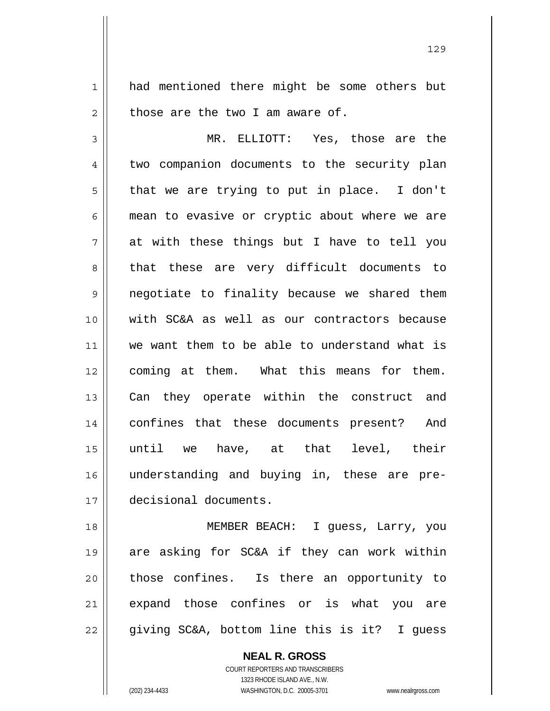1 || had mentioned there might be some others but  $2 \parallel$  those are the two I am aware of.

3 MR. ELLIOTT: Yes, those are the 4 || two companion documents to the security plan  $5 \parallel$  that we are trying to put in place. I don't  $6 \parallel$  mean to evasive or cryptic about where we are  $7 \parallel$  at with these things but I have to tell you 8 || that these are very difficult documents to 9 || negotiate to finality because we shared them 10 with SC&A as well as our contractors because 11 we want them to be able to understand what is 12 coming at them. What this means for them. 13 || Can they operate within the construct and 14 confines that these documents present? And 15  $\parallel$  until we have, at that level, their 16 understanding and buying in, these are pre-17 decisional documents.

18 MEMBER BEACH: I guess, Larry, you 19 are asking for SC&A if they can work within 20 || those confines. Is there an opportunity to 21 expand those confines or is what you are 22 || giving SC&A, bottom line this is it? I guess

> **NEAL R. GROSS** COURT REPORTERS AND TRANSCRIBERS 1323 RHODE ISLAND AVE., N.W.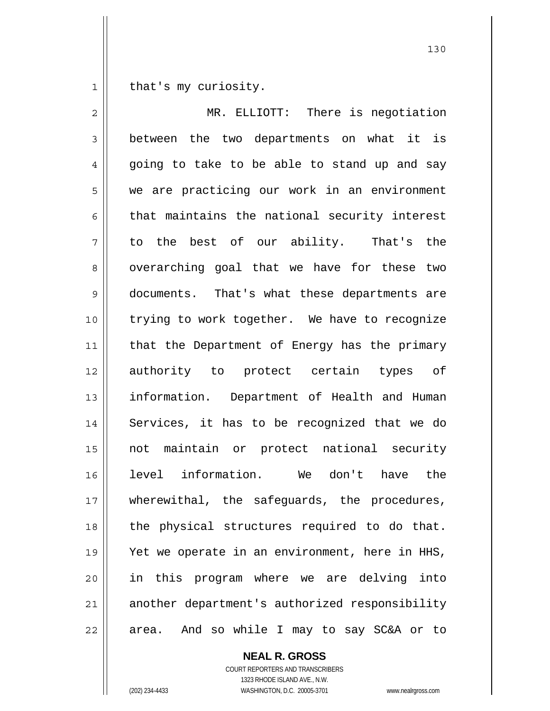1 | that's my curiosity.

2 MR. ELLIOTT: There is negotiation 3 between the two departments on what it is  $4 \parallel$  going to take to be able to stand up and say 5 we are practicing our work in an environment  $6 \parallel$  that maintains the national security interest 7 to the best of our ability. That's the 8 || overarching goal that we have for these two 9 documents. That's what these departments are 10 trying to work together. We have to recognize 11 || that the Department of Energy has the primary 12 authority to protect certain types of 13 || information. Department of Health and Human 14 || Services, it has to be recognized that we do 15 not maintain or protect national security 16 level information. We don't have the 17 || wherewithal, the safeguards, the procedures, 18 || the physical structures required to do that. 19 || Yet we operate in an environment, here in HHS, 20 in this program where we are delving into 21 || another department's authorized responsibility  $22$  || area. And so while I may to say SC&A or to

 **NEAL R. GROSS**

 COURT REPORTERS AND TRANSCRIBERS 1323 RHODE ISLAND AVE., N.W. (202) 234-4433 WASHINGTON, D.C. 20005-3701 www.nealrgross.com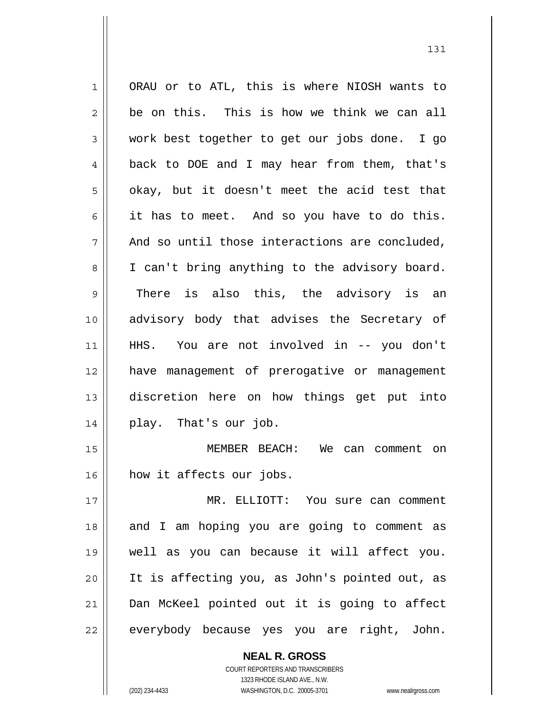1 ORAU or to ATL, this is where NIOSH wants to  $2 \parallel$  be on this. This is how we think we can all 3 Work best together to get our jobs done. I go 4 || back to DOE and I may hear from them, that's  $5 \parallel$  okay, but it doesn't meet the acid test that  $6 \parallel$  it has to meet. And so you have to do this.  $7 \parallel$  And so until those interactions are concluded, 8 || I can't bring anything to the advisory board. 9 There is also this, the advisory is an 10 advisory body that advises the Secretary of 11 HHS. You are not involved in -- you don't 12 have management of prerogative or management 13 discretion here on how things get put into 14 play. That's our job. 15 MEMBER BEACH: We can comment on 16 how it affects our jobs. 17 MR. ELLIOTT: You sure can comment 18 || and I am hoping you are going to comment as 19 well as you can because it will affect you. 20 It is affecting you, as John's pointed out, as 21 Dan McKeel pointed out it is going to affect 22 | everybody because yes you are right, John.

131

 COURT REPORTERS AND TRANSCRIBERS 1323 RHODE ISLAND AVE., N.W. (202) 234-4433 WASHINGTON, D.C. 20005-3701 www.nealrgross.com

 **NEAL R. GROSS**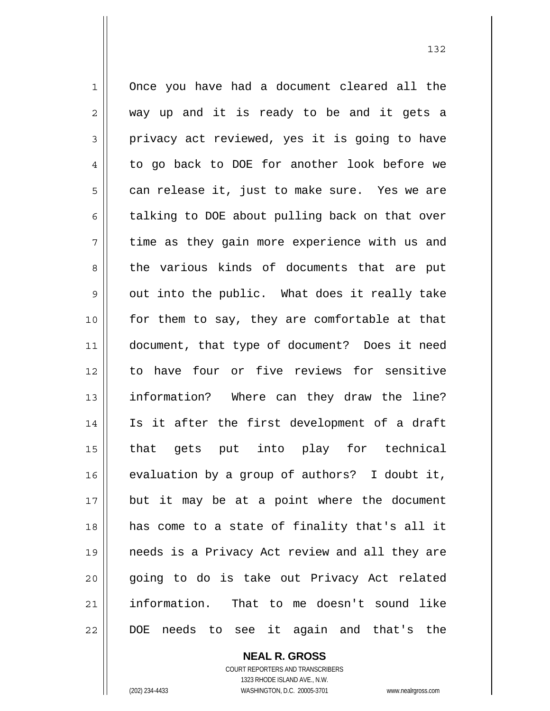1 Once you have had a document cleared all the  $2 \parallel$  way up and it is ready to be and it gets a  $3 \parallel$  privacy act reviewed, yes it is going to have 4 || to go back to DOE for another look before we  $5 \parallel$  can release it, just to make sure. Yes we are 6 talking to DOE about pulling back on that over  $7 \parallel$  time as they gain more experience with us and 8 the various kinds of documents that are put  $9 \parallel$  out into the public. What does it really take 10 for them to say, they are comfortable at that 11 document, that type of document? Does it need 12 to have four or five reviews for sensitive 13 || information? Where can they draw the line? 14 Is it after the first development of a draft 15 that gets put into play for technical  $16$  evaluation by a group of authors? I doubt it, 17 but it may be at a point where the document 18 has come to a state of finality that's all it 19 needs is a Privacy Act review and all they are 20 || going to do is take out Privacy Act related 21 information. That to me doesn't sound like 22 || DOE needs to see it again and that's the

> COURT REPORTERS AND TRANSCRIBERS 1323 RHODE ISLAND AVE., N.W. (202) 234-4433 WASHINGTON, D.C. 20005-3701 www.nealrgross.com

 **NEAL R. GROSS**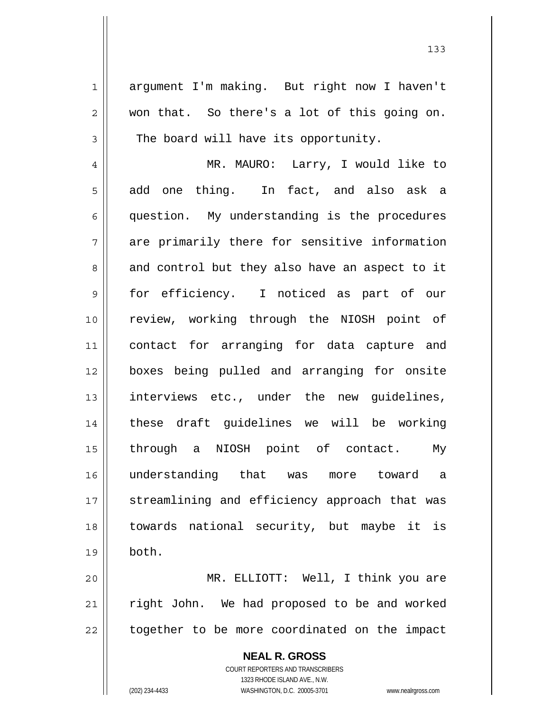1 argument I'm making. But right now I haven't  $2 \parallel$  won that. So there's a lot of this going on.  $3 \parallel$  The board will have its opportunity.

MR. MAURO: Larry, I would like to  $5 \parallel$  add one thing. In fact, and also ask a question. My understanding is the procedures 7 are primarily there for sensitive information  $8 \parallel$  and control but they also have an aspect to it for efficiency. I noticed as part of our review, working through the NIOSH point of contact for arranging for data capture and boxes being pulled and arranging for onsite 13 || interviews etc., under the new guidelines, these draft guidelines we will be working through a NIOSH point of contact. My understanding that was more toward a 17 || streamlining and efficiency approach that was towards national security, but maybe it is 19 both.

20 MR. ELLIOTT: Well, I think you are  $21$  right John. We had proposed to be and worked  $22$  | together to be more coordinated on the impact

> **NEAL R. GROSS** COURT REPORTERS AND TRANSCRIBERS 1323 RHODE ISLAND AVE., N.W. (202) 234-4433 WASHINGTON, D.C. 20005-3701 www.nealrgross.com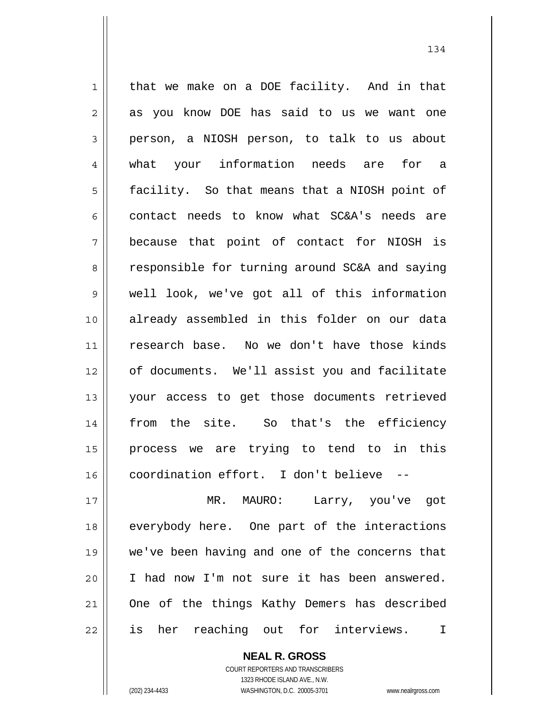1 || that we make on a DOE facility. And in that 2 || as you know DOE has said to us we want one person, a NIOSH person, to talk to us about what your information needs are for a 5 | facility. So that means that a NIOSH point of 6 contact needs to know what  $SC&A's$  needs are because that point of contact for NIOSH is 8 || responsible for turning around SC&A and saying well look, we've got all of this information already assembled in this folder on our data research base. No we don't have those kinds of documents. We'll assist you and facilitate your access to get those documents retrieved 14 || from the site. So that's the efficiency process we are trying to tend to in this | coordination effort. I don't believe MR. MAURO: Larry, you've got 18 everybody here. One part of the interactions we've been having and one of the concerns that I had now I'm not sure it has been answered. 21 || One of the things Kathy Demers has described

22 || is her reaching out for interviews. I

 **NEAL R. GROSS**

 COURT REPORTERS AND TRANSCRIBERS 1323 RHODE ISLAND AVE., N.W. (202) 234-4433 WASHINGTON, D.C. 20005-3701 www.nealrgross.com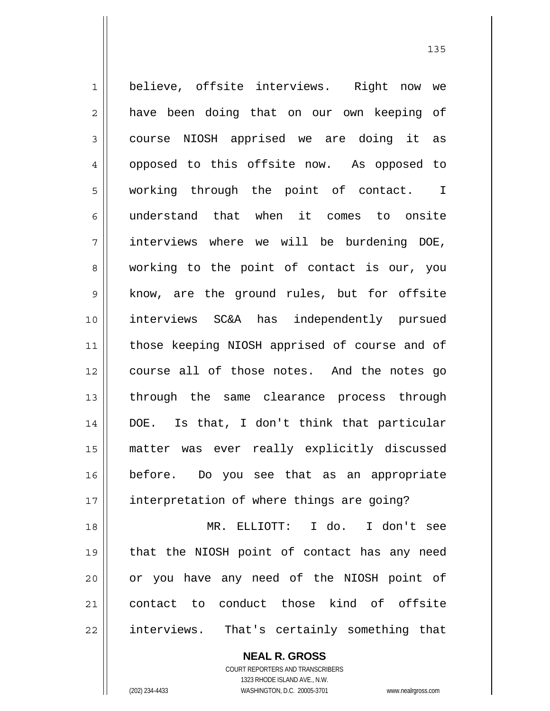1 believe, offsite interviews. Right now we 2 || have been doing that on our own keeping of 3 || course NIOSH apprised we are doing it as 4 || opposed to this offsite now. As opposed to 5 working through the point of contact. I 6 understand that when it comes to onsite 7 interviews where we will be burdening DOE, 8 working to the point of contact is our, you 9 || know, are the ground rules, but for offsite 10 interviews SC&A has independently pursued 11 || those keeping NIOSH apprised of course and of 12 || course all of those notes. And the notes go 13 through the same clearance process through 14 DOE. Is that, I don't think that particular 15 matter was ever really explicitly discussed 16 before. Do you see that as an appropriate 17 || interpretation of where things are going? 18 MR. ELLIOTT: I do. I don't see 19 that the NIOSH point of contact has any need 20 || or you have any need of the NIOSH point of

21 contact to conduct those kind of offsite 22 || interviews. That's certainly something that

> **NEAL R. GROSS** COURT REPORTERS AND TRANSCRIBERS 1323 RHODE ISLAND AVE., N.W. (202) 234-4433 WASHINGTON, D.C. 20005-3701 www.nealrgross.com

<u>135</u>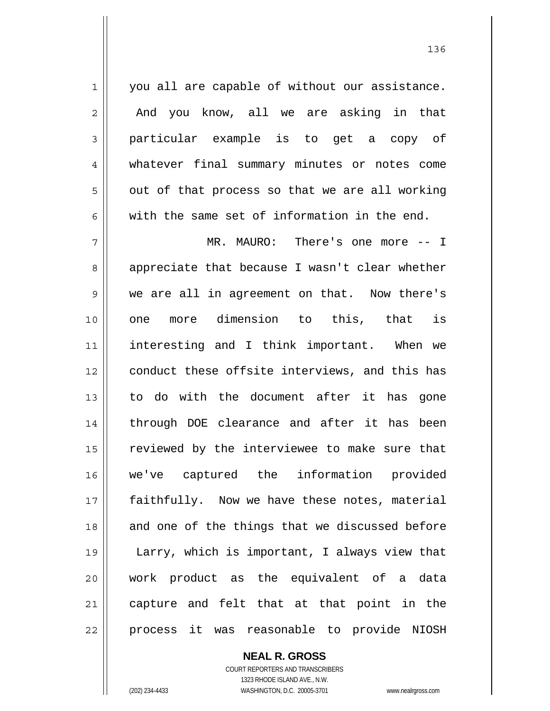1 || you all are capable of without our assistance. 2 || And you know, all we are asking in that 3 particular example is to get a copy of 4 whatever final summary minutes or notes come  $5 \parallel$  out of that process so that we are all working 6 with the same set of information in the end.

7 MR. MAURO: There's one more -- I 8 appreciate that because I wasn't clear whether 9 we are all in agreement on that. Now there's 10 one more dimension to this, that is 11 interesting and I think important. When we 12 || conduct these offsite interviews, and this has 13 to do with the document after it has gone 14 || through DOE clearance and after it has been 15 | reviewed by the interviewee to make sure that 16 we've captured the information provided 17 faithfully. Now we have these notes, material 18 and one of the things that we discussed before 19 Larry, which is important, I always view that 20 work product as the equivalent of a data 21 || capture and felt that at that point in the 22 || process it was reasonable to provide NIOSH

> **NEAL R. GROSS** COURT REPORTERS AND TRANSCRIBERS 1323 RHODE ISLAND AVE., N.W. (202) 234-4433 WASHINGTON, D.C. 20005-3701 www.nealrgross.com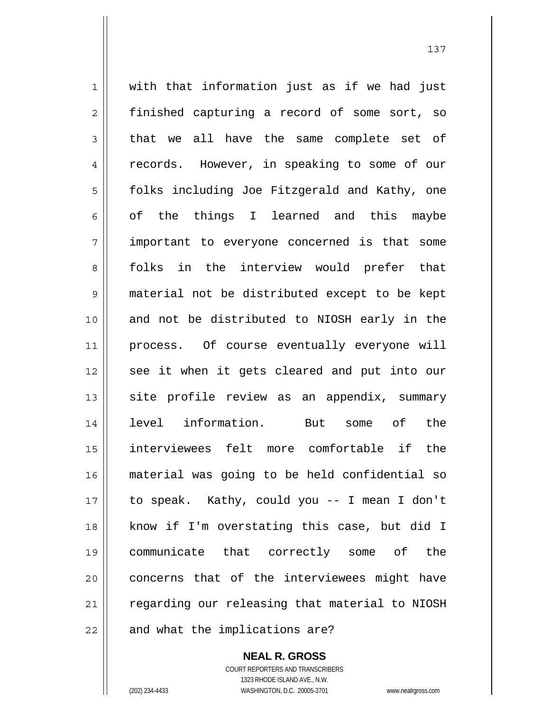1 || with that information just as if we had just 2 || finished capturing a record of some sort, so  $3 \parallel$  that we all have the same complete set of 4 || records. However, in speaking to some of our 5 | folks including Joe Fitzgerald and Kathy, one 6 ||  $\circ$ f the things I learned and this maybe 7 || important to everyone concerned is that some 8 folks in the interview would prefer that 9 material not be distributed except to be kept 10 || and not be distributed to NIOSH early in the 11 process. Of course eventually everyone will 12 || see it when it gets cleared and put into our 13 || site profile review as an appendix, summary 14 level information. But some of the 15 interviewees felt more comfortable if the 16 material was going to be held confidential so 17 to speak. Kathy, could you -- I mean I don't 18 know if I'm overstating this case, but did I 19 communicate that correctly some of the 20 || concerns that of the interviewees might have 21 | regarding our releasing that material to NIOSH  $22$  | and what the implications are?

> **NEAL R. GROSS** COURT REPORTERS AND TRANSCRIBERS 1323 RHODE ISLAND AVE., N.W. (202) 234-4433 WASHINGTON, D.C. 20005-3701 www.nealrgross.com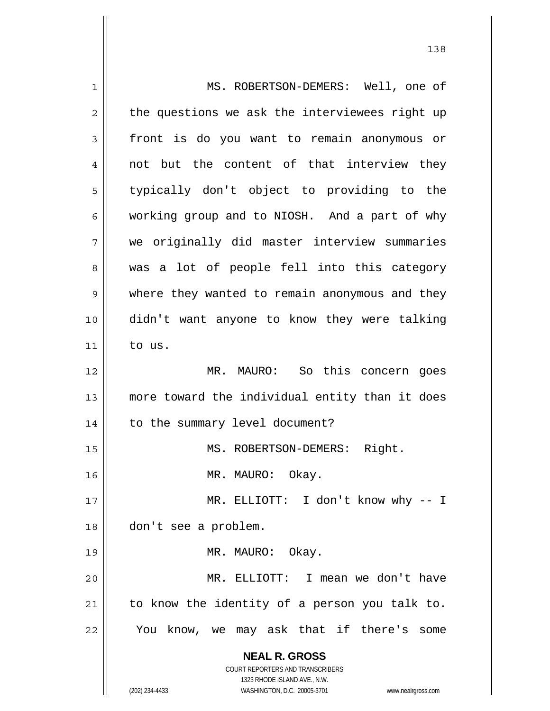**NEAL R. GROSS** COURT REPORTERS AND TRANSCRIBERS 1323 RHODE ISLAND AVE., N.W. (202) 234-4433 WASHINGTON, D.C. 20005-3701 www.nealrgross.com 1 MS. ROBERTSON-DEMERS: Well, one of  $2 \parallel$  the questions we ask the interviewees right up 3 front is do you want to remain anonymous or 4 || not but the content of that interview they 5 || typically don't object to providing to the  $6 \parallel$  working group and to NIOSH. And a part of why 7 we originally did master interview summaries 8 was a lot of people fell into this category 9 | where they wanted to remain anonymous and they 10 didn't want anyone to know they were talking  $11$  to us. 12 MR. MAURO: So this concern goes 13 more toward the individual entity than it does 14 | to the summary level document? 15 || MS. ROBERTSON-DEMERS: Right. 16 || MR. MAURO: Okay. 17 || MR. ELLIOTT: I don't know why -- I 18 don't see a problem. 19 || MR. MAURO: Okay. 20 MR. ELLIOTT: I mean we don't have  $21$  to know the identity of a person you talk to. 22 || You know, we may ask that if there's some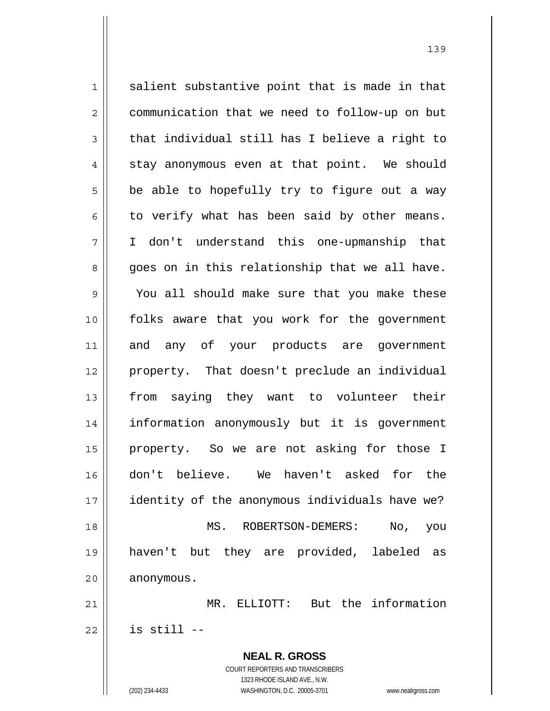$1 \parallel$  salient substantive point that is made in that 2 communication that we need to follow-up on but  $3 \parallel$  that individual still has I believe a right to  $4 \parallel$  stay anonymous even at that point. We should  $5 \parallel$  be able to hopefully try to figure out a way  $6 \parallel$  to verify what has been said by other means. 7 I don't understand this one-upmanship that  $8 \parallel$  goes on in this relationship that we all have. 9 You all should make sure that you make these 10 folks aware that you work for the government 11 and any of your products are government 12 property. That doesn't preclude an individual 13 || from saying they want to volunteer their 14 information anonymously but it is government 15 property. So we are not asking for those I 16 don't believe. We haven't asked for the 17 | identity of the anonymous individuals have we? 18 MS. ROBERTSON-DEMERS: No, you 19 haven't but they are provided, labeled as 20 | anonymous. 21 MR. ELLIOTT: But the information  $22$   $\parallel$  is still --

> **NEAL R. GROSS** COURT REPORTERS AND TRANSCRIBERS 1323 RHODE ISLAND AVE., N.W. (202) 234-4433 WASHINGTON, D.C. 20005-3701 www.nealrgross.com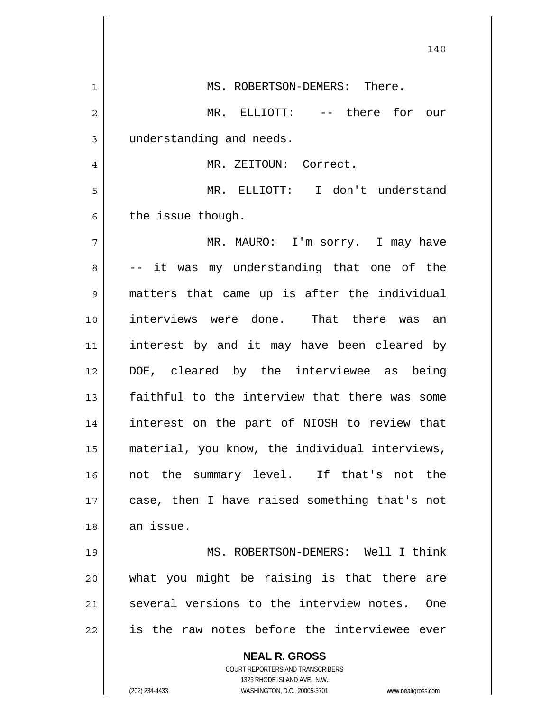|              | 140                                                                 |
|--------------|---------------------------------------------------------------------|
| $\mathbf{1}$ | MS. ROBERTSON-DEMERS: There.                                        |
| 2            | MR. ELLIOTT: -- there for our                                       |
| 3            | understanding and needs.                                            |
| 4            | MR. ZEITOUN: Correct.                                               |
| 5            | MR. ELLIOTT: I don't understand                                     |
| 6            | the issue though.                                                   |
| 7            | MR. MAURO: I'm sorry. I may have                                    |
| 8            | -- it was my understanding that one of the                          |
| 9            | matters that came up is after the individual                        |
| 10           | interviews were done. That there was an                             |
| 11           | interest by and it may have been cleared by                         |
| 12           | DOE, cleared by the interviewee as being                            |
| 13           | faithful to the interview that there was some                       |
| 14           | interest on the part of NIOSH to review that                        |
| 15           | material, you know, the individual interviews,                      |
| 16           | not the summary level. If that's not the                            |
| 17           | case, then I have raised something that's not                       |
| 18           | an issue.                                                           |
| 19           | MS. ROBERTSON-DEMERS: Well I think                                  |
| 20           | what you might be raising is that there are                         |
| 21           | several versions to the interview notes.<br><b>One</b>              |
| 22           | is the raw notes before the interviewee ever                        |
|              | <b>NEAL R. GROSS</b><br>COURT REPORTERS AND TRANSCRIBERS            |
|              | 1323 RHODE ISLAND AVE., N.W.                                        |
|              | (202) 234-4433<br>WASHINGTON, D.C. 20005-3701<br>www.nealrgross.com |

 $\overline{\phantom{a}}$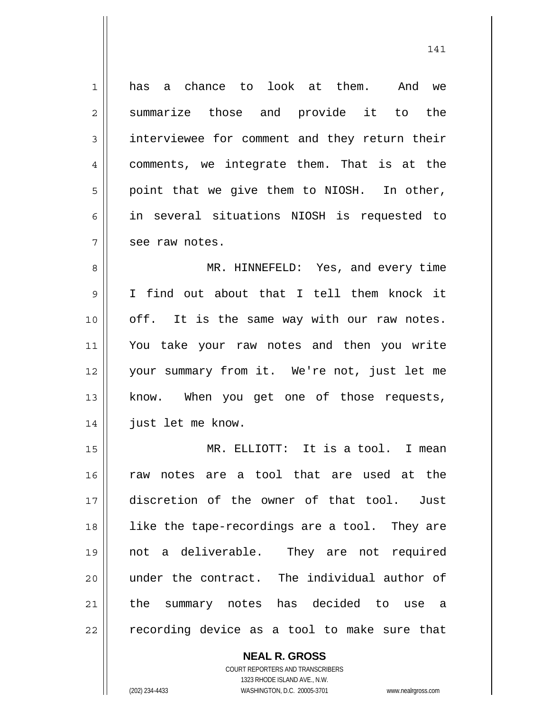1 has a chance to look at them. And we 2 summarize those and provide it to the 3 interviewee for comment and they return their 4 || comments, we integrate them. That is at the  $5 \parallel$  point that we give them to NIOSH. In other, 6 in several situations NIOSH is requested to  $7 \parallel$  see raw notes.

MR. HINNEFELD: Yes, and every time I find out about that I tell them knock it 10 || off. It is the same way with our raw notes. You take your raw notes and then you write your summary from it. We're not, just let me 13 || know. When you get one of those requests, just let me know.

15 || MR. ELLIOTT: It is a tool. I mean raw notes are a tool that are used at the discretion of the owner of that tool. Just 18 || like the tape-recordings are a tool. They are not a deliverable. They are not required under the contract. The individual author of the summary notes has decided to use a  $\parallel$  recording device as a tool to make sure that

 **NEAL R. GROSS**

 COURT REPORTERS AND TRANSCRIBERS 1323 RHODE ISLAND AVE., N.W. (202) 234-4433 WASHINGTON, D.C. 20005-3701 www.nealrgross.com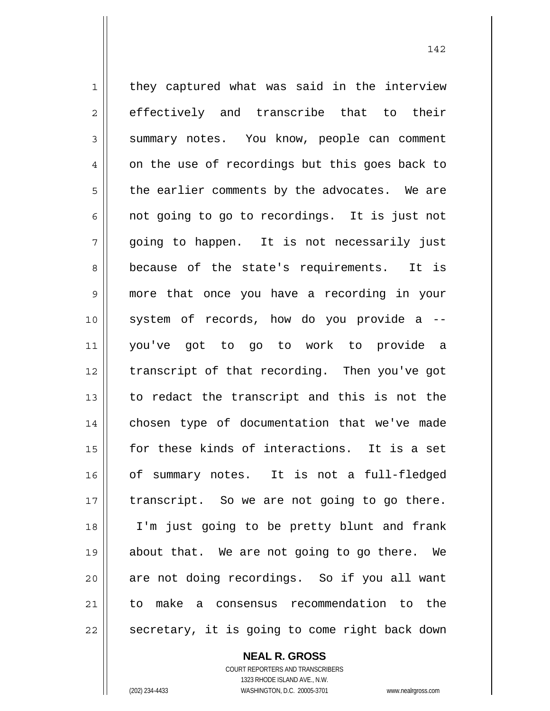$1 \parallel$  they captured what was said in the interview 2 effectively and transcribe that to their 3 Summary notes. You know, people can comment  $4 \parallel$  on the use of recordings but this goes back to  $5 \parallel$  the earlier comments by the advocates. We are  $6 \parallel$  not going to go to recordings. It is just not  $7 \parallel$  going to happen. It is not necessarily just 8 because of the state's requirements. It is 9 more that once you have a recording in your 10 system of records, how do you provide a -- 11 you've got to go to work to provide a 12 || transcript of that recording. Then you've got  $13$  to redact the transcript and this is not the 14 || chosen type of documentation that we've made 15 || for these kinds of interactions. It is a set 16 || of summary notes. It is not a full-fledged  $17$  | transcript. So we are not going to go there. 18 I'm just going to be pretty blunt and frank 19 about that. We are not going to go there. We 20 || are not doing recordings. So if you all want 21 to make a consensus recommendation to the  $22$   $\parallel$  secretary, it is going to come right back down

 **NEAL R. GROSS**

 COURT REPORTERS AND TRANSCRIBERS 1323 RHODE ISLAND AVE., N.W. (202) 234-4433 WASHINGTON, D.C. 20005-3701 www.nealrgross.com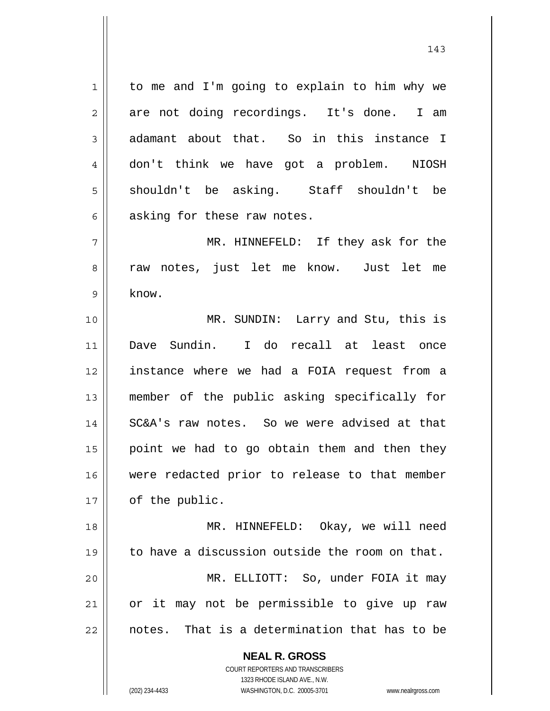1 | to me and I'm going to explain to him why we  $2 \parallel$  are not doing recordings. It's done. I am  $3 \parallel$  adamant about that. So in this instance I 4 don't think we have got a problem. NIOSH 5 shouldn't be asking. Staff shouldn't be  $6 \parallel$  asking for these raw notes.

7 MR. HINNEFELD: If they ask for the 8 || raw notes, just let me know. Just let me  $9 \parallel$  know.

MR. SUNDIN: Larry and Stu, this is Dave Sundin. I do recall at least once instance where we had a FOIA request from a member of the public asking specifically for 14 || SC&A's raw notes. So we were advised at that point we had to go obtain them and then they were redacted prior to release to that member 17 | of the public.

MR. HINNEFELD: Okay, we will need  $\parallel$  to have a discussion outside the room on that. MR. ELLIOTT: So, under FOIA it may or it may not be permissible to give up raw  $\parallel$  notes. That is a determination that has to be

> **NEAL R. GROSS** COURT REPORTERS AND TRANSCRIBERS

> > 1323 RHODE ISLAND AVE., N.W.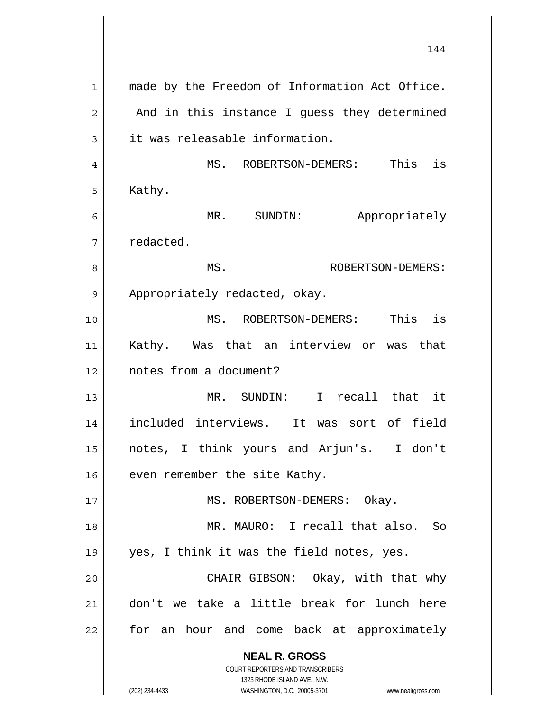|                | 144                                                                                                 |
|----------------|-----------------------------------------------------------------------------------------------------|
| $\mathbf 1$    | made by the Freedom of Information Act Office.                                                      |
| $\overline{c}$ | And in this instance I guess they determined                                                        |
| 3              | it was releasable information.                                                                      |
| 4              | is<br>MS. ROBERTSON-DEMERS: This                                                                    |
| 5              | Kathy.                                                                                              |
| 6              | MR.<br>Appropriately<br>SUNDIN:                                                                     |
| 7              | redacted.                                                                                           |
| 8              | MS.<br>ROBERTSON-DEMERS:                                                                            |
| 9              | Appropriately redacted, okay.                                                                       |
| 10             | MS. ROBERTSON-DEMERS: This is                                                                       |
| 11             | Kathy. Was that an interview or was that                                                            |
| 12             | notes from a document?                                                                              |
| 13             | MR. SUNDIN: I recall that it                                                                        |
| 14             | included interviews. It was sort of field                                                           |
| 15             | notes, I think yours and Arjun's. I don't                                                           |
| 16             | even remember the site Kathy.                                                                       |
| 17             | MS. ROBERTSON-DEMERS: Okay.                                                                         |
| 18             | MR. MAURO: I recall that also. So                                                                   |
| 19             | yes, I think it was the field notes, yes.                                                           |
| 20             | CHAIR GIBSON: Okay, with that why                                                                   |
| 21             | don't we take a little break for lunch here                                                         |
| 22             | for an hour and come back at approximately                                                          |
|                | <b>NEAL R. GROSS</b><br>COURT REPORTERS AND TRANSCRIBERS                                            |
|                | 1323 RHODE ISLAND AVE., N.W.<br>(202) 234-4433<br>WASHINGTON, D.C. 20005-3701<br>www.nealrgross.com |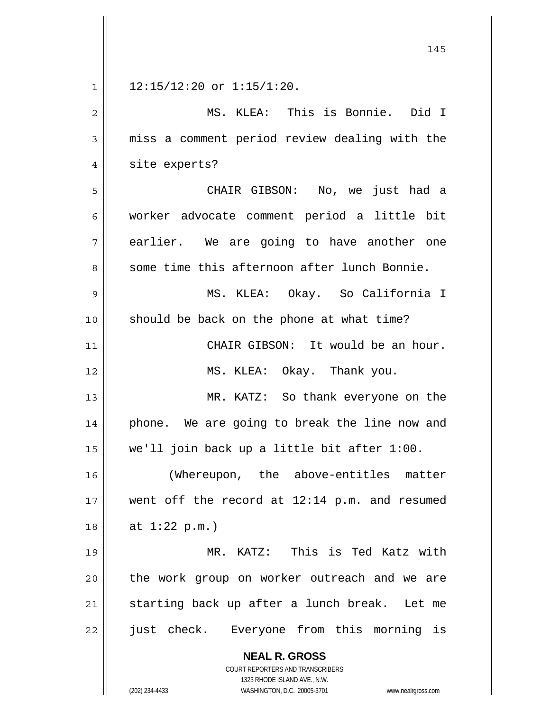|             | 145                                                                 |
|-------------|---------------------------------------------------------------------|
| $\mathbf 1$ | $12:15/12:20$ or $1:15/1:20$ .                                      |
| 2           | MS. KLEA: This is Bonnie. Did I                                     |
| 3           | miss a comment period review dealing with the                       |
| 4           | site experts?                                                       |
| 5           | CHAIR GIBSON: No, we just had a                                     |
| 6           | worker advocate comment period a little bit                         |
| 7           | earlier. We are going to have another one                           |
| 8           | some time this afternoon after lunch Bonnie.                        |
| 9           | MS. KLEA: Okay. So California I                                     |
| 10          | should be back on the phone at what time?                           |
| 11          | CHAIR GIBSON: It would be an hour.                                  |
| 12          | MS. KLEA: Okay. Thank you.                                          |
| 13          | MR. KATZ: So thank everyone on the                                  |
| 14          | phone. We are going to break the line now and                       |
| 15          | we'll join back up a little bit after 1:00.                         |
| 16          | (Whereupon, the above-entitles matter                               |
| 17          | went off the record at 12:14 p.m. and resumed                       |
| 18          | at $1:22$ p.m.)                                                     |
| 19          | MR. KATZ: This is Ted Katz with                                     |
| 20          | the work group on worker outreach and we are                        |
| 21          | starting back up after a lunch break. Let me                        |
| 22          | just check. Everyone from this morning is                           |
|             | <b>NEAL R. GROSS</b>                                                |
|             | COURT REPORTERS AND TRANSCRIBERS<br>1323 RHODE ISLAND AVE., N.W.    |
|             | (202) 234-4433<br>WASHINGTON, D.C. 20005-3701<br>www.nealrgross.com |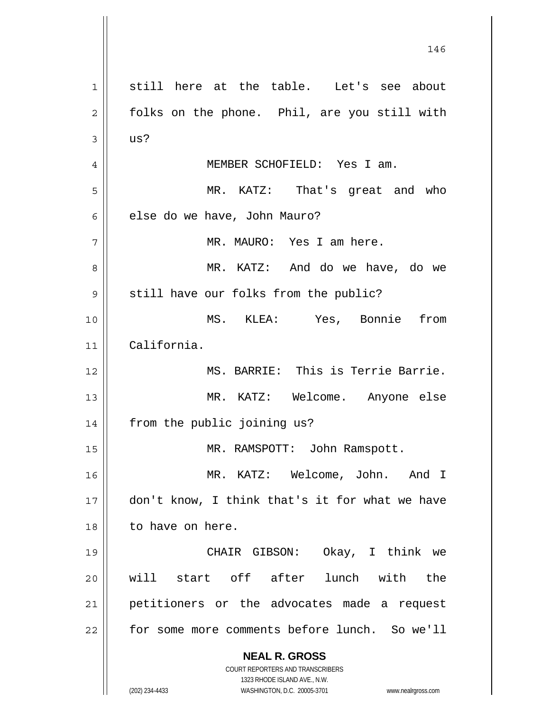**NEAL R. GROSS** COURT REPORTERS AND TRANSCRIBERS 1323 RHODE ISLAND AVE., N.W. (202) 234-4433 WASHINGTON, D.C. 20005-3701 www.nealrgross.com 1<sup>|</sup> still here at the table. Let's see about 2 || folks on the phone. Phil, are you still with  $3 \parallel$  us? 4 MEMBER SCHOFIELD: Yes I am. 5 MR. KATZ: That's great and who 6 | else do we have, John Mauro? 7 || MR. MAURO: Yes I am here. 8 MR. KATZ: And do we have, do we  $9 \parallel$  still have our folks from the public? 10 MS. KLEA: Yes, Bonnie from 11 California. 12 MS. BARRIE: This is Terrie Barrie. 13 MR. KATZ: Welcome. Anyone else 14 || from the public joining us? 15 || MR. RAMSPOTT: John Ramspott. 16 MR. KATZ: Welcome, John. And I 17 don't know, I think that's it for what we have 18 to have on here. 19 CHAIR GIBSON: Okay, I think we 20 will start off after lunch with the 21 || petitioners or the advocates made a request 22 | for some more comments before lunch. So we'll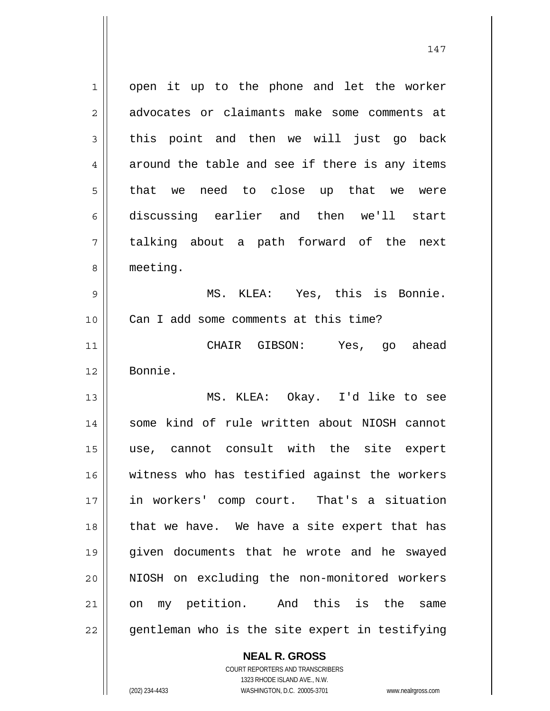1 || open it up to the phone and let the worker 2 advocates or claimants make some comments at  $3 \parallel$  this point and then we will just go back  $4 \parallel$  around the table and see if there is any items 5 that we need to close up that we were 6 discussing earlier and then we'll start 7 talking about a path forward of the next 8 | meeting.

9 MS. KLEA: Yes, this is Bonnie. 10 || Can I add some comments at this time?

11 CHAIR GIBSON: Yes, go ahead 12 Bonnie.

MS. KLEA: Okay. I'd like to see 14 || some kind of rule written about NIOSH cannot use, cannot consult with the site expert witness who has testified against the workers in workers' comp court. That's a situation 18 || that we have. We have a site expert that has given documents that he wrote and he swayed NIOSH on excluding the non-monitored workers on my petition. And this is the same || gentleman who is the site expert in testifying

 **NEAL R. GROSS**

 COURT REPORTERS AND TRANSCRIBERS 1323 RHODE ISLAND AVE., N.W. (202) 234-4433 WASHINGTON, D.C. 20005-3701 www.nealrgross.com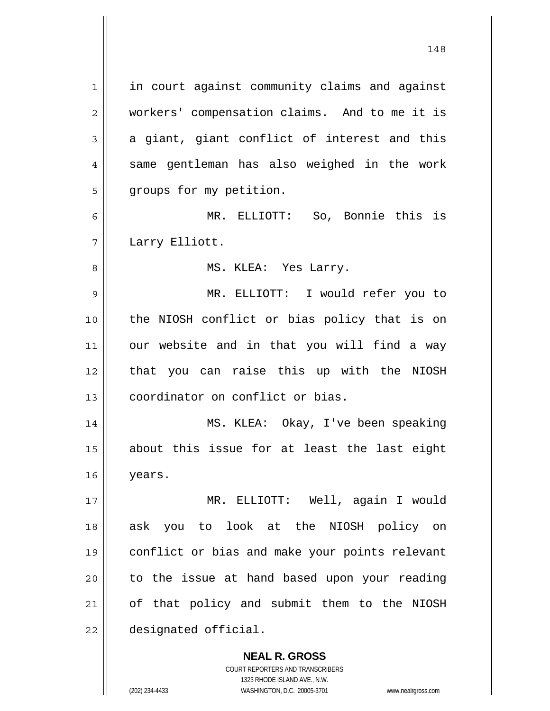in court against community claims and against 2 || workers' compensation claims. And to me it is  $3 \parallel$  a giant, giant conflict of interest and this  $4 \parallel$  same gentleman has also weighed in the work 5 | groups for my petition. MR. ELLIOTT: So, Bonnie this is Larry Elliott. MS. KLEA: Yes Larry. MR. ELLIOTT: I would refer you to the NIOSH conflict or bias policy that is on 11 || our website and in that you will find a way that you can raise this up with the NIOSH **coordinator** on conflict or bias. MS. KLEA: Okay, I've been speaking about this issue for at least the last eight years. MR. ELLIOTT: Well, again I would ask you to look at the NIOSH policy on conflict or bias and make your points relevant to the issue at hand based upon your reading of that policy and submit them to the NIOSH designated official.

> **NEAL R. GROSS** COURT REPORTERS AND TRANSCRIBERS 1323 RHODE ISLAND AVE., N.W.

(202) 234-4433 WASHINGTON, D.C. 20005-3701 www.nealrgross.com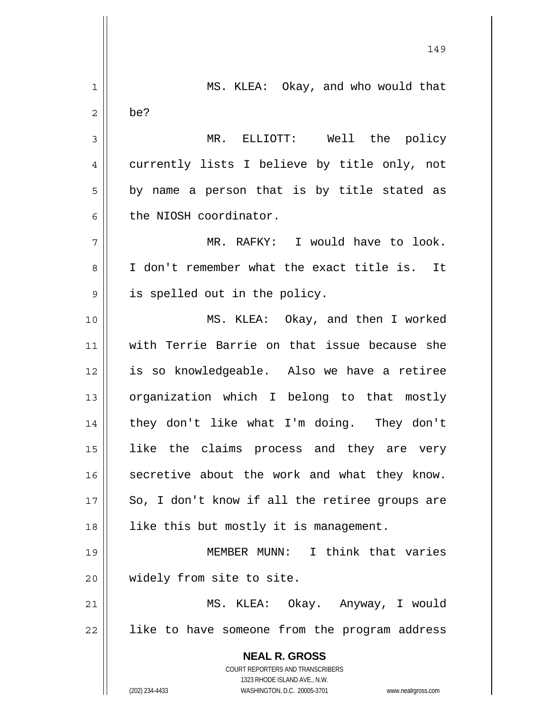**NEAL R. GROSS** COURT REPORTERS AND TRANSCRIBERS 1323 RHODE ISLAND AVE., N.W. (202) 234-4433 WASHINGTON, D.C. 20005-3701 www.nealrgross.com 149 1 MS. KLEA: Okay, and who would that  $2 \parallel$  be? 3 MR. ELLIOTT: Well the policy 4 || currently lists I believe by title only, not  $5 \parallel$  by name a person that is by title stated as  $6 \parallel$  the NIOSH coordinator. 7 MR. RAFKY: I would have to look. 8 I don't remember what the exact title is. It 9 || is spelled out in the policy. 10 MS. KLEA: Okay, and then I worked 11 with Terrie Barrie on that issue because she 12 is so knowledgeable. Also we have a retiree 13 || organization which I belong to that mostly 14 || they don't like what I'm doing. They don't 15 like the claims process and they are very 16 secretive about the work and what they know.  $17$  | So, I don't know if all the retiree groups are 18 || like this but mostly it is management. 19 MEMBER MUNN: I think that varies 20 || widely from site to site. 21 MS. KLEA: Okay. Anyway, I would 22 || like to have someone from the program address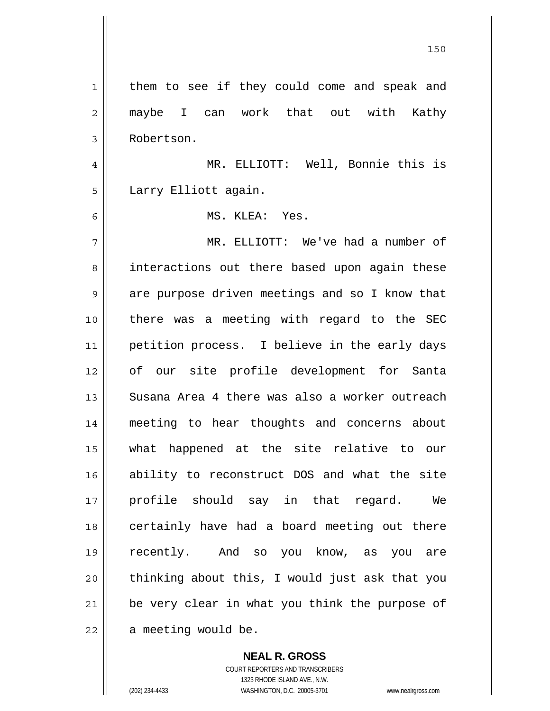| 1              | them to see if they could come and speak and   |
|----------------|------------------------------------------------|
| $\overline{2}$ | maybe I can work that out with Kathy           |
| 3              | Robertson.                                     |
| 4              | MR. ELLIOTT: Well, Bonnie this is              |
| 5              | Larry Elliott again.                           |
| 6              | MS. KLEA: Yes.                                 |
| 7              | MR. ELLIOTT: We've had a number of             |
| 8              | interactions out there based upon again these  |
| 9              | are purpose driven meetings and so I know that |
| 10             | there was a meeting with regard to the SEC     |
| 11             | petition process. I believe in the early days  |
| 12             | of our site profile development for Santa      |
| 13             | Susana Area 4 there was also a worker outreach |
| 14             | meeting to hear thoughts and concerns about    |
| 15             | what happened at the site relative to our      |
| 16             | ability to reconstruct DOS and what the site   |
| 17             | profile should say in that regard.<br>We       |
| 18             | certainly have had a board meeting out there   |
| 19             | recently. And so you know, as you are          |
| 20             | thinking about this, I would just ask that you |
| 21             | be very clear in what you think the purpose of |
| 22             | a meeting would be.                            |

 **NEAL R. GROSS** COURT REPORTERS AND TRANSCRIBERS

1323 RHODE ISLAND AVE., N.W.

(202) 234-4433 WASHINGTON, D.C. 20005-3701 www.nealrgross.com

<u>150</u>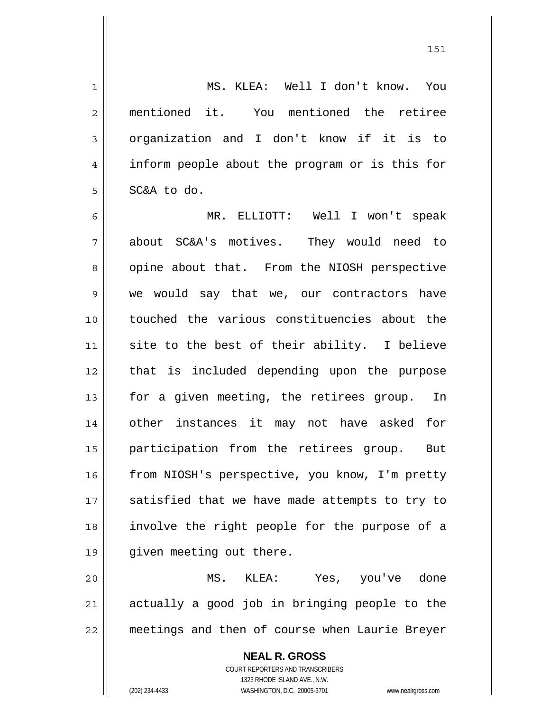1 MS. KLEA: Well I don't know. You 2 || mentioned it. You mentioned the retiree 3 || organization and I don't know if it is to 4 || inform people about the program or is this for  $5 \parallel$  SC&A to do. 6 MR. ELLIOTT: Well I won't speak 7 about SC&A's motives. They would need to 8 || opine about that. From the NIOSH perspective 9 we would say that we, our contractors have 10 touched the various constituencies about the 11 site to the best of their ability. I believe 12 || that is included depending upon the purpose 13 || for a given meeting, the retirees group. In 14 other instances it may not have asked for 15 participation from the retirees group. But 16 | from NIOSH's perspective, you know, I'm pretty  $17$  satisfied that we have made attempts to try to 18 involve the right people for the purpose of a 19 given meeting out there.

20 MS. KLEA: Yes, you've done 21 || actually a good job in bringing people to the 22 meetings and then of course when Laurie Breyer

> **NEAL R. GROSS** COURT REPORTERS AND TRANSCRIBERS 1323 RHODE ISLAND AVE., N.W. (202) 234-4433 WASHINGTON, D.C. 20005-3701 www.nealrgross.com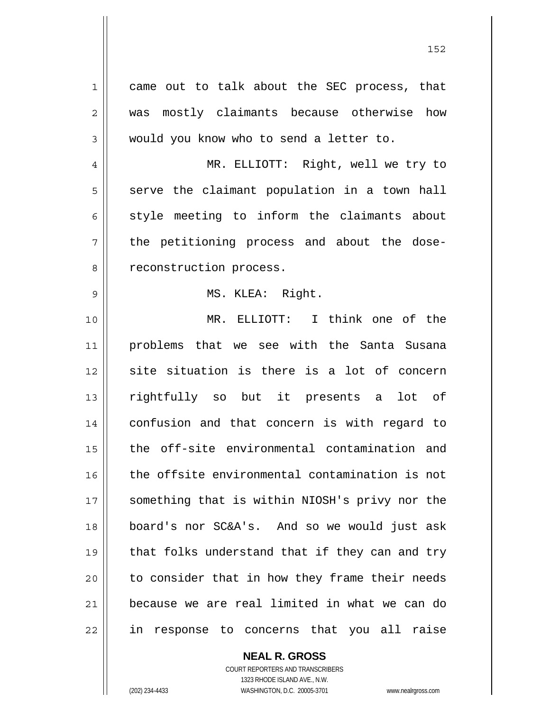1 || came out to talk about the SEC process, that 2 was mostly claimants because otherwise how 3 would you know who to send a letter to. 4 MR. ELLIOTT: Right, well we try to  $5$  serve the claimant population in a town hall  $6 \parallel$  style meeting to inform the claimants about 7 the petitioning process and about the dose-8 || reconstruction process. 9 || MS. KLEA: Right. 10 MR. ELLIOTT: I think one of the 11 problems that we see with the Santa Susana 12 site situation is there is a lot of concern 13 rightfully so but it presents a lot of 14 confusion and that concern is with regard to 15 the off-site environmental contamination and 16 the offsite environmental contamination is not 17 || something that is within NIOSH's privy nor the 18 board's nor SC&A's. And so we would just ask 19 || that folks understand that if they can and try 20 || to consider that in how they frame their needs 21 because we are real limited in what we can do 22 in response to concerns that you all raise

> COURT REPORTERS AND TRANSCRIBERS 1323 RHODE ISLAND AVE., N.W. (202) 234-4433 WASHINGTON, D.C. 20005-3701 www.nealrgross.com

 **NEAL R. GROSS**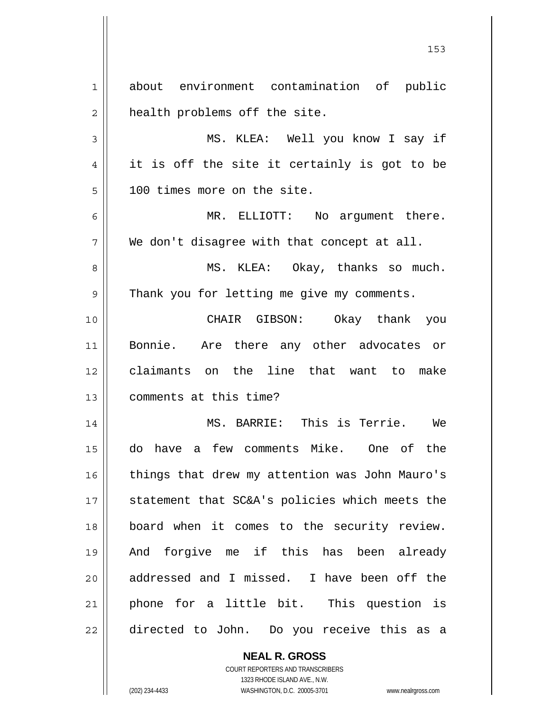1 about environment contamination of public  $2 \parallel$  health problems off the site. 3 MS. KLEA: Well you know I say if  $4 \parallel$  it is off the site it certainly is got to be 5 100 times more on the site. 6 MR. ELLIOTT: No argument there.  $7 \parallel$  We don't disagree with that concept at all. 8 MS. KLEA: Okay, thanks so much. 9 || Thank you for letting me give my comments. 10 CHAIR GIBSON: Okay thank you 11 Bonnie. Are there any other advocates or 12 claimants on the line that want to make 13 || comments at this time? 14 MS. BARRIE: This is Terrie. We 15 do have a few comments Mike. One of the 16 || things that drew my attention was John Mauro's 17 || statement that SC&A's policies which meets the 18 board when it comes to the security review. 19 And forgive me if this has been already 20 || addressed and I missed. I have been off the 21 || phone for a little bit. This question is 22 directed to John. Do you receive this as a

153

 COURT REPORTERS AND TRANSCRIBERS 1323 RHODE ISLAND AVE., N.W. (202) 234-4433 WASHINGTON, D.C. 20005-3701 www.nealrgross.com

 **NEAL R. GROSS**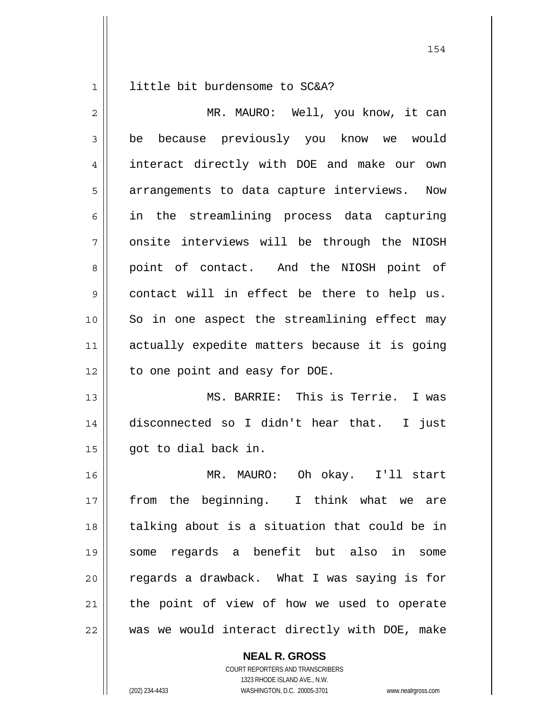1 | little bit burdensome to SC&A?

| $\overline{2}$ | MR. MAURO: Well, you know, it can             |
|----------------|-----------------------------------------------|
| 3              | because previously you know we would<br>be    |
| 4              | interact directly with DOE and make our own   |
| 5              | arrangements to data capture interviews. Now  |
| 6              | in the streamlining process data capturing    |
| 7              | onsite interviews will be through the NIOSH   |
| 8              | point of contact. And the NIOSH point of      |
| 9              | contact will in effect be there to help us.   |
| 10             | So in one aspect the streamlining effect may  |
| 11             | actually expedite matters because it is going |
| 12             | to one point and easy for DOE.                |
| 13             | MS. BARRIE: This is Terrie. I was             |
| 14             | disconnected so I didn't hear that. I just    |
| 15             | got to dial back in.                          |
| 16             | MR. MAURO: Oh okay. I'll start                |
| 17             | from the beginning. I think what we are       |
| 18             | talking about is a situation that could be in |
| 19             | some regards a benefit but also in some       |
| 20             | regards a drawback. What I was saying is for  |
| 21             | the point of view of how we used to operate   |
| 22             | was we would interact directly with DOE, make |

 **NEAL R. GROSS**

 COURT REPORTERS AND TRANSCRIBERS 1323 RHODE ISLAND AVE., N.W. (202) 234-4433 WASHINGTON, D.C. 20005-3701 www.nealrgross.com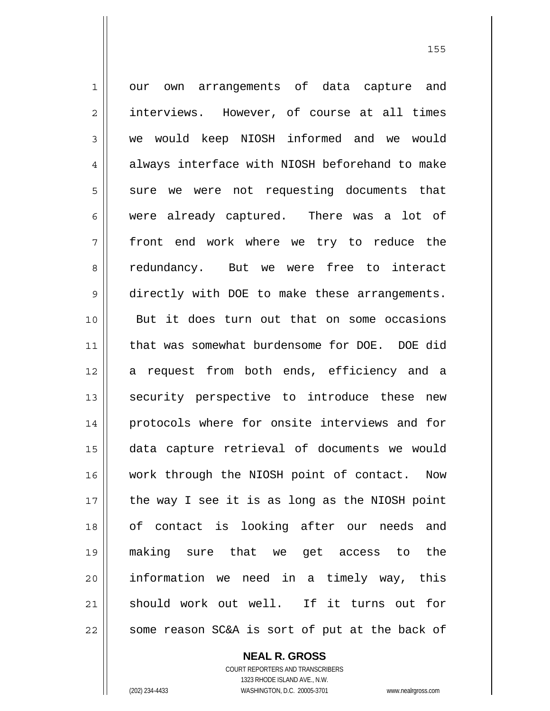1 || our own arrangements of data capture and 2 | interviews. However, of course at all times 3 we would keep NIOSH informed and we would 4 always interface with NIOSH beforehand to make  $5$  sure we were not requesting documents that 6 were already captured. There was a lot of 7 front end work where we try to reduce the 8 cedundancy. But we were free to interact 9 directly with DOE to make these arrangements. 10 But it does turn out that on some occasions 11 that was somewhat burdensome for DOE. DOE did 12 a request from both ends, efficiency and a 13 || security perspective to introduce these new 14 || protocols where for onsite interviews and for 15 data capture retrieval of documents we would 16 || work through the NIOSH point of contact. Now  $17$  | the way I see it is as long as the NIOSH point 18 of contact is looking after our needs and 19 making sure that we get access to the 20 information we need in a timely way, this 21 should work out well. If it turns out for  $22$  some reason SC&A is sort of put at the back of

> **NEAL R. GROSS** COURT REPORTERS AND TRANSCRIBERS

 1323 RHODE ISLAND AVE., N.W. (202) 234-4433 WASHINGTON, D.C. 20005-3701 www.nealrgross.com

<u>155 میں اس کی استعمال کرتا ہے۔ اس کی اس کی اس کی اس کی اس کی اس کی اس کی اس کی اس کی اس کی اس کی اس کی اس کی</u>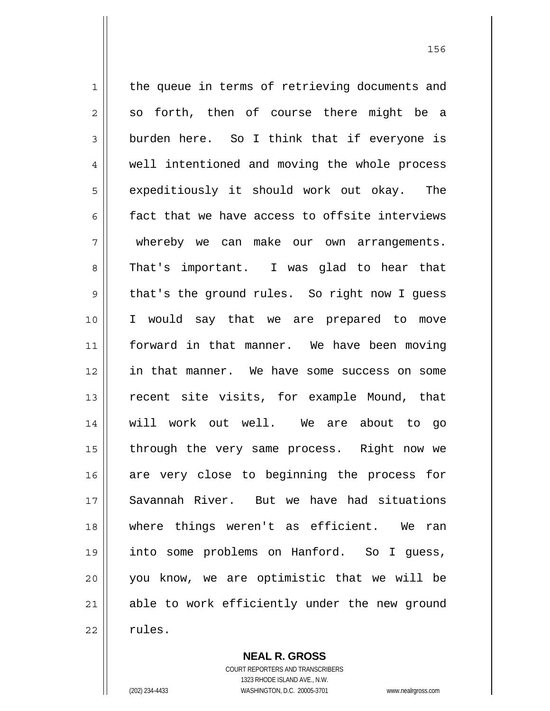1 || the queue in terms of retrieving documents and  $2 \parallel$  so forth, then of course there might be a  $3 \parallel$  burden here. So I think that if everyone is 4 || well intentioned and moving the whole process 5 | expeditiously it should work out okay. The 6  $\parallel$  fact that we have access to offsite interviews 7 whereby we can make our own arrangements. 8 That's important. I was glad to hear that 9 || that's the ground rules. So right now I guess 10 I would say that we are prepared to move 11 forward in that manner. We have been moving 12 in that manner. We have some success on some 13 || recent site visits, for example Mound, that 14 will work out well. We are about to go 15 || through the very same process. Right now we 16 are very close to beginning the process for 17 Savannah River. But we have had situations 18 || where things weren't as efficient. We ran 19 into some problems on Hanford. So I guess, 20 you know, we are optimistic that we will be 21 able to work efficiently under the new ground  $22 \parallel$  rules.

> **NEAL R. GROSS** COURT REPORTERS AND TRANSCRIBERS

> > 1323 RHODE ISLAND AVE., N.W.

(202) 234-4433 WASHINGTON, D.C. 20005-3701 www.nealrgross.com

<u>156 - Animal Stephen Barbara, amerikan pendadaran pengaran pengaran pengaran pengaran pengaran pengaran penga</u>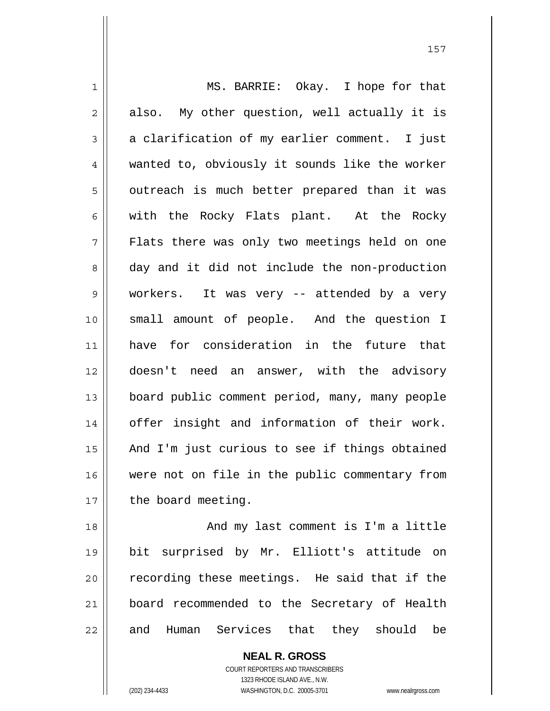1 || MS. BARRIE: Okay. I hope for that  $2 \parallel$  also. My other question, well actually it is  $3 \parallel$  a clarification of my earlier comment. I just 4 wanted to, obviously it sounds like the worker 5 || outreach is much better prepared than it was  $6 \parallel$  with the Rocky Flats plant. At the Rocky 7 Flats there was only two meetings held on one 8 day and it did not include the non-production 9 workers. It was very -- attended by a very 10 small amount of people. And the question I 11 have for consideration in the future that 12 doesn't need an answer, with the advisory 13 board public comment period, many, many people 14 || offer insight and information of their work. 15 || And I'm just curious to see if things obtained 16 || were not on file in the public commentary from  $17$  | the board meeting. 18 || And my last comment is I'm a little 19 bit surprised by Mr. Elliott's attitude on

 $20$   $\parallel$  recording these meetings. He said that if the 21 board recommended to the Secretary of Health 22 and Human Services that they should be

> **NEAL R. GROSS** COURT REPORTERS AND TRANSCRIBERS 1323 RHODE ISLAND AVE., N.W. (202) 234-4433 WASHINGTON, D.C. 20005-3701 www.nealrgross.com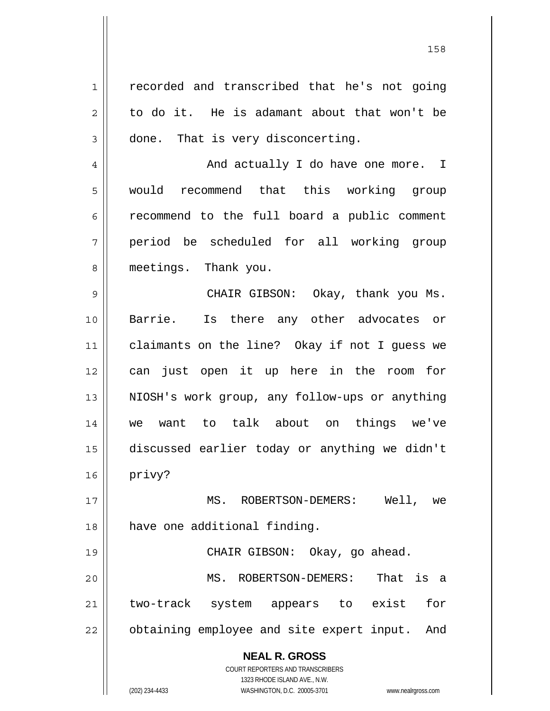**NEAL R. GROSS** COURT REPORTERS AND TRANSCRIBERS 1 || recorded and transcribed that he's not going  $2 \parallel$  to do it. He is adamant about that won't be  $3 \parallel$  done. That is very disconcerting. 4 And actually I do have one more. I 5 || would recommend that this working group  $6 \parallel$  recommend to the full board a public comment 7 period be scheduled for all working group 8 meetings. Thank you. 9 CHAIR GIBSON: Okay, thank you Ms. 10 Barrie. Is there any other advocates or 11 claimants on the line? Okay if not I guess we 12 can just open it up here in the room for 13 || NIOSH's work group, any follow-ups or anything 14 we want to talk about on things we've 15 discussed earlier today or anything we didn't  $16$  privy? 17 || MS. ROBERTSON-DEMERS: Well, we 18 || have one additional finding. 19 CHAIR GIBSON: Okay, go ahead. 20 MS. ROBERTSON-DEMERS: That is a 21 two-track system appears to exist for 22 || obtaining employee and site expert input. And

158

 1323 RHODE ISLAND AVE., N.W. (202) 234-4433 WASHINGTON, D.C. 20005-3701 www.nealrgross.com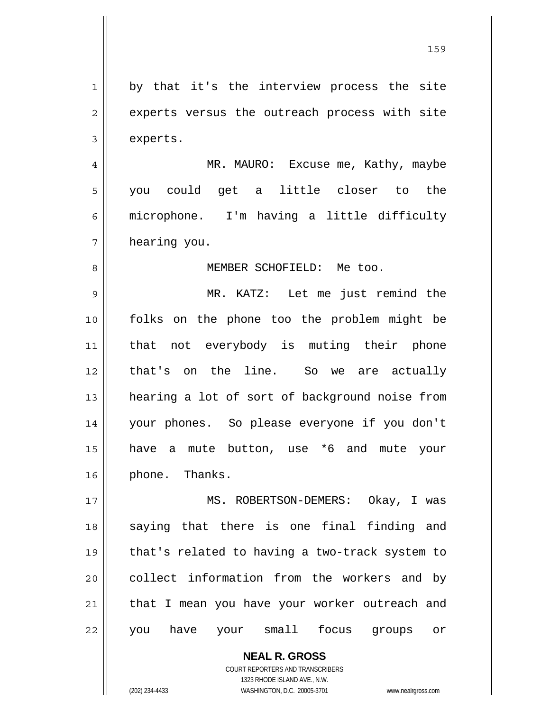**NEAL R. GROSS** 1 by that it's the interview process the site 2 || experts versus the outreach process with site 3 experts. 4 MR. MAURO: Excuse me, Kathy, maybe 5 you could get a little closer to the 6 microphone. I'm having a little difficulty 7 hearing you. 8 MEMBER SCHOFIELD: Me too. 9 MR. KATZ: Let me just remind the 10 folks on the phone too the problem might be 11 that not everybody is muting their phone 12 that's on the line. So we are actually 13 || hearing a lot of sort of background noise from 14 your phones. So please everyone if you don't 15 have a mute button, use \*6 and mute your 16 || phone. Thanks. 17 || MS. ROBERTSON-DEMERS: Okay, I was 18 || saying that there is one final finding and 19 that's related to having a two-track system to 20 || collect information from the workers and by  $21$  | that I mean you have your worker outreach and 22 || you have your small focus groups or

159

 COURT REPORTERS AND TRANSCRIBERS 1323 RHODE ISLAND AVE., N.W.

(202) 234-4433 WASHINGTON, D.C. 20005-3701 www.nealrgross.com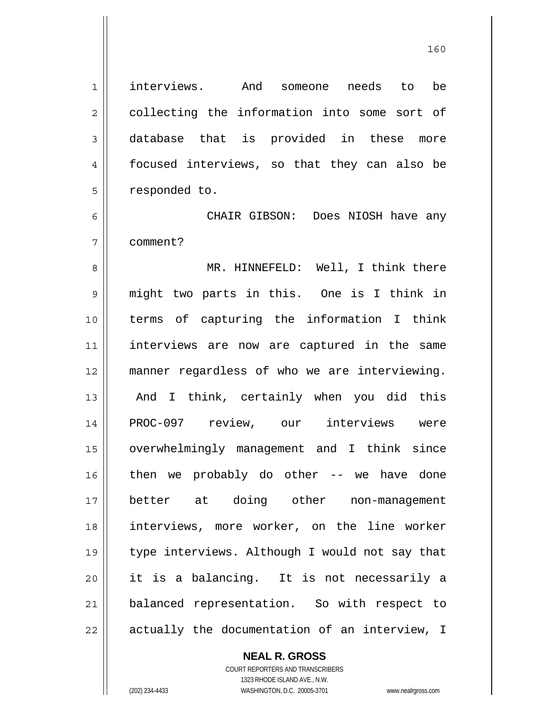interviews. And someone needs to be 2 || collecting the information into some sort of database that is provided in these more focused interviews, so that they can also be 5 | responded to.

CHAIR GIBSON: Does NIOSH have any comment?

8 || MR. HINNEFELD: Well, I think there 9 || might two parts in this. One is I think in terms of capturing the information I think interviews are now are captured in the same manner regardless of who we are interviewing. 13 || And I think, certainly when you did this PROC-097 review, our interviews were overwhelmingly management and I think since then we probably do other -- we have done better at doing other non-management interviews, more worker, on the line worker type interviews. Although I would not say that it is a balancing. It is not necessarily a 21 || balanced representation. So with respect to | actually the documentation of an interview, I

> **NEAL R. GROSS** COURT REPORTERS AND TRANSCRIBERS

 1323 RHODE ISLAND AVE., N.W. (202) 234-4433 WASHINGTON, D.C. 20005-3701 www.nealrgross.com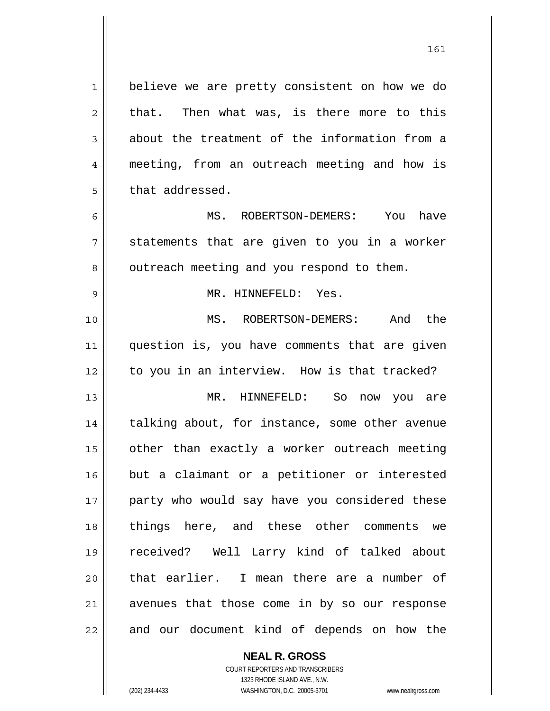1 | believe we are pretty consistent on how we do  $2 \parallel$  that. Then what was, is there more to this  $3 \parallel$  about the treatment of the information from a 4 || meeting, from an outreach meeting and how is  $5$   $\parallel$  that addressed. 6 MS. ROBERTSON-DEMERS: You have  $7 \parallel$  statements that are given to you in a worker 8 | outreach meeting and you respond to them. 9 MR. HINNEFELD: Yes. 10 MS. ROBERTSON-DEMERS: And the 11 || question is, you have comments that are given 12 || to you in an interview. How is that tracked? 13 MR. HINNEFELD: So now you are 14 || talking about, for instance, some other avenue 15 | other than exactly a worker outreach meeting 16 but a claimant or a petitioner or interested 17 || party who would say have you considered these 18 things here, and these other comments we 19 received? Well Larry kind of talked about 20 || that earlier. I mean there are a number of 21 || avenues that those come in by so our response  $22$  || and our document kind of depends on how the

> COURT REPORTERS AND TRANSCRIBERS 1323 RHODE ISLAND AVE., N.W. (202) 234-4433 WASHINGTON, D.C. 20005-3701 www.nealrgross.com

 **NEAL R. GROSS**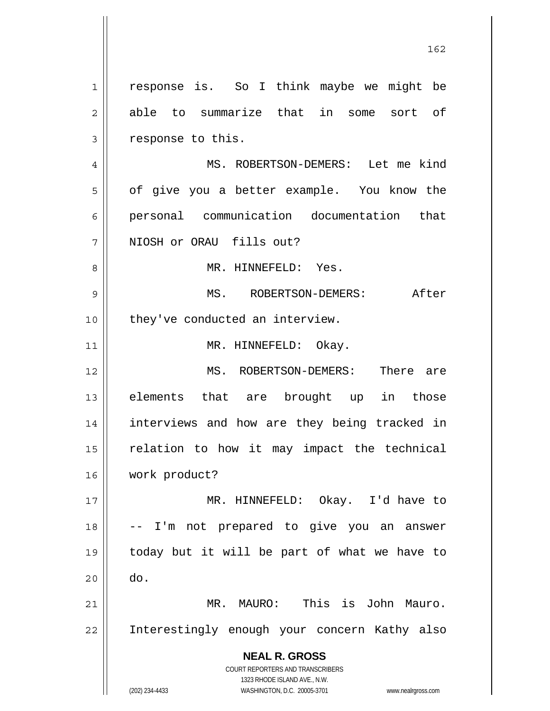**NEAL R. GROSS** COURT REPORTERS AND TRANSCRIBERS 1323 RHODE ISLAND AVE., N.W. (202) 234-4433 WASHINGTON, D.C. 20005-3701 www.nealrgross.com 1 || response is. So I think maybe we might be 2 able to summarize that in some sort of 3 | response to this. 4 MS. ROBERTSON-DEMERS: Let me kind 5 | of give you a better example. You know the 6 personal communication documentation that 7 || NIOSH or ORAU fills out? 8 MR. HINNEFELD: Yes. 9 MS. ROBERTSON-DEMERS: After 10 || they've conducted an interview. 11 || MR. HINNEFELD: Okay. 12 MS. ROBERTSON-DEMERS: There are 13 elements that are brought up in those 14 || interviews and how are they being tracked in  $15$  relation to how it may impact the technical 16 work product? 17 MR. HINNEFELD: Okay. I'd have to 18 -- I'm not prepared to give you an answer 19 today but it will be part of what we have to  $20$   $\parallel$  do. 21 MR. MAURO: This is John Mauro. 22 || Interestingly enough your concern Kathy also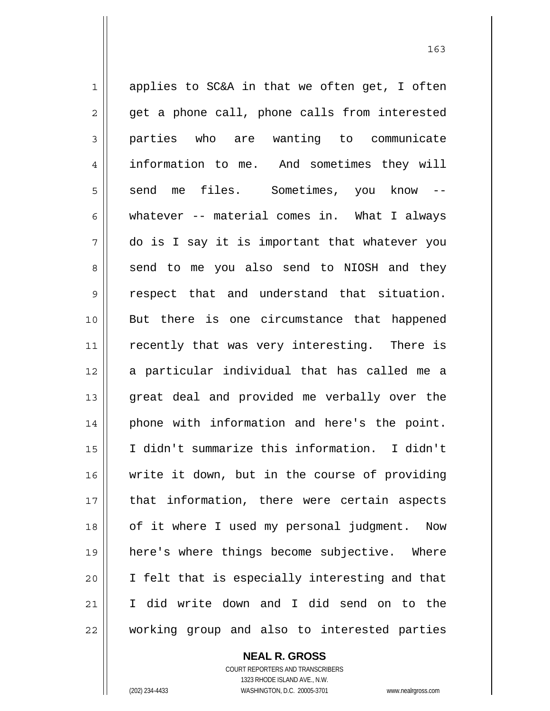$1 \parallel$  applies to SC&A in that we often get, I often  $2 \parallel$  get a phone call, phone calls from interested 3 parties who are wanting to communicate 4 information to me. And sometimes they will  $5 \parallel$  send me files. Sometimes, you know 6 whatever  $-$  material comes in. What I always 7 do is I say it is important that whatever you 8 || send to me you also send to NIOSH and they 9 || respect that and understand that situation. 10 But there is one circumstance that happened 11 || recently that was very interesting. There is 12 a particular individual that has called me a 13 || great deal and provided me verbally over the 14 || phone with information and here's the point. 15 I didn't summarize this information. I didn't 16 write it down, but in the course of providing 17 || that information, there were certain aspects 18 || of it where I used my personal judgment. Now 19 here's where things become subjective. Where 20 || I felt that is especially interesting and that 21 I did write down and I did send on to the 22 working group and also to interested parties

163

 **NEAL R. GROSS**

 COURT REPORTERS AND TRANSCRIBERS 1323 RHODE ISLAND AVE., N.W. (202) 234-4433 WASHINGTON, D.C. 20005-3701 www.nealrgross.com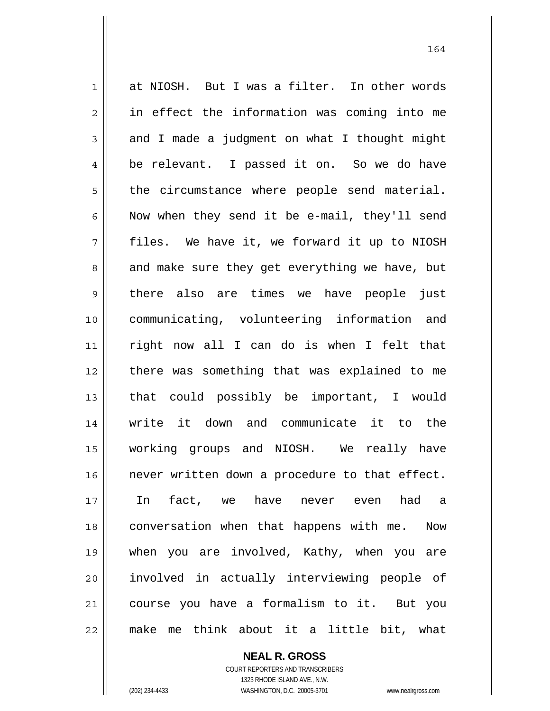1 || at NIOSH. But I was a filter. In other words 2 || in effect the information was coming into me  $3 \parallel$  and I made a judgment on what I thought might 4 || be relevant. I passed it on. So we do have  $5$  || the circumstance where people send material. 6 || Now when they send it be e-mail, they'll send 7 files. We have it, we forward it up to NIOSH 8 and make sure they get everything we have, but 9 || there also are times we have people just 10 communicating, volunteering information and 11 right now all I can do is when I felt that 12 there was something that was explained to me 13 || that could possibly be important, I would 14 write it down and communicate it to the 15 working groups and NIOSH. We really have 16 never written down a procedure to that effect. 17 In fact, we have never even had a 18 conversation when that happens with me. Now 19 when you are involved, Kathy, when you are 20 || involved in actually interviewing people of 21 || course you have a formalism to it. But you 22 make me think about it a little bit, what

> **NEAL R. GROSS** COURT REPORTERS AND TRANSCRIBERS

 1323 RHODE ISLAND AVE., N.W. (202) 234-4433 WASHINGTON, D.C. 20005-3701 www.nealrgross.com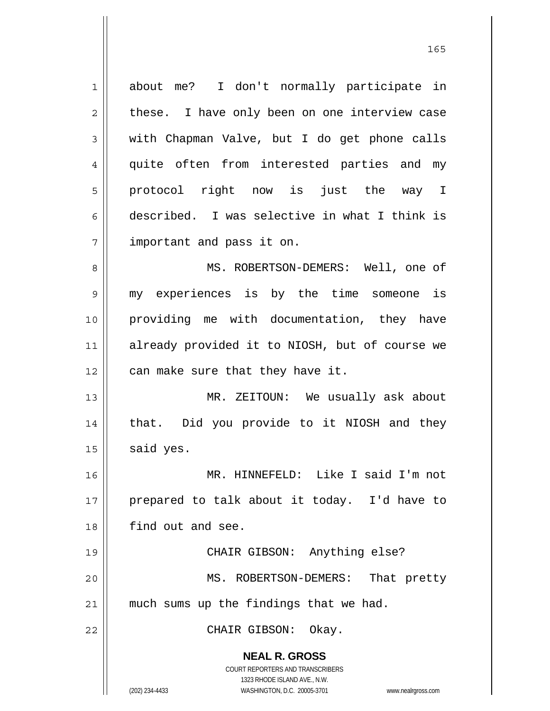| $\mathbf 1$    | about me? I don't normally participate in                           |
|----------------|---------------------------------------------------------------------|
| $\overline{c}$ | these. I have only been on one interview case                       |
| 3              | with Chapman Valve, but I do get phone calls                        |
| 4              | quite often from interested parties and my                          |
| 5              | protocol right now is just the way I                                |
| 6              | described. I was selective in what I think is                       |
| 7              | important and pass it on.                                           |
| 8              | MS. ROBERTSON-DEMERS: Well, one of                                  |
| 9              | my experiences is by the time someone is                            |
| 10             | providing me with documentation, they have                          |
| 11             | already provided it to NIOSH, but of course we                      |
| 12             | can make sure that they have it.                                    |
| 13             | MR. ZEITOUN: We usually ask about                                   |
| 14             | that. Did you provide to it NIOSH and they                          |
| 15             | said yes.                                                           |
| 16             | MR. HINNEFELD: Like I said I'm not                                  |
| 17             | prepared to talk about it today. I'd have to                        |
| 18             | find out and see.                                                   |
| 19             | CHAIR GIBSON: Anything else?                                        |
| 20             | MS. ROBERTSON-DEMERS:<br>That pretty                                |
| 21             | much sums up the findings that we had.                              |
| 22             | CHAIR GIBSON:<br>Okay.                                              |
|                | <b>NEAL R. GROSS</b>                                                |
|                | COURT REPORTERS AND TRANSCRIBERS                                    |
|                | 1323 RHODE ISLAND AVE., N.W.                                        |
|                | (202) 234-4433<br>WASHINGTON, D.C. 20005-3701<br>www.nealrgross.com |

<u>165</u>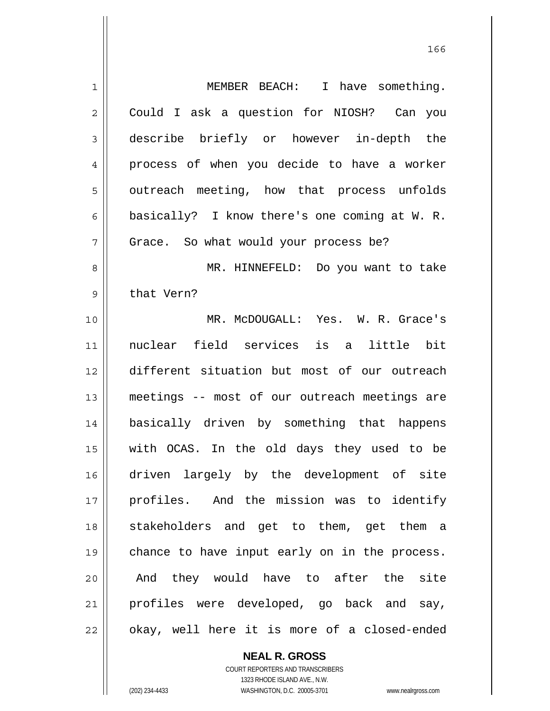1 MEMBER BEACH: I have something. 2 | Could I ask a question for NIOSH? Can you 3 describe briefly or however in-depth the 4 process of when you decide to have a worker 5 || outreach meeting, how that process unfolds 6 | basically? I know there's one coming at W. R. 7 || Grace. So what would your process be? 8 MR. HINNEFELD: Do you want to take 9 | that Vern? 10 MR. McDOUGALL: Yes. W. R. Grace's 11 nuclear field services is a little bit 12 different situation but most of our outreach 13 meetings -- most of our outreach meetings are 14 basically driven by something that happens 15 with OCAS. In the old days they used to be 16 driven largely by the development of site 17 profiles. And the mission was to identify 18 Stakeholders and get to them, get them a 19 || chance to have input early on in the process. 20 || And they would have to after the site 21 || profiles were developed, go back and say, 22 || okay, well here it is more of a closed-ended

<u>166</u>

 **NEAL R. GROSS** COURT REPORTERS AND TRANSCRIBERS 1323 RHODE ISLAND AVE., N.W. (202) 234-4433 WASHINGTON, D.C. 20005-3701 www.nealrgross.com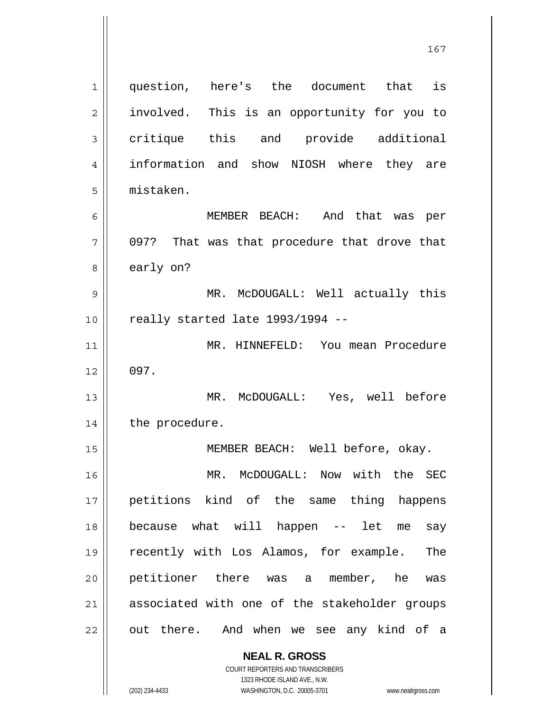**NEAL R. GROSS** COURT REPORTERS AND TRANSCRIBERS 1 question, here's the document that is 2 || involved. This is an opportunity for you to 3 critique this and provide additional 4 || information and show NIOSH where they are 5 mistaken. 6 MEMBER BEACH: And that was per  $7 \parallel$  097? That was that procedure that drove that 8 | early on? 9 MR. McDOUGALL: Well actually this 10 || really started late 1993/1994 --11 MR. HINNEFELD: You mean Procedure  $12 \parallel 097.$ 13 MR. McDOUGALL: Yes, well before 14 | the procedure. 15 || MEMBER BEACH: Well before, okay. 16 MR. McDOUGALL: Now with the SEC 17 || petitions kind of the same thing happens 18 because what will happen -- let me say 19 recently with Los Alamos, for example. The 20 petitioner there was a member, he was 21 || associated with one of the stakeholder groups 22 || out there. And when we see any kind of a

167

1323 RHODE ISLAND AVE., N.W.

(202) 234-4433 WASHINGTON, D.C. 20005-3701 www.nealrgross.com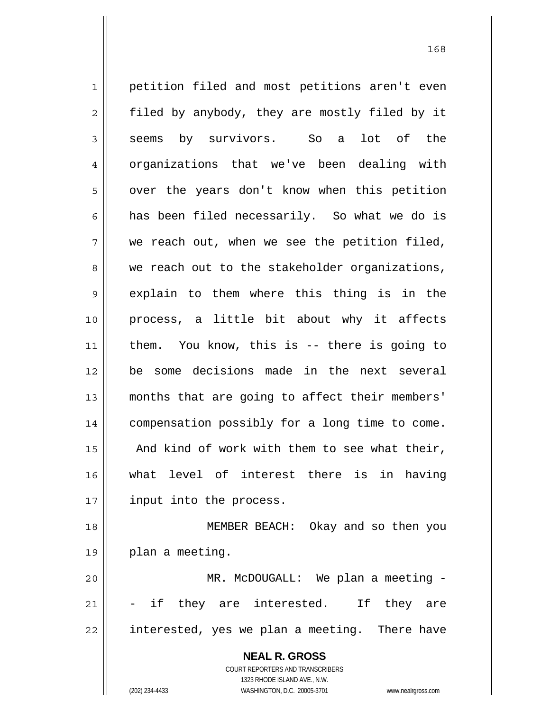**NEAL R. GROSS** COURT REPORTERS AND TRANSCRIBERS 1 || petition filed and most petitions aren't even 2 || filed by anybody, they are mostly filed by it 3 seems by survivors. So a lot of the 4 | organizations that we've been dealing with 5 | over the years don't know when this petition 6 || has been filed necessarily. So what we do is  $7 \parallel$  we reach out, when we see the petition filed, 8 we reach out to the stakeholder organizations, 9 explain to them where this thing is in the 10 process, a little bit about why it affects 11 them. You know, this is -- there is going to 12 be some decisions made in the next several 13 months that are going to affect their members' 14 compensation possibly for a long time to come. 15  $\parallel$  And kind of work with them to see what their, 16 what level of interest there is in having 17 || input into the process. 18 MEMBER BEACH: Okay and so then you 19 plan a meeting. 20 MR. McDOUGALL: We plan a meeting -  $21$   $\vert$  - if they are interested. If they are 22 || interested, yes we plan a meeting. There have

168

 1323 RHODE ISLAND AVE., N.W. (202) 234-4433 WASHINGTON, D.C. 20005-3701 www.nealrgross.com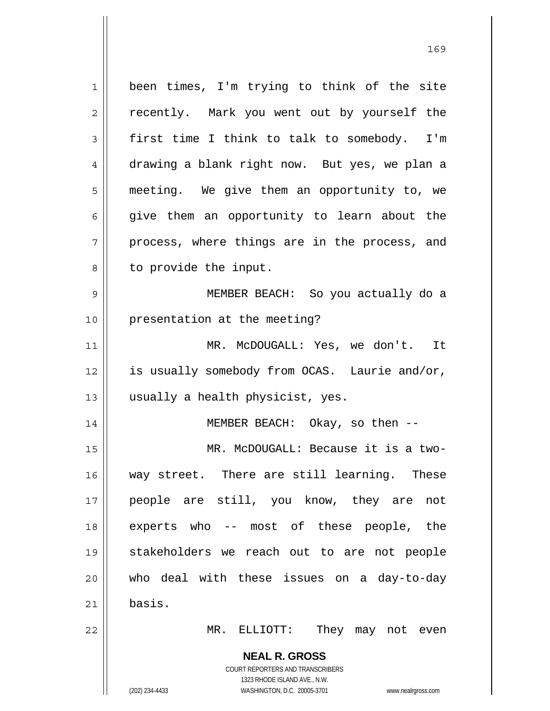**NEAL R. GROSS** COURT REPORTERS AND TRANSCRIBERS 1323 RHODE ISLAND AVE., N.W. 1 || been times, I'm trying to think of the site 2 || recently. Mark you went out by yourself the  $3 \parallel$  first time I think to talk to somebody. I'm 4 drawing a blank right now. But yes, we plan a 5 meeting. We give them an opportunity to, we  $6 \parallel$  give them an opportunity to learn about the  $7 \parallel$  process, where things are in the process, and  $8 \parallel$  to provide the input. 9 MEMBER BEACH: So you actually do a 10 || presentation at the meeting? 11 || MR. McDOUGALL: Yes, we don't. It 12 | is usually somebody from OCAS. Laurie and/or, 13 || usually a health physicist, yes. 14 MEMBER BEACH: Okay, so then -- 15 MR. McDOUGALL: Because it is a two-16 way street. There are still learning. These 17 people are still, you know, they are not 18 experts who -- most of these people, the 19 stakeholders we reach out to are not people 20 who deal with these issues on a day-to-day 21 basis. 22 MR. ELLIOTT: They may not even

(202) 234-4433 WASHINGTON, D.C. 20005-3701 www.nealrgross.com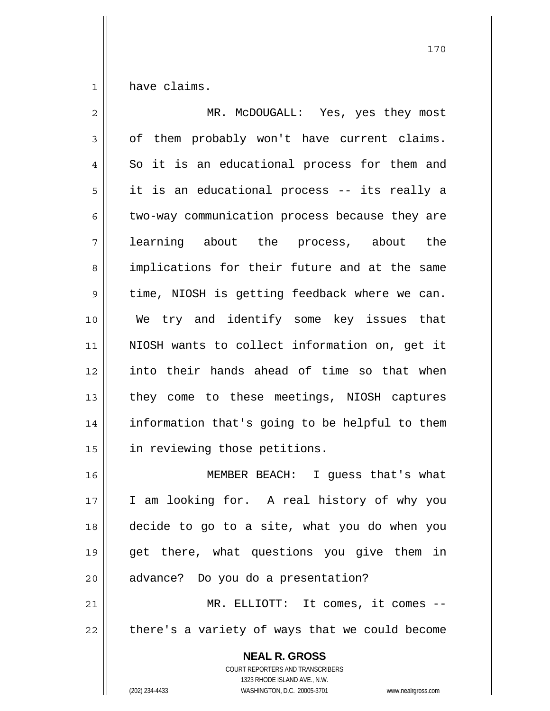$1 \parallel$  have claims.

| 2  | MR. McDOUGALL: Yes, yes they most                                                                                                                               |
|----|-----------------------------------------------------------------------------------------------------------------------------------------------------------------|
| 3  | of them probably won't have current claims.                                                                                                                     |
| 4  | So it is an educational process for them and                                                                                                                    |
| 5  | it is an educational process -- its really a                                                                                                                    |
| 6  | two-way communication process because they are                                                                                                                  |
| 7  | learning about the process, about the                                                                                                                           |
| 8  | implications for their future and at the same                                                                                                                   |
| 9  | time, NIOSH is getting feedback where we can.                                                                                                                   |
| 10 | We try and identify some key issues that                                                                                                                        |
| 11 | NIOSH wants to collect information on, get it                                                                                                                   |
| 12 | into their hands ahead of time so that when                                                                                                                     |
| 13 | they come to these meetings, NIOSH captures                                                                                                                     |
| 14 | information that's going to be helpful to them                                                                                                                  |
| 15 | in reviewing those petitions.                                                                                                                                   |
| 16 | MEMBER BEACH: I guess that's what                                                                                                                               |
| 17 | I am looking for. A real history of why you                                                                                                                     |
| 18 | decide to go to a site, what you do when you                                                                                                                    |
| 19 | get there, what questions you give them in                                                                                                                      |
| 20 | advance? Do you do a presentation?                                                                                                                              |
| 21 | MR. ELLIOTT: It comes, it comes --                                                                                                                              |
| 22 | there's a variety of ways that we could become                                                                                                                  |
|    | <b>NEAL R. GROSS</b><br>COURT REPORTERS AND TRANSCRIBERS<br>1323 RHODE ISLAND AVE., N.W.<br>(202) 234-4433<br>WASHINGTON, D.C. 20005-3701<br>www.nealrgross.com |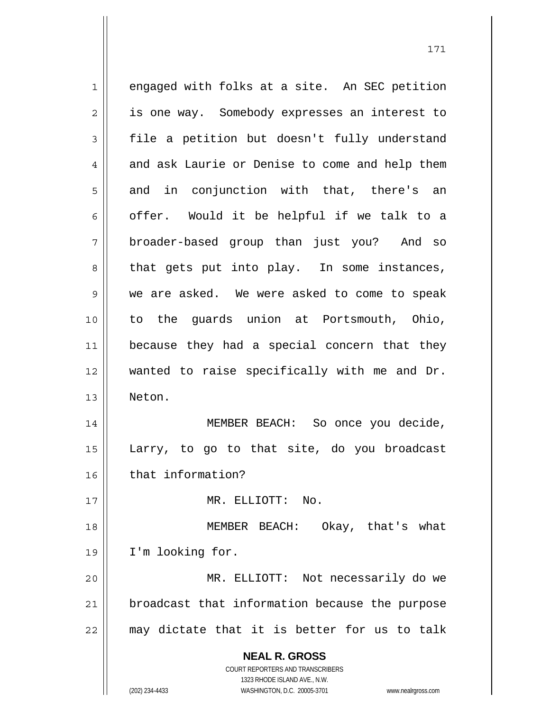**NEAL R. GROSS** COURT REPORTERS AND TRANSCRIBERS 1323 RHODE ISLAND AVE., N.W. 1 engaged with folks at a site. An SEC petition 2 | is one way. Somebody expresses an interest to  $3 \parallel$  file a petition but doesn't fully understand 4 and ask Laurie or Denise to come and help them  $5 \parallel$  and in conjunction with that, there's an 6 | offer. Would it be helpful if we talk to a 7 || broader-based group than just you? And so 8 || that gets put into play. In some instances, 9 we are asked. We were asked to come to speak 10 to the guards union at Portsmouth, Ohio, 11 || because they had a special concern that they 12 wanted to raise specifically with me and Dr. 13 Neton. 14 MEMBER BEACH: So once you decide, 15 Larry, to go to that site, do you broadcast 16 | that information? 17 MR. ELLIOTT: No. 18 MEMBER BEACH: Okay, that's what 19 I'm looking for. 20 MR. ELLIOTT: Not necessarily do we 21 | broadcast that information because the purpose  $22$  may dictate that it is better for us to talk

(202) 234-4433 WASHINGTON, D.C. 20005-3701 www.nealrgross.com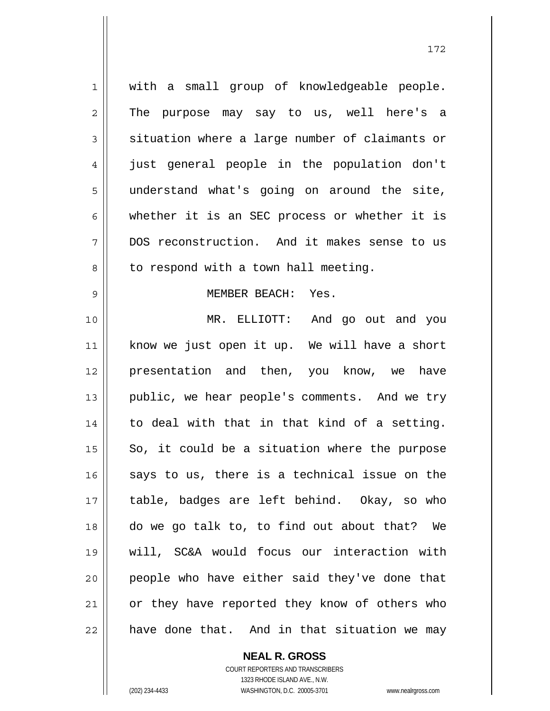1 || with a small group of knowledgeable people. 2 || The purpose may say to us, well here's a 3 Situation where a large number of claimants or 4 just general people in the population don't 5 || understand what's going on around the site,  $6 \parallel$  whether it is an SEC process or whether it is 7 DOS reconstruction. And it makes sense to us  $8 \parallel$  to respond with a town hall meeting. 9 MEMBER BEACH: Yes. 10 MR. ELLIOTT: And go out and you 11 || know we just open it up. We will have a short 12 || presentation and then, you know, we have 13 || public, we hear people's comments. And we try  $14$  to deal with that in that kind of a setting.  $15$  So, it could be a situation where the purpose  $16$  says to us, there is a technical issue on the 17 table, badges are left behind. Okay, so who 18 do we go talk to, to find out about that? We 19 will, SC&A would focus our interaction with 20 || people who have either said they've done that 21 || or they have reported they know of others who  $22$  have done that. And in that situation we may

> **NEAL R. GROSS** COURT REPORTERS AND TRANSCRIBERS

 1323 RHODE ISLAND AVE., N.W. (202) 234-4433 WASHINGTON, D.C. 20005-3701 www.nealrgross.com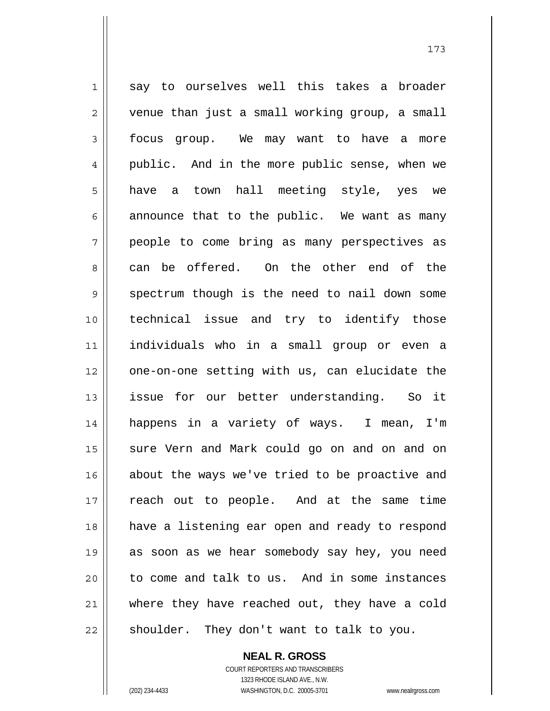1 say to ourselves well this takes a broader 2 | venue than just a small working group, a small 3 focus group. We may want to have a more 4 || public. And in the more public sense, when we 5 || have a town hall meeting style, yes we  $6 \parallel$  announce that to the public. We want as many 7 people to come bring as many perspectives as 8 can be offered. On the other end of the  $9 \parallel$  spectrum though is the need to nail down some 10 technical issue and try to identify those 11 individuals who in a small group or even a 12 || one-on-one setting with us, can elucidate the 13 issue for our better understanding. So it 14 happens in a variety of ways. I mean, I'm 15 || sure Vern and Mark could go on and on and on 16 || about the ways we've tried to be proactive and 17 reach out to people. And at the same time 18 have a listening ear open and ready to respond 19 as soon as we hear somebody say hey, you need 20 || to come and talk to us. And in some instances 21 || where they have reached out, they have a cold  $22$  | shoulder. They don't want to talk to you.

> **NEAL R. GROSS** COURT REPORTERS AND TRANSCRIBERS

 1323 RHODE ISLAND AVE., N.W. (202) 234-4433 WASHINGTON, D.C. 20005-3701 www.nealrgross.com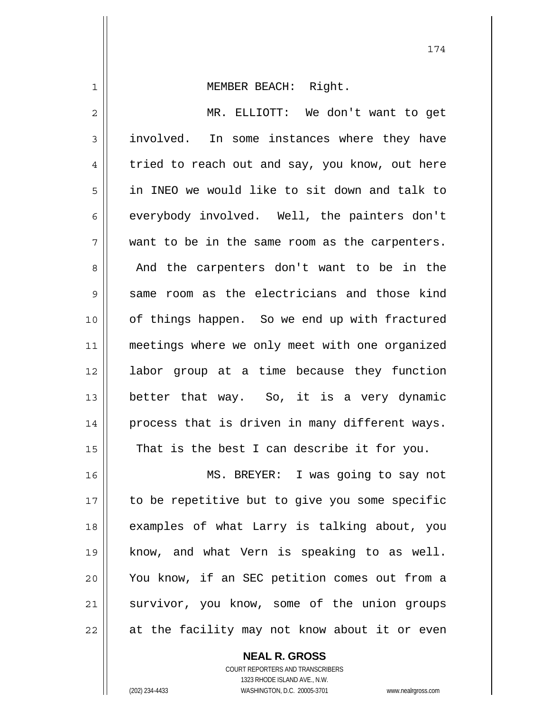1 || MEMBER BEACH: Right.

2 MR. ELLIOTT: We don't want to get 3 || involved. In some instances where they have  $4 \parallel$  tried to reach out and say, you know, out here 5 in INEO we would like to sit down and talk to 6 everybody involved. Well, the painters don't  $7 \parallel$  want to be in the same room as the carpenters. 8 || And the carpenters don't want to be in the  $9 \parallel$  same room as the electricians and those kind 10 of things happen. So we end up with fractured 11 || meetings where we only meet with one organized 12 labor group at a time because they function 13 better that way. So, it is a very dynamic 14 process that is driven in many different ways.  $15$  | That is the best I can describe it for you. 16 || MS. BREYER: I was going to say not 17 || to be repetitive but to give you some specific 18 examples of what Larry is talking about, you 19 know, and what Vern is speaking to as well. 20 You know, if an SEC petition comes out from a 21 || survivor, you know, some of the union groups 22 || at the facility may not know about it or even

 COURT REPORTERS AND TRANSCRIBERS 1323 RHODE ISLAND AVE., N.W. (202) 234-4433 WASHINGTON, D.C. 20005-3701 www.nealrgross.com

 **NEAL R. GROSS**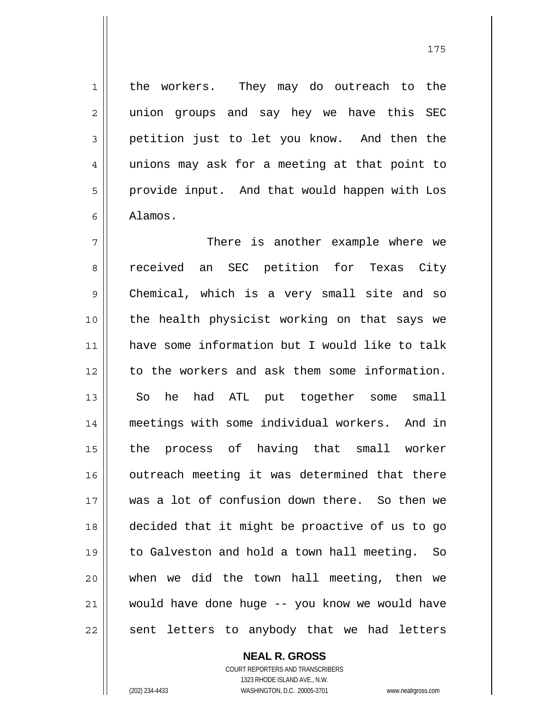1 || the workers. They may do outreach to the 2 || union groups and say hey we have this SEC 3 petition just to let you know. And then the 4 unions may ask for a meeting at that point to 5 | provide input. And that would happen with Los 6 Alamos.

There is another example where we 8 || received an SEC petition for Texas City 9 || Chemical, which is a very small site and so the health physicist working on that says we have some information but I would like to talk 12 to the workers and ask them some information. 13 || So he had ATL put together some small meetings with some individual workers. And in the process of having that small worker 16 || outreach meeting it was determined that there was a lot of confusion down there. So then we decided that it might be proactive of us to go to Galveston and hold a town hall meeting. So when we did the town hall meeting, then we would have done huge -- you know we would have sent letters to anybody that we had letters

> **NEAL R. GROSS** COURT REPORTERS AND TRANSCRIBERS 1323 RHODE ISLAND AVE., N.W. (202) 234-4433 WASHINGTON, D.C. 20005-3701 www.nealrgross.com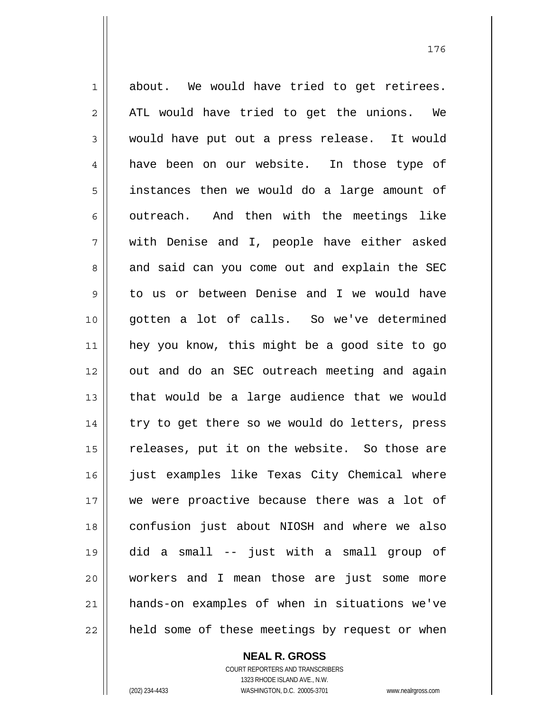$1 \parallel$  about. We would have tried to get retirees.  $2 \parallel$  ATL would have tried to get the unions. We 3 would have put out a press release. It would 4 have been on our website. In those type of 5 instances then we would do a large amount of  $6 \parallel$  outreach. And then with the meetings like 7 with Denise and I, people have either asked 8 and said can you come out and explain the SEC 9 to us or between Denise and I we would have 10 gotten a lot of calls. So we've determined 11 hey you know, this might be a good site to go 12 || out and do an SEC outreach meeting and again  $13$  || that would be a large audience that we would 14 || try to get there so we would do letters, press  $15$  releases, put it on the website. So those are 16 || just examples like Texas City Chemical where 17 we were proactive because there was a lot of 18 confusion just about NIOSH and where we also 19 did a small -- just with a small group of 20 workers and I mean those are just some more 21 hands-on examples of when in situations we've 22 || held some of these meetings by request or when

 **NEAL R. GROSS**

 COURT REPORTERS AND TRANSCRIBERS 1323 RHODE ISLAND AVE., N.W. (202) 234-4433 WASHINGTON, D.C. 20005-3701 www.nealrgross.com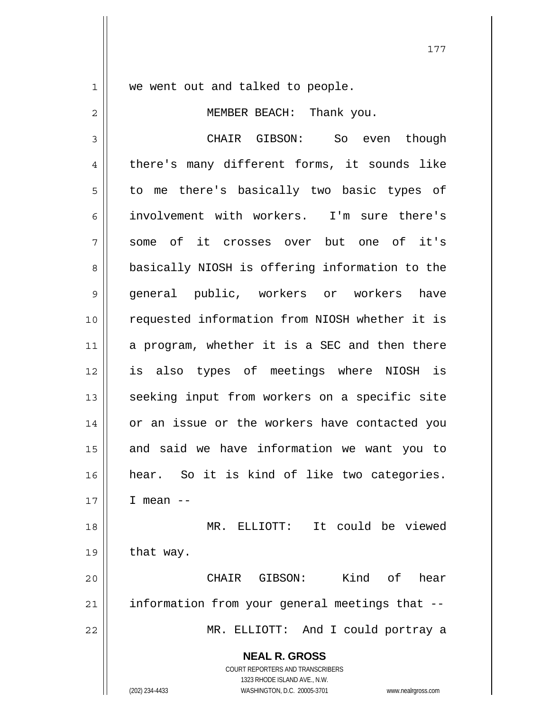1 || we went out and talked to people.

177

2 || MEMBER BEACH: Thank you. 3 CHAIR GIBSON: So even though 4 | there's many different forms, it sounds like 5 || to me there's basically two basic types of 6 involvement with workers. I'm sure there's 7 some of it crosses over but one of it's 8 || basically NIOSH is offering information to the 9 general public, workers or workers have 10 requested information from NIOSH whether it is  $11$  a program, whether it is a SEC and then there 12 is also types of meetings where NIOSH is 13 || seeking input from workers on a specific site 14 || or an issue or the workers have contacted you  $15$  and said we have information we want you to 16 hear. So it is kind of like two categories. 17 I mean -- 18 MR. ELLIOTT: It could be viewed

 $19 \parallel$  that way. 20 CHAIR GIBSON: Kind of hear

 $21$  | information from your general meetings that  $-$ 22 MR. ELLIOTT: And I could portray a

 **NEAL R. GROSS**

 COURT REPORTERS AND TRANSCRIBERS 1323 RHODE ISLAND AVE., N.W. (202) 234-4433 WASHINGTON, D.C. 20005-3701 www.nealrgross.com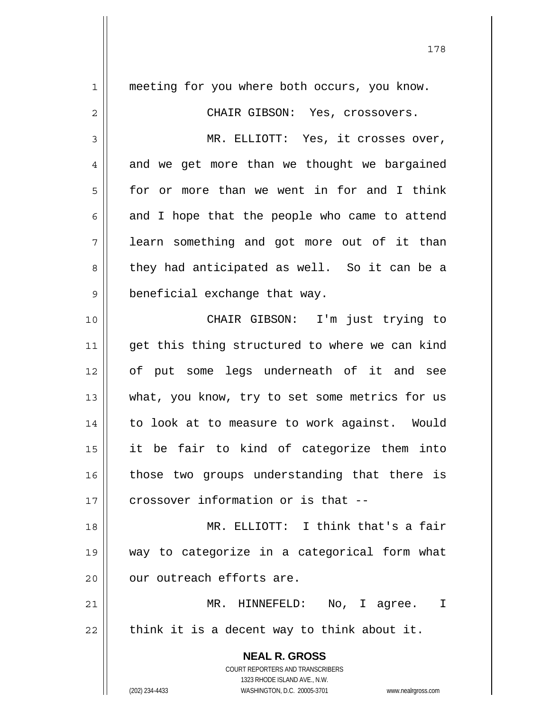| 1  | meeting for you where both occurs, you know.                        |
|----|---------------------------------------------------------------------|
| 2  | CHAIR GIBSON: Yes, crossovers.                                      |
| 3  | MR. ELLIOTT: Yes, it crosses over,                                  |
| 4  | and we get more than we thought we bargained                        |
| 5  | for or more than we went in for and I think                         |
| 6  | and I hope that the people who came to attend                       |
| 7  | learn something and got more out of it than                         |
| 8  | they had anticipated as well. So it can be a                        |
| 9  | beneficial exchange that way.                                       |
| 10 | CHAIR GIBSON: I'm just trying to                                    |
| 11 | get this thing structured to where we can kind                      |
| 12 | of put some legs underneath of it and see                           |
| 13 | what, you know, try to set some metrics for us                      |
| 14 | to look at to measure to work against. Would                        |
| 15 | it be fair to kind of categorize them into                          |
| 16 | those two groups understanding that there is                        |
| 17 | crossover information or is that --                                 |
| 18 | MR. ELLIOTT: I think that's a fair                                  |
| 19 | way to categorize in a categorical form what                        |
| 20 | our outreach efforts are.                                           |
| 21 | MR. HINNEFELD: No, I agree. I                                       |
| 22 | think it is a decent way to think about it.                         |
|    | <b>NEAL R. GROSS</b>                                                |
|    | COURT REPORTERS AND TRANSCRIBERS                                    |
|    | 1323 RHODE ISLAND AVE., N.W.                                        |
|    | (202) 234-4433<br>WASHINGTON, D.C. 20005-3701<br>www.nealrgross.com |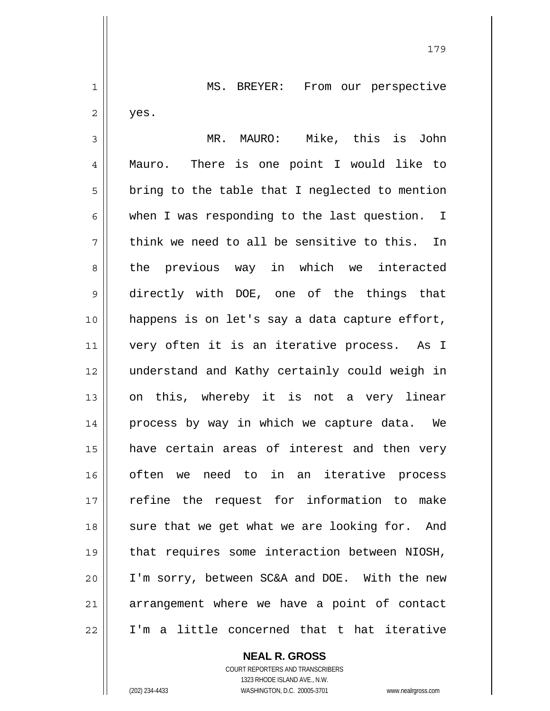1 || MS. BREYER: From our perspective  $2 \parallel$  yes. 3 MR. MAURO: Mike, this is John 4 Mauro. There is one point I would like to  $5 \parallel$  bring to the table that I neglected to mention 6 when I was responding to the last question. I  $7$  think we need to all be sensitive to this. In 8 the previous way in which we interacted 9 directly with DOE, one of the things that 10 happens is on let's say a data capture effort, 11 || very often it is an iterative process. As I 12 understand and Kathy certainly could weigh in 13 || on this, whereby it is not a very linear 14 || process by way in which we capture data. We 15 have certain areas of interest and then very 16 often we need to in an iterative process 17 || refine the request for information to make 18 || sure that we get what we are looking for. And 19 that requires some interaction between NIOSH, 20 I'm sorry, between SC&A and DOE. With the new

179

21 || arrangement where we have a point of contact 22 I'm a little concerned that t hat iterative

> COURT REPORTERS AND TRANSCRIBERS 1323 RHODE ISLAND AVE., N.W. (202) 234-4433 WASHINGTON, D.C. 20005-3701 www.nealrgross.com

 **NEAL R. GROSS**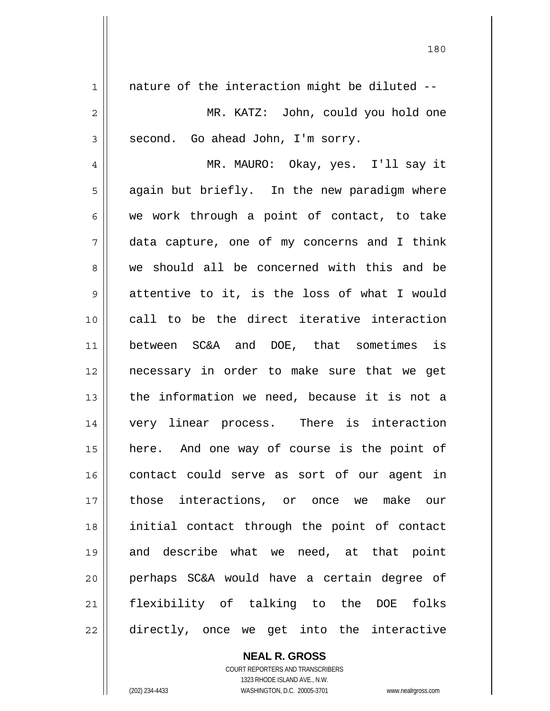$1 \parallel$  nature of the interaction might be diluted --MR. KATZ: John, could you hold one  $3 \parallel$  second. Go ahead John, I'm sorry. MR. MAURO: Okay, yes. I'll say it 5 || again but briefly. In the new paradigm where  $6 \parallel$  we work through a point of contact, to take data capture, one of my concerns and I think 8 we should all be concerned with this and be  $9 \parallel$  attentive to it, is the loss of what I would call to be the direct iterative interaction between SC&A and DOE, that sometimes is necessary in order to make sure that we get 13 || the information we need, because it is not a very linear process. There is interaction here. And one way of course is the point of contact could serve as sort of our agent in those interactions, or once we make our initial contact through the point of contact and describe what we need, at that point perhaps SC&A would have a certain degree of flexibility of talking to the DOE folks 22 directly, once we get into the interactive

> COURT REPORTERS AND TRANSCRIBERS 1323 RHODE ISLAND AVE., N.W. (202) 234-4433 WASHINGTON, D.C. 20005-3701 www.nealrgross.com

 **NEAL R. GROSS**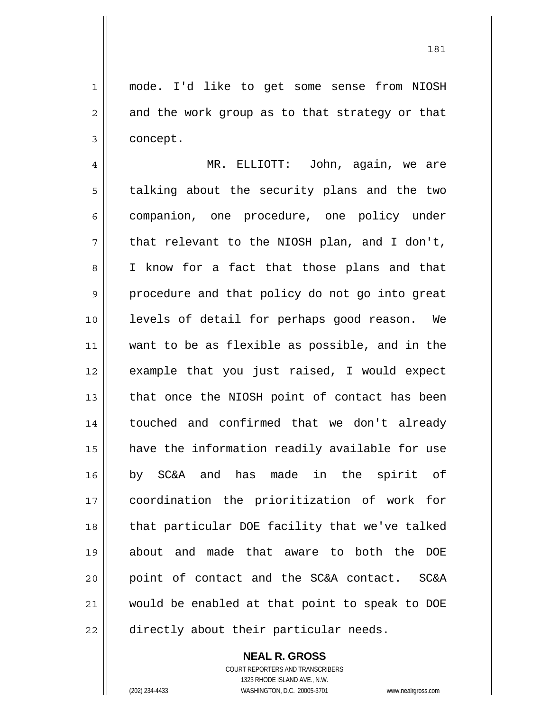181

1 mode. I'd like to get some sense from NIOSH  $2 \parallel$  and the work group as to that strategy or that 3 | concept.

4 MR. ELLIOTT: John, again, we are 5 | talking about the security plans and the two 6 companion, one procedure, one policy under  $7 \parallel$  that relevant to the NIOSH plan, and I don't, 8 || I know for a fact that those plans and that 9 || procedure and that policy do not go into great 10 levels of detail for perhaps good reason. We 11 want to be as flexible as possible, and in the 12 example that you just raised, I would expect  $13$  | that once the NIOSH point of contact has been 14 touched and confirmed that we don't already 15 have the information readily available for use 16 by SC&A and has made in the spirit of 17 coordination the prioritization of work for 18 || that particular DOE facility that we've talked 19 about and made that aware to both the DOE 20 || point of contact and the SC&A contact. SC&A 21 would be enabled at that point to speak to DOE 22 || directly about their particular needs.

## **NEAL R. GROSS**

 COURT REPORTERS AND TRANSCRIBERS 1323 RHODE ISLAND AVE., N.W. (202) 234-4433 WASHINGTON, D.C. 20005-3701 www.nealrgross.com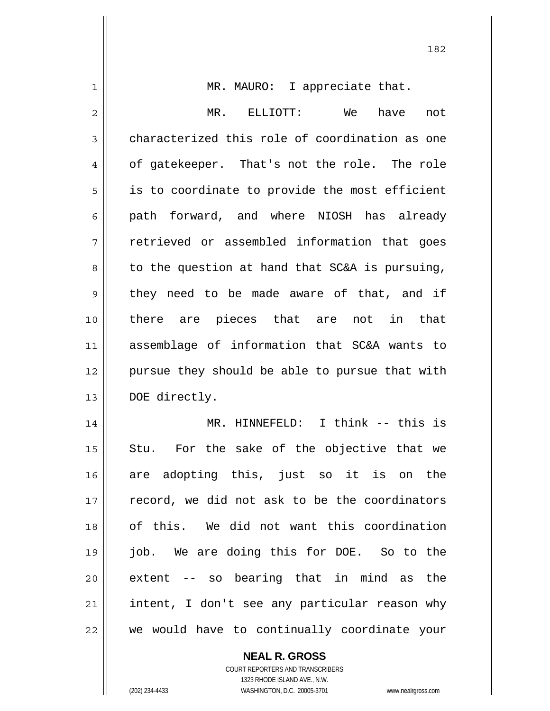| 1              | MR. MAURO: I appreciate that.                  |
|----------------|------------------------------------------------|
| $\overline{2}$ | MR.<br>not                                     |
| 3              | characterized this role of coordination as one |
| 4              | of gatekeeper. That's not the role. The role   |
| 5              | is to coordinate to provide the most efficient |
| 6              | path forward, and where NIOSH has already      |
| 7              | retrieved or assembled information that goes   |
| 8              | to the question at hand that SC&A is pursuing, |
| 9              | they need to be made aware of that, and if     |
| 10             | there are pieces that are not in that          |
| 11             | assemblage of information that SC&A wants to   |
| 12             | pursue they should be able to pursue that with |
| 13             | DOE directly.                                  |
| 14             | MR. HINNEFELD: I think -- this is              |
| 15             | For the sake of the objective that we<br>Stu.  |
| 16             | are adopting this, just so it is on the        |
| 17             | record, we did not ask to be the coordinators  |
| 18             | of this. We did not want this coordination     |
| 19             | job. We are doing this for DOE. So to the      |
| 20             | extent -- so bearing that in mind as the       |
| 21             | intent, I don't see any particular reason why  |
| 22             | we would have to continually coordinate your   |

 **NEAL R. GROSS** COURT REPORTERS AND TRANSCRIBERS

1323 RHODE ISLAND AVE., N.W.

(202) 234-4433 WASHINGTON, D.C. 20005-3701 www.nealrgross.com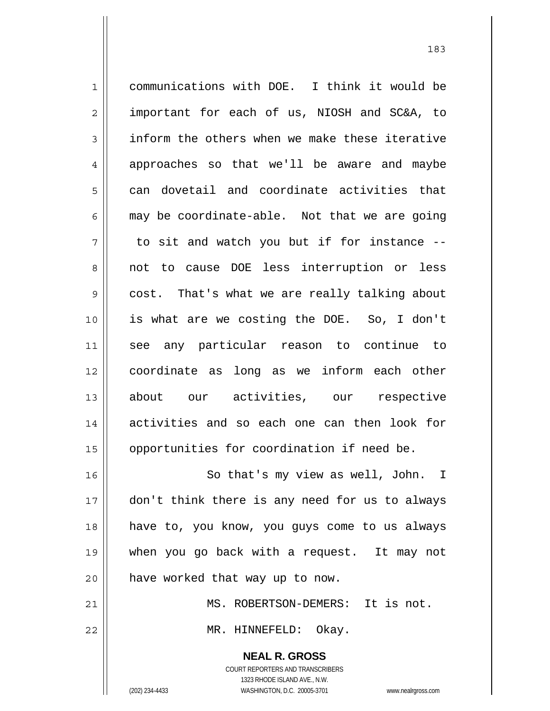1 communications with DOE. I think it would be 2 || important for each of us, NIOSH and SC&A, to  $3 \parallel$  inform the others when we make these iterative 4 approaches so that we'll be aware and maybe  $5 \parallel$  can dovetail and coordinate activities that  $6 \parallel$  may be coordinate-able. Not that we are going  $7 \parallel$  to sit and watch you but if for instance  $-$ 8 not to cause DOE less interruption or less 9 cost. That's what we are really talking about 10 is what are we costing the DOE. So, I don't 11 see any particular reason to continue to 12 coordinate as long as we inform each other 13 || about our activities, our respective 14 activities and so each one can then look for 15 | opportunities for coordination if need be. 16 || So that's my view as well, John. I 17 || don't think there is any need for us to always 18 have to, you know, you guys come to us always

 $20$  | have worked that way up to now.

21 MS. ROBERTSON-DEMERS: It is not. 22 MR. HINNEFELD: Okay.

19 when you go back with a request. It may not

 **NEAL R. GROSS** COURT REPORTERS AND TRANSCRIBERS 1323 RHODE ISLAND AVE., N.W. (202) 234-4433 WASHINGTON, D.C. 20005-3701 www.nealrgross.com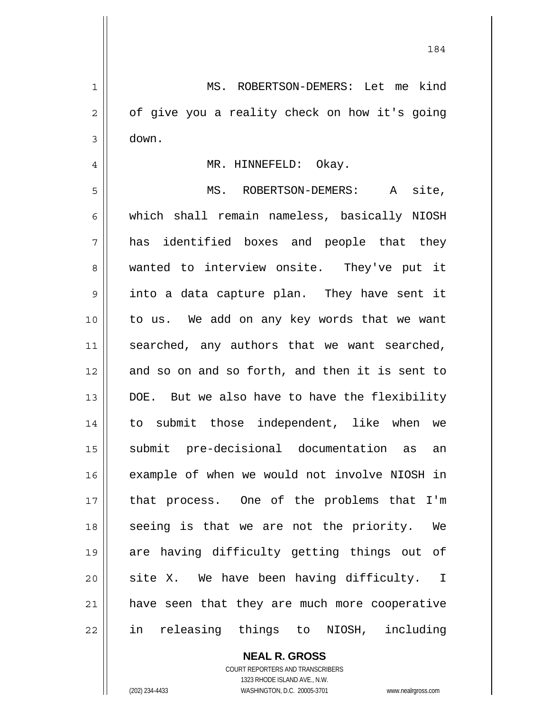1 MS. ROBERTSON-DEMERS: Let me kind  $2 \parallel$  of give you a reality check on how it's going  $3 \parallel$  down. 4 || MR. HINNEFELD: Okay. 5 MS. ROBERTSON-DEMERS: A site, 6 which shall remain nameless, basically NIOSH 7 has identified boxes and people that they 8 wanted to interview onsite. They've put it 9 || into a data capture plan. They have sent it 10 to us. We add on any key words that we want 11 || searched, any authors that we want searched, 12 and so on and so forth, and then it is sent to 13 || DOE. But we also have to have the flexibility 14 to submit those independent, like when we 15 submit pre-decisional documentation as an 16 example of when we would not involve NIOSH in 17 || that process. One of the problems that I'm 18 || seeing is that we are not the priority. We 19 are having difficulty getting things out of  $20$  site X. We have been having difficulty. I 21 have seen that they are much more cooperative 22 in releasing things to NIOSH, including

> **NEAL R. GROSS** COURT REPORTERS AND TRANSCRIBERS

> > 1323 RHODE ISLAND AVE., N.W.

(202) 234-4433 WASHINGTON, D.C. 20005-3701 www.nealrgross.com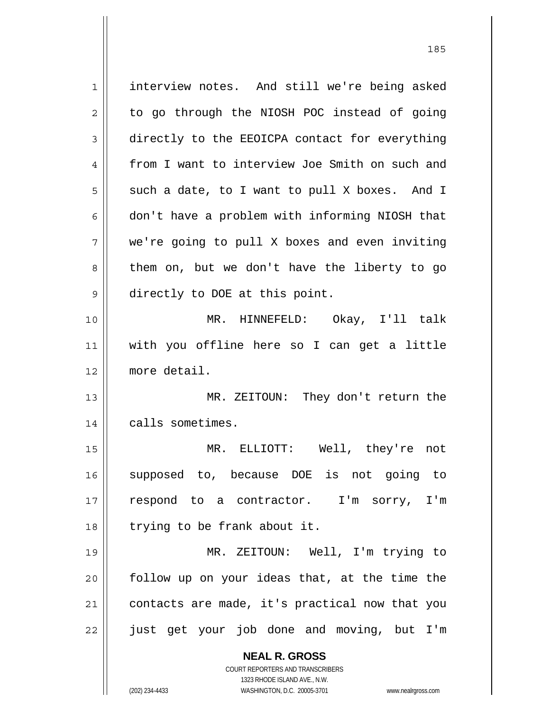**NEAL R. GROSS** 1 | interview notes. And still we're being asked  $2 \parallel$  to go through the NIOSH POC instead of going 3 directly to the EEOICPA contact for everything 4 from I want to interview Joe Smith on such and  $5 \parallel$  such a date, to I want to pull X boxes. And I 6 || don't have a problem with informing NIOSH that 7 we're going to pull X boxes and even inviting  $8 \parallel$  them on, but we don't have the liberty to go 9 directly to DOE at this point. 10 MR. HINNEFELD: Okay, I'll talk 11 with you offline here so I can get a little 12 more detail. 13 MR. ZEITOUN: They don't return the 14 | calls sometimes. 15 MR. ELLIOTT: Well, they're not 16 supposed to, because DOE is not going to 17 respond to a contractor. I'm sorry, I'm 18 || trying to be frank about it. 19 MR. ZEITOUN: Well, I'm trying to  $20$  follow up on your ideas that, at the time the 21 | contacts are made, it's practical now that you 22 || just get your job done and moving, but I'm

> COURT REPORTERS AND TRANSCRIBERS 1323 RHODE ISLAND AVE., N.W.

(202) 234-4433 WASHINGTON, D.C. 20005-3701 www.nealrgross.com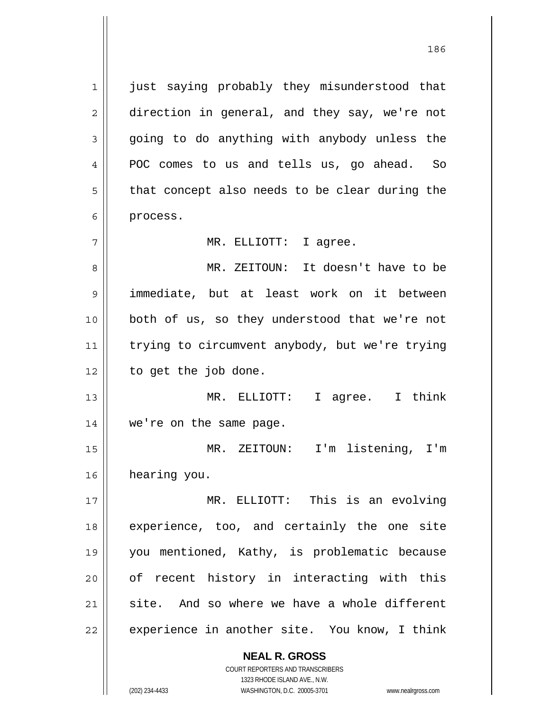**NEAL R. GROSS** 1 || just saying probably they misunderstood that 2 direction in general, and they say, we're not  $3 \parallel$  going to do anything with anybody unless the 4 **POC** comes to us and tells us, go ahead. So  $5 \parallel$  that concept also needs to be clear during the 6 | process. 7 MR. ELLIOTT: I agree. 8 MR. ZEITOUN: It doesn't have to be 9 || immediate, but at least work on it between 10 || both of us, so they understood that we're not 11 | trying to circumvent anybody, but we're trying  $12 \parallel$  to get the job done. 13 MR. ELLIOTT: I agree. I think 14 we're on the same page. 15 MR. ZEITOUN: I'm listening, I'm 16 hearing you. 17 MR. ELLIOTT: This is an evolving 18 || experience, too, and certainly the one site 19 you mentioned, Kathy, is problematic because 20 || of recent history in interacting with this  $21$  site. And so where we have a whole different  $22$  | experience in another site. You know, I think

> COURT REPORTERS AND TRANSCRIBERS 1323 RHODE ISLAND AVE., N.W.

(202) 234-4433 WASHINGTON, D.C. 20005-3701 www.nealrgross.com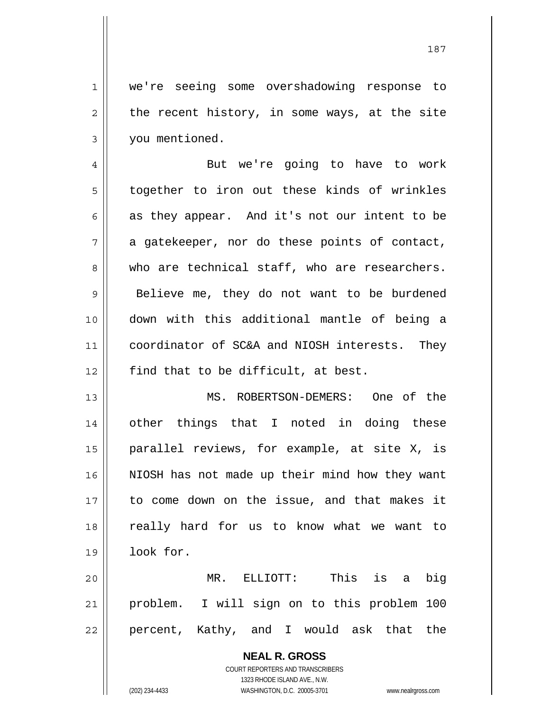1 || we're seeing some overshadowing response to  $2 \parallel$  the recent history, in some ways, at the site 3 | you mentioned.

4 || But we're going to have to work 5 | together to iron out these kinds of wrinkles 6 as they appear. And it's not our intent to be  $7 \parallel$  a gatekeeper, nor do these points of contact, 8 who are technical staff, who are researchers.  $9 \parallel$  Believe me, they do not want to be burdened 10 down with this additional mantle of being a 11 || coordinator of SC&A and NIOSH interests. They 12  $\parallel$  find that to be difficult, at best.

13 MS. ROBERTSON-DEMERS: One of the 14 || other things that I noted in doing these 15 parallel reviews, for example, at site X, is 16 || NIOSH has not made up their mind how they want 17 to come down on the issue, and that makes it 18 || really hard for us to know what we want to 19 look for.

20 MR. ELLIOTT: This is a big 21 problem. I will sign on to this problem 100 22 || percent, Kathy, and I would ask that the

> **NEAL R. GROSS** COURT REPORTERS AND TRANSCRIBERS 1323 RHODE ISLAND AVE., N.W. (202) 234-4433 WASHINGTON, D.C. 20005-3701 www.nealrgross.com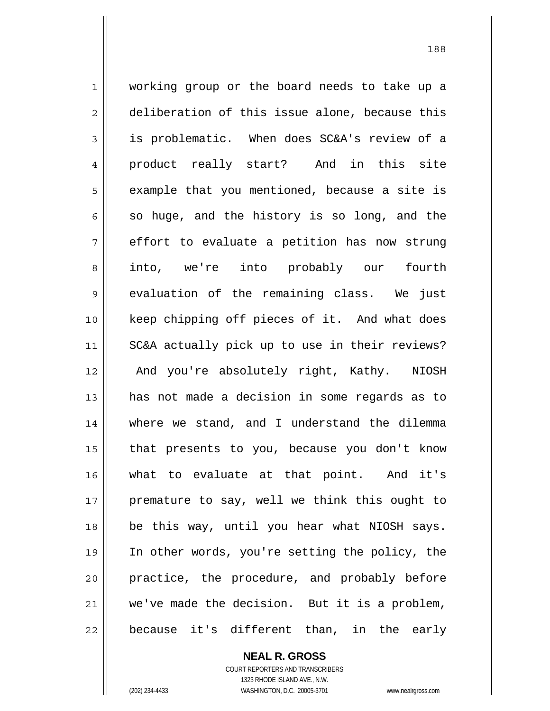1 working group or the board needs to take up a 2 deliberation of this issue alone, because this 3 is problematic. When does SC&A's review of a 4 product really start? And in this site  $5 \parallel$  example that you mentioned, because a site is  $6 \parallel$  so huge, and the history is so long, and the  $7 \parallel$  effort to evaluate a petition has now strung 8 into, we're into probably our fourth 9 evaluation of the remaining class. We just 10 keep chipping off pieces of it. And what does 11 SC&A actually pick up to use in their reviews? 12 || And you're absolutely right, Kathy. NIOSH 13 has not made a decision in some regards as to 14 where we stand, and I understand the dilemma 15 that presents to you, because you don't know 16 what to evaluate at that point. And it's 17 || premature to say, well we think this ought to 18 be this way, until you hear what NIOSH says. 19 In other words, you're setting the policy, the 20 || practice, the procedure, and probably before  $21$  we've made the decision. But it is a problem, 22 || because it's different than, in the early

188

 **NEAL R. GROSS** COURT REPORTERS AND TRANSCRIBERS 1323 RHODE ISLAND AVE., N.W. (202) 234-4433 WASHINGTON, D.C. 20005-3701 www.nealrgross.com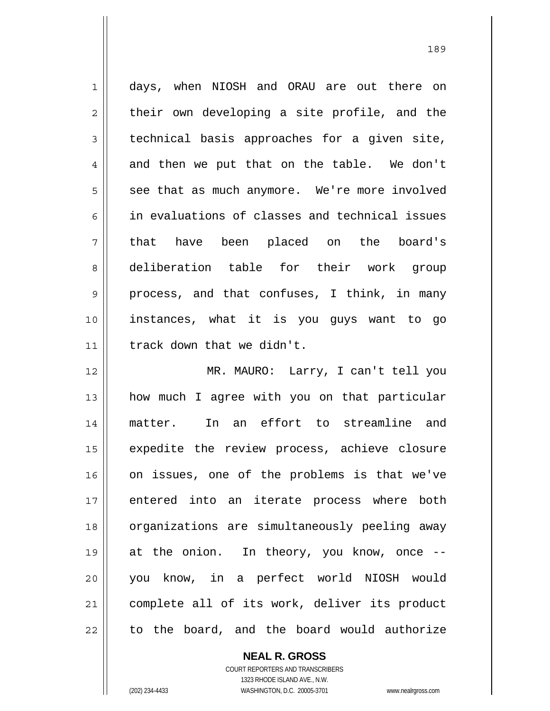1 days, when NIOSH and ORAU are out there on  $2 \parallel$  their own developing a site profile, and the  $3 \parallel$  technical basis approaches for a given site, 4 || and then we put that on the table. We don't  $5 \parallel$  see that as much anymore. We're more involved 6 in evaluations of classes and technical issues 7 that have been placed on the board's 8 deliberation table for their work group 9 process, and that confuses, I think, in many 10 instances, what it is you guys want to go 11 track down that we didn't.

MR. MAURO: Larry, I can't tell you how much I agree with you on that particular matter. In an effort to streamline and 15 || expedite the review process, achieve closure on issues, one of the problems is that we've entered into an iterate process where both 18 || organizations are simultaneously peeling away at the onion. In theory, you know, once -- you know, in a perfect world NIOSH would complete all of its work, deliver its product to the board, and the board would authorize

> COURT REPORTERS AND TRANSCRIBERS 1323 RHODE ISLAND AVE., N.W. (202) 234-4433 WASHINGTON, D.C. 20005-3701 www.nealrgross.com

 **NEAL R. GROSS**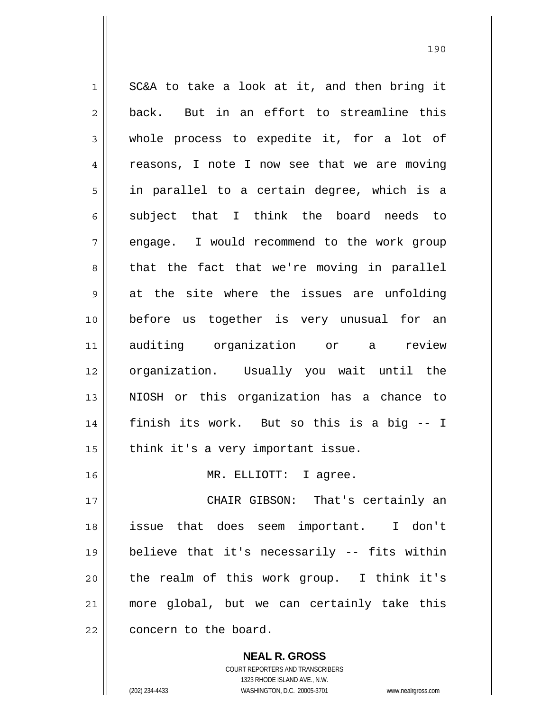$1 \parallel$  SC&A to take a look at it, and then bring it  $2 \parallel$  back. But in an effort to streamline this 3 whole process to expedite it, for a lot of 4 || reasons, I note I now see that we are moving 5 || in parallel to a certain degree, which is a subject that I think the board needs to 7 || engage. I would recommend to the work group  $8 \parallel$  that the fact that we're moving in parallel  $9 \parallel$  at the site where the issues are unfolding before us together is very unusual for an auditing organization or a review organization. Usually you wait until the NIOSH or this organization has a chance to finish its work. But so this is a big -- I | think it's a very important issue. MR. ELLIOTT: I agree. CHAIR GIBSON: That's certainly an issue that does seem important. I don't believe that it's necessarily -- fits within | the realm of this work group. I think it's more global, but we can certainly take this

22 **concern** to the board.

 **NEAL R. GROSS** COURT REPORTERS AND TRANSCRIBERS

1323 RHODE ISLAND AVE., N.W.

(202) 234-4433 WASHINGTON, D.C. 20005-3701 www.nealrgross.com

<u>190</u>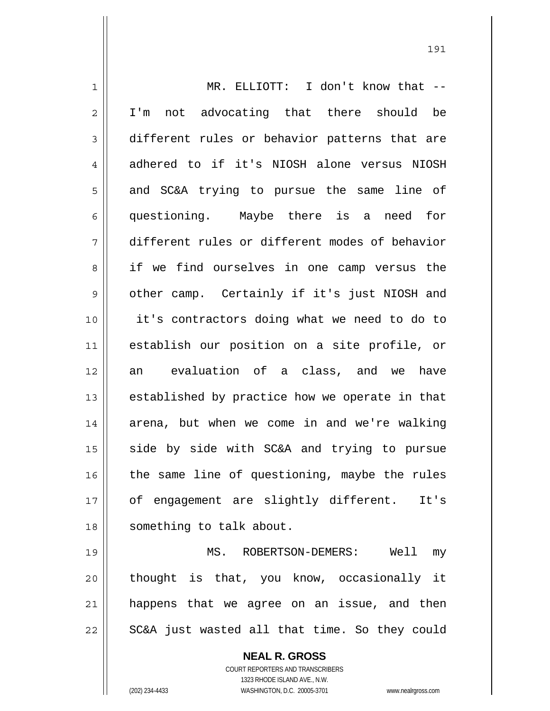| $\mathbf 1$    | MR. ELLIOTT: I don't know that --              |
|----------------|------------------------------------------------|
| $\overline{2}$ | not advocating that there should be<br>I'm     |
| 3              | different rules or behavior patterns that are  |
| 4              | adhered to if it's NIOSH alone versus NIOSH    |
| 5              | and SC&A trying to pursue the same line of     |
| 6              | questioning. Maybe there is<br>a need for      |
| 7              | different rules or different modes of behavior |
| 8              | if we find ourselves in one camp versus the    |
| $\mathsf 9$    | other camp. Certainly if it's just NIOSH and   |
| 10             | it's contractors doing what we need to do to   |
| 11             | establish our position on a site profile, or   |
| 12             | evaluation of a class, and we<br>have<br>an    |
| 13             | established by practice how we operate in that |
| 14             | arena, but when we come in and we're walking   |
| 15             | side by side with SC&A and trying to pursue    |
| 16             | the same line of questioning, maybe the rules  |
| 17             | of engagement are slightly different.<br>It's  |
| 18             | something to talk about.                       |
| 19             | MS. ROBERTSON-DEMERS: Well my                  |
| 20             | thought is that, you know, occasionally it     |
| 21             | happens that we agree on an issue, and then    |
| 22             | SC&A just wasted all that time. So they could  |

 **NEAL R. GROSS** COURT REPORTERS AND TRANSCRIBERS 1323 RHODE ISLAND AVE., N.W. (202) 234-4433 WASHINGTON, D.C. 20005-3701 www.nealrgross.com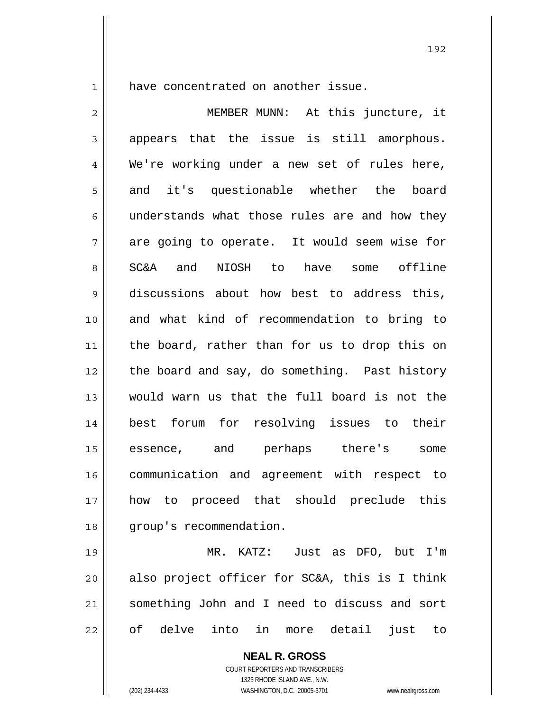1 || have concentrated on another issue.

2 || MEMBER MUNN: At this juncture, it  $3 \parallel$  appears that the issue is still amorphous. 4 We're working under a new set of rules here, 5 and it's questionable whether the board  $6 \parallel$  understands what those rules are and how they  $7 \parallel$  are going to operate. It would seem wise for 8 SC&A and NIOSH to have some offline 9 discussions about how best to address this, 10 and what kind of recommendation to bring to 11 || the board, rather than for us to drop this on 12 the board and say, do something. Past history 13 would warn us that the full board is not the 14 best forum for resolving issues to their 15 essence, and perhaps there's some 16 communication and agreement with respect to 17 how to proceed that should preclude this 18 | group's recommendation. 19 MR. KATZ: Just as DFO, but I'm  $20$  also project officer for SC&A, this is I think 21 something John and I need to discuss and sort

22 || of delve into in more detail just to

 **NEAL R. GROSS** COURT REPORTERS AND TRANSCRIBERS

1323 RHODE ISLAND AVE., N.W.

(202) 234-4433 WASHINGTON, D.C. 20005-3701 www.nealrgross.com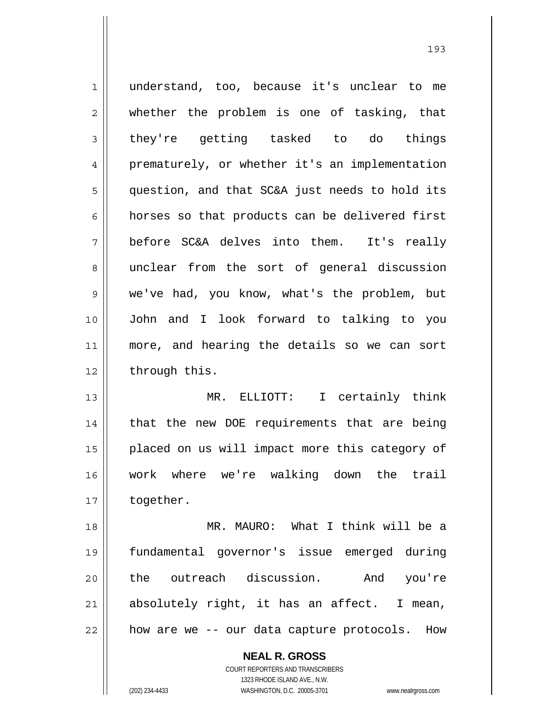1 understand, too, because it's unclear to me 2 whether the problem is one of tasking, that  $3 \parallel$  they're getting tasked to do things 4 || prematurely, or whether it's an implementation 5 | question, and that SC&A just needs to hold its 6 | horses so that products can be delivered first 7 before SC&A delves into them. It's really 8 || unclear from the sort of general discussion 9 we've had, you know, what's the problem, but 10 John and I look forward to talking to you 11 more, and hearing the details so we can sort  $12$  | through this. 13 MR. ELLIOTT: I certainly think 14 || that the new DOE requirements that are being 15 || placed on us will impact more this category of 16 work where we're walking down the trail 17 | together. 18 MR. MAURO: What I think will be a 19 fundamental governor's issue emerged during 20 the outreach discussion. And you're  $21$  absolutely right, it has an affect. I mean,  $22$  || how are we  $-$ - our data capture protocols. How

> **NEAL R. GROSS** COURT REPORTERS AND TRANSCRIBERS 1323 RHODE ISLAND AVE., N.W.

(202) 234-4433 WASHINGTON, D.C. 20005-3701 www.nealrgross.com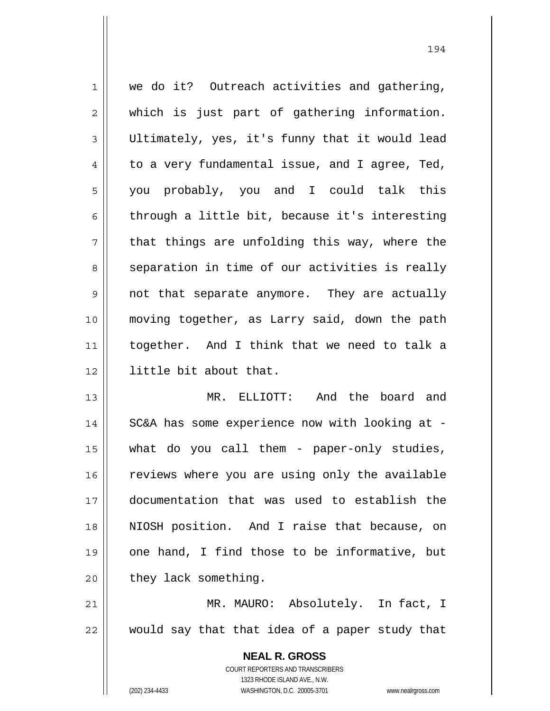| 1  | we do it? Outreach activities and gathering,             |
|----|----------------------------------------------------------|
| 2  | which is just part of gathering information.             |
| 3  | Ultimately, yes, it's funny that it would lead           |
| 4  | to a very fundamental issue, and I agree, Ted,           |
| 5  | you probably, you and I could talk this                  |
| 6  | through a little bit, because it's interesting           |
| 7  | that things are unfolding this way, where the            |
| 8  | separation in time of our activities is really           |
| 9  | not that separate anymore. They are actually             |
| 10 | moving together, as Larry said, down the path            |
| 11 | together. And I think that we need to talk a             |
| 12 | little bit about that.                                   |
| 13 | MR. ELLIOTT: And the board and                           |
| 14 | SC&A has some experience now with looking at -           |
| 15 | what do you call them - paper-only studies,              |
| 16 | reviews where you are using only the available           |
| 17 | documentation that was used to establish the             |
| 18 | NIOSH position. And I raise that because, on             |
| 19 | one hand, I find those to be informative, but            |
| 20 | they lack something.                                     |
| 21 | MR. MAURO: Absolutely. In fact, I                        |
| 22 | would say that that idea of a paper study that           |
|    | <b>NEAL R. GROSS</b><br>COURT REPORTERS AND TRANSCRIBERS |

1323 RHODE ISLAND AVE., N.W.

 $\prod$ 

(202) 234-4433 WASHINGTON, D.C. 20005-3701 www.nealrgross.com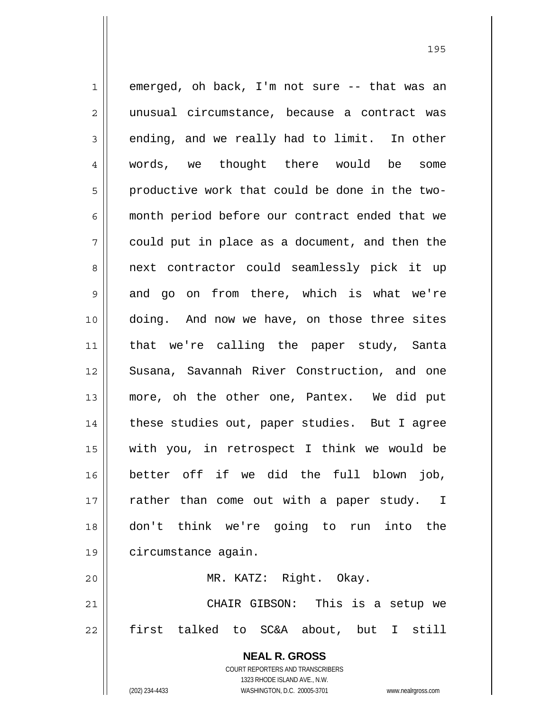**NEAL R. GROSS** COURT REPORTERS AND TRANSCRIBERS 1 emerged, oh back, I'm not sure -- that was an 2 || unusual circumstance, because a contract was  $3 \parallel$  ending, and we really had to limit. In other 4 words, we thought there would be some  $5 \parallel$  productive work that could be done in the two-6 || month period before our contract ended that we  $7 \parallel$  could put in place as a document, and then the 8 || next contractor could seamlessly pick it up 9 and go on from there, which is what we're 10 || doing. And now we have, on those three sites 11 that we're calling the paper study, Santa 12 Susana, Savannah River Construction, and one 13 more, oh the other one, Pantex. We did put 14 || these studies out, paper studies. But I agree 15 with you, in retrospect I think we would be 16 better off if we did the full blown job,  $17$  | rather than come out with a paper study. I 18 don't think we're going to run into the 19 circumstance again. 20 MR. KATZ: Right. Okay. 21 CHAIR GIBSON: This is a setup we 22 first talked to SC&A about, but I still

<u>195</u>

1323 RHODE ISLAND AVE., N.W.

(202) 234-4433 WASHINGTON, D.C. 20005-3701 www.nealrgross.com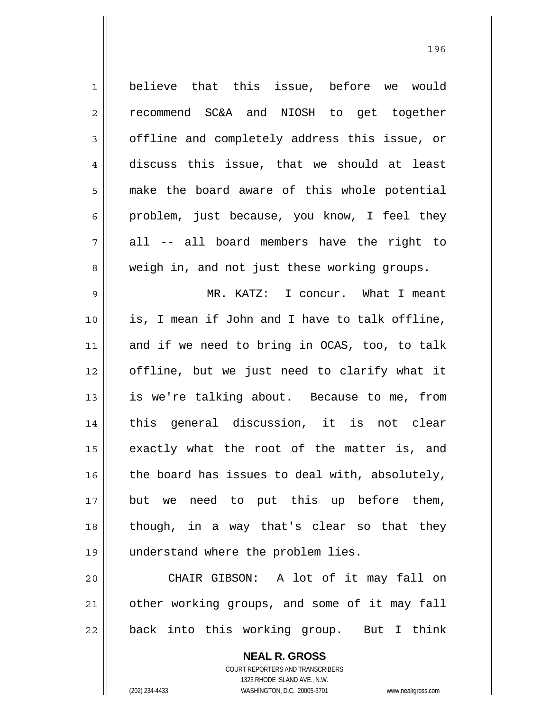1 believe that this issue, before we would 2 recommend SC&A and NIOSH to get together 3 | offline and completely address this issue, or 4 discuss this issue, that we should at least 5 || make the board aware of this whole potential  $6 \parallel$  problem, just because, you know, I feel they  $7 \parallel$  all -- all board members have the right to 8 weigh in, and not just these working groups. 9 MR. KATZ: I concur. What I meant 10 is, I mean if John and I have to talk offline, 11 and if we need to bring in OCAS, too, to talk 12 offline, but we just need to clarify what it 13 || is we're talking about. Because to me, from 14 || this general discussion, it is not clear 15 || exactly what the root of the matter is, and  $16$  the board has issues to deal with, absolutely, 17 but we need to put this up before them, 18 though, in a way that's clear so that they 19 understand where the problem lies. 20 CHAIR GIBSON: A lot of it may fall on 21 | other working groups, and some of it may fall

22 || back into this working group. But I think

 **NEAL R. GROSS** COURT REPORTERS AND TRANSCRIBERS 1323 RHODE ISLAND AVE., N.W. (202) 234-4433 WASHINGTON, D.C. 20005-3701 www.nealrgross.com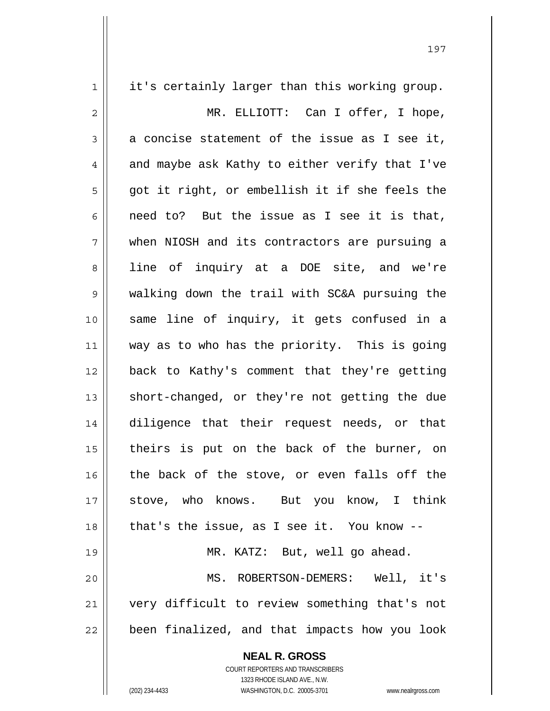| 1            | it's certainly larger than this working group. |
|--------------|------------------------------------------------|
| $\mathbf{2}$ | MR. ELLIOTT: Can I offer, I hope,              |
| 3            | a concise statement of the issue as I see it,  |
| 4            | and maybe ask Kathy to either verify that I've |
| 5            | got it right, or embellish it if she feels the |
| 6            | need to? But the issue as I see it is that,    |
| 7            | when NIOSH and its contractors are pursuing a  |
| 8            | line of inquiry at a DOE site, and we're       |
| 9            | walking down the trail with SC&A pursuing the  |
| 10           | same line of inquiry, it gets confused in a    |
| 11           | way as to who has the priority. This is going  |
| 12           | back to Kathy's comment that they're getting   |
| 13           | short-changed, or they're not getting the due  |
| 14           | diligence that their request needs, or that    |
| 15           | theirs is put on the back of the burner, on    |
| 16           | the back of the stove, or even falls off the   |
| 17           | stove, who knows. But you know, I think        |
| 18           | that's the issue, as I see it. You know $-$ -  |
| 19           | MR. KATZ: But, well go ahead.                  |
| 20           | MS. ROBERTSON-DEMERS: Well, it's               |
| 21           | very difficult to review something that's not  |
| 22           | been finalized, and that impacts how you look  |
|              | <b>NEAL R. GROSS</b>                           |

 COURT REPORTERS AND TRANSCRIBERS 1323 RHODE ISLAND AVE., N.W.

 $\mathsf{II}$ 

(202) 234-4433 WASHINGTON, D.C. 20005-3701 www.nealrgross.com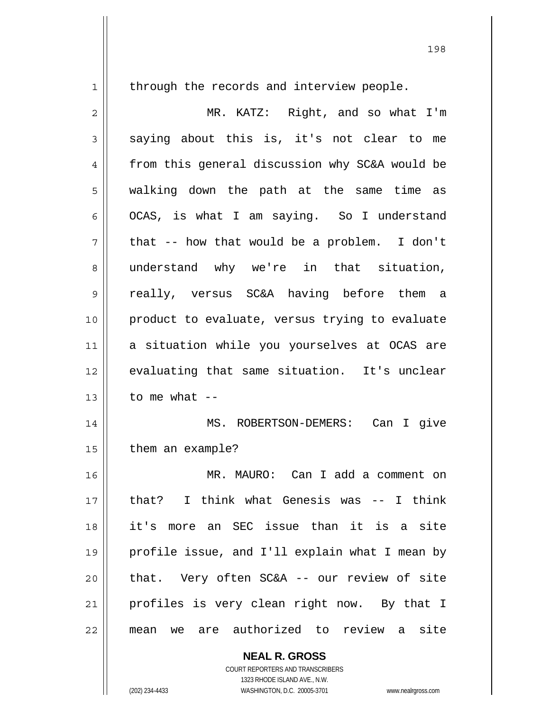through the records and interview people.

| $\overline{2}$ | MR. KATZ: Right, and so what I'm                 |
|----------------|--------------------------------------------------|
| 3              | saying about this is, it's not clear to me       |
| 4              | from this general discussion why SC&A would be   |
| 5              | walking down the path at the same time as        |
| 6              | OCAS, is what I am saying. So I understand       |
| 7              | that -- how that would be a problem. I don't     |
| 8              | understand why we're in that situation,          |
| $\mathsf 9$    | really, versus SC&A having before them a         |
| 10             | product to evaluate, versus trying to evaluate   |
| 11             | a situation while you yourselves at OCAS are     |
| 12             | evaluating that same situation. It's unclear     |
| 13             | to me what $--$                                  |
| 14             | MS. ROBERTSON-DEMERS: Can I give                 |
| 15             | them an example?                                 |
| 16             | MR. MAURO: Can I add a comment on                |
| $17$           | that? I think what Genesis was -- I think        |
| 18             | it's more an SEC issue than it is a site         |
| 19             | profile issue, and I'll explain what I mean by   |
| 20             | that. Very often SC&A -- our review of site      |
| 21             | profiles is very clean right now. By that I      |
| 22             | are authorized to review a<br>site<br>mean<br>we |

 **NEAL R. GROSS**

 COURT REPORTERS AND TRANSCRIBERS 1323 RHODE ISLAND AVE., N.W. (202) 234-4433 WASHINGTON, D.C. 20005-3701 www.nealrgross.com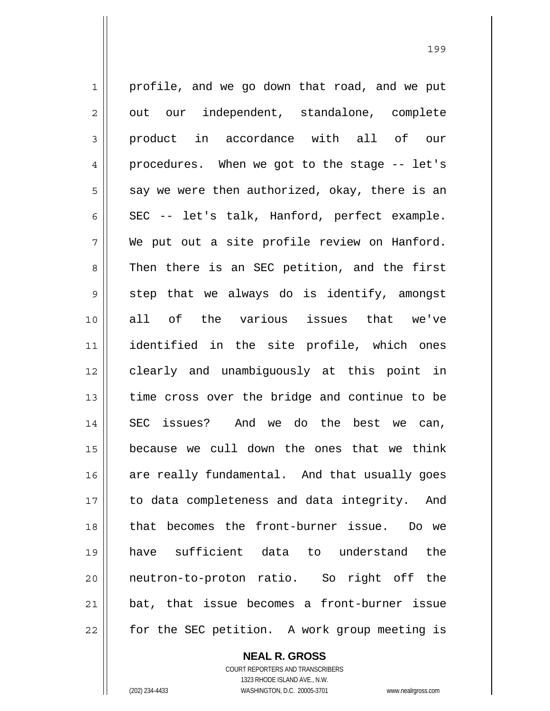1 | profile, and we go down that road, and we put  $2 \parallel$  out our independent, standalone, complete 3 product in accordance with all of our 4 procedures. When we got to the stage -- let's  $5 \parallel$  say we were then authorized, okay, there is an 6  $\parallel$  SEC -- let's talk, Hanford, perfect example.  $7 \parallel$  We put out a site profile review on Hanford. 8 || Then there is an SEC petition, and the first  $9 \parallel$  step that we always do is identify, amongst 10 all of the various issues that we've 11 identified in the site profile, which ones 12 clearly and unambiguously at this point in 13 || time cross over the bridge and continue to be 14 SEC issues? And we do the best we can, 15 because we cull down the ones that we think 16 are really fundamental. And that usually goes 17 || to data completeness and data integrity. And 18 || that becomes the front-burner issue. Do we 19 have sufficient data to understand the 20 neutron-to-proton ratio. So right off the 21 bat, that issue becomes a front-burner issue 22 || for the SEC petition. A work group meeting is

<u>1992 - Johann Amerikaanse konstantine (</u>

 **NEAL R. GROSS** COURT REPORTERS AND TRANSCRIBERS 1323 RHODE ISLAND AVE., N.W. (202) 234-4433 WASHINGTON, D.C. 20005-3701 www.nealrgross.com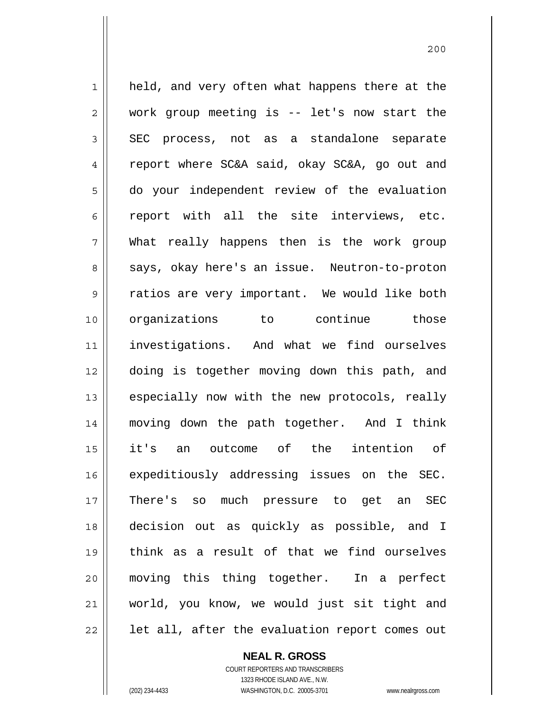1 || held, and very often what happens there at the 2 work group meeting is -- let's now start the  $3 \parallel$  SEC process, not as a standalone separate 4 Teport where SC&A said, okay SC&A, go out and do your independent review of the evaluation  $6 \parallel$  report with all the site interviews, etc. What really happens then is the work group 8 || says, okay here's an issue. Neutron-to-proton 9 || ratios are very important. We would like both organizations to continue those investigations. And what we find ourselves doing is together moving down this path, and || especially now with the new protocols, really moving down the path together. And I think it's an outcome of the intention of 16 || expeditiously addressing issues on the SEC. There's so much pressure to get an SEC decision out as quickly as possible, and I think as a result of that we find ourselves moving this thing together. In a perfect world, you know, we would just sit tight and || let all, after the evaluation report comes out

200

 **NEAL R. GROSS**

 COURT REPORTERS AND TRANSCRIBERS 1323 RHODE ISLAND AVE., N.W. (202) 234-4433 WASHINGTON, D.C. 20005-3701 www.nealrgross.com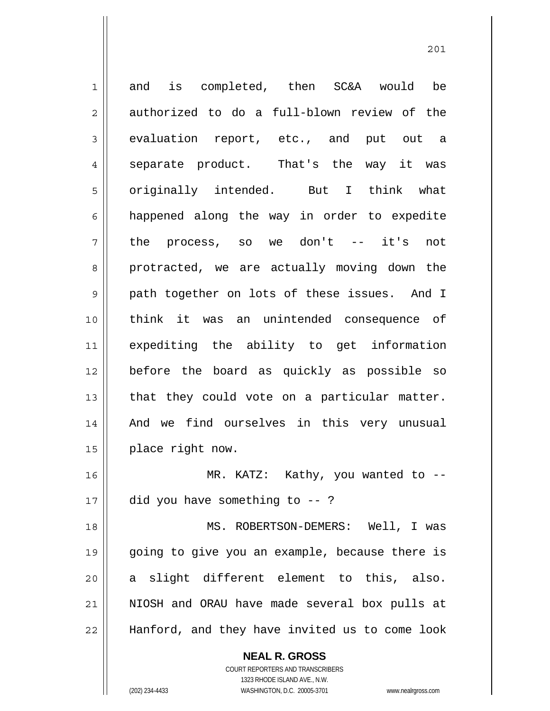1 and is completed, then SC&A would be  $2 \parallel$  authorized to do a full-blown review of the 3 evaluation report, etc., and put out a 4 || separate product. That's the way it was 5 || originally intended. But I think what 6 happened along the way in order to expedite  $7 \parallel$  the process, so we don't -- it's not 8 protracted, we are actually moving down the 9 path together on lots of these issues. And I 10 think it was an unintended consequence of 11 expediting the ability to get information 12 before the board as quickly as possible so  $13$  | that they could vote on a particular matter. 14 || And we find ourselves in this very unusual 15 | place right now. 16 || MR. KATZ: Kathy, you wanted to -- $17 \parallel$  did you have something to --? 18 MS. ROBERTSON-DEMERS: Well, I was 19 going to give you an example, because there is 20 a slight different element to this, also. 21 NIOSH and ORAU have made several box pulls at 22 Hanford, and they have invited us to come look

201

(202) 234-4433 WASHINGTON, D.C. 20005-3701 www.nealrgross.com

 COURT REPORTERS AND TRANSCRIBERS 1323 RHODE ISLAND AVE., N.W.

 **NEAL R. GROSS**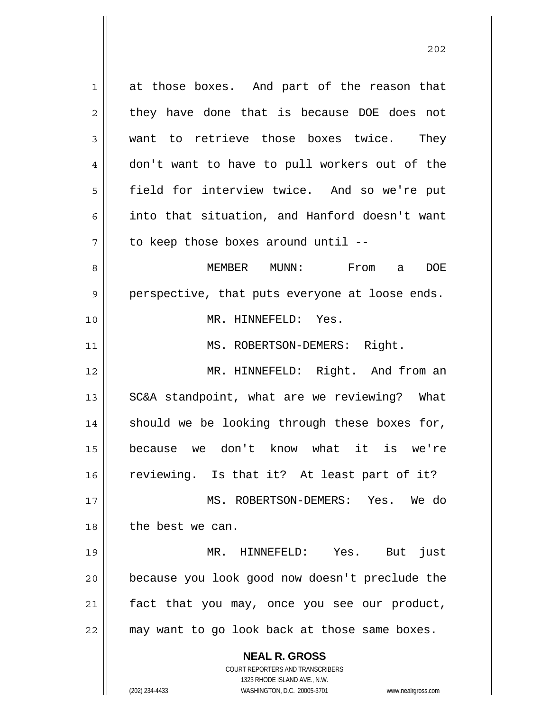**NEAL R. GROSS** COURT REPORTERS AND TRANSCRIBERS 1323 RHODE ISLAND AVE., N.W. 1 at those boxes. And part of the reason that  $2 \parallel$  they have done that is because DOE does not 3 want to retrieve those boxes twice. They 4 don't want to have to pull workers out of the 5 field for interview twice. And so we're put 6  $\parallel$  into that situation, and Hanford doesn't want  $7 \parallel$  to keep those boxes around until --8 MEMBER MUNN: From a DOE  $9 \parallel$  perspective, that puts everyone at loose ends. 10 MR. HINNEFELD: Yes. 11 || MS. ROBERTSON-DEMERS: Right. 12 MR. HINNEFELD: Right. And from an 13 || SC&A standpoint, what are we reviewing? What  $14$  should we be looking through these boxes for, 15 because we don't know what it is we're 16 || reviewing. Is that it? At least part of it? 17 MS. ROBERTSON-DEMERS: Yes. We do 18 | the best we can. 19 MR. HINNEFELD: Yes. But just 20 because you look good now doesn't preclude the 21 fact that you may, once you see our product, 22 may want to go look back at those same boxes.

(202) 234-4433 WASHINGTON, D.C. 20005-3701 www.nealrgross.com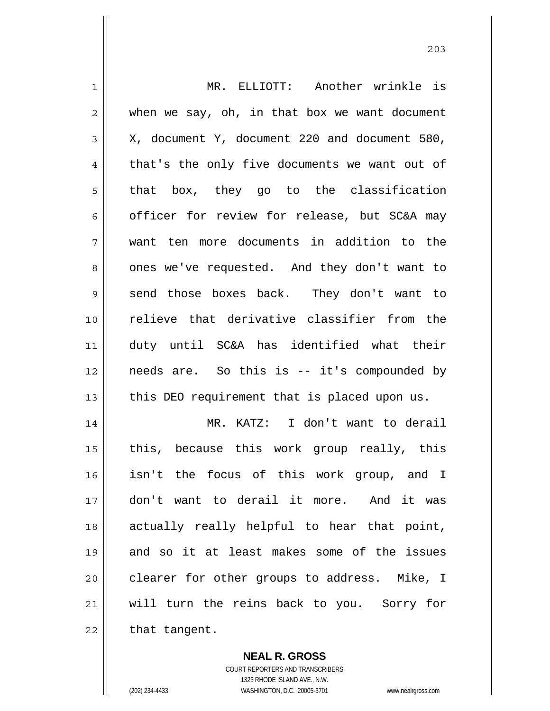| $\mathbf 1$    | MR. ELLIOTT: Another wrinkle is               |
|----------------|-----------------------------------------------|
| $\overline{2}$ | when we say, oh, in that box we want document |
| 3              | X, document Y, document 220 and document 580, |
| 4              | that's the only five documents we want out of |
| 5              | that box, they go to the classification       |
| 6              | officer for review for release, but SC&A may  |
| 7              | want ten more documents in addition to the    |
| 8              | ones we've requested. And they don't want to  |
| 9              | send those boxes back. They don't want to     |
| 10             | relieve that derivative classifier from the   |
| 11             | duty until SC&A has identified what their     |
| 12             | needs are. So this is -- it's compounded by   |
| 13             | this DEO requirement that is placed upon us.  |
| 14             | MR. KATZ: I don't want to derail              |
| 15             | this, because this work group really, this    |
| 16             | isn't the focus of this work group, and I     |
| 17             | don't want to derail it more. And it was      |
| 18             | actually really helpful to hear that point,   |
| 19             | and so it at least makes some of the issues   |
|                |                                               |
| 20             | clearer for other groups to address. Mike, I  |
| 21             | will turn the reins back to you. Sorry for    |
| 22             | that tangent.                                 |

 **NEAL R. GROSS** COURT REPORTERS AND TRANSCRIBERS

1323 RHODE ISLAND AVE., N.W.

(202) 234-4433 WASHINGTON, D.C. 20005-3701 www.nealrgross.com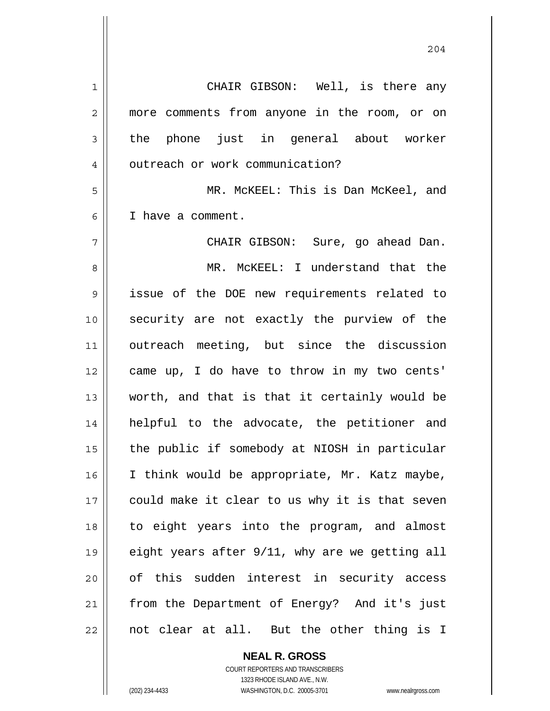1 CHAIR GIBSON: Well, is there any 2 || more comments from anyone in the room, or on  $3 \parallel$  the phone just in general about worker 4 | outreach or work communication? 5 MR. McKEEL: This is Dan McKeel, and 6 I have a comment. 7 CHAIR GIBSON: Sure, go ahead Dan. 8 MR. McKEEL: I understand that the 9 issue of the DOE new requirements related to 10 || security are not exactly the purview of the 11 outreach meeting, but since the discussion 12 came up, I do have to throw in my two cents' 13 worth, and that is that it certainly would be 14 helpful to the advocate, the petitioner and 15 || the public if somebody at NIOSH in particular 16 | I think would be appropriate, Mr. Katz maybe, 17 || could make it clear to us why it is that seven 18 to eight years into the program, and almost 19 eight years after 9/11, why are we getting all 20 || of this sudden interest in security access 21 || from the Department of Energy? And it's just  $22$  || not clear at all. But the other thing is I

> COURT REPORTERS AND TRANSCRIBERS 1323 RHODE ISLAND AVE., N.W. (202) 234-4433 WASHINGTON, D.C. 20005-3701 www.nealrgross.com

 **NEAL R. GROSS**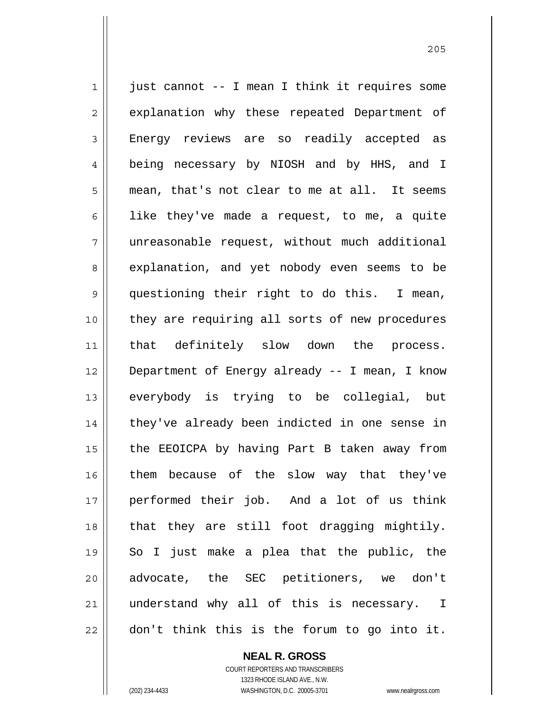1 || just cannot -- I mean I think it requires some 2 || explanation why these repeated Department of 3 Energy reviews are so readily accepted as 4 being necessary by NIOSH and by HHS, and I 5 mean, that's not clear to me at all. It seems 6 | like they've made a request, to me, a quite 7 unreasonable request, without much additional 8 explanation, and yet nobody even seems to be 9 questioning their right to do this. I mean, 10 || they are requiring all sorts of new procedures 11 || that definitely slow down the process. 12 Department of Energy already -- I mean, I know 13 || everybody is trying to be collegial, but 14 || they've already been indicted in one sense in 15 || the EEOICPA by having Part B taken away from 16 || them because of the slow way that they've 17 performed their job. And a lot of us think 18 || that they are still foot dragging mightily. 19 So I just make a plea that the public, the 20 || advocate, the SEC petitioners, we don't 21 understand why all of this is necessary. I  $22$   $\parallel$  don't think this is the forum to go into it.

> **NEAL R. GROSS** COURT REPORTERS AND TRANSCRIBERS

> > 1323 RHODE ISLAND AVE., N.W.

(202) 234-4433 WASHINGTON, D.C. 20005-3701 www.nealrgross.com

<u>205</u>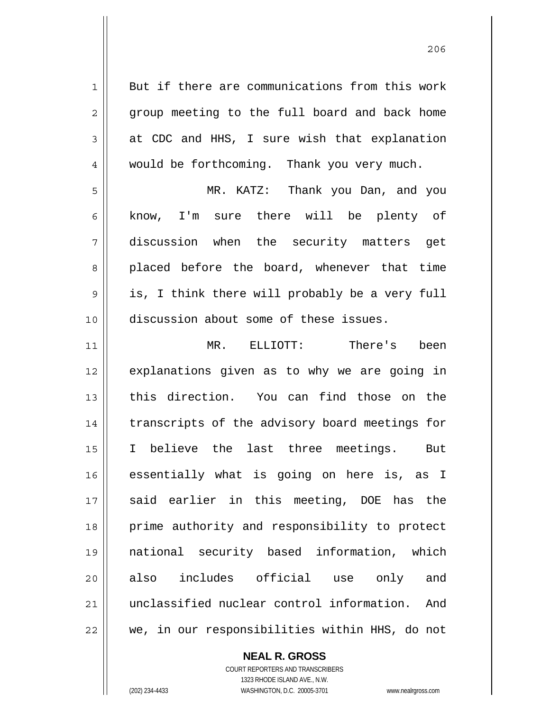1 But if there are communications from this work 2 || group meeting to the full board and back home  $3 \parallel$  at CDC and HHS, I sure wish that explanation 4 || would be forthcoming. Thank you very much. 5 MR. KATZ: Thank you Dan, and you 6 know, I'm sure there will be plenty of 7 discussion when the security matters get 8 placed before the board, whenever that time  $9 \parallel$  is, I think there will probably be a very full 10 discussion about some of these issues. 11 MR. ELLIOTT: There's been 12 || explanations given as to why we are going in 13 this direction. You can find those on the 14 || transcripts of the advisory board meetings for 15 I believe the last three meetings. But 16 essentially what is going on here is, as I 17 said earlier in this meeting, DOE has the 18 || prime authority and responsibility to protect 19 national security based information, which 20 also includes official use only and 21 unclassified nuclear control information. And 22 || we, in our responsibilities within HHS, do not

 **NEAL R. GROSS**

 COURT REPORTERS AND TRANSCRIBERS 1323 RHODE ISLAND AVE., N.W. (202) 234-4433 WASHINGTON, D.C. 20005-3701 www.nealrgross.com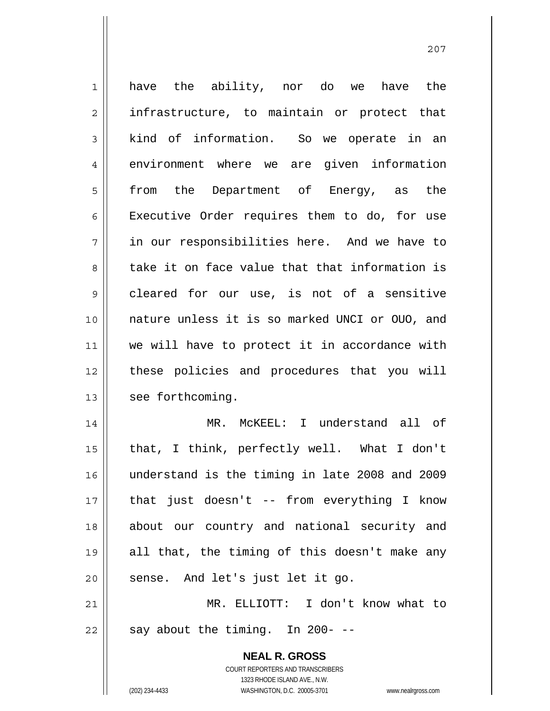| $\mathbf 1$    | have the ability, nor do we have the                                                                |
|----------------|-----------------------------------------------------------------------------------------------------|
| $\overline{2}$ | infrastructure, to maintain or protect that                                                         |
| 3              | kind of information. So we operate in an                                                            |
| 4              | environment where we are given information                                                          |
| 5              | from the Department of Energy, as the                                                               |
| 6              | Executive Order requires them to do, for use                                                        |
| 7              | in our responsibilities here. And we have to                                                        |
| 8              | take it on face value that that information is                                                      |
| 9              | cleared for our use, is not of a sensitive                                                          |
| 10             | nature unless it is so marked UNCI or OUO, and                                                      |
| 11             | we will have to protect it in accordance with                                                       |
| 12             | these policies and procedures that you will                                                         |
| 13             | see forthcoming.                                                                                    |
| 14             | MR. MCKEEL: I understand all of                                                                     |
| 15             | that, I think, perfectly well. What I don't                                                         |
| 16             | understand is the timing in late 2008 and 2009                                                      |
| 17             | that just doesn't -- from everything I know                                                         |
| 18             | about our country and national security and                                                         |
| 19             | all that, the timing of this doesn't make any                                                       |
| 20             | sense. And let's just let it go.                                                                    |
| 21             | MR. ELLIOTT: I don't know what to                                                                   |
| 22             | say about the timing. In 200- --                                                                    |
|                | <b>NEAL R. GROSS</b>                                                                                |
|                | COURT REPORTERS AND TRANSCRIBERS                                                                    |
|                | 1323 RHODE ISLAND AVE., N.W.<br>(202) 234-4433<br>WASHINGTON, D.C. 20005-3701<br>www.nealrgross.com |

<u>207</u>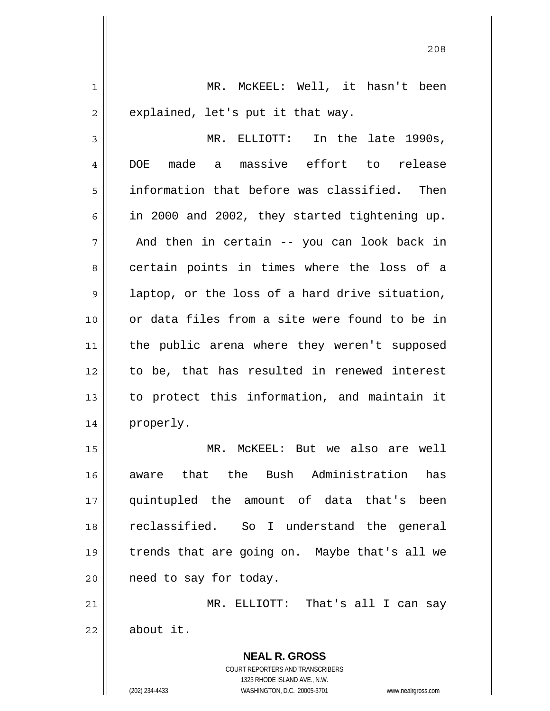1 MR. McKEEL: Well, it hasn't been  $2 \parallel$  explained, let's put it that way. 3 MR. ELLIOTT: In the late 1990s, 4 DOE made a massive effort to release 5 information that before was classified. Then 6  $\parallel$  in 2000 and 2002, they started tightening up.  $7 \parallel$  And then in certain -- you can look back in 8 certain points in times where the loss of a 9 || laptop, or the loss of a hard drive situation, 10 or data files from a site were found to be in

11 || the public arena where they weren't supposed

12 || to be, that has resulted in renewed interest

13 to protect this information, and maintain it

<u>208</u>

MR. McKEEL: But we also are well aware that the Bush Administration has quintupled the amount of data that's been reclassified. So I understand the general trends that are going on. Maybe that's all we 20 | need to say for today.

21 MR. ELLIOTT: That's all I can say  $22$   $\parallel$  about it.

> COURT REPORTERS AND TRANSCRIBERS 1323 RHODE ISLAND AVE., N.W. (202) 234-4433 WASHINGTON, D.C. 20005-3701 www.nealrgross.com

 **NEAL R. GROSS**

14 || properly.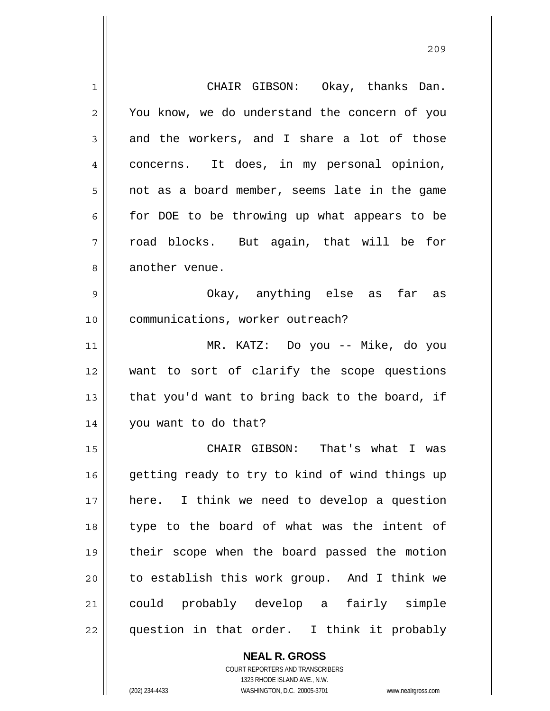1 CHAIR GIBSON: Okay, thanks Dan. 2 || You know, we do understand the concern of you  $3 \parallel$  and the workers, and I share a lot of those 4 concerns. It does, in my personal opinion, 5 || not as a board member, seems late in the game  $6 \parallel$  for DOE to be throwing up what appears to be  $7 \parallel$  road blocks. But again, that will be for 8 || another venue. 9 Okay, anything else as far as 10 || communications, worker outreach? 11 MR. KATZ: Do you -- Mike, do you 12 want to sort of clarify the scope questions 13  $\parallel$  that you'd want to bring back to the board, if 14 | you want to do that? 15 CHAIR GIBSON: That's what I was 16 || getting ready to try to kind of wind things up 17 here. I think we need to develop a question 18 || type to the board of what was the intent of 19 their scope when the board passed the motion 20 to establish this work group. And I think we 21 could probably develop a fairly simple 22 || question in that order. I think it probably

 **NEAL R. GROSS**

 COURT REPORTERS AND TRANSCRIBERS 1323 RHODE ISLAND AVE., N.W. (202) 234-4433 WASHINGTON, D.C. 20005-3701 www.nealrgross.com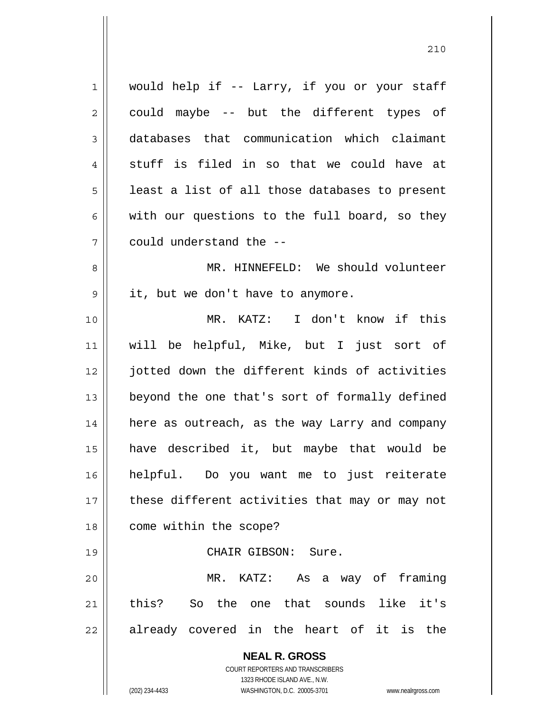**NEAL R. GROSS** COURT REPORTERS AND TRANSCRIBERS 1323 RHODE ISLAND AVE., N.W. (202) 234-4433 WASHINGTON, D.C. 20005-3701 www.nealrgross.com 1 || would help if -- Larry, if you or your staff  $2 \parallel$  could maybe -- but the different types of 3 databases that communication which claimant  $4 \parallel$  stuff is filed in so that we could have at  $5 \parallel$  least a list of all those databases to present 6 with our questions to the full board, so they 7 could understand the -- 8 MR. HINNEFELD: We should volunteer 9 | it, but we don't have to anymore. 10 MR. KATZ: I don't know if this 11 will be helpful, Mike, but I just sort of 12 jotted down the different kinds of activities 13 || beyond the one that's sort of formally defined 14 | here as outreach, as the way Larry and company 15 have described it, but maybe that would be 16 helpful. Do you want me to just reiterate 17 || these different activities that may or may not 18 | come within the scope? 19 CHAIR GIBSON: Sure. 20 MR. KATZ: As a way of framing 21 this? So the one that sounds like it's  $22$  already covered in the heart of it is the

<u>210</u>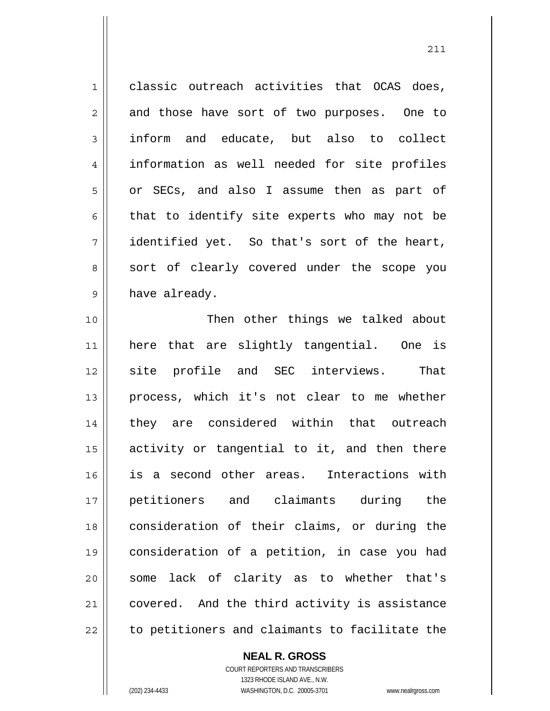$1 \parallel$  classic outreach activities that OCAS does,  $2 \parallel$  and those have sort of two purposes. One to 3 inform and educate, but also to collect 4 || information as well needed for site profiles 5 || or SECs, and also I assume then as part of  $6 \parallel$  that to identify site experts who may not be  $7 \parallel$  identified yet. So that's sort of the heart, 8 || sort of clearly covered under the scope you  $9 \parallel$  have already.

211

10 || Then other things we talked about 11 here that are slightly tangential. One is 12 site profile and SEC interviews. That 13 || process, which it's not clear to me whether 14 || they are considered within that outreach 15 activity or tangential to it, and then there 16 is a second other areas. Interactions with 17 petitioners and claimants during the 18 consideration of their claims, or during the 19 consideration of a petition, in case you had 20 || some lack of clarity as to whether that's 21 covered. And the third activity is assistance 22 || to petitioners and claimants to facilitate the

## **NEAL R. GROSS**

 COURT REPORTERS AND TRANSCRIBERS 1323 RHODE ISLAND AVE., N.W. (202) 234-4433 WASHINGTON, D.C. 20005-3701 www.nealrgross.com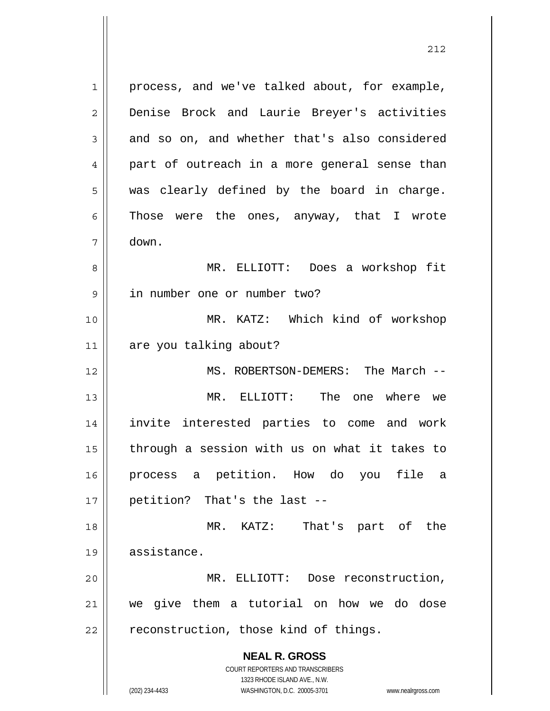**NEAL R. GROSS** COURT REPORTERS AND TRANSCRIBERS 1323 RHODE ISLAND AVE., N.W. 1 || process, and we've talked about, for example, 2 Denise Brock and Laurie Breyer's activities  $3 \parallel$  and so on, and whether that's also considered 4 part of outreach in a more general sense than  $5 \parallel$  was clearly defined by the board in charge.  $6 \parallel$  Those were the ones, anyway, that I wrote 7 down. 8 MR. ELLIOTT: Does a workshop fit 9 in number one or number two? 10 MR. KATZ: Which kind of workshop 11 are you talking about? 12 MS. ROBERTSON-DEMERS: The March -- 13 MR. ELLIOTT: The one where we 14 invite interested parties to come and work  $15$  | through a session with us on what it takes to 16 process a petition. How do you file a  $17$  | petition? That's the last  $-$ 18 MR. KATZ: That's part of the 19 assistance. 20 MR. ELLIOTT: Dose reconstruction, 21 we give them a tutorial on how we do dose  $22$  | reconstruction, those kind of things.

<u>212</u>

(202) 234-4433 WASHINGTON, D.C. 20005-3701 www.nealrgross.com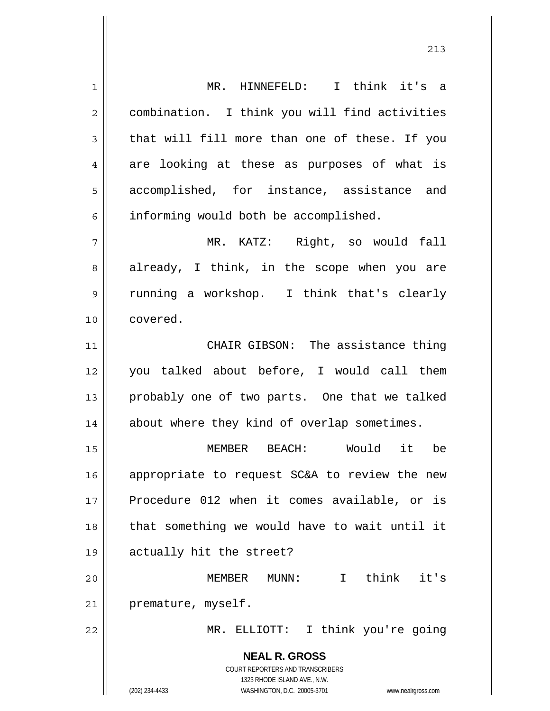**NEAL R. GROSS** COURT REPORTERS AND TRANSCRIBERS 1323 RHODE ISLAND AVE., N.W. (202) 234-4433 WASHINGTON, D.C. 20005-3701 www.nealrgross.com 1 MR. HINNEFELD: I think it's a 2 | combination. I think you will find activities  $3 \parallel$  that will fill more than one of these. If you  $4 \parallel$  are looking at these as purposes of what is 5 accomplished, for instance, assistance and  $6$  informing would both be accomplished. 7 MR. KATZ: Right, so would fall 8 already, I think, in the scope when you are 9 || running a workshop. I think that's clearly 10 covered. 11 CHAIR GIBSON: The assistance thing 12 you talked about before, I would call them 13 || probably one of two parts. One that we talked 14 || about where they kind of overlap sometimes. 15 MEMBER BEACH: Would it be 16 || appropriate to request SC&A to review the new 17 Procedure 012 when it comes available, or is 18 || that something we would have to wait until it 19 actually hit the street? 20 MEMBER MUNN: I think it's 21 | premature, myself. 22 MR. ELLIOTT: I think you're going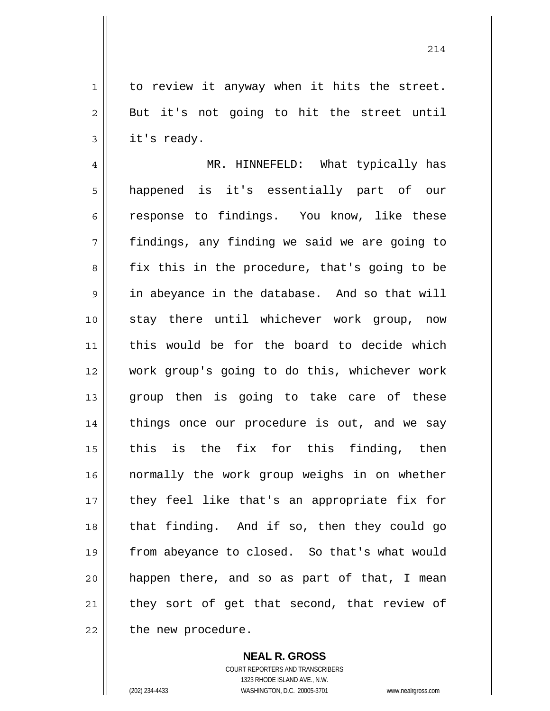$1 \parallel$  to review it anyway when it hits the street.  $2 \parallel$  But it's not going to hit the street until  $3 \parallel$  it's ready.

4 MR. HINNEFELD: What typically has 5 || happened is it's essentially part of our 6 componse to findings. You know, like these 7 findings, any finding we said we are going to 8 || fix this in the procedure, that's going to be 9 | in abeyance in the database. And so that will 10 stay there until whichever work group, now 11 this would be for the board to decide which 12 work group's going to do this, whichever work 13 || group then is going to take care of these 14 || things once our procedure is out, and we say  $15$  this is the fix for this finding, then 16 normally the work group weighs in on whether 17 || they feel like that's an appropriate fix for  $18$  || that finding. And if so, then they could go 19 from abeyance to closed. So that's what would  $20$  happen there, and so as part of that, I mean 21 || they sort of get that second, that review of  $22$  | the new procedure.

> **NEAL R. GROSS** COURT REPORTERS AND TRANSCRIBERS 1323 RHODE ISLAND AVE., N.W. (202) 234-4433 WASHINGTON, D.C. 20005-3701 www.nealrgross.com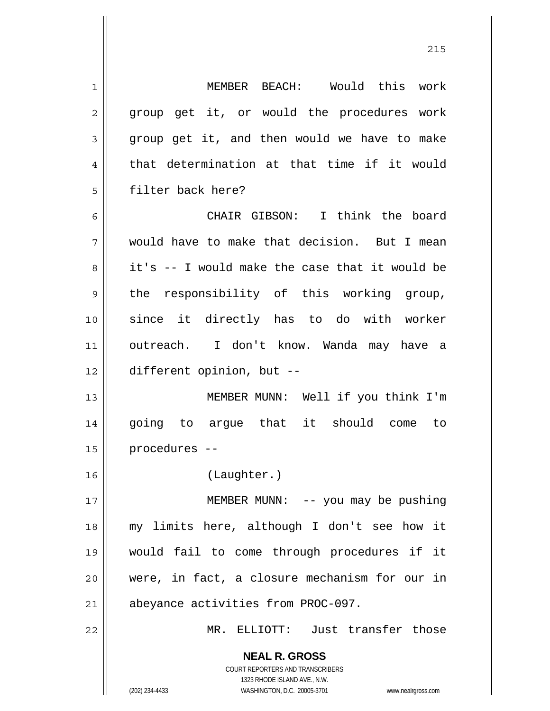| $\mathbf 1$    | MEMBER BEACH: Would this work                                                                   |
|----------------|-------------------------------------------------------------------------------------------------|
| 2              | group get it, or would the procedures work                                                      |
| $\mathfrak{Z}$ | group get it, and then would we have to make                                                    |
| $\overline{4}$ | that determination at that time if it would                                                     |
| 5              | filter back here?                                                                               |
| 6              | CHAIR GIBSON: I think the board                                                                 |
| 7              | would have to make that decision. But I mean                                                    |
| 8              | it's -- I would make the case that it would be                                                  |
| $\mathsf 9$    | the responsibility of this working group,                                                       |
| 10             | since it directly has to do with worker                                                         |
| 11             | outreach. I don't know. Wanda may have a                                                        |
| 12             | different opinion, but --                                                                       |
| 13             | MEMBER MUNN: Well if you think I'm                                                              |
| 14             | going to argue that it should come<br>to                                                        |
| 15             | procedures --                                                                                   |
| 16             | (Laughter.)                                                                                     |
| 17             | MEMBER MUNN: $-$ - you may be pushing                                                           |
| 18             | my limits here, although I don't see how it                                                     |
| 19             | would fail to come through procedures if it                                                     |
| 20             | were, in fact, a closure mechanism for our in                                                   |
| 21             | abeyance activities from PROC-097.                                                              |
| 22             | MR. ELLIOTT: Just transfer those                                                                |
|                | <b>NEAL R. GROSS</b><br><b>COURT REPORTERS AND TRANSCRIBERS</b><br>1323 RHODE ISLAND AVE., N.W. |
|                | (202) 234-4433<br>WASHINGTON, D.C. 20005-3701<br>www.nealrgross.com                             |

 $\mathsf{I}$ 

<u>215</u>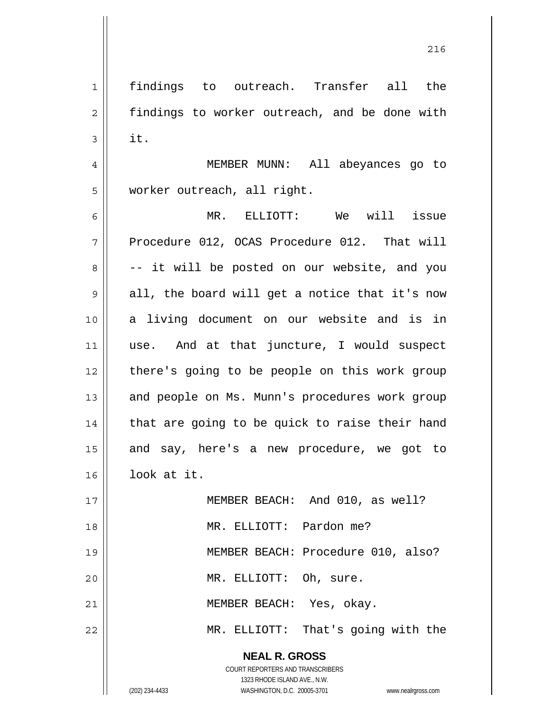2 | findings to worker outreach, and be done with  $3 \parallel$  it. 4 MEMBER MUNN: All abeyances go to 5 | worker outreach, all right. 6 MR. ELLIOTT: We will issue  $7 \parallel$  Procedure 012, OCAS Procedure 012. That will  $8 \parallel$  -- it will be posted on our website, and you  $9 \parallel$  all, the board will get a notice that it's now 10 || a living document on our website and is in 11 || use. And at that juncture, I would suspect 12 || there's going to be people on this work group 13 || and people on Ms. Munn's procedures work group  $14$  | that are going to be quick to raise their hand 15 || and say, here's a new procedure, we got to 16 look at it. 17 MEMBER BEACH: And 010, as well? 18 MR. ELLIOTT: Pardon me? 19 || MEMBER BEACH: Procedure 010, also? 20 || MR. ELLIOTT: Oh, sure. 21 || MEMBER BEACH: Yes, okay. 22 MR. ELLIOTT: That's going with the

1 findings to outreach. Transfer all the

 **NEAL R. GROSS** COURT REPORTERS AND TRANSCRIBERS

1323 RHODE ISLAND AVE., N.W.

(202) 234-4433 WASHINGTON, D.C. 20005-3701 www.nealrgross.com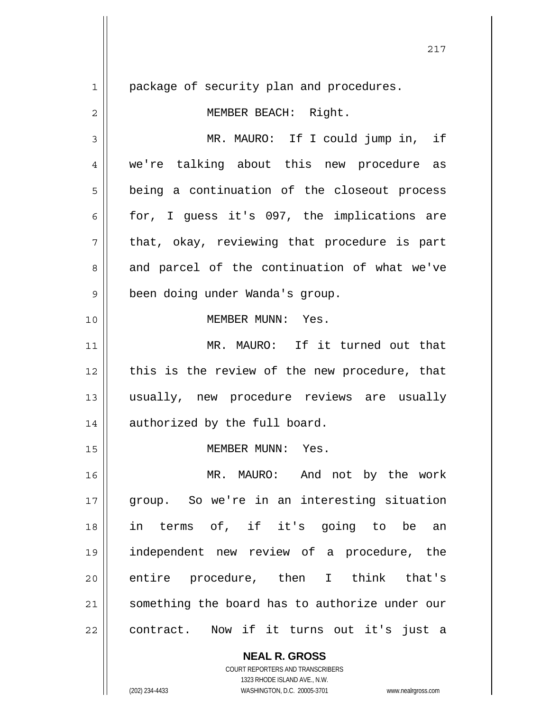**NEAL R. GROSS** 1 | package of security plan and procedures. 2 | MEMBER BEACH: Right. 3 MR. MAURO: If I could jump in, if 4 || we're talking about this new procedure as 5 || being a continuation of the closeout process 6 for, I guess it's 097, the implications are  $7 \parallel$  that, okay, reviewing that procedure is part  $8 \parallel$  and parcel of the continuation of what we've 9 | been doing under Wanda's group. 10 MEMBER MUNN: Yes. 11 MR. MAURO: If it turned out that 12 || this is the review of the new procedure, that 13 usually, new procedure reviews are usually 14 || authorized by the full board. 15 MEMBER MUNN: Yes. 16 MR. MAURO: And not by the work 17 group. So we're in an interesting situation 18 in terms of, if it's going to be an 19 independent new review of a procedure, the 20 entire procedure, then I think that's 21 something the board has to authorize under our 22 || contract. Now if it turns out it's just a

> COURT REPORTERS AND TRANSCRIBERS 1323 RHODE ISLAND AVE., N.W.

(202) 234-4433 WASHINGTON, D.C. 20005-3701 www.nealrgross.com

217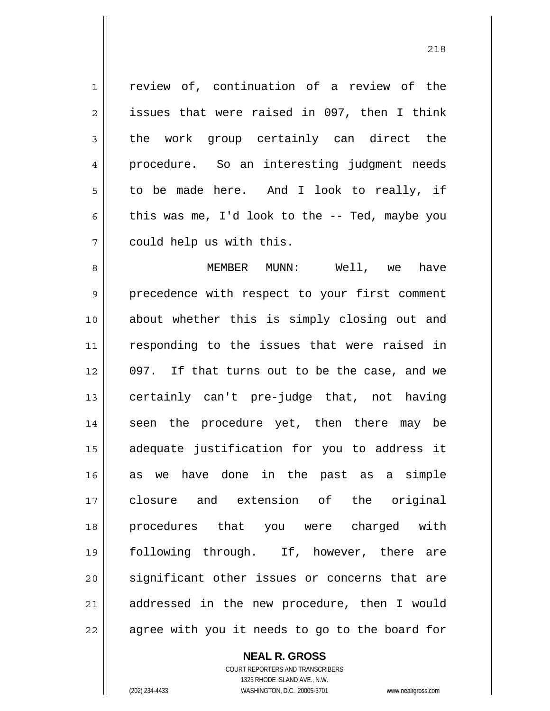1 || review of, continuation of a review of the  $2 \parallel$  issues that were raised in 097, then I think  $3 \parallel$  the work group certainly can direct the 4 procedure. So an interesting judgment needs  $5 \parallel$  to be made here. And I look to really, if 6 this was me, I'd look to the  $-$ - Ted, maybe you 7 | could help us with this.

8 MEMBER MUNN: Well, we have 9 || precedence with respect to your first comment 10 about whether this is simply closing out and 11 || responding to the issues that were raised in 12 || 097. If that turns out to be the case, and we 13 || certainly can't pre-judge that, not having 14 || seen the procedure yet, then there may be 15 adequate justification for you to address it 16 as we have done in the past as a simple 17 closure and extension of the original 18 procedures that you were charged with 19 following through. If, however, there are 20 || significant other issues or concerns that are 21 || addressed in the new procedure, then I would  $22$  || agree with you it needs to go to the board for

> **NEAL R. GROSS** COURT REPORTERS AND TRANSCRIBERS 1323 RHODE ISLAND AVE., N.W. (202) 234-4433 WASHINGTON, D.C. 20005-3701 www.nealrgross.com

<u>218</u>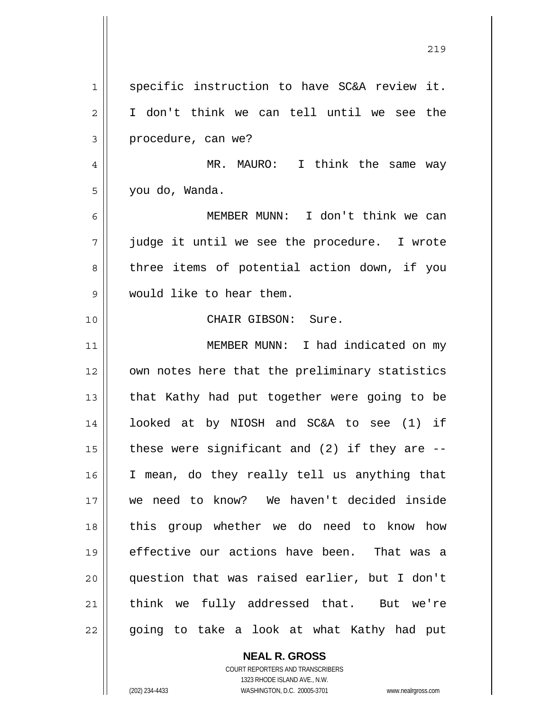1 || specific instruction to have SC&A review it. I don't think we can tell until we see the 3 procedure, can we? MR. MAURO: I think the same way you do, Wanda. MEMBER MUNN: I don't think we can  $7 \parallel$  judge it until we see the procedure. I wrote 8 || three items of potential action down, if you would like to hear them. CHAIR GIBSON: Sure. MEMBER MUNN: I had indicated on my 12 || own notes here that the preliminary statistics  $\parallel$  that Kathy had put together were going to be looked at by NIOSH and SC&A to see (1) if  $\parallel$  these were significant and (2) if they are --I mean, do they really tell us anything that we need to know? We haven't decided inside this group whether we do need to know how 19 || effective our actions have been. That was a question that was raised earlier, but I don't 21 || think we fully addressed that. But we're 22 || going to take a look at what Kathy had put

<u>219</u>

 **NEAL R. GROSS** COURT REPORTERS AND TRANSCRIBERS

 1323 RHODE ISLAND AVE., N.W. (202) 234-4433 WASHINGTON, D.C. 20005-3701 www.nealrgross.com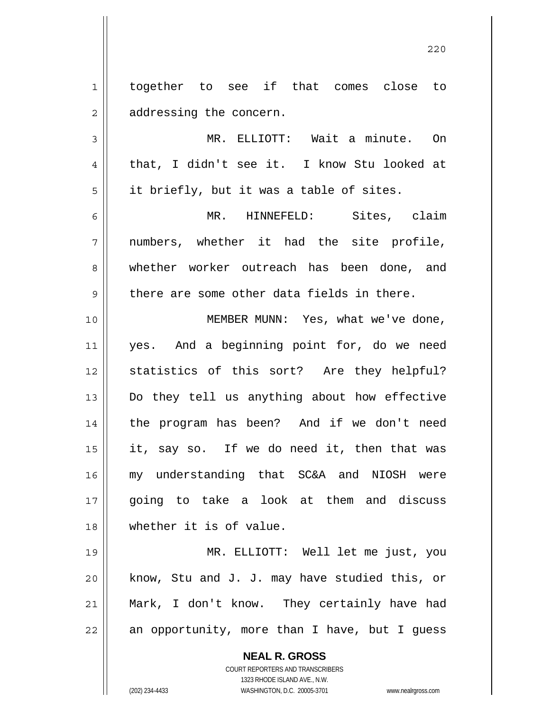**NEAL R. GROSS** 1 || together to see if that comes close to 2 | addressing the concern. 3 MR. ELLIOTT: Wait a minute. On 4 || that, I didn't see it. I know Stu looked at  $5 \parallel$  it briefly, but it was a table of sites. 6 MR. HINNEFELD: Sites, claim  $7 \parallel$  numbers, whether it had the site profile, 8 whether worker outreach has been done, and  $9 \parallel$  there are some other data fields in there. 10 MEMBER MUNN: Yes, what we've done, 11 yes. And a beginning point for, do we need 12 statistics of this sort? Are they helpful? 13 Do they tell us anything about how effective 14 || the program has been? And if we don't need  $15$  | it, say so. If we do need it, then that was 16 my understanding that SC&A and NIOSH were 17 going to take a look at them and discuss 18 whether it is of value. 19 MR. ELLIOTT: Well let me just, you  $20$  | know, Stu and J. J. may have studied this, or 21 Mark, I don't know. They certainly have had  $22$  an opportunity, more than I have, but I guess

<u>220</u>

 COURT REPORTERS AND TRANSCRIBERS 1323 RHODE ISLAND AVE., N.W.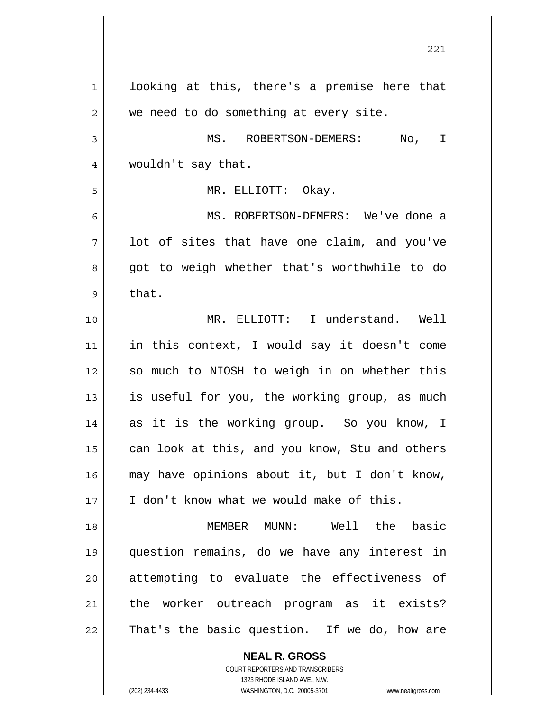| $\mathbf 1$  | looking at this, there's a premise here that   |
|--------------|------------------------------------------------|
| $\mathbf{2}$ | we need to do something at every site.         |
| 3            | MS. ROBERTSON-DEMERS:<br>No, I                 |
| 4            | wouldn't say that.                             |
| 5            | MR. ELLIOTT: Okay.                             |
| 6            | MS. ROBERTSON-DEMERS: We've done a             |
| 7            | lot of sites that have one claim, and you've   |
| 8            | got to weigh whether that's worthwhile to do   |
| 9            | that.                                          |
| 10           | MR. ELLIOTT: I understand. Well                |
| 11           | in this context, I would say it doesn't come   |
| 12           | so much to NIOSH to weigh in on whether this   |
| 13           | is useful for you, the working group, as much  |
| 14           | as it is the working group. So you know, I     |
| 15           | can look at this, and you know, Stu and others |
| 16           | may have opinions about it, but I don't know,  |
| 17           | I don't know what we would make of this.       |
| 18           | MEMBER MUNN: Well the basic                    |
| 19           | question remains, do we have any interest in   |
| 20           | attempting to evaluate the effectiveness of    |
| 21           | the worker outreach program as it exists?      |
| 22           | That's the basic question. If we do, how are   |
|              | <b>NEAL R. GROSS</b>                           |

 COURT REPORTERS AND TRANSCRIBERS 1323 RHODE ISLAND AVE., N.W.

 $\mathsf{II}$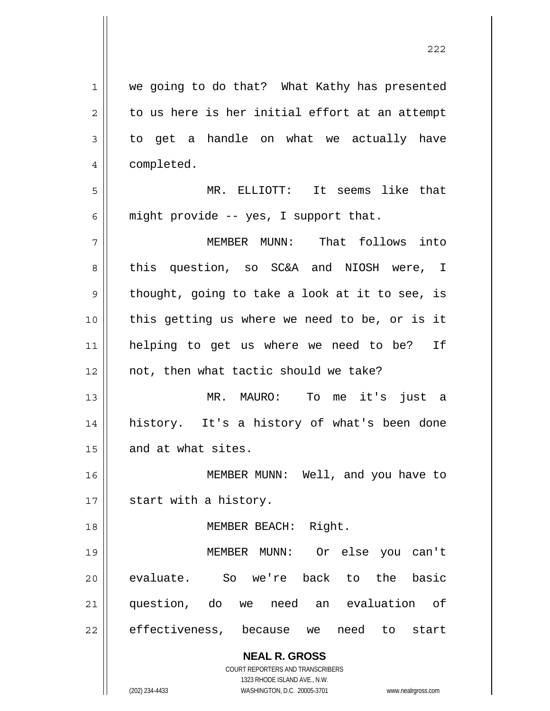**NEAL R. GROSS** COURT REPORTERS AND TRANSCRIBERS 1323 RHODE ISLAND AVE., N.W. 1 || we going to do that? What Kathy has presented  $2 \parallel$  to us here is her initial effort at an attempt  $3 \parallel$  to get a handle on what we actually have 4 | completed. 5 MR. ELLIOTT: It seems like that 6  $\parallel$  might provide -- yes, I support that. 7 MEMBER MUNN: That follows into 8 this question, so SC&A and NIOSH were, I  $9 \parallel$  thought, going to take a look at it to see, is 10 this getting us where we need to be, or is it 11 helping to get us where we need to be? If 12 || not, then what tactic should we take? 13 MR. MAURO: To me it's just a 14 history. It's a history of what's been done 15 || and at what sites. 16 MEMBER MUNN: Well, and you have to  $17$  | start with a history. 18 MEMBER BEACH: Right. 19 MEMBER MUNN: Or else you can't 20 evaluate. So we're back to the basic 21 question, do we need an evaluation of 22 effectiveness, because we need to start

<u>222</u>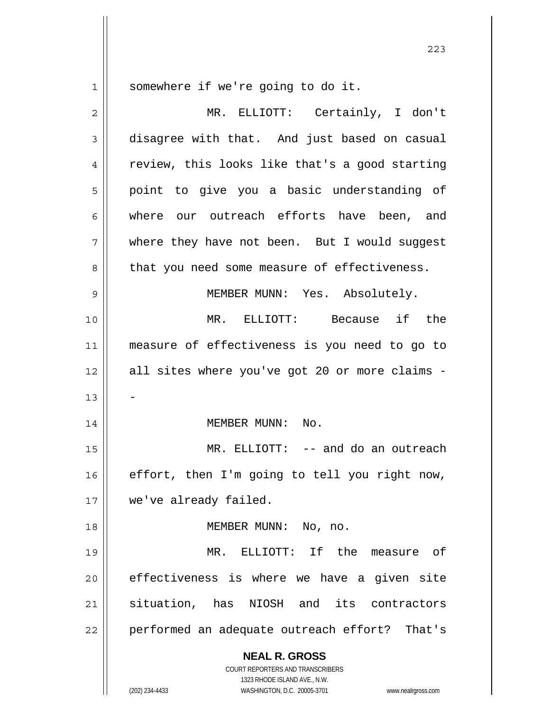somewhere if we're going to do it.

| 2  | MR. ELLIOTT: Certainly, I don't                                                                                                                                 |
|----|-----------------------------------------------------------------------------------------------------------------------------------------------------------------|
| 3  | disagree with that. And just based on casual                                                                                                                    |
| 4  | review, this looks like that's a good starting                                                                                                                  |
| 5  | point to give you a basic understanding of                                                                                                                      |
| 6  | where our outreach efforts have been, and                                                                                                                       |
| 7  | where they have not been. But I would suggest                                                                                                                   |
| 8  | that you need some measure of effectiveness.                                                                                                                    |
| 9  | MEMBER MUNN: Yes. Absolutely.                                                                                                                                   |
| 10 | MR. ELLIOTT: Because if the                                                                                                                                     |
| 11 | measure of effectiveness is you need to go to                                                                                                                   |
| 12 | all sites where you've got 20 or more claims -                                                                                                                  |
| 13 |                                                                                                                                                                 |
| 14 | MEMBER MUNN:<br>No.                                                                                                                                             |
| 15 | MR. ELLIOTT: -- and do an outreach                                                                                                                              |
| 16 | effort, then I'm going to tell you right now,                                                                                                                   |
| 17 | we've already failed.                                                                                                                                           |
| 18 | MEMBER MUNN: No, no.                                                                                                                                            |
| 19 | MR. ELLIOTT: If the measure of                                                                                                                                  |
| 20 | effectiveness is where we have a given site                                                                                                                     |
| 21 | situation, has NIOSH and its contractors                                                                                                                        |
| 22 | performed an adequate outreach effort? That's                                                                                                                   |
|    | <b>NEAL R. GROSS</b><br>COURT REPORTERS AND TRANSCRIBERS<br>1323 RHODE ISLAND AVE., N.W.<br>(202) 234-4433<br>WASHINGTON, D.C. 20005-3701<br>www.nealrgross.com |

<u>223</u>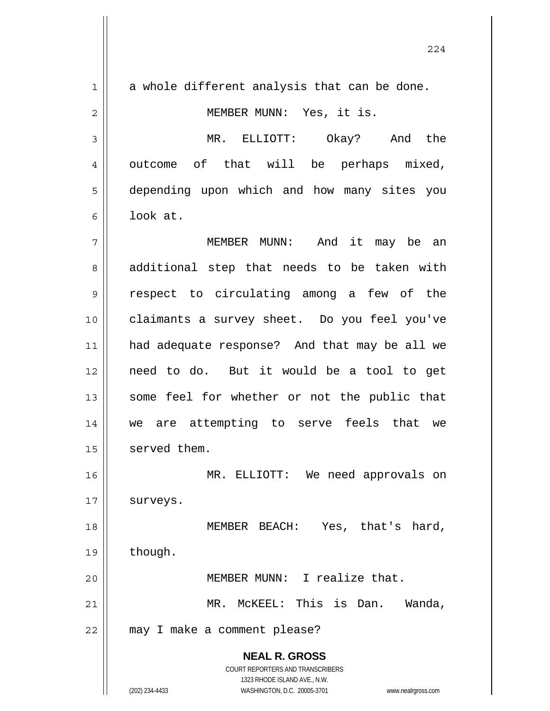**NEAL R. GROSS** COURT REPORTERS AND TRANSCRIBERS 1323 RHODE ISLAND AVE., N.W. (202) 234-4433 WASHINGTON, D.C. 20005-3701 www.nealrgross.com  $1 \parallel$  a whole different analysis that can be done. 2 MEMBER MUNN: Yes, it is. 3 MR. ELLIOTT: Okay? And the 4 || outcome of that will be perhaps mixed, 5 depending upon which and how many sites you  $6 \parallel$  look at. 7 MEMBER MUNN: And it may be an 8 additional step that needs to be taken with 9 respect to circulating among a few of the 10 claimants a survey sheet. Do you feel you've 11 had adequate response? And that may be all we 12 need to do. But it would be a tool to get 13 || some feel for whether or not the public that 14 || we are attempting to serve feels that we 15 | served them. 16 MR. ELLIOTT: We need approvals on 17 | surveys. 18 || MEMBER BEACH: Yes, that's hard, 19 | though. 20 MEMBER MUNN: I realize that. 21 | MR. McKEEL: This is Dan. Wanda, 22 | may I make a comment please?

224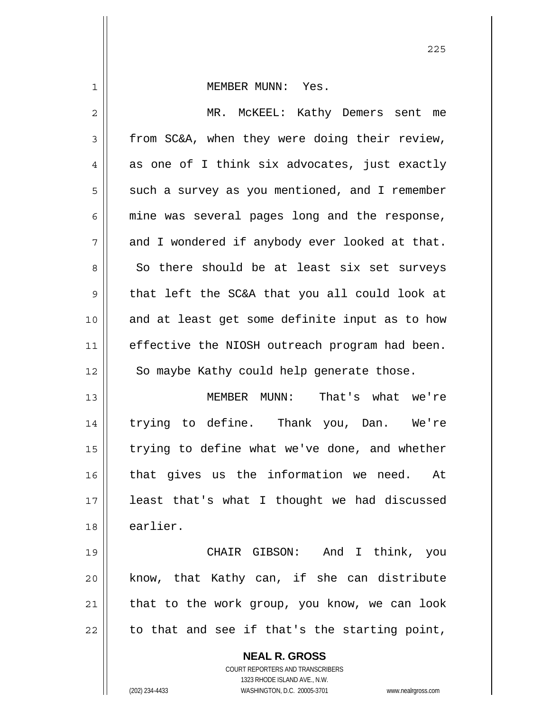| $\mathbf 1$ | MEMBER MUNN: Yes.                              |
|-------------|------------------------------------------------|
| 2           | MR. MCKEEL: Kathy Demers sent me               |
| 3           | from SC&A, when they were doing their review,  |
| 4           | as one of I think six advocates, just exactly  |
| 5           | such a survey as you mentioned, and I remember |
| 6           | mine was several pages long and the response,  |
| 7           | and I wondered if anybody ever looked at that. |
| 8           | So there should be at least six set surveys    |
| $\mathsf 9$ | that left the SC&A that you all could look at  |
| 10          | and at least get some definite input as to how |
| 11          | effective the NIOSH outreach program had been. |
| 12          | So maybe Kathy could help generate those.      |
| 13          | MEMBER MUNN: That's what we're                 |
| 14          | trying to define. Thank you, Dan. We're        |
| 15          | trying to define what we've done, and whether  |
| 16          | that gives us the information we need.<br>At   |
| 17          | least that's what I thought we had discussed   |
| 18          | earlier.                                       |
| 19          | CHAIR GIBSON: And I think, you                 |
| 20          | know, that Kathy can, if she can distribute    |
| 21          | that to the work group, you know, we can look  |
| 22          | to that and see if that's the starting point,  |
|             | <b>NEAL R. GROSS</b>                           |

 COURT REPORTERS AND TRANSCRIBERS 1323 RHODE ISLAND AVE., N.W.

 $\mathsf{II}$ 

(202) 234-4433 WASHINGTON, D.C. 20005-3701 www.nealrgross.com

<u>225</u>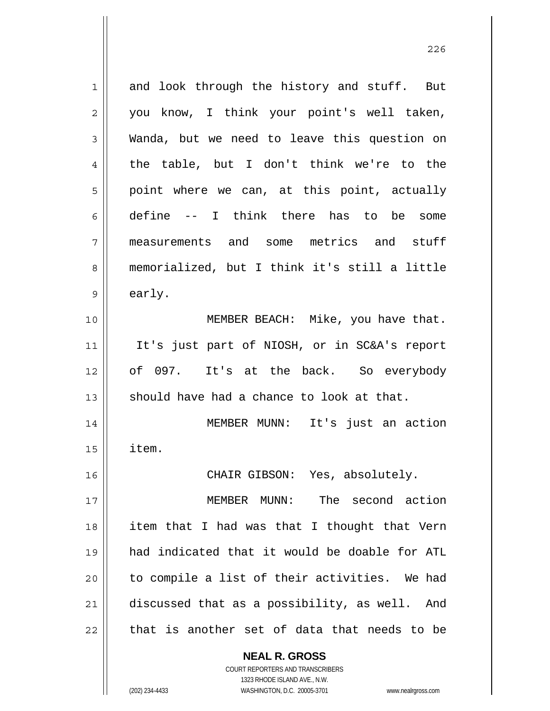1 and look through the history and stuff. But 2 || you know, I think your point's well taken, 3 Wanda, but we need to leave this question on  $4 \parallel$  the table, but I don't think we're to the  $5 \parallel$  point where we can, at this point, actually 6 define  $-$  I think there has to be some 7 measurements and some metrics and stuff 8 memorialized, but I think it's still a little  $9 \parallel$  early. 10 || MEMBER BEACH: Mike, you have that. 11 || It's just part of NIOSH, or in SC&A's report 12 of 097. It's at the back. So everybody 13  $\parallel$  should have had a chance to look at that. 14 MEMBER MUNN: It's just an action  $15$  | item. 16 CHAIR GIBSON: Yes, absolutely. 17 MEMBER MUNN: The second action 18 item that I had was that I thought that Vern 19 had indicated that it would be doable for ATL 20 || to compile a list of their activities. We had 21 discussed that as a possibility, as well. And  $22$  | that is another set of data that needs to be

> **NEAL R. GROSS** COURT REPORTERS AND TRANSCRIBERS

 1323 RHODE ISLAND AVE., N.W. (202) 234-4433 WASHINGTON, D.C. 20005-3701 www.nealrgross.com

<u>226</u>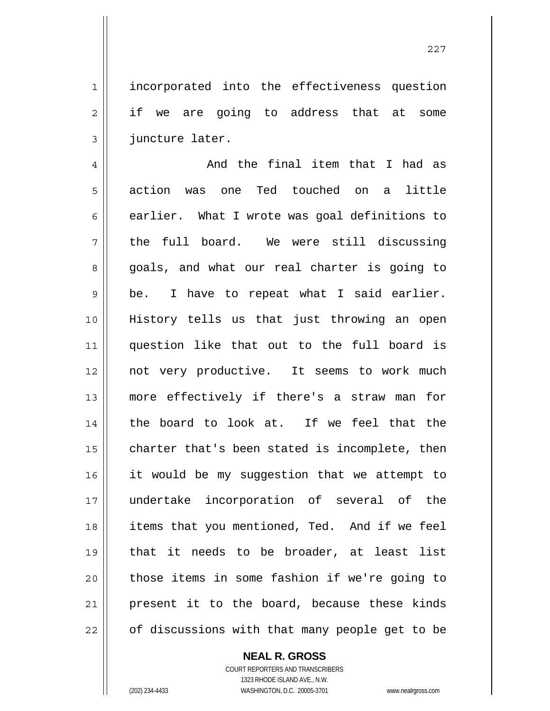1 || incorporated into the effectiveness question 2 || if we are going to address that at some 3 | juncture later.

 $4 \parallel$  and the final item that I had as 5 action was one Ted touched on a little  $6$  || earlier. What I wrote was goal definitions to  $7$  the full board. We were still discussing 8 goals, and what our real charter is going to  $9 \parallel$  be. I have to repeat what I said earlier. 10 History tells us that just throwing an open 11 question like that out to the full board is 12 not very productive. It seems to work much 13 more effectively if there's a straw man for 14 || the board to look at. If we feel that the  $15$   $\parallel$  charter that's been stated is incomplete, then 16 || it would be my suggestion that we attempt to 17 undertake incorporation of several of the 18 || items that you mentioned, Ted. And if we feel 19 that it needs to be broader, at least list 20 || those items in some fashion if we're going to 21 present it to the board, because these kinds 22 || of discussions with that many people get to be

 **NEAL R. GROSS**

 COURT REPORTERS AND TRANSCRIBERS 1323 RHODE ISLAND AVE., N.W. (202) 234-4433 WASHINGTON, D.C. 20005-3701 www.nealrgross.com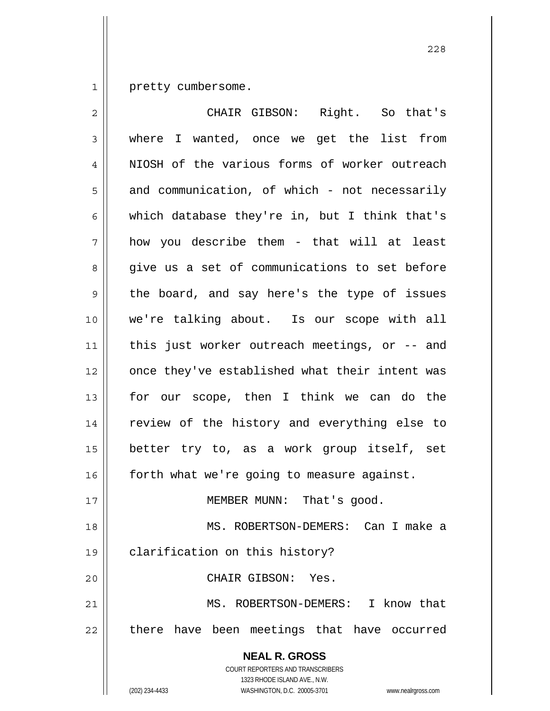1 | pretty cumbersome.

| $\overline{2}$ | CHAIR GIBSON: Right. So that's                                                                  |
|----------------|-------------------------------------------------------------------------------------------------|
| 3              | where I wanted, once we get the list from                                                       |
| 4              | NIOSH of the various forms of worker outreach                                                   |
| 5              | and communication, of which - not necessarily                                                   |
| 6              | which database they're in, but I think that's                                                   |
| 7              | how you describe them - that will at least                                                      |
| 8              | give us a set of communications to set before                                                   |
| $\mathsf 9$    | the board, and say here's the type of issues                                                    |
| 10             | we're talking about. Is our scope with all                                                      |
| 11             | this just worker outreach meetings, or -- and                                                   |
| 12             | once they've established what their intent was                                                  |
| 13             | for our scope, then I think we can do the                                                       |
| 14             | review of the history and everything else to                                                    |
| 15             | better try to, as a work group itself, set                                                      |
| 16             | forth what we're going to measure against.                                                      |
| 17             | MEMBER MUNN: That's good.                                                                       |
| 18             | MS. ROBERTSON-DEMERS: Can I make a                                                              |
| 19             | clarification on this history?                                                                  |
| 20             | CHAIR GIBSON: Yes.                                                                              |
| 21             | MS. ROBERTSON-DEMERS: I know that                                                               |
| 22             | there have been meetings that have occurred                                                     |
|                | <b>NEAL R. GROSS</b><br><b>COURT REPORTERS AND TRANSCRIBERS</b><br>1323 RHODE ISLAND AVE., N.W. |
|                | WASHINGTON, D.C. 20005-3701<br>(202) 234-4433<br>www.nealrgross.com                             |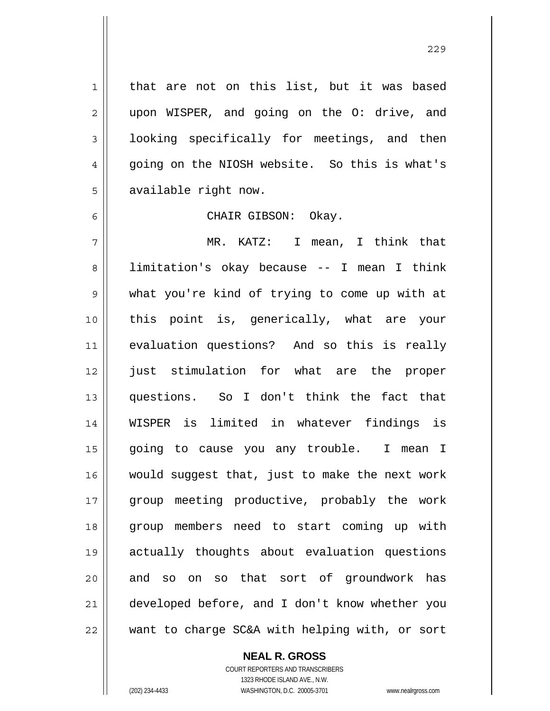1 || that are not on this list, but it was based 2 || upon WISPER, and going on the O: drive, and  $3 \parallel$  looking specifically for meetings, and then 4 || qoing on the NIOSH website. So this is what's 5 | available right now.

6 CHAIR GIBSON: Okay.

MR. KATZ: I mean, I think that 8 | limitation's okay because -- I mean I think what you're kind of trying to come up with at this point is, generically, what are your evaluation questions? And so this is really 12 || just stimulation for what are the proper questions. So I don't think the fact that WISPER is limited in whatever findings is going to cause you any trouble. I mean I would suggest that, just to make the next work group meeting productive, probably the work group members need to start coming up with actually thoughts about evaluation questions 20 and so on so that sort of groundwork has developed before, and I don't know whether you want to charge SC&A with helping with, or sort

 **NEAL R. GROSS**

 COURT REPORTERS AND TRANSCRIBERS 1323 RHODE ISLAND AVE., N.W. (202) 234-4433 WASHINGTON, D.C. 20005-3701 www.nealrgross.com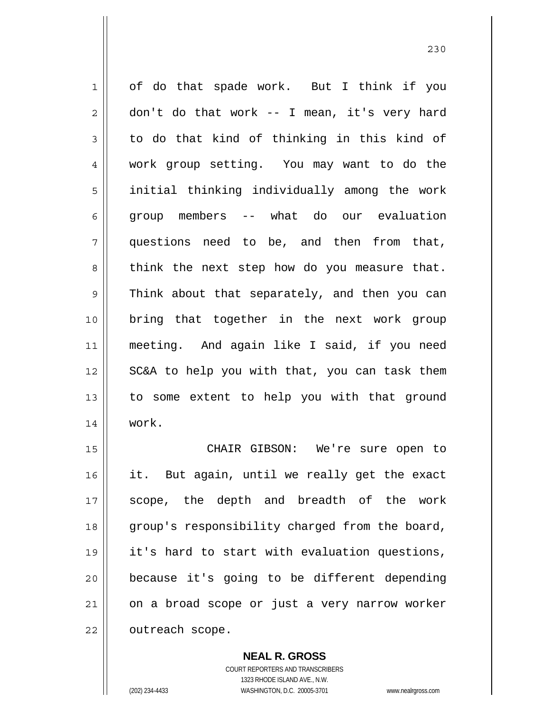1 of do that spade work. But I think if you  $2 \parallel$  don't do that work -- I mean, it's very hard  $3 \parallel$  to do that kind of thinking in this kind of 4 work group setting. You may want to do the 5 || initial thinking individually among the work 6 group members -- what do our evaluation 7 questions need to be, and then from that,  $8 \parallel$  think the next step how do you measure that. 9 Think about that separately, and then you can 10 bring that together in the next work group 11 meeting. And again like I said, if you need 12 || SC&A to help you with that, you can task them 13 || to some extent to help you with that ground 14 work.

15 || CHAIR GIBSON: We're sure open to 16 it. But again, until we really get the exact 17 || scope, the depth and breadth of the work 18 || group's responsibility charged from the board, 19 it's hard to start with evaluation questions,  $20$  | because it's going to be different depending 21 on a broad scope or just a very narrow worker 22 | outreach scope.

> COURT REPORTERS AND TRANSCRIBERS 1323 RHODE ISLAND AVE., N.W. (202) 234-4433 WASHINGTON, D.C. 20005-3701 www.nealrgross.com

 **NEAL R. GROSS**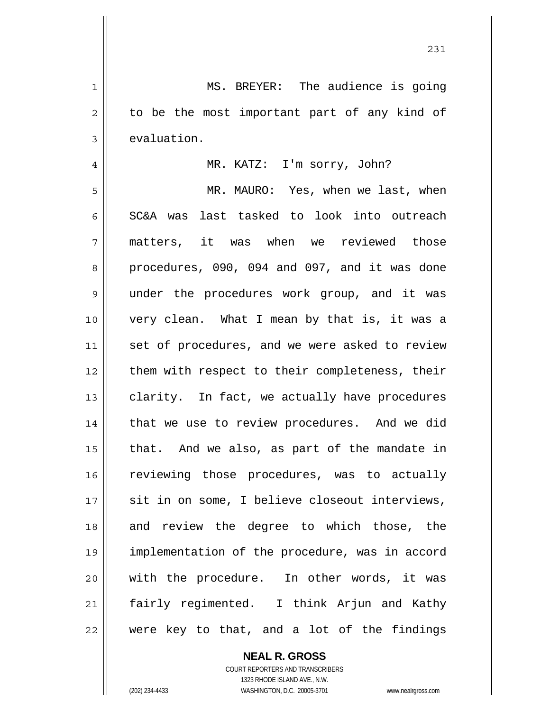1 MS. BREYER: The audience is going  $2 \parallel$  to be the most important part of any kind of  $3 \parallel$  evaluation. 4 MR. KATZ: I'm sorry, John? 5 MR. MAURO: Yes, when we last, when 6 SC&A was last tasked to look into outreach 7 matters, it was when we reviewed those 8 procedures, 090, 094 and 097, and it was done 9 || under the procedures work group, and it was 10 very clean. What I mean by that is, it was a 11 || set of procedures, and we were asked to review 12 || them with respect to their completeness, their  $13$  clarity. In fact, we actually have procedures 14 || that we use to review procedures. And we did  $15$  | that. And we also, as part of the mandate in 16 || reviewing those procedures, was to actually 17 || sit in on some, I believe closeout interviews, 18 and review the degree to which those, the 19 implementation of the procedure, was in accord 20 with the procedure. In other words, it was 21 || fairly regimented. I think Arjun and Kathy  $22$  were key to that, and a lot of the findings

231

 COURT REPORTERS AND TRANSCRIBERS 1323 RHODE ISLAND AVE., N.W. (202) 234-4433 WASHINGTON, D.C. 20005-3701 www.nealrgross.com

 **NEAL R. GROSS**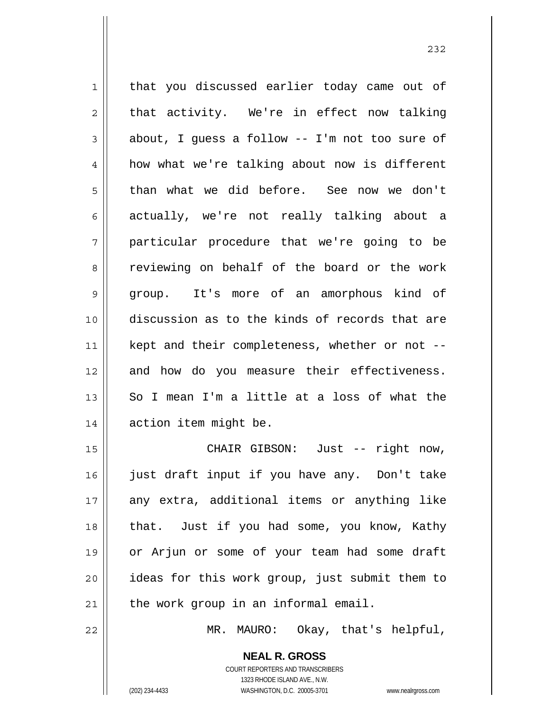1 || that you discussed earlier today came out of  $2 \parallel$  that activity. We're in effect now talking  $3 \parallel$  about, I quess a follow -- I'm not too sure of 4 | how what we're talking about now is different 5 than what we did before. See now we don't 6 actually, we're not really talking about a 7 particular procedure that we're going to be 8 Teviewing on behalf of the board or the work 9 group. It's more of an amorphous kind of 10 discussion as to the kinds of records that are 11 || kept and their completeness, whether or not --12 and how do you measure their effectiveness. 13 So I mean I'm a little at a loss of what the 14 | action item might be. 15 CHAIR GIBSON: Just -- right now, 16 just draft input if you have any. Don't take 17 any extra, additional items or anything like 18 || that. Just if you had some, you know, Kathy 19 or Arjun or some of your team had some draft 20 ideas for this work group, just submit them to

22 MR. MAURO: Okay, that's helpful,

 **NEAL R. GROSS** COURT REPORTERS AND TRANSCRIBERS 1323 RHODE ISLAND AVE., N.W.

 $21$  || the work group in an informal email.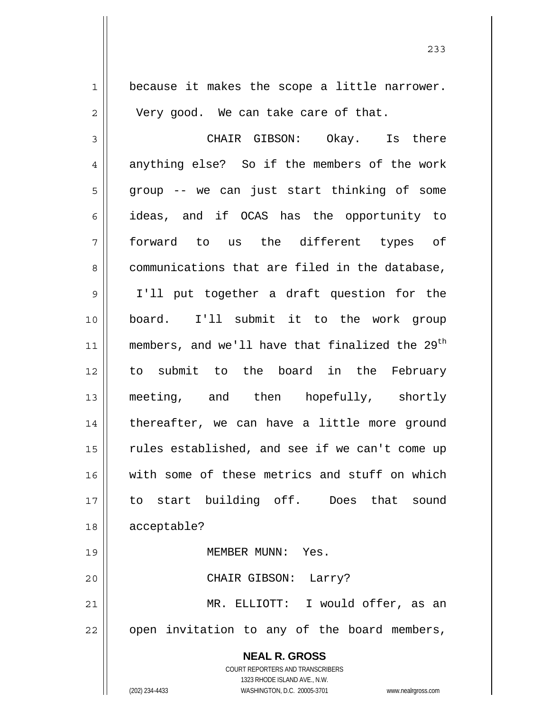**NEAL R. GROSS** COURT REPORTERS AND TRANSCRIBERS  $1 \parallel$  because it makes the scope a little narrower.  $2 \parallel$  Very good. We can take care of that. 3 CHAIR GIBSON: Okay. Is there  $4 \parallel$  anything else? So if the members of the work  $5 \parallel$  group -- we can just start thinking of some 6 ideas, and if OCAS has the opportunity to 7 forward to us the different types of 8 communications that are filed in the database, 9 I'll put together a draft question for the 10 board. I'll submit it to the work group 11 || members, and we'll have that finalized the  $29<sup>th</sup>$ 12 to submit to the board in the February 13 meeting, and then hopefully, shortly 14 || thereafter, we can have a little more ground 15 || rules established, and see if we can't come up 16 with some of these metrics and stuff on which 17 to start building off. Does that sound 18 acceptable? 19 MEMBER MUNN: Yes. 20 CHAIR GIBSON: Larry? 21 MR. ELLIOTT: I would offer, as an 22 || open invitation to any of the board members,

233

1323 RHODE ISLAND AVE., N.W.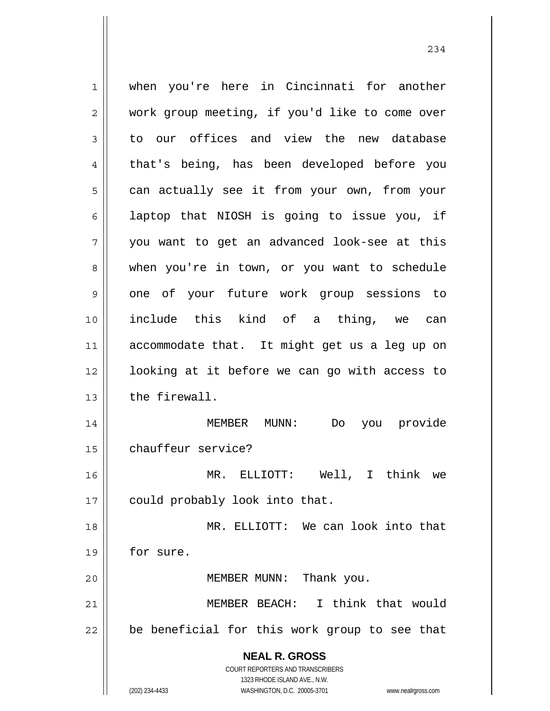**NEAL R. GROSS** COURT REPORTERS AND TRANSCRIBERS 1323 RHODE ISLAND AVE., N.W. 1 when you're here in Cincinnati for another 2 | work group meeting, if you'd like to come over  $3 \parallel$  to our offices and view the new database 4 that's being, has been developed before you  $5 \parallel$  can actually see it from your own, from your  $6 \parallel$  laptop that NIOSH is going to issue you, if  $7 \parallel$  you want to get an advanced look-see at this 8 when you're in town, or you want to schedule 9 one of your future work group sessions to 10 include this kind of a thing, we can 11 accommodate that. It might get us a leg up on 12 || looking at it before we can go with access to 13 l the firewall. 14 MEMBER MUNN: Do you provide 15 | chauffeur service? 16 MR. ELLIOTT: Well, I think we 17 || could probably look into that. 18 || MR. ELLIOTT: We can look into that 19 for sure. 20 || MEMBER MUNN: Thank you. 21 MEMBER BEACH: I think that would  $22$  | be beneficial for this work group to see that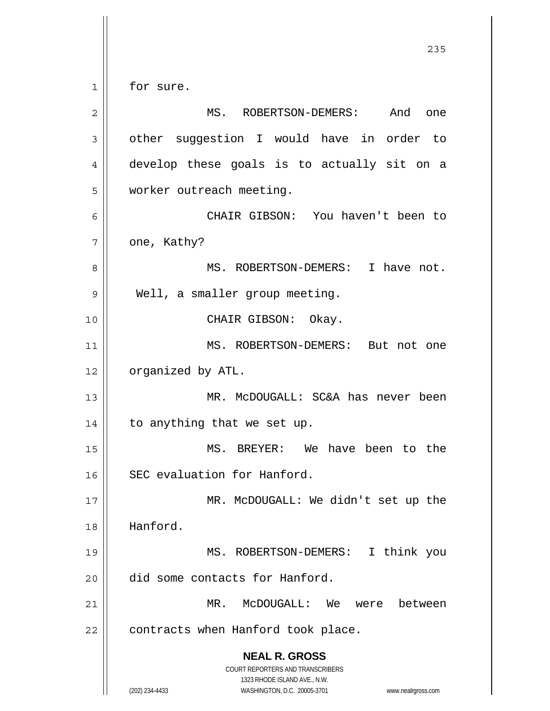**NEAL R. GROSS** COURT REPORTERS AND TRANSCRIBERS 1323 RHODE ISLAND AVE., N.W. (202) 234-4433 WASHINGTON, D.C. 20005-3701 www.nealrgross.com <u>235</u> 1 | for sure. 2 MS. ROBERTSON-DEMERS: And one 3 | other suggestion I would have in order to 4 develop these goals is to actually sit on a 5 | worker outreach meeting. 6 CHAIR GIBSON: You haven't been to  $7 \parallel$  one, Kathy? 8 || MS. ROBERTSON-DEMERS: I have not. 9 | Well, a smaller group meeting. 10 CHAIR GIBSON: Okay. 11 || MS. ROBERTSON-DEMERS: But not one 12 | organized by ATL. 13 MR. McDOUGALL: SC&A has never been 14 || to anything that we set up. 15 MS. BREYER: We have been to the 16 SEC evaluation for Hanford. 17 || MR. McDOUGALL: We didn't set up the 18 Hanford. 19 MS. ROBERTSON-DEMERS: I think you 20 did some contacts for Hanford. 21 MR. McDOUGALL: We were between  $22$  | contracts when Hanford took place.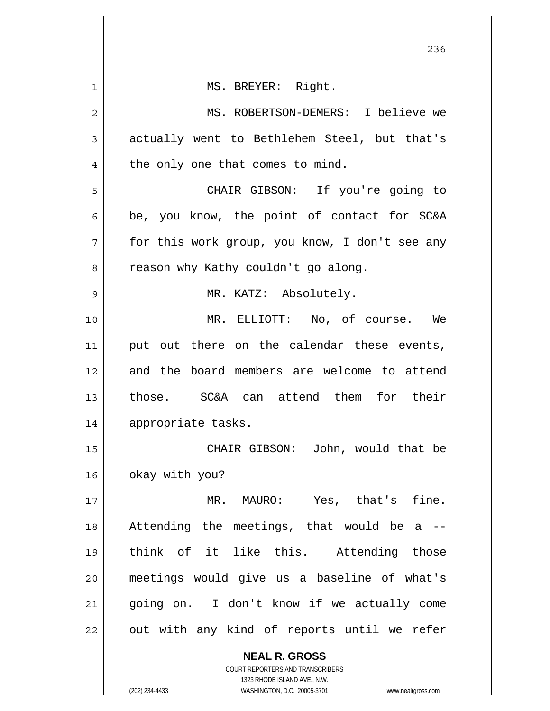|              | 236                                                                 |
|--------------|---------------------------------------------------------------------|
| 1            | MS. BREYER: Right.                                                  |
| $\mathbf{2}$ | MS. ROBERTSON-DEMERS: I believe we                                  |
| 3            | actually went to Bethlehem Steel, but that's                        |
| 4            | the only one that comes to mind.                                    |
| 5            | CHAIR GIBSON: If you're going to                                    |
| 6            | be, you know, the point of contact for SC&A                         |
| 7            | for this work group, you know, I don't see any                      |
| 8            | reason why Kathy couldn't go along.                                 |
| 9            | MR. KATZ: Absolutely.                                               |
| 10           | MR. ELLIOTT: No, of course. We                                      |
| 11           | put out there on the calendar these events,                         |
| 12           | and the board members are welcome to attend                         |
| 13           | those. SC&A can attend them for their                               |
| 14           | appropriate tasks.                                                  |
| 15           | CHAIR GIBSON: John, would that be                                   |
| 16           | okay with you?                                                      |
| 17           | MR. MAURO: Yes, that's fine.                                        |
| 18           | Attending the meetings, that would be a                             |
| 19           | think of it like this. Attending those                              |
| 20           | meetings would give us a baseline of what's                         |
| 21           | going on. I don't know if we actually come                          |
| 22           | out with any kind of reports until we refer                         |
|              | <b>NEAL R. GROSS</b>                                                |
|              | COURT REPORTERS AND TRANSCRIBERS<br>1323 RHODE ISLAND AVE., N.W.    |
|              | (202) 234-4433<br>WASHINGTON, D.C. 20005-3701<br>www.nealrgross.com |

 $\overline{\phantom{a}}$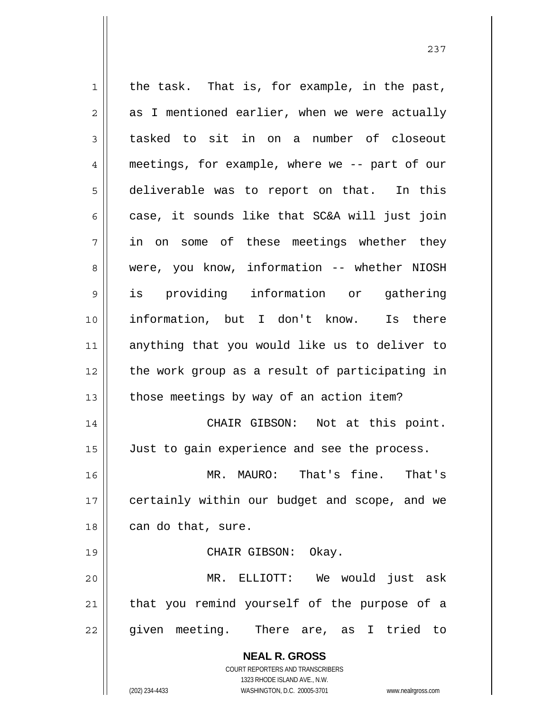**NEAL R. GROSS** COURT REPORTERS AND TRANSCRIBERS 1323 RHODE ISLAND AVE., N.W.  $1$  the task. That is, for example, in the past,  $2 \parallel$  as I mentioned earlier, when we were actually 3 tasked to sit in on a number of closeout 4 meetings, for example, where we -- part of our 5 deliverable was to report on that. In this  $6 \parallel$  case, it sounds like that SC&A will just join 7 in on some of these meetings whether they 8 were, you know, information -- whether NIOSH 9 is providing information or gathering 10 information, but I don't know. Is there 11 anything that you would like us to deliver to 12 the work group as a result of participating in  $13$  | those meetings by way of an action item? 14 CHAIR GIBSON: Not at this point. 15 | Just to gain experience and see the process. 16 MR. MAURO: That's fine. That's 17 || certainly within our budget and scope, and we  $18$  | can do that, sure. 19 || CHAIR GIBSON: Okay. 20 MR. ELLIOTT: We would just ask 21 || that you remind yourself of the purpose of a 22 || given meeting. There are, as I tried to

(202) 234-4433 WASHINGTON, D.C. 20005-3701 www.nealrgross.com

237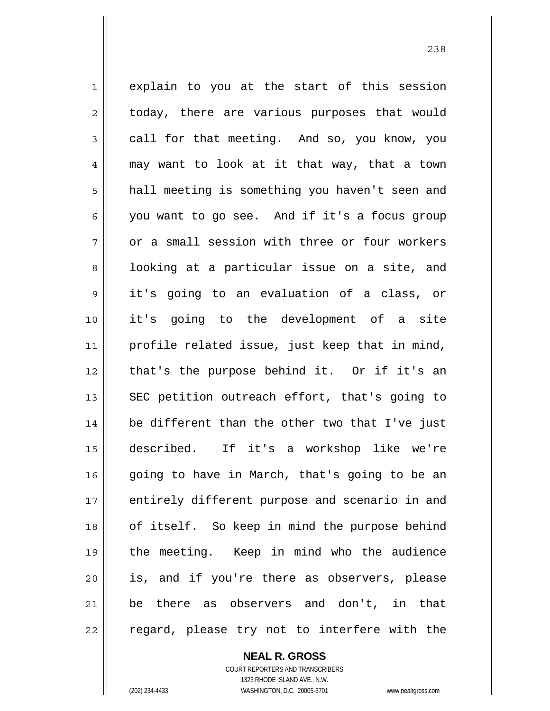1 explain to you at the start of this session  $2 \parallel$  today, there are various purposes that would  $3 \parallel$  call for that meeting. And so, you know, you 4 may want to look at it that way, that a town 5 | hall meeting is something you haven't seen and 6 you want to go see. And if it's a focus group  $7 \parallel$  or a small session with three or four workers 8 || looking at a particular issue on a site, and 9 it's going to an evaluation of a class, or 10 it's going to the development of a site 11 | profile related issue, just keep that in mind, 12 || that's the purpose behind it. Or if it's an 13  $\parallel$  SEC petition outreach effort, that's going to 14 be different than the other two that I've just 15 described. If it's a workshop like we're 16 going to have in March, that's going to be an 17 || entirely different purpose and scenario in and 18 || of itself. So keep in mind the purpose behind 19 the meeting. Keep in mind who the audience 20 || is, and if you're there as observers, please 21 be there as observers and don't, in that 22 || regard, please try not to interfere with the

<u>238</u>

 COURT REPORTERS AND TRANSCRIBERS 1323 RHODE ISLAND AVE., N.W. (202) 234-4433 WASHINGTON, D.C. 20005-3701 www.nealrgross.com

 **NEAL R. GROSS**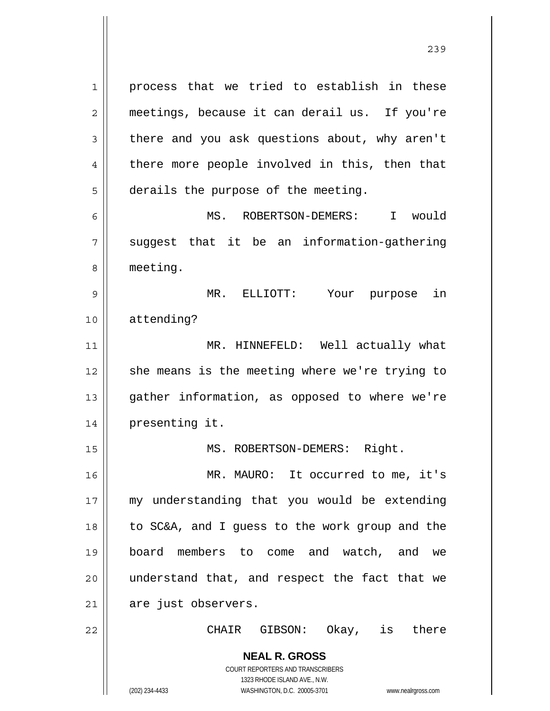**NEAL R. GROSS** process that we tried to establish in these meetings, because it can derail us. If you're  $3 \parallel$  there and you ask questions about, why aren't 4 || there more people involved in this, then that  $5 \parallel$  derails the purpose of the meeting. MS. ROBERTSON-DEMERS: I would  $7 \parallel$  suggest that it be an information-gathering 8 | meeting. MR. ELLIOTT: Your purpose in attending? MR. HINNEFELD: Well actually what she means is the meeting where we're trying to gather information, as opposed to where we're presenting it. 15 || MS. ROBERTSON-DEMERS: Right. MR. MAURO: It occurred to me, it's 17 || my understanding that you would be extending to SC&A, and I guess to the work group and the board members to come and watch, and we 20 || understand that, and respect the fact that we are just observers. CHAIR GIBSON: Okay, is there

> COURT REPORTERS AND TRANSCRIBERS 1323 RHODE ISLAND AVE., N.W.